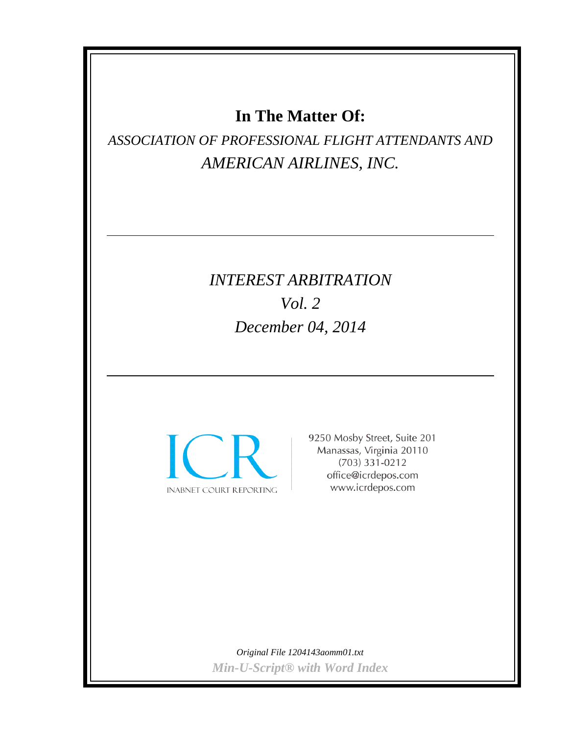## **In The Matter Of:**

*ASSOCIATION OF PROFESSIONAL FLIGHT ATTENDANTS AND AMERICAN AIRLINES, INC.*

# *INTEREST ARBITRATION Vol. 2 December 04, 2014*



9250 Mosby Street, Suite 201 Manassas, Virginia 20110  $(703)$  331-0212 office@icrdepos.com www.icrdepos.com

*Original File 1204143aomm01.txt Min-U-Script® with Word Index*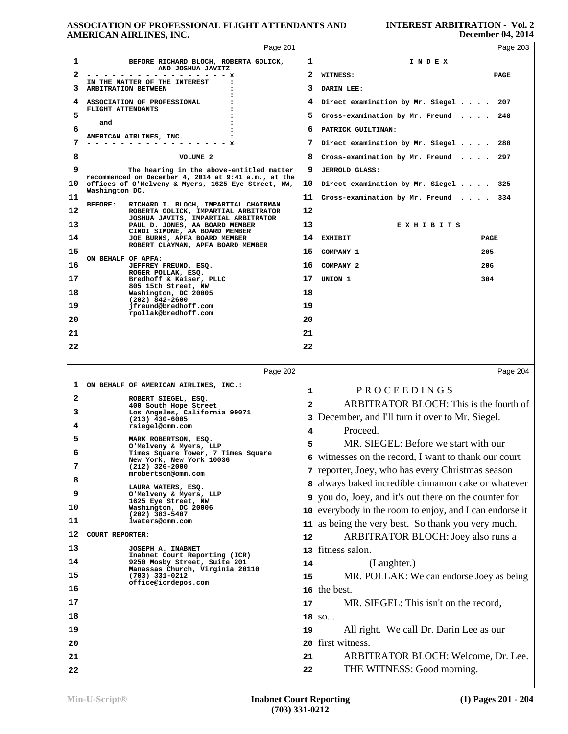|    | лиемсла лишаев, пас.                                                                                       |    | $D$ CCCIIIDCI 07, $2017$                                |
|----|------------------------------------------------------------------------------------------------------------|----|---------------------------------------------------------|
|    | Page 201                                                                                                   |    | Page 203                                                |
| 1  | BEFORE RICHARD BLOCH, ROBERTA GOLICK,<br>AND JOSHUA JAVITZ                                                 | 1  | INDEX                                                   |
| 2  | - - - - - - - - - - - - x                                                                                  | 2  | WITNESS:<br>PAGE                                        |
| з  | IN THE MATTER OF THE INTEREST<br>ARBITRATION BETWEEN                                                       | 3  | DARIN LEE:                                              |
| 4  | ASSOCIATION OF PROFESSIONAL                                                                                | 4  | Direct examination by Mr. Siegel 207                    |
| 5  | FLIGHT ATTENDANTS                                                                                          | 5  | Cross-examination by Mr. Freund $\ldots$ 248            |
| 6  | and                                                                                                        | 6  | PATRICK GUILTINAN:                                      |
| 7  | AMERICAN AIRLINES, INC.                                                                                    | 7  | Direct examination by Mr. Siegel 288                    |
| 8  | VOLUME 2                                                                                                   | 8  | Cross-examination by Mr. Freund $\ldots$ . 297          |
| 9  | The hearing in the above-entitled matter                                                                   | 9  | <b>JERROLD GLASS:</b>                                   |
| 10 | recommenced on December 4, 2014 at 9:41 a.m., at the<br>offices of O'Melveny & Myers, 1625 Eye Street, NW, | 10 | Direct examination by Mr. Siegel 325                    |
| 11 | Washington DC.                                                                                             | 11 | Cross-examination by Mr. Freund $\ldots$ 334            |
| 12 | RICHARD I. BLOCH, IMPARTIAL CHAIRMAN<br><b>BEFORE:</b><br>ROBERTA GOLICK, IMPARTIAL ARBITRATOR             | 12 |                                                         |
| 13 | JOSHUA JAVITS, IMPARTIAL ARBITRATOR<br>PAUL D. JONES, AA BOARD MEMBER                                      | 13 | EXHIBITS                                                |
| 14 | CINDI SIMONE, AA BOARD MEMBER<br>JOE BURNS, APFA BOARD MEMBER                                              | 14 | <b>EXHIBIT</b><br>PAGE                                  |
| 15 | ROBERT CLAYMAN, APFA BOARD MEMBER                                                                          | 15 | COMPANY 1<br>205                                        |
| 16 | ON BEHALF OF APFA:<br>JEFFREY FREUND, ESQ.                                                                 | 16 | COMPANY 2<br>206                                        |
| 17 | ROGER POLLAK, ESQ.<br>Bredhoff & Kaiser, PLLC                                                              | 17 | UNION 1<br>304                                          |
| 18 | 805 15th Street, NW<br>Washington, DC 20005                                                                | 18 |                                                         |
| 19 | $(202)$ 842-2600<br>jfreund@bredhoff.com                                                                   | 19 |                                                         |
| 20 | rpollak@bredhoff.com                                                                                       | 20 |                                                         |
| 21 |                                                                                                            | 21 |                                                         |
| 22 |                                                                                                            | 22 |                                                         |
|    |                                                                                                            |    |                                                         |
|    | Page 202                                                                                                   |    | Page 204                                                |
| ı  | ON BEHALF OF AMERICAN AIRLINES, INC.:                                                                      | 1  | PROCEEDINGS                                             |
| 2  | ROBERT SIEGEL, ESQ.<br>400 South Hope Street                                                               | 2  | ARBITRATOR BLOCH: This is the fourth of                 |
| 3  | Los Angeles, California 90071<br>$(213)$ 430-6005                                                          |    | 3 December, and I'll turn it over to Mr. Siegel.        |
| 4  | rsiegel@omm.com                                                                                            | 4  | Proceed.                                                |
| 5  | MARK ROBERTSON, ESQ.<br>O'Melveny & Myers, LLP                                                             | 5  | MR. SIEGEL: Before we start with our                    |
| 6  | Times Square Tower, 7 Times Square<br>New York, New York 10036                                             |    | 6 witnesses on the record, I want to thank our court    |
| 7  | $(212)$ 326-2000<br>mrobertson@omm.com                                                                     |    | 7 reporter, Joey, who has every Christmas season        |
| 8  |                                                                                                            |    | 8 always baked incredible cinnamon cake or whatever     |
| 9  | LAURA WATERS, ESQ.<br>O'Melveny & Myers, LLP                                                               |    | 9 you do, Joey, and it's out there on the counter for   |
| 10 | 1625 Eye Street, NW<br>Washington, DC 20006                                                                |    | 10 everybody in the room to enjoy, and I can endorse it |
| 11 | $(202)$ 383-5407<br>lwaters@omm.com                                                                        | 11 | as being the very best. So thank you very much.         |
| 12 | <b>COURT REPORTER:</b>                                                                                     | 12 | ARBITRATOR BLOCH: Joey also runs a                      |
| 13 | <b>JOSEPH A. INABNET</b>                                                                                   | 13 | fitness salon.                                          |
| 14 | Inabnet Court Reporting (ICR)<br>9250 Mosby Street, Suite 201                                              | 14 | (Laughter.)                                             |
| 15 | Manassas Church, Virginia 20110<br>$(703)$ 331-0212                                                        | 15 | MR. POLLAK: We can endorse Joey as being                |
| 16 | office@icrdepos.com                                                                                        |    | 16 the best.                                            |
| 17 |                                                                                                            | 17 | MR. SIEGEL: This isn't on the record,                   |
| 18 |                                                                                                            |    | 18 so                                                   |
| 19 |                                                                                                            | 19 | All right. We call Dr. Darin Lee as our                 |
| 20 |                                                                                                            |    | 20 first witness.                                       |
| 21 |                                                                                                            | 21 | ARBITRATOR BLOCH: Welcome, Dr. Lee.                     |
| 22 |                                                                                                            | 22 | THE WITNESS: Good morning.                              |
|    |                                                                                                            |    |                                                         |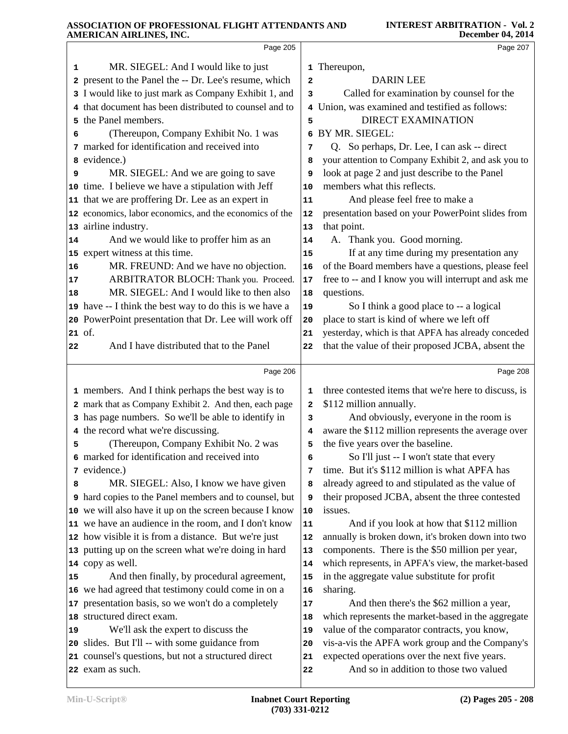|    | Page 205                                                                |    | Page 207                                                                                |
|----|-------------------------------------------------------------------------|----|-----------------------------------------------------------------------------------------|
| 1  | MR. SIEGEL: And I would like to just                                    |    | 1 Thereupon,                                                                            |
|    | 2 present to the Panel the -- Dr. Lee's resume, which                   | 2  | <b>DARIN LEE</b>                                                                        |
|    | 3 I would like to just mark as Company Exhibit 1, and                   | 3  | Called for examination by counsel for the                                               |
|    | 4 that document has been distributed to counsel and to                  |    | 4 Union, was examined and testified as follows:                                         |
|    | 5 the Panel members.                                                    | 5  | <b>DIRECT EXAMINATION</b>                                                               |
| 6  | (Thereupon, Company Exhibit No. 1 was                                   |    | 6 BY MR. SIEGEL:                                                                        |
|    | 7 marked for identification and received into                           | 7  | Q. So perhaps, Dr. Lee, I can ask -- direct                                             |
|    | 8 evidence.)                                                            | 8  | your attention to Company Exhibit 2, and ask you to                                     |
| 9  | MR. SIEGEL: And we are going to save                                    | 9  | look at page 2 and just describe to the Panel                                           |
|    | 10 time. I believe we have a stipulation with Jeff                      | 10 | members what this reflects.                                                             |
|    | 11 that we are proffering Dr. Lee as an expert in                       | 11 | And please feel free to make a                                                          |
|    | 12 economics, labor economics, and the economics of the                 | 12 | presentation based on your PowerPoint slides from                                       |
|    | 13 airline industry.                                                    | 13 | that point.                                                                             |
| 14 | And we would like to proffer him as an                                  | 14 | A. Thank you. Good morning.                                                             |
|    | 15 expert witness at this time.                                         | 15 | If at any time during my presentation any                                               |
| 16 | MR. FREUND: And we have no objection.                                   | 16 | of the Board members have a questions, please feel                                      |
| 17 | ARBITRATOR BLOCH: Thank you. Proceed.                                   | 17 | free to -- and I know you will interrupt and ask me                                     |
| 18 | MR. SIEGEL: And I would like to then also                               | 18 | questions.                                                                              |
|    | 19 have -- I think the best way to do this is we have a                 | 19 | So I think a good place to -- a logical                                                 |
|    | 20 PowerPoint presentation that Dr. Lee will work off                   | 20 | place to start is kind of where we left off                                             |
|    | 21 of.                                                                  | 21 | yesterday, which is that APFA has already conceded                                      |
| 22 | And I have distributed that to the Panel                                | 22 | that the value of their proposed JCBA, absent the                                       |
|    |                                                                         |    |                                                                                         |
|    | Page 206                                                                |    | Page 208                                                                                |
|    | 1 members. And I think perhaps the best way is to                       | 1  | three contested items that we're here to discuss, is                                    |
|    | 2 mark that as Company Exhibit 2. And then, each page                   | 2  | \$112 million annually.                                                                 |
|    | 3 has page numbers. So we'll be able to identify in                     | 3  | And obviously, everyone in the room is                                                  |
|    | 4 the record what we're discussing.                                     | 4  | aware the \$112 million represents the average over                                     |
| 5  | (Thereupon, Company Exhibit No. 2 was                                   | 5  | the five years over the baseline.                                                       |
|    | 6 marked for identification and received into                           | 6  | So I'll just -- I won't state that every                                                |
|    | 7 evidence.)                                                            | 7  | time. But it's \$112 million is what APFA has                                           |
| 8  | MR. SIEGEL: Also, I know we have given                                  | 8  | already agreed to and stipulated as the value of                                        |
|    | 9 hard copies to the Panel members and to counsel, but                  | 9  | their proposed JCBA, absent the three contested                                         |
|    | 10 we will also have it up on the screen because I know                 | 10 | issues.                                                                                 |
|    | 11 we have an audience in the room, and I don't know                    | 11 | And if you look at how that \$112 million                                               |
|    | 12 how visible it is from a distance. But we're just                    | 12 | annually is broken down, it's broken down into two                                      |
|    | 13 putting up on the screen what we're doing in hard                    | 13 | components. There is the \$50 million per year,                                         |
|    | 14 copy as well.                                                        | 14 | which represents, in APFA's view, the market-based                                      |
| 15 | And then finally, by procedural agreement,                              | 15 | in the aggregate value substitute for profit                                            |
|    | 16 we had agreed that testimony could come in on a                      | 16 | sharing.                                                                                |
|    | 17 presentation basis, so we won't do a completely                      | 17 | And then there's the \$62 million a year,                                               |
|    | 18 structured direct exam.                                              | 18 | which represents the market-based in the aggregate                                      |
| 19 | We'll ask the expert to discuss the                                     | 19 | value of the comparator contracts, you know,                                            |
|    |                                                                         |    |                                                                                         |
|    | 20 slides. But I'll -- with some guidance from                          | 20 | vis-a-vis the APFA work group and the Company's                                         |
|    | 21 counsel's questions, but not a structured direct<br>22 exam as such. | 21 | expected operations over the next five years.<br>And so in addition to those two valued |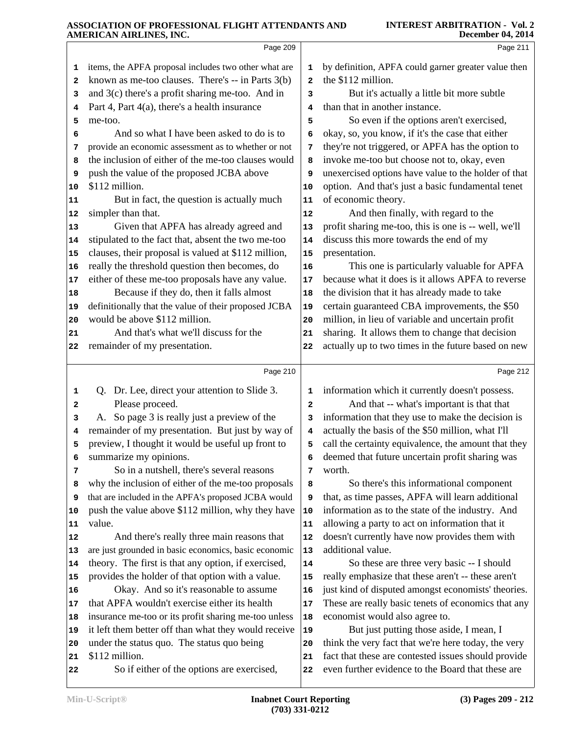|                | Page 209                                                                                              |                | Page 211                                                                                                  |  |
|----------------|-------------------------------------------------------------------------------------------------------|----------------|-----------------------------------------------------------------------------------------------------------|--|
| 1              | items, the APFA proposal includes two other what are                                                  | 1              | by definition, APFA could garner greater value then                                                       |  |
| 2              | known as me-too clauses. There's -- in Parts 3(b)                                                     | $\overline{a}$ | the \$112 million.                                                                                        |  |
| 3              | and $3(c)$ there's a profit sharing me-too. And in                                                    | 3              | But it's actually a little bit more subtle                                                                |  |
| 4              | Part 4, Part 4(a), there's a health insurance                                                         | 4              | than that in another instance.                                                                            |  |
| 5              | me-too.                                                                                               | 5              | So even if the options aren't exercised,                                                                  |  |
| 6              | And so what I have been asked to do is to                                                             | 6              | okay, so, you know, if it's the case that either                                                          |  |
| 7              | provide an economic assessment as to whether or not                                                   | 7              | they're not triggered, or APFA has the option to                                                          |  |
| 8              | the inclusion of either of the me-too clauses would                                                   | 8              | invoke me-too but choose not to, okay, even                                                               |  |
| 9              | push the value of the proposed JCBA above                                                             | 9              | unexercised options have value to the holder of that                                                      |  |
| 10             | \$112 million.                                                                                        | 10             | option. And that's just a basic fundamental tenet                                                         |  |
| 11             | But in fact, the question is actually much                                                            | 11             | of economic theory.                                                                                       |  |
| 12             | simpler than that.                                                                                    | 12             | And then finally, with regard to the                                                                      |  |
| 13             | Given that APFA has already agreed and                                                                | 13             | profit sharing me-too, this is one is -- well, we'll                                                      |  |
| 14             | stipulated to the fact that, absent the two me-too                                                    | 14             | discuss this more towards the end of my                                                                   |  |
| 15             | clauses, their proposal is valued at \$112 million,<br>really the threshold question then becomes, do | 15<br>16       | presentation.<br>This one is particularly valuable for APFA                                               |  |
| 16<br>17       | either of these me-too proposals have any value.                                                      | 17             | because what it does is it allows APFA to reverse                                                         |  |
| 18             | Because if they do, then it falls almost                                                              | 18             | the division that it has already made to take                                                             |  |
| 19             | definitionally that the value of their proposed JCBA                                                  | 19             | certain guaranteed CBA improvements, the \$50                                                             |  |
| 20             | would be above \$112 million.                                                                         | 20             | million, in lieu of variable and uncertain profit                                                         |  |
| 21             | And that's what we'll discuss for the                                                                 | 21             | sharing. It allows them to change that decision                                                           |  |
| 22             | remainder of my presentation.                                                                         | 22             | actually up to two times in the future based on new                                                       |  |
|                |                                                                                                       |                |                                                                                                           |  |
|                |                                                                                                       |                |                                                                                                           |  |
|                | Page 210                                                                                              |                | Page 212                                                                                                  |  |
| 1              | Q. Dr. Lee, direct your attention to Slide 3.                                                         | 1              | information which it currently doesn't possess.                                                           |  |
| 2              | Please proceed.                                                                                       | $\mathbf{2}$   | And that -- what's important is that that                                                                 |  |
| з              | A. So page 3 is really just a preview of the                                                          | 3              | information that they use to make the decision is                                                         |  |
| 4              | remainder of my presentation. But just by way of                                                      | 4              | actually the basis of the \$50 million, what I'll                                                         |  |
| 5              | preview, I thought it would be useful up front to                                                     | 5              | call the certainty equivalence, the amount that they                                                      |  |
| 6              | summarize my opinions.                                                                                | 6              | deemed that future uncertain profit sharing was                                                           |  |
| 7              | So in a nutshell, there's several reasons                                                             | 7              | worth.                                                                                                    |  |
| 8              | why the inclusion of either of the me-too proposals                                                   | 8              | So there's this informational component                                                                   |  |
| 9              | that are included in the APFA's proposed JCBA would                                                   | 9              | that, as time passes, APFA will learn additional                                                          |  |
| 10             | push the value above \$112 million, why they have                                                     | 10             | information as to the state of the industry. And                                                          |  |
| 11             | value.                                                                                                | 11             | allowing a party to act on information that it                                                            |  |
|                | And there's really three main reasons that                                                            | 12             | doesn't currently have now provides them with                                                             |  |
| 13             | are just grounded in basic economics, basic economic                                                  | 13<br>14       | additional value.                                                                                         |  |
| 15             | theory. The first is that any option, if exercised,                                                   | 15             | So these are three very basic -- I should                                                                 |  |
| 16             | provides the holder of that option with a value.<br>Okay. And so it's reasonable to assume            | 16             | really emphasize that these aren't -- these aren't<br>just kind of disputed amongst economists' theories. |  |
| 17             | that APFA wouldn't exercise either its health                                                         | 17             | These are really basic tenets of economics that any                                                       |  |
| 12<br>14<br>18 | insurance me-too or its profit sharing me-too unless                                                  | 18             | economist would also agree to.                                                                            |  |
| 19             | it left them better off than what they would receive                                                  | 19             | But just putting those aside, I mean, I                                                                   |  |
| 20             | under the status quo. The status quo being                                                            | 20             | think the very fact that we're here today, the very                                                       |  |
| 21             | \$112 million.                                                                                        | 21             | fact that these are contested issues should provide                                                       |  |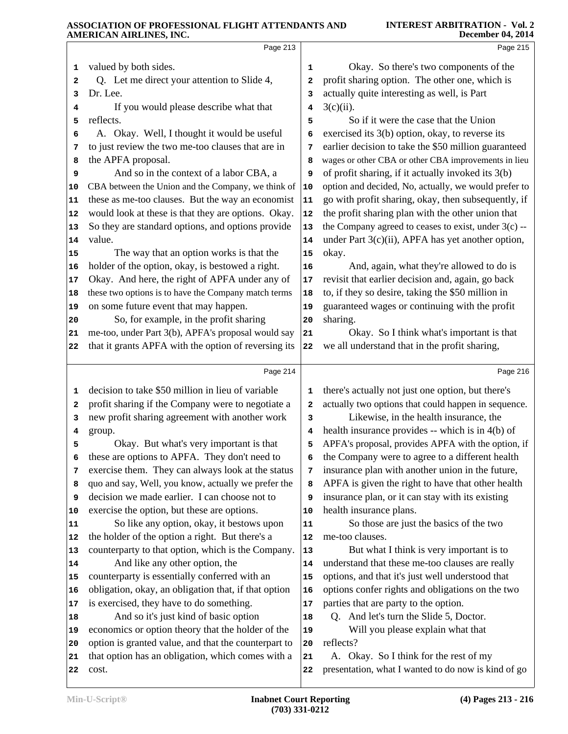|                | Page 213                                                                                                  |                         | Page 215                                               |
|----------------|-----------------------------------------------------------------------------------------------------------|-------------------------|--------------------------------------------------------|
| 1              | valued by both sides.                                                                                     | 1                       | Okay. So there's two components of the                 |
| 2              | Q. Let me direct your attention to Slide 4,                                                               | $\overline{\mathbf{2}}$ | profit sharing option. The other one, which is         |
| 3              | Dr. Lee.                                                                                                  | 3                       | actually quite interesting as well, is Part            |
| 4              | If you would please describe what that                                                                    | 4                       | $3(c)(ii)$ .                                           |
| 5              | reflects.                                                                                                 | 5                       | So if it were the case that the Union                  |
| 6              | A. Okay. Well, I thought it would be useful                                                               | 6                       | exercised its 3(b) option, okay, to reverse its        |
| 7              | to just review the two me-too clauses that are in                                                         | 7                       | earlier decision to take the \$50 million guaranteed   |
| 8              | the APFA proposal.                                                                                        | 8                       | wages or other CBA or other CBA improvements in lieu   |
| 9              | And so in the context of a labor CBA, a                                                                   | 9                       | of profit sharing, if it actually invoked its 3(b)     |
| 10             | CBA between the Union and the Company, we think of                                                        | 10                      | option and decided, No, actually, we would prefer to   |
| 11             | these as me-too clauses. But the way an economist                                                         | 11                      | go with profit sharing, okay, then subsequently, if    |
| 12             | would look at these is that they are options. Okay.                                                       | 12                      | the profit sharing plan with the other union that      |
| 13             | So they are standard options, and options provide                                                         | 13                      | the Company agreed to ceases to exist, under $3(c)$ -- |
| 14             | value.                                                                                                    | 14                      | under Part 3(c)(ii), APFA has yet another option,      |
| 15             | The way that an option works is that the                                                                  | 15                      | okay.                                                  |
| 16             | holder of the option, okay, is bestowed a right.                                                          | 16                      | And, again, what they're allowed to do is              |
| 17             | Okay. And here, the right of APFA under any of                                                            | 17                      | revisit that earlier decision and, again, go back      |
| 18             | these two options is to have the Company match terms                                                      | 18                      | to, if they so desire, taking the \$50 million in      |
| 19             | on some future event that may happen.                                                                     | 19                      | guaranteed wages or continuing with the profit         |
| 20             | So, for example, in the profit sharing                                                                    | 20                      | sharing.                                               |
| 21             | me-too, under Part 3(b), APFA's proposal would say                                                        | 21                      | Okay. So I think what's important is that              |
| 22             | that it grants APFA with the option of reversing its                                                      | 22                      | we all understand that in the profit sharing,          |
|                |                                                                                                           |                         |                                                        |
|                | Page 214                                                                                                  |                         | Page 216                                               |
| 1              | decision to take \$50 million in lieu of variable                                                         | 1                       | there's actually not just one option, but there's      |
| 2              | profit sharing if the Company were to negotiate a                                                         | 2                       | actually two options that could happen in sequence.    |
| з              | new profit sharing agreement with another work                                                            | 3                       | Likewise, in the health insurance, the                 |
| 4              | group.                                                                                                    | 4                       | health insurance provides -- which is in 4(b) of       |
| 5              | Okay. But what's very important is that                                                                   | 5                       | APFA's proposal, provides APFA with the option, if     |
|                | these are options to APFA. They don't need to                                                             | 6                       | the Company were to agree to a different health        |
| 7              | exercise them. They can always look at the status                                                         | 7                       | insurance plan with another union in the future,       |
| 8              | quo and say, Well, you know, actually we prefer the                                                       | 8                       | APFA is given the right to have that other health      |
| 9              | decision we made earlier. I can choose not to                                                             | 9                       | insurance plan, or it can stay with its existing       |
| 10             | exercise the option, but these are options.                                                               | 10                      | health insurance plans.                                |
| 11             | So like any option, okay, it bestows upon                                                                 | 11                      | So those are just the basics of the two                |
| 12             | the holder of the option a right. But there's a                                                           | 12                      | me-too clauses.                                        |
|                | counterparty to that option, which is the Company.                                                        | 13                      | But what I think is very important is to               |
| 13             | And like any other option, the                                                                            | 14                      | understand that these me-too clauses are really        |
| 15             | counterparty is essentially conferred with an                                                             | 15                      | options, and that it's just well understood that       |
| 16             | obligation, okay, an obligation that, if that option                                                      | 16                      | options confer rights and obligations on the two       |
| 17             | is exercised, they have to do something.                                                                  | 17                      | parties that are party to the option.                  |
| 18             | And so it's just kind of basic option                                                                     | 18                      | Q. And let's turn the Slide 5, Doctor.                 |
| 14<br>19<br>20 | economics or option theory that the holder of the                                                         | 19<br>20                | Will you please explain what that<br>reflects?         |
| 21             | option is granted value, and that the counterpart to<br>that option has an obligation, which comes with a | 21                      | A. Okay. So I think for the rest of my                 |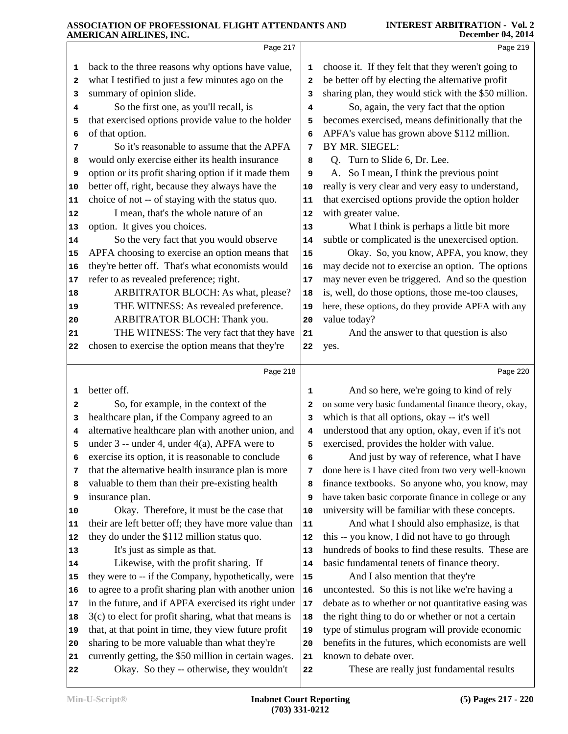|        | AMENICAN AINLINED, INC.                                                                            |                         | Decenidel V7, ZV17                                    |
|--------|----------------------------------------------------------------------------------------------------|-------------------------|-------------------------------------------------------|
|        | Page 217                                                                                           |                         | Page 219                                              |
| 1      | back to the three reasons why options have value,                                                  | 1                       | choose it. If they felt that they weren't going to    |
| 2      | what I testified to just a few minutes ago on the                                                  | $\overline{\mathbf{2}}$ | be better off by electing the alternative profit      |
| з      | summary of opinion slide.                                                                          | 3                       | sharing plan, they would stick with the \$50 million. |
| 4      | So the first one, as you'll recall, is                                                             | 4                       | So, again, the very fact that the option              |
| 5      | that exercised options provide value to the holder                                                 | 5                       | becomes exercised, means definitionally that the      |
| 6      | of that option.                                                                                    | 6                       | APFA's value has grown above \$112 million.           |
| 7      | So it's reasonable to assume that the APFA                                                         | 7                       | BY MR. SIEGEL:                                        |
| 8      | would only exercise either its health insurance                                                    | 8                       | Q. Turn to Slide 6, Dr. Lee.                          |
| 9      | option or its profit sharing option if it made them                                                | 9                       | A. So I mean, I think the previous point              |
| 10     | better off, right, because they always have the                                                    | 10                      | really is very clear and very easy to understand,     |
| 11     | choice of not -- of staying with the status quo.                                                   | 11                      | that exercised options provide the option holder      |
| 12     | I mean, that's the whole nature of an                                                              | 12                      | with greater value.                                   |
| 13     | option. It gives you choices.                                                                      | 13                      | What I think is perhaps a little bit more             |
| 14     | So the very fact that you would observe                                                            | 14                      | subtle or complicated is the unexercised option.      |
| 15     | APFA choosing to exercise an option means that                                                     | 15                      | Okay. So, you know, APFA, you know, they              |
| 16     | they're better off. That's what economists would                                                   | 16                      | may decide not to exercise an option. The options     |
| 17     | refer to as revealed preference; right.                                                            | 17                      | may never even be triggered. And so the question      |
| 18     | ARBITRATOR BLOCH: As what, please?                                                                 | 18                      | is, well, do those options, those me-too clauses,     |
| 19     | THE WITNESS: As revealed preference.                                                               | 19                      | here, these options, do they provide APFA with any    |
| 20     | ARBITRATOR BLOCH: Thank you.                                                                       | 20                      | value today?                                          |
| 21     | THE WITNESS: The very fact that they have                                                          | 21                      | And the answer to that question is also               |
| 22     | chosen to exercise the option means that they're                                                   | 22                      | yes.                                                  |
|        | Page 218                                                                                           |                         | Page 220                                              |
|        | better off.                                                                                        |                         | And so here, we're going to kind of rely              |
| 1      | So, for example, in the context of the                                                             | 1                       | on some very basic fundamental finance theory, okay,  |
| 2<br>3 | healthcare plan, if the Company agreed to an                                                       | 2<br>3                  | which is that all options, okay -- it's well          |
| 4      | alternative healthcare plan with another union, and                                                | 4                       | understood that any option, okay, even if it's not    |
| 5      | under $3$ -- under 4, under 4(a), APFA were to                                                     | 5                       | exercised, provides the holder with value.            |
| 6      | exercise its option, it is reasonable to conclude                                                  | 6                       | And just by way of reference, what I have             |
| 7      | that the alternative health insurance plan is more                                                 | 7                       | done here is I have cited from two very well-known    |
| 8      | valuable to them than their pre-existing health                                                    | 8                       | finance textbooks. So anyone who, you know, may       |
| 9      | insurance plan.                                                                                    | 9                       | have taken basic corporate finance in college or any  |
| 10     | Okay. Therefore, it must be the case that                                                          | 10                      | university will be familiar with these concepts.      |
| 11     | their are left better off; they have more value than                                               | 11                      | And what I should also emphasize, is that             |
| 12     | they do under the \$112 million status quo.                                                        | 12                      | this -- you know, I did not have to go through        |
| 13     | It's just as simple as that.                                                                       | 13                      | hundreds of books to find these results. These are    |
| 14     | Likewise, with the profit sharing. If                                                              | 14                      | basic fundamental tenets of finance theory.           |
| 15     | they were to -- if the Company, hypothetically, were                                               | 15                      | And I also mention that they're                       |
| 16     | to agree to a profit sharing plan with another union                                               | 16                      | uncontested. So this is not like we're having a       |
| 17     | in the future, and if APFA exercised its right under                                               | 17                      | debate as to whether or not quantitative easing was   |
| 18     | $3(c)$ to elect for profit sharing, what that means is                                             | 18                      | the right thing to do or whether or not a certain     |
| 19     | that, at that point in time, they view future profit                                               | 19                      | type of stimulus program will provide economic        |
| 20     | sharing to be more valuable than what they're                                                      | 20                      | benefits in the futures, which economists are well    |
|        |                                                                                                    |                         |                                                       |
| 21     |                                                                                                    | 21                      | known to debate over.                                 |
| 22     | currently getting, the \$50 million in certain wages.<br>Okay. So they -- otherwise, they wouldn't | 22                      | These are really just fundamental results             |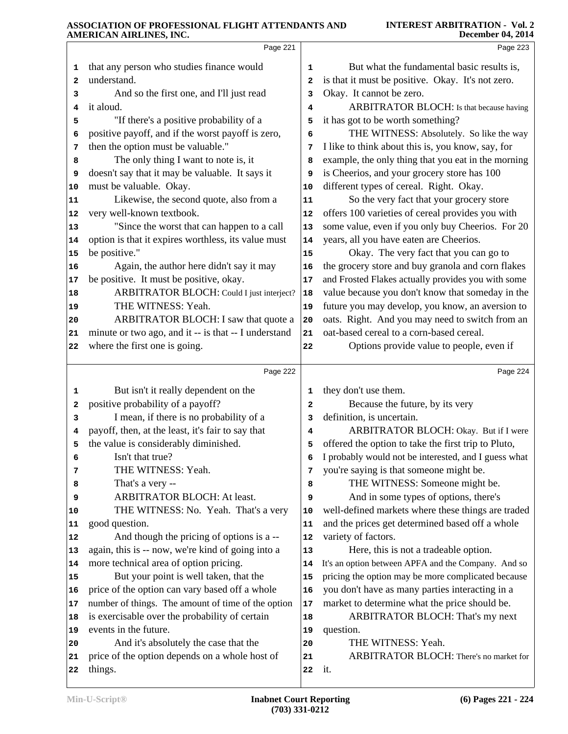|    | министичанный по, пус.                                    |            |                                                      |
|----|-----------------------------------------------------------|------------|------------------------------------------------------|
|    | Page 221                                                  |            | Page 223                                             |
| 1  | that any person who studies finance would                 | 1          | But what the fundamental basic results is,           |
| 2  | understand.                                               | 2          | is that it must be positive. Okay. It's not zero.    |
| з  | And so the first one, and I'll just read                  | 3          | Okay. It cannot be zero.                             |
| 4  | it aloud.                                                 | 4          | ARBITRATOR BLOCH: Is that because having             |
| 5  | "If there's a positive probability of a                   | 5          | it has got to be worth something?                    |
| 6  | positive payoff, and if the worst payoff is zero,         | 6          | THE WITNESS: Absolutely. So like the way             |
| 7  | then the option must be valuable."                        | 7          | I like to think about this is, you know, say, for    |
| 8  | The only thing I want to note is, it                      | 8          | example, the only thing that you eat in the morning  |
| 9  | doesn't say that it may be valuable. It says it           | 9          | is Cheerios, and your grocery store has 100          |
| 10 | must be valuable. Okay.                                   | 10         | different types of cereal. Right. Okay.              |
| 11 | Likewise, the second quote, also from a                   | ${\bf 11}$ | So the very fact that your grocery store             |
| 12 | very well-known textbook.                                 | 12         | offers 100 varieties of cereal provides you with     |
| 13 | "Since the worst that can happen to a call                | 13         | some value, even if you only buy Cheerios. For 20    |
| 14 | option is that it expires worthless, its value must       | 14         | years, all you have eaten are Cheerios.              |
| 15 | be positive."                                             | 15         | Okay. The very fact that you can go to               |
| 16 | Again, the author here didn't say it may                  | 16         | the grocery store and buy granola and corn flakes    |
| 17 | be positive. It must be positive, okay.                   | 17         | and Frosted Flakes actually provides you with some   |
| 18 | ARBITRATOR BLOCH: Could I just interject?                 | 18         | value because you don't know that someday in the     |
| 19 | THE WITNESS: Yeah.                                        | 19         | future you may develop, you know, an aversion to     |
| 20 | ARBITRATOR BLOCH: I saw that quote a                      | 20         | oats. Right. And you may need to switch from an      |
| 21 | minute or two ago, and it -- is that -- I understand      | 21         | oat-based cereal to a corn-based cereal.             |
| 22 | where the first one is going.                             | 22         | Options provide value to people, even if             |
|    | Page 222                                                  |            | Page 224                                             |
| 1  | But isn't it really dependent on the                      | 1          | they don't use them.                                 |
| 2  | positive probability of a payoff?                         | 2          | Because the future, by its very                      |
| з  | I mean, if there is no probability of a                   | 3          | definition, is uncertain.                            |
| 4  | payoff, then, at the least, it's fair to say that         | 4          | ARBITRATOR BLOCH: Okay. But if I were                |
| 5  | the value is considerably diminished.                     | 5          | offered the option to take the first trip to Pluto,  |
| 6  | Isn't that true?                                          | 6          | I probably would not be interested, and I guess what |
| 7  | THE WITNESS: Yeah.                                        | 7          | you're saying is that someone might be.              |
| 8  | That's a very --                                          | 8          | THE WITNESS: Someone might be.                       |
| 9  | ARBITRATOR BLOCH: At least.                               | 9          | And in some types of options, there's                |
| 10 | THE WITNESS: No. Yeah. That's a very                      | 10         | well-defined markets where these things are traded   |
| 11 | good question.                                            | 11         | and the prices get determined based off a whole      |
| 12 | And though the pricing of options is a --                 | 12         | variety of factors.                                  |
| 13 | again, this is -- now, we're kind of going into a         | 13         | Here, this is not a tradeable option.                |
| 14 | more technical area of option pricing.                    | 14         | It's an option between APFA and the Company. And so  |
| 15 | But your point is well taken, that the                    | 15         | pricing the option may be more complicated because   |
| 16 | price of the option can vary based off a whole            | 16         | you don't have as many parties interacting in a      |
| 17 | number of things. The amount of time of the option        | 17         | market to determine what the price should be.        |
| 18 | is exercisable over the probability of certain            | 18         | ARBITRATOR BLOCH: That's my next                     |
| 19 | events in the future.                                     | 19         | question.                                            |
| 20 | And it's absolutely the case that the                     | 20         | THE WITNESS: Yeah.                                   |
|    |                                                           |            |                                                      |
| 21 | price of the option depends on a whole host of<br>things. | 21         | ARBITRATOR BLOCH: There's no market for<br>it.       |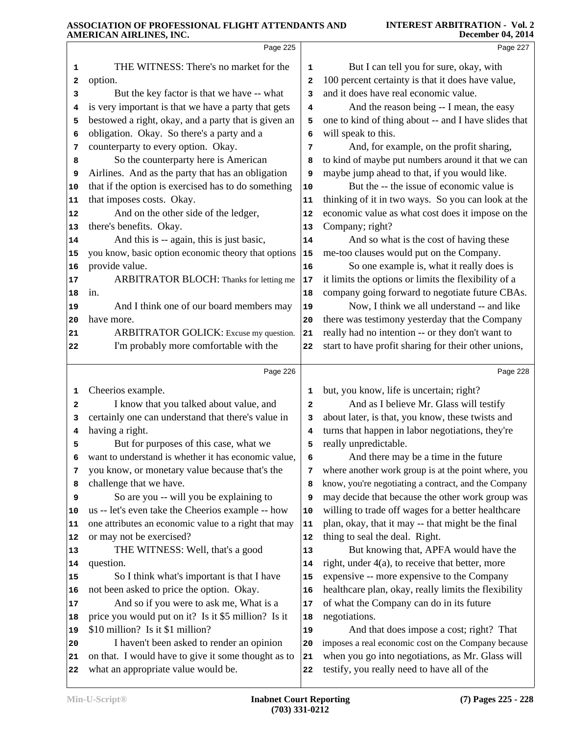|    | Page 225                                                                                   |              | Page 227                                                                                        |
|----|--------------------------------------------------------------------------------------------|--------------|-------------------------------------------------------------------------------------------------|
| 1  | THE WITNESS: There's no market for the                                                     | 1            | But I can tell you for sure, okay, with                                                         |
| 2  | option.                                                                                    | $\mathbf{2}$ | 100 percent certainty is that it does have value,                                               |
| 3  | But the key factor is that we have -- what                                                 | 3            | and it does have real economic value.                                                           |
| 4  | is very important is that we have a party that gets                                        | 4            | And the reason being -- I mean, the easy                                                        |
| 5  | bestowed a right, okay, and a party that is given an                                       | 5            | one to kind of thing about -- and I have slides that                                            |
| 6  | obligation. Okay. So there's a party and a                                                 | 6            | will speak to this.                                                                             |
| 7  | counterparty to every option. Okay.                                                        | 7            | And, for example, on the profit sharing,                                                        |
| 8  | So the counterparty here is American                                                       | 8            | to kind of maybe put numbers around it that we can                                              |
| 9  | Airlines. And as the party that has an obligation                                          | 9            | maybe jump ahead to that, if you would like.                                                    |
| 10 | that if the option is exercised has to do something                                        | 10           | But the -- the issue of economic value is                                                       |
| 11 | that imposes costs. Okay.                                                                  | 11           | thinking of it in two ways. So you can look at the                                              |
| 12 | And on the other side of the ledger,                                                       | 12           | economic value as what cost does it impose on the                                               |
| 13 | there's benefits. Okay.                                                                    | 13           | Company; right?                                                                                 |
| 14 | And this is -- again, this is just basic,                                                  | 14           | And so what is the cost of having these                                                         |
| 15 | you know, basic option economic theory that options                                        | 15           | me-too clauses would put on the Company.                                                        |
| 16 | provide value.                                                                             | 16           | So one example is, what it really does is                                                       |
| 17 | ARBITRATOR BLOCH: Thanks for letting me                                                    | 17           | it limits the options or limits the flexibility of a                                            |
| 18 | in.                                                                                        | 18           | company going forward to negotiate future CBAs.                                                 |
| 19 | And I think one of our board members may                                                   | 19           | Now, I think we all understand -- and like                                                      |
| 20 | have more.                                                                                 | 20           | there was testimony yesterday that the Company                                                  |
| 21 | ARBITRATOR GOLICK: Excuse my question.                                                     | 21           | really had no intention -- or they don't want to                                                |
| 22 | I'm probably more comfortable with the                                                     | 22           | start to have profit sharing for their other unions,                                            |
|    |                                                                                            |              |                                                                                                 |
|    | Page 226                                                                                   |              | Page 228                                                                                        |
| 1  | Cheerios example.                                                                          | 1            | but, you know, life is uncertain; right?                                                        |
| 2  | I know that you talked about value, and                                                    | $\mathbf{2}$ | And as I believe Mr. Glass will testify                                                         |
| з  | certainly one can understand that there's value in                                         | 3            | about later, is that, you know, these twists and                                                |
| 4  | having a right.                                                                            | 4            | turns that happen in labor negotiations, they're                                                |
| 5  |                                                                                            |              |                                                                                                 |
|    | But for purposes of this case, what we                                                     | 5            | really unpredictable.                                                                           |
|    | want to understand is whether it has economic value,                                       | 6            | And there may be a time in the future                                                           |
| 7  | you know, or monetary value because that's the                                             | 7            | where another work group is at the point where, you                                             |
| 8  | challenge that we have.                                                                    | 8            | know, you're negotiating a contract, and the Company                                            |
| 9  | So are you -- will you be explaining to                                                    | 9            | may decide that because the other work group was                                                |
| 10 | us -- let's even take the Cheerios example -- how                                          | 10           | willing to trade off wages for a better healthcare                                              |
| 11 | one attributes an economic value to a right that may                                       | 11           | plan, okay, that it may -- that might be the final                                              |
| 12 | or may not be exercised?                                                                   | 12           | thing to seal the deal. Right.                                                                  |
| 13 | THE WITNESS: Well, that's a good                                                           | 13           | But knowing that, APFA would have the                                                           |
| 14 | question.                                                                                  | 14           | right, under $4(a)$ , to receive that better, more                                              |
| 15 | So I think what's important is that I have                                                 | 15           | expensive -- more expensive to the Company                                                      |
| 16 | not been asked to price the option. Okay.                                                  | 16           | healthcare plan, okay, really limits the flexibility                                            |
| 17 | And so if you were to ask me, What is a                                                    | 17           | of what the Company can do in its future                                                        |
| 18 | price you would put on it? Is it \$5 million? Is it                                        | 18           | negotiations.                                                                                   |
| 19 | \$10 million? Is it \$1 million?                                                           | 19           | And that does impose a cost; right? That                                                        |
| 20 | I haven't been asked to render an opinion                                                  | 20           | imposes a real economic cost on the Company because                                             |
| 21 | on that. I would have to give it some thought as to<br>what an appropriate value would be. | 21           | when you go into negotiations, as Mr. Glass will<br>testify, you really need to have all of the |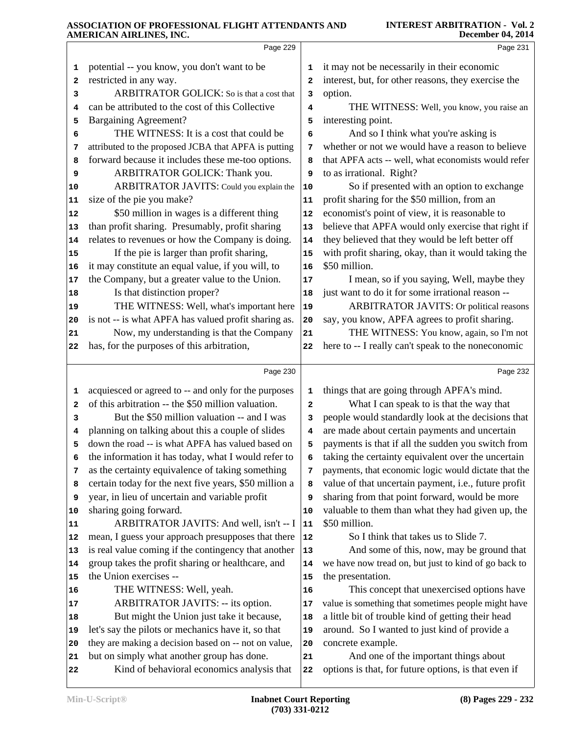|                      | Page 229                                                                                 |                         | Page 231                                                                                      |
|----------------------|------------------------------------------------------------------------------------------|-------------------------|-----------------------------------------------------------------------------------------------|
| 1                    | potential -- you know, you don't want to be                                              | 1                       | it may not be necessarily in their economic                                                   |
| 2                    | restricted in any way.                                                                   | $\overline{\mathbf{2}}$ | interest, but, for other reasons, they exercise the                                           |
| 3                    | ARBITRATOR GOLICK: So is that a cost that                                                | 3                       | option.                                                                                       |
| 4                    | can be attributed to the cost of this Collective                                         | 4                       | THE WITNESS: Well, you know, you raise an                                                     |
| 5                    | <b>Bargaining Agreement?</b>                                                             | 5                       | interesting point.                                                                            |
| 6                    | THE WITNESS: It is a cost that could be                                                  | 6                       | And so I think what you're asking is                                                          |
| 7                    | attributed to the proposed JCBA that APFA is putting                                     | 7                       | whether or not we would have a reason to believe                                              |
| 8                    | forward because it includes these me-too options.                                        | 8                       | that APFA acts -- well, what economists would refer                                           |
| 9                    | ARBITRATOR GOLICK: Thank you.                                                            | 9                       | to as irrational. Right?                                                                      |
| 10                   | ARBITRATOR JAVITS: Could you explain the                                                 | 10                      | So if presented with an option to exchange                                                    |
| 11                   | size of the pie you make?                                                                | 11                      | profit sharing for the \$50 million, from an                                                  |
| 12                   | \$50 million in wages is a different thing                                               | 12                      | economist's point of view, it is reasonable to                                                |
| 13                   | than profit sharing. Presumably, profit sharing                                          | 13                      | believe that APFA would only exercise that right if                                           |
| 14                   | relates to revenues or how the Company is doing.                                         | 14                      | they believed that they would be left better off                                              |
| 15                   | If the pie is larger than profit sharing,                                                | 15                      | with profit sharing, okay, than it would taking the                                           |
| 16                   | it may constitute an equal value, if you will, to                                        | 16                      | \$50 million.                                                                                 |
| 17                   | the Company, but a greater value to the Union.                                           | 17                      | I mean, so if you saying, Well, maybe they                                                    |
| 18                   | Is that distinction proper?                                                              | 18                      | just want to do it for some irrational reason --                                              |
| 19                   | THE WITNESS: Well, what's important here                                                 | 19                      | <b>ARBITRATOR JAVITS: Or political reasons</b>                                                |
| 20                   | is not -- is what APFA has valued profit sharing as.                                     | 20                      | say, you know, APFA agrees to profit sharing.                                                 |
| 21                   | Now, my understanding is that the Company                                                | 21                      | THE WITNESS: You know, again, so I'm not                                                      |
| 22                   | has, for the purposes of this arbitration,                                               | 22                      | here to -- I really can't speak to the noneconomic                                            |
|                      |                                                                                          |                         |                                                                                               |
|                      | Page 230                                                                                 |                         | Page 232                                                                                      |
| 1                    | acquiesced or agreed to -- and only for the purposes                                     | 1                       | things that are going through APFA's mind.                                                    |
|                      | of this arbitration -- the \$50 million valuation.                                       |                         |                                                                                               |
| 2                    |                                                                                          | $\mathbf{z}$            | What I can speak to is that the way that                                                      |
| 3                    | But the \$50 million valuation -- and I was                                              | 3                       | people would standardly look at the decisions that                                            |
| 4                    | planning on talking about this a couple of slides                                        | 4                       | are made about certain payments and uncertain                                                 |
| 5                    | down the road -- is what APFA has valued based on                                        | 5                       | payments is that if all the sudden you switch from                                            |
| 6                    | the information it has today, what I would refer to                                      | 6                       | taking the certainty equivalent over the uncertain                                            |
| 7                    | as the certainty equivalence of taking something                                         | 7                       | payments, that economic logic would dictate that the                                          |
| 8                    | certain today for the next five years, \$50 million a                                    | 8                       | value of that uncertain payment, i.e., future profit                                          |
| 9                    | year, in lieu of uncertain and variable profit                                           | 9                       | sharing from that point forward, would be more                                                |
| 10                   | sharing going forward.                                                                   | 10                      | valuable to them than what they had given up, the                                             |
|                      | ARBITRATOR JAVITS: And well, isn't -- I                                                  | 11                      | \$50 million.                                                                                 |
| 12                   | mean, I guess your approach presupposes that there                                       | 12                      | So I think that takes us to Slide 7.                                                          |
|                      | is real value coming if the contingency that another                                     | $13$                    | And some of this, now, may be ground that                                                     |
|                      | group takes the profit sharing or healthcare, and                                        | 14                      | we have now tread on, but just to kind of go back to                                          |
| 11<br>13<br>14<br>15 | the Union exercises --                                                                   | 15                      | the presentation.                                                                             |
| 16                   | THE WITNESS: Well, yeah.                                                                 | 16                      | This concept that unexercised options have                                                    |
| 17                   | ARBITRATOR JAVITS: -- its option.                                                        | 17                      | value is something that sometimes people might have                                           |
|                      | But might the Union just take it because,                                                | 18                      | a little bit of trouble kind of getting their head                                            |
| 18                   | let's say the pilots or mechanics have it, so that                                       | 19                      | around. So I wanted to just kind of provide a                                                 |
| 19<br>20             | they are making a decision based on -- not on value,                                     | 20                      | concrete example.                                                                             |
| 21                   | but on simply what another group has done.<br>Kind of behavioral economics analysis that | 21<br>${\bf 22}$        | And one of the important things about<br>options is that, for future options, is that even if |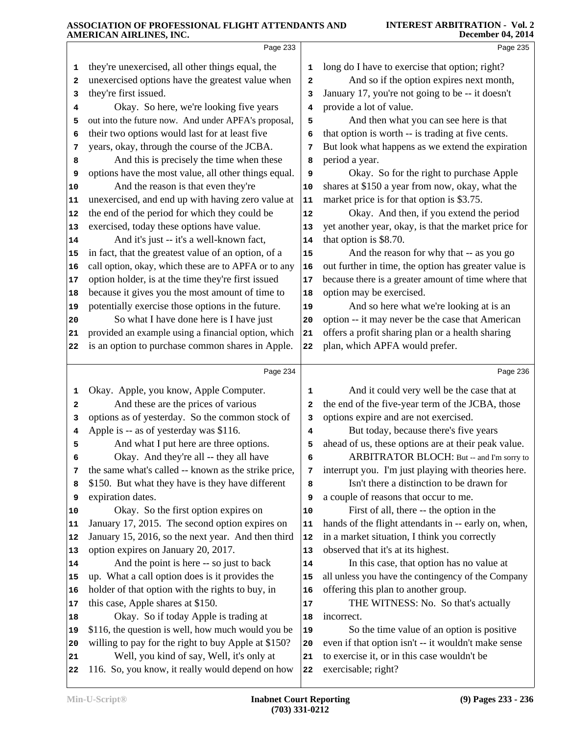|    | Page 233                                             |                         | Page 235                                             |
|----|------------------------------------------------------|-------------------------|------------------------------------------------------|
| 1  | they're unexercised, all other things equal, the     | 1                       | long do I have to exercise that option; right?       |
| 2  | unexercised options have the greatest value when     | $\overline{\mathbf{2}}$ | And so if the option expires next month,             |
| 3  | they're first issued.                                | 3                       | January 17, you're not going to be -- it doesn't     |
| 4  | Okay. So here, we're looking five years              | 4                       | provide a lot of value.                              |
| 5  | out into the future now. And under APFA's proposal,  | 5                       | And then what you can see here is that               |
| 6  | their two options would last for at least five       | 6                       | that option is worth -- is trading at five cents.    |
| 7  | years, okay, through the course of the JCBA.         | 7                       | But look what happens as we extend the expiration    |
| 8  | And this is precisely the time when these            | 8                       | period a year.                                       |
| 9  | options have the most value, all other things equal. | 9                       | Okay. So for the right to purchase Apple             |
| 10 | And the reason is that even they're                  | 10                      | shares at \$150 a year from now, okay, what the      |
| 11 | unexercised, and end up with having zero value at    | 11                      | market price is for that option is \$3.75.           |
| 12 | the end of the period for which they could be        | 12                      | Okay. And then, if you extend the period             |
| 13 | exercised, today these options have value.           | 13                      | yet another year, okay, is that the market price for |
| 14 | And it's just -- it's a well-known fact,             | 14                      | that option is \$8.70.                               |
| 15 | in fact, that the greatest value of an option, of a  | 15                      | And the reason for why that -- as you go             |
| 16 | call option, okay, which these are to APFA or to any | 16                      | out further in time, the option has greater value is |
| 17 | option holder, is at the time they're first issued   | $17$                    | because there is a greater amount of time where that |
| 18 | because it gives you the most amount of time to      | 18                      | option may be exercised.                             |
| 19 | potentially exercise those options in the future.    | 19                      | And so here what we're looking at is an              |
| 20 | So what I have done here is I have just              | 20                      | option -- it may never be the case that American     |
| 21 | provided an example using a financial option, which  | 21                      | offers a profit sharing plan or a health sharing     |
| 22 | is an option to purchase common shares in Apple.     | 22                      | plan, which APFA would prefer.                       |
|    | Page 234                                             |                         | Page 236                                             |
| 1  | Okay. Apple, you know, Apple Computer.               | 1                       | And it could very well be the case that at           |
| 2  | And these are the prices of various                  | $\mathbf{2}$            | the end of the five-year term of the JCBA, those     |
| 3  | options as of yesterday. So the common stock of      | 3                       | options expire and are not exercised.                |
| 4  | Apple is -- as of yesterday was \$116.               | 4                       | But today, because there's five years                |
| 5  | And what I put here are three options.               | 5                       | ahead of us, these options are at their peak value.  |
| 6  | Okay. And they're all -- they all have               | 6                       | ARBITRATOR BLOCH: But -- and I'm sorry to            |
| 7  | the same what's called -- known as the strike price, | 7                       | interrupt you. I'm just playing with theories here.  |
| 8  | \$150. But what they have is they have different     | 8                       | Isn't there a distinction to be drawn for            |
| 9  | expiration dates.                                    | 9                       | a couple of reasons that occur to me.                |
| 10 | Okay. So the first option expires on                 | 10                      | First of all, there -- the option in the             |
| 11 | January 17, 2015. The second option expires on       | 11                      | hands of the flight attendants in -- early on, when, |
| 12 | January 15, 2016, so the next year. And then third   | 12                      | in a market situation, I think you correctly         |
| 13 | option expires on January 20, 2017.                  | 13                      | observed that it's at its highest.                   |
| 14 | And the point is here -- so just to back             | 14                      | In this case, that option has no value at            |
| 15 | up. What a call option does is it provides the       | 15                      | all unless you have the contingency of the Company   |
| 16 | holder of that option with the rights to buy, in     | 16                      | offering this plan to another group.                 |
| 17 | this case, Apple shares at \$150.                    | $17$                    | THE WITNESS: No. So that's actually                  |
| 18 | Okay. So if today Apple is trading at                | 18                      | incorrect.                                           |
| 19 | \$116, the question is well, how much would you be   | 19                      | So the time value of an option is positive           |
| 20 | willing to pay for the right to buy Apple at \$150?  | 20                      | even if that option isn't -- it wouldn't make sense  |
| 21 | Well, you kind of say, Well, it's only at            | 21                      | to exercise it, or in this case wouldn't be          |
| 22 | 116. So, you know, it really would depend on how     | 22                      | exercisable; right?                                  |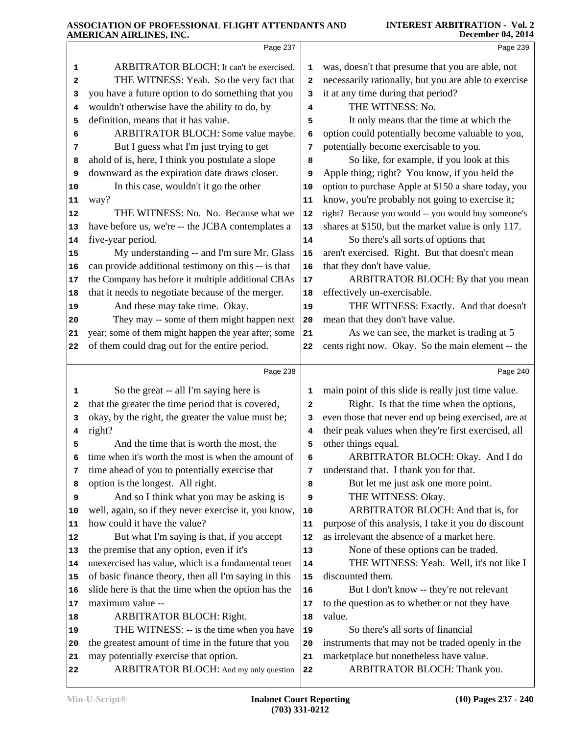|          | министичанный ню, пус.                                                                                  |          |                                                                   |
|----------|---------------------------------------------------------------------------------------------------------|----------|-------------------------------------------------------------------|
|          | Page 237                                                                                                |          | Page 239                                                          |
| 1        | ARBITRATOR BLOCH: It can't be exercised.                                                                | 1        | was, doesn't that presume that you are able, not                  |
| 2        | THE WITNESS: Yeah. So the very fact that                                                                | 2        | necessarily rationally, but you are able to exercise              |
| з        | you have a future option to do something that you                                                       | 3        | it at any time during that period?                                |
| 4        | wouldn't otherwise have the ability to do, by                                                           | 4        | THE WITNESS: No.                                                  |
| 5        | definition, means that it has value.                                                                    | 5        | It only means that the time at which the                          |
| 6        | ARBITRATOR BLOCH: Some value maybe.                                                                     | 6        | option could potentially become valuable to you,                  |
| 7        | But I guess what I'm just trying to get                                                                 | 7        | potentially become exercisable to you.                            |
| 8        | ahold of is, here, I think you postulate a slope                                                        | 8        | So like, for example, if you look at this                         |
| 9        | downward as the expiration date draws closer.                                                           | 9        | Apple thing; right? You know, if you held the                     |
| 10       | In this case, wouldn't it go the other                                                                  | 10       | option to purchase Apple at \$150 a share today, you              |
| 11       | way?                                                                                                    | 11       | know, you're probably not going to exercise it;                   |
| 12       | THE WITNESS: No. No. Because what we                                                                    | 12       | right? Because you would -- you would buy someone's               |
| 13       | have before us, we're -- the JCBA contemplates a                                                        | 13       | shares at \$150, but the market value is only 117.                |
| 14       | five-year period.                                                                                       | 14       | So there's all sorts of options that                              |
| 15       | My understanding -- and I'm sure Mr. Glass                                                              | 15       | aren't exercised. Right. But that doesn't mean                    |
| 16       | can provide additional testimony on this -- is that                                                     | 16       | that they don't have value.                                       |
| 17       | the Company has before it multiple additional CBAs<br>that it needs to negotiate because of the merger. | 17       | ARBITRATOR BLOCH: By that you mean<br>effectively un-exercisable. |
| 18       | And these may take time. Okay.                                                                          | 18<br>19 | THE WITNESS: Exactly. And that doesn't                            |
| 19<br>20 | They may -- some of them might happen next                                                              | 20       | mean that they don't have value.                                  |
| 21       | year; some of them might happen the year after; some                                                    | 21       | As we can see, the market is trading at 5                         |
| 22       | of them could drag out for the entire period.                                                           | 22       | cents right now. Okay. So the main element -- the                 |
|          |                                                                                                         |          |                                                                   |
|          | Page 238                                                                                                |          | Page 240                                                          |
| 1        | So the great -- all I'm saying here is                                                                  | 1        | main point of this slide is really just time value.               |
| 2        | that the greater the time period that is covered,                                                       | 2        | Right. Is that the time when the options,                         |
| 3        | okay, by the right, the greater the value must be;                                                      | з        | even those that never end up being exercised, are at              |
| 4        | right?                                                                                                  | 4        | their peak values when they're first exercised, all               |
| 5        | And the time that is worth the most, the                                                                | 5        | other things equal.                                               |
| 6        | time when it's worth the most is when the amount of                                                     | 6        | ARBITRATOR BLOCH: Okay. And I do                                  |
| 7        | time ahead of you to potentially exercise that                                                          | 7        | understand that. I thank you for that.                            |
| 8        | option is the longest. All right.                                                                       | 8        | But let me just ask one more point.                               |
| 9        | And so I think what you may be asking is                                                                | 9        | THE WITNESS: Okay.<br>ARBITRATOR BLOCH: And that is, for          |
| 10<br>11 | well, again, so if they never exercise it, you know,<br>how could it have the value?                    | 10<br>11 | purpose of this analysis, I take it you do discount               |
| 12       | But what I'm saying is that, if you accept                                                              | 12       | as irrelevant the absence of a market here.                       |
| 13       | the premise that any option, even if it's                                                               | 13       | None of these options can be traded.                              |
| 14       | unexercised has value, which is a fundamental tenet                                                     | 14       | THE WITNESS: Yeah. Well, it's not like I                          |
|          |                                                                                                         |          |                                                                   |
|          |                                                                                                         |          |                                                                   |
| 15       | of basic finance theory, then all I'm saying in this                                                    | 15       | discounted them.                                                  |
| 16       | slide here is that the time when the option has the                                                     | 16       | But I don't know -- they're not relevant                          |
| 17       | maximum value --                                                                                        | 17<br>18 | to the question as to whether or not they have<br>value.          |
| 18<br>19 | ARBITRATOR BLOCH: Right.                                                                                | 19       | So there's all sorts of financial                                 |
| 20       | THE WITNESS: -- is the time when you have<br>the greatest amount of time in the future that you         | 20       | instruments that may not be traded openly in the                  |
| 21       | may potentially exercise that option.                                                                   | 21       | marketplace but nonetheless have value.                           |
| 22       | ARBITRATOR BLOCH: And my only question                                                                  | 22       | ARBITRATOR BLOCH: Thank you.                                      |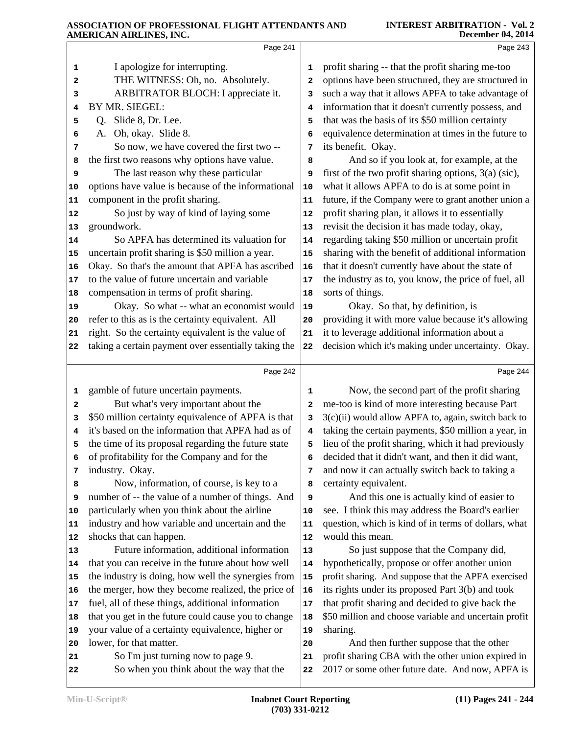|    | титекисли ликенчев, нус.                             |    | DUULIINU VT, SVIT                                     |
|----|------------------------------------------------------|----|-------------------------------------------------------|
|    | Page 241                                             |    | Page 243                                              |
| 1  | I apologize for interrupting.                        | 1  | profit sharing -- that the profit sharing me-too      |
| 2  | THE WITNESS: Oh, no. Absolutely.                     | 2  | options have been structured, they are structured in  |
| 3  | ARBITRATOR BLOCH: I appreciate it.                   | 3  | such a way that it allows APFA to take advantage of   |
| 4  | BY MR. SIEGEL:                                       | 4  | information that it doesn't currently possess, and    |
| 5  | Slide 8, Dr. Lee.<br>O.                              | 5  | that was the basis of its \$50 million certainty      |
| 6  | Oh, okay. Slide 8.<br>А.                             | 6  | equivalence determination at times in the future to   |
| 7  | So now, we have covered the first two --             | 7  | its benefit. Okay.                                    |
| 8  | the first two reasons why options have value.        | 8  | And so if you look at, for example, at the            |
| 9  | The last reason why these particular                 | 9  | first of the two profit sharing options, 3(a) (sic),  |
| 10 | options have value is because of the informational   | 10 | what it allows APFA to do is at some point in         |
| 11 | component in the profit sharing.                     | 11 | future, if the Company were to grant another union a  |
| 12 | So just by way of kind of laying some                | 12 | profit sharing plan, it allows it to essentially      |
| 13 | groundwork.                                          | 13 | revisit the decision it has made today, okay,         |
| 14 | So APFA has determined its valuation for             | 14 | regarding taking \$50 million or uncertain profit     |
| 15 | uncertain profit sharing is \$50 million a year.     | 15 | sharing with the benefit of additional information    |
| 16 | Okay. So that's the amount that APFA has ascribed    | 16 | that it doesn't currently have about the state of     |
| 17 | to the value of future uncertain and variable        | 17 | the industry as to, you know, the price of fuel, all  |
| 18 | compensation in terms of profit sharing.             | 18 | sorts of things.                                      |
| 19 | Okay. So what -- what an economist would             | 19 | Okay. So that, by definition, is                      |
| 20 | refer to this as is the certainty equivalent. All    | 20 | providing it with more value because it's allowing    |
| 21 | right. So the certainty equivalent is the value of   | 21 | it to leverage additional information about a         |
| 22 | taking a certain payment over essentially taking the | 22 | decision which it's making under uncertainty. Okay.   |
|    |                                                      |    |                                                       |
|    | Page 242                                             |    | Page 244                                              |
| 1  | gamble of future uncertain payments.                 | 1  | Now, the second part of the profit sharing            |
| 2  | But what's very important about the                  | 2  | me-too is kind of more interesting because Part       |
| 3  | \$50 million certainty equivalence of APFA is that   | 3  | 3(c)(ii) would allow APFA to, again, switch back to   |
| 4  | it's based on the information that APFA had as of    | 4  | taking the certain payments, \$50 million a year, in  |
| 5  | the time of its proposal regarding the future state  | 5  | lieu of the profit sharing, which it had previously   |
| 6  | of profitability for the Company and for the         | 6  | decided that it didn't want, and then it did want,    |
| 7  | industry. Okay.                                      | 7  | and now it can actually switch back to taking a       |
| 8  | Now, information, of course, is key to a             | 8  | certainty equivalent.                                 |
| 9  | number of -- the value of a number of things. And    | 9  | And this one is actually kind of easier to            |
| 10 | particularly when you think about the airline        | 10 | see. I think this may address the Board's earlier     |
| 11 | industry and how variable and uncertain and the      | 11 | question, which is kind of in terms of dollars, what  |
| 12 | shocks that can happen.                              | 12 | would this mean.                                      |
| 13 | Future information, additional information           | 13 | So just suppose that the Company did,                 |
| 14 | that you can receive in the future about how well    | 14 | hypothetically, propose or offer another union        |
| 15 | the industry is doing, how well the synergies from   | 15 | profit sharing. And suppose that the APFA exercised   |
| 16 | the merger, how they become realized, the price of   | 16 | its rights under its proposed Part 3(b) and took      |
| 17 | fuel, all of these things, additional information    | 17 | that profit sharing and decided to give back the      |
| 18 | that you get in the future could cause you to change | 18 | \$50 million and choose variable and uncertain profit |
| 19 | your value of a certainty equivalence, higher or     | 19 | sharing.                                              |
| 20 | lower, for that matter.                              | 20 | And then further suppose that the other               |
| 21 | So I'm just turning now to page 9.                   | 21 | profit sharing CBA with the other union expired in    |
|    | So when you think about the way that the             | 22 | 2017 or some other future date. And now, APFA is      |
| 22 |                                                      |    |                                                       |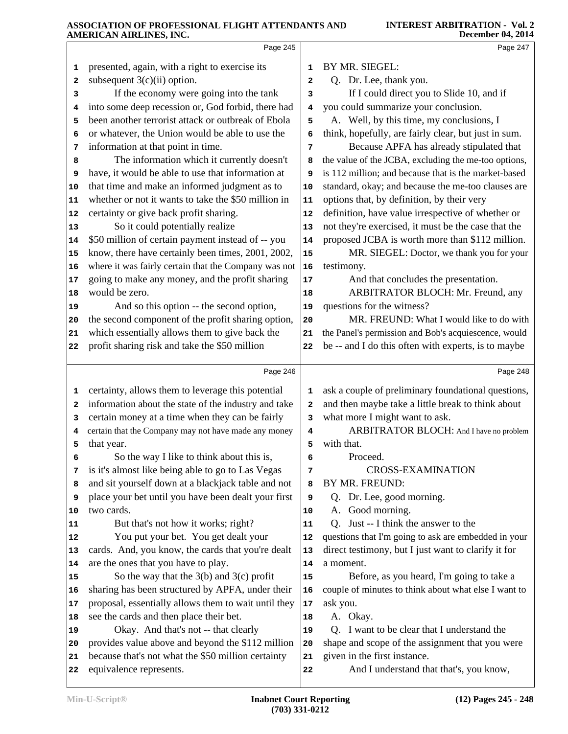|    | Page 245                                             |                         | Page 247                                             |
|----|------------------------------------------------------|-------------------------|------------------------------------------------------|
| 1  | presented, again, with a right to exercise its       | 1                       | BY MR. SIEGEL:                                       |
| 2  | subsequent $3(c)(ii)$ option.                        | $\overline{\mathbf{2}}$ | Q. Dr. Lee, thank you.                               |
| 3  | If the economy were going into the tank              | 3                       | If I could direct you to Slide 10, and if            |
| 4  | into some deep recession or, God forbid, there had   | 4                       | you could summarize your conclusion.                 |
| 5  | been another terrorist attack or outbreak of Ebola   | 5                       | A. Well, by this time, my conclusions, I             |
| 6  | or whatever, the Union would be able to use the      | 6                       | think, hopefully, are fairly clear, but just in sum. |
| 7  | information at that point in time.                   | 7                       | Because APFA has already stipulated that             |
| 8  | The information which it currently doesn't           | 8                       | the value of the JCBA, excluding the me-too options, |
| 9  | have, it would be able to use that information at    | 9                       | is 112 million; and because that is the market-based |
| 10 | that time and make an informed judgment as to        | 10                      | standard, okay; and because the me-too clauses are   |
| 11 | whether or not it wants to take the \$50 million in  | 11                      | options that, by definition, by their very           |
| 12 | certainty or give back profit sharing.               | 12                      | definition, have value irrespective of whether or    |
| 13 | So it could potentially realize                      | 13                      | not they're exercised, it must be the case that the  |
| 14 | \$50 million of certain payment instead of -- you    | 14                      | proposed JCBA is worth more than \$112 million.      |
| 15 | know, there have certainly been times, 2001, 2002,   | 15                      | MR. SIEGEL: Doctor, we thank you for your            |
| 16 | where it was fairly certain that the Company was not | 16                      | testimony.                                           |
| 17 | going to make any money, and the profit sharing      | 17                      | And that concludes the presentation.                 |
| 18 | would be zero.                                       | 18                      | ARBITRATOR BLOCH: Mr. Freund, any                    |
| 19 | And so this option -- the second option,             | 19                      | questions for the witness?                           |
| 20 | the second component of the profit sharing option,   | 20                      | MR. FREUND: What I would like to do with             |
| 21 | which essentially allows them to give back the       | 21                      | the Panel's permission and Bob's acquiescence, would |
| 22 | profit sharing risk and take the \$50 million        | 22                      | be -- and I do this often with experts, is to maybe  |
|    |                                                      |                         |                                                      |
|    | Page 246                                             |                         | Page 248                                             |
| 1  | certainty, allows them to leverage this potential    | 1                       | ask a couple of preliminary foundational questions,  |
| 2  | information about the state of the industry and take | 2                       | and then maybe take a little break to think about    |
| з  | certain money at a time when they can be fairly      | 3                       | what more I might want to ask.                       |
| 4  | certain that the Company may not have made any money | 4                       | ARBITRATOR BLOCH: And I have no problem              |
| 5  | that year.                                           | 5                       | with that.                                           |
| 6  | So the way I like to think about this is,            | 6                       | Proceed.                                             |
| 7  | is it's almost like being able to go to Las Vegas    | 7                       | <b>CROSS-EXAMINATION</b>                             |
| 8  | and sit yourself down at a blackjack table and not   | 8                       | BY MR. FREUND:                                       |
| 9  | place your bet until you have been dealt your first  | 9                       | Q. Dr. Lee, good morning.                            |
| 10 | two cards.                                           | 10                      | A. Good morning.                                     |
| 11 | But that's not how it works; right?                  | 11                      | Just -- I think the answer to the<br>Q.              |
| 12 | You put your bet. You get dealt your                 | 12                      | questions that I'm going to ask are embedded in your |
| 13 | cards. And, you know, the cards that you're dealt    | 13                      | direct testimony, but I just want to clarify it for  |
| 14 | are the ones that you have to play.                  | 14                      | a moment.                                            |
| 15 | So the way that the $3(b)$ and $3(c)$ profit         | 15                      | Before, as you heard, I'm going to take a            |
| 16 | sharing has been structured by APFA, under their     | 16                      | couple of minutes to think about what else I want to |
| 17 | proposal, essentially allows them to wait until they | ${\bf 17}$              | ask you.                                             |
| 18 | see the cards and then place their bet.              | 18                      | A. Okay.                                             |
| 19 | Okay. And that's not -- that clearly                 | 19                      | Q. I want to be clear that I understand the          |
| 20 | provides value above and beyond the \$112 million    | 20                      | shape and scope of the assignment that you were      |
| 21 | because that's not what the \$50 million certainty   | 21                      | given in the first instance.                         |
| 22 | equivalence represents.                              | 22                      | And I understand that that's, you know,              |
|    |                                                      |                         |                                                      |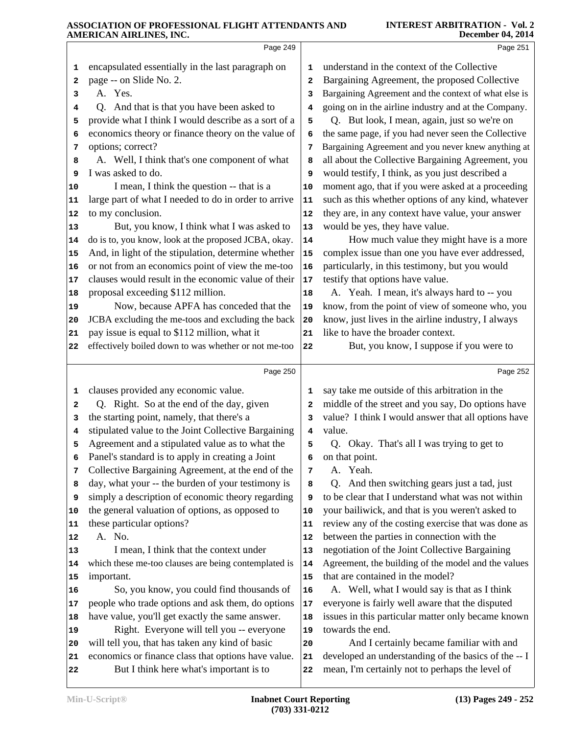|          | Page 249                                                                                       |                         | Page 251                                                                                                |
|----------|------------------------------------------------------------------------------------------------|-------------------------|---------------------------------------------------------------------------------------------------------|
| 1        | encapsulated essentially in the last paragraph on                                              | 1                       | understand in the context of the Collective                                                             |
| 2        | page -- on Slide No. 2.                                                                        | $\overline{\mathbf{2}}$ | Bargaining Agreement, the proposed Collective                                                           |
| з        | A. Yes.                                                                                        | 3                       | Bargaining Agreement and the context of what else is                                                    |
| 4        | Q. And that is that you have been asked to                                                     | 4                       | going on in the airline industry and at the Company.                                                    |
| 5        | provide what I think I would describe as a sort of a                                           | 5                       | Q. But look, I mean, again, just so we're on                                                            |
| 6        | economics theory or finance theory on the value of                                             | 6                       | the same page, if you had never seen the Collective                                                     |
| 7        | options; correct?                                                                              | 7                       | Bargaining Agreement and you never knew anything at                                                     |
| 8        | A. Well, I think that's one component of what                                                  | 8                       | all about the Collective Bargaining Agreement, you                                                      |
| 9        | I was asked to do.                                                                             | 9                       | would testify, I think, as you just described a                                                         |
| 10       | I mean, I think the question -- that is a                                                      | 10                      | moment ago, that if you were asked at a proceeding                                                      |
| 11       | large part of what I needed to do in order to arrive                                           | 11                      | such as this whether options of any kind, whatever                                                      |
| 12       | to my conclusion.                                                                              | 12                      | they are, in any context have value, your answer                                                        |
| 13       | But, you know, I think what I was asked to                                                     | 13                      | would be yes, they have value.                                                                          |
| 14       | do is to, you know, look at the proposed JCBA, okay.                                           | 14                      | How much value they might have is a more                                                                |
| 15       | And, in light of the stipulation, determine whether                                            | 15                      | complex issue than one you have ever addressed,                                                         |
| 16       | or not from an economics point of view the me-too                                              | 16                      | particularly, in this testimony, but you would                                                          |
| 17       | clauses would result in the economic value of their                                            | 17                      | testify that options have value.                                                                        |
| 18       | proposal exceeding \$112 million.                                                              | 18                      | A. Yeah. I mean, it's always hard to -- you                                                             |
| 19       | Now, because APFA has conceded that the                                                        | 19                      | know, from the point of view of someone who, you                                                        |
| 20       | JCBA excluding the me-toos and excluding the back                                              | 20                      | know, just lives in the airline industry, I always                                                      |
| 21       | pay issue is equal to \$112 million, what it                                                   | 21                      | like to have the broader context.                                                                       |
| 22       | effectively boiled down to was whether or not me-too                                           | 22                      | But, you know, I suppose if you were to                                                                 |
|          | Page 250                                                                                       |                         | Page 252                                                                                                |
| 1        | clauses provided any economic value.                                                           | 1                       | say take me outside of this arbitration in the                                                          |
| 2        | Q. Right. So at the end of the day, given                                                      | 2                       | middle of the street and you say, Do options have                                                       |
| 3        | the starting point, namely, that there's a                                                     | 3                       | value? I think I would answer that all options have                                                     |
| 4        | stipulated value to the Joint Collective Bargaining                                            | 4                       | value.                                                                                                  |
| 5        | Agreement and a stipulated value as to what the                                                | 5                       | Q. Okay. That's all I was trying to get to                                                              |
| 6        | Panel's standard is to apply in creating a Joint                                               | 6                       | on that point.                                                                                          |
| 7        | Collective Bargaining Agreement, at the end of the                                             | 7                       | A. Yeah.                                                                                                |
| 8        | day, what your -- the burden of your testimony is                                              | 8                       | Q. And then switching gears just a tad, just                                                            |
| 9        | simply a description of economic theory regarding                                              | 9                       | to be clear that I understand what was not within                                                       |
| 10       | the general valuation of options, as opposed to                                                | 10                      | your bailiwick, and that is you weren't asked to                                                        |
| 11       | these particular options?                                                                      | 11                      | review any of the costing exercise that was done as                                                     |
| 12       | A. No.                                                                                         | 12                      | between the parties in connection with the                                                              |
| 13       | I mean, I think that the context under                                                         | 13                      | negotiation of the Joint Collective Bargaining                                                          |
| 14       | which these me-too clauses are being contemplated is                                           | 14                      | Agreement, the building of the model and the values                                                     |
| 15       | important.                                                                                     | 15                      | that are contained in the model?                                                                        |
| 16       | So, you know, you could find thousands of                                                      | 16                      | A. Well, what I would say is that as I think                                                            |
| 17       | people who trade options and ask them, do options                                              | 17                      | everyone is fairly well aware that the disputed                                                         |
| 18       | have value, you'll get exactly the same answer.                                                | 18                      | issues in this particular matter only became known                                                      |
| 19       | Right. Everyone will tell you -- everyone                                                      | 19                      | towards the end.                                                                                        |
| 20       | will tell you, that has taken any kind of basic                                                | 20                      | And I certainly became familiar with and                                                                |
| 21<br>22 | economics or finance class that options have value.<br>But I think here what's important is to | 21                      | developed an understanding of the basics of the -- I<br>mean, I'm certainly not to perhaps the level of |
|          |                                                                                                | 22                      |                                                                                                         |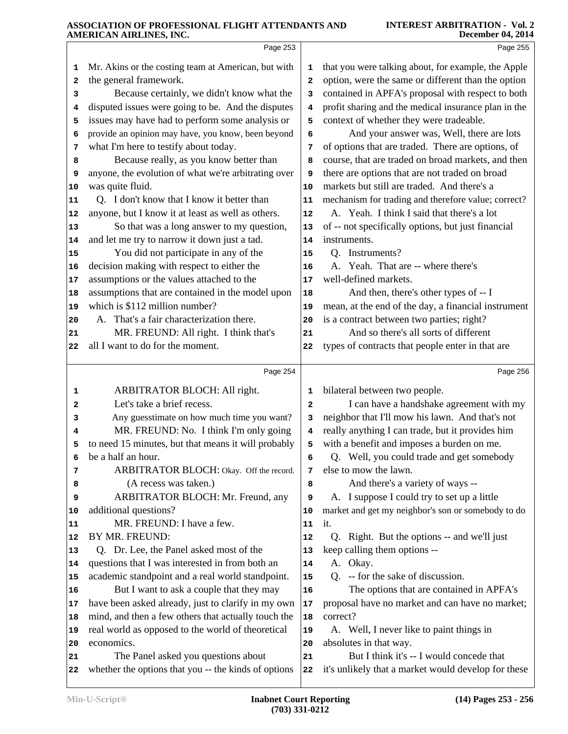|          | Page 253                                                                                    |                         | Page 255                                                                                             |
|----------|---------------------------------------------------------------------------------------------|-------------------------|------------------------------------------------------------------------------------------------------|
|          |                                                                                             |                         |                                                                                                      |
| 1        | Mr. Akins or the costing team at American, but with                                         | 1                       | that you were talking about, for example, the Apple                                                  |
| 2        | the general framework.                                                                      | $\mathbf{z}$            | option, were the same or different than the option                                                   |
| з        | Because certainly, we didn't know what the                                                  | 3                       | contained in APFA's proposal with respect to both                                                    |
| 4        | disputed issues were going to be. And the disputes                                          | 4                       | profit sharing and the medical insurance plan in the                                                 |
| 5        | issues may have had to perform some analysis or                                             | 5                       | context of whether they were tradeable.                                                              |
| 6        | provide an opinion may have, you know, been beyond                                          | 6                       | And your answer was, Well, there are lots                                                            |
| 7        | what I'm here to testify about today.                                                       | 7                       | of options that are traded. There are options, of                                                    |
| 8        | Because really, as you know better than                                                     | 8                       | course, that are traded on broad markets, and then<br>there are options that are not traded on broad |
| 9        | anyone, the evolution of what we're arbitrating over<br>was quite fluid.                    | 9                       | markets but still are traded. And there's a                                                          |
| 10       | Q. I don't know that I know it better than                                                  | 10<br>11                | mechanism for trading and therefore value; correct?                                                  |
| 11<br>12 | anyone, but I know it at least as well as others.                                           | 12                      | A. Yeah. I think I said that there's a lot                                                           |
| 13       | So that was a long answer to my question,                                                   | 13                      | of -- not specifically options, but just financial                                                   |
| 14       | and let me try to narrow it down just a tad.                                                | 14                      | instruments.                                                                                         |
| 15       | You did not participate in any of the                                                       | 15                      | Q. Instruments?                                                                                      |
| 16       | decision making with respect to either the                                                  | 16                      | A. Yeah. That are -- where there's                                                                   |
| 17       | assumptions or the values attached to the                                                   | 17                      | well-defined markets.                                                                                |
| 18       | assumptions that are contained in the model upon                                            | 18                      | And then, there's other types of -- I                                                                |
| 19       | which is \$112 million number?                                                              | 19                      | mean, at the end of the day, a financial instrument                                                  |
| 20       | A. That's a fair characterization there.                                                    | 20                      | is a contract between two parties; right?                                                            |
| 21       | MR. FREUND: All right. I think that's                                                       | 21                      | And so there's all sorts of different                                                                |
| 22       | all I want to do for the moment.                                                            | 22                      | types of contracts that people enter in that are                                                     |
|          |                                                                                             |                         |                                                                                                      |
|          | Page 254                                                                                    |                         | Page 256                                                                                             |
| 1        | ARBITRATOR BLOCH: All right.                                                                | 1                       | bilateral between two people.                                                                        |
| 2        | Let's take a brief recess.                                                                  | $\overline{\mathbf{2}}$ | I can have a handshake agreement with my                                                             |
| з        | Any guesstimate on how much time you want?                                                  | 3                       | neighbor that I'll mow his lawn. And that's not                                                      |
| 4        | MR. FREUND: No. I think I'm only going                                                      | 4                       | really anything I can trade, but it provides him                                                     |
| 5        | to need 15 minutes, but that means it will probably                                         | 5                       | with a benefit and imposes a burden on me.                                                           |
| 6        | be a half an hour.                                                                          | 6                       | Q. Well, you could trade and get somebody                                                            |
| 7        | ARBITRATOR BLOCH: Okay. Off the record.                                                     | 7                       | else to mow the lawn.                                                                                |
| 8        | (A recess was taken.)                                                                       | 8                       | And there's a variety of ways --                                                                     |
| 9        | ARBITRATOR BLOCH: Mr. Freund, any                                                           | 9                       | A. I suppose I could try to set up a little                                                          |
| 10       | additional questions?                                                                       | 10                      | market and get my neighbor's son or somebody to do                                                   |
| 11       | MR. FREUND: I have a few.                                                                   | 11                      | it.                                                                                                  |
| 12       | BY MR. FREUND:                                                                              | 12                      | Q. Right. But the options -- and we'll just                                                          |
| 13       | Q. Dr. Lee, the Panel asked most of the                                                     | 13                      | keep calling them options --                                                                         |
| 14       | questions that I was interested in from both an                                             | 14                      | A. Okay.                                                                                             |
| 15       | academic standpoint and a real world standpoint.                                            | 15                      | Q. -- for the sake of discussion.                                                                    |
| 16       | But I want to ask a couple that they may                                                    | 16                      | The options that are contained in APFA's                                                             |
| 17       | have been asked already, just to clarify in my own                                          | 17                      | proposal have no market and can have no market;                                                      |
| 18       | mind, and then a few others that actually touch the                                         | 18                      | correct?                                                                                             |
| 19       | real world as opposed to the world of theoretical                                           | 19                      | A. Well, I never like to paint things in                                                             |
| 20       | economics.                                                                                  | 20                      | absolutes in that way.                                                                               |
| 21       | The Panel asked you questions about<br>whether the options that you -- the kinds of options | 21                      | But I think it's -- I would concede that                                                             |
| 22       |                                                                                             | 22                      | it's unlikely that a market would develop for these                                                  |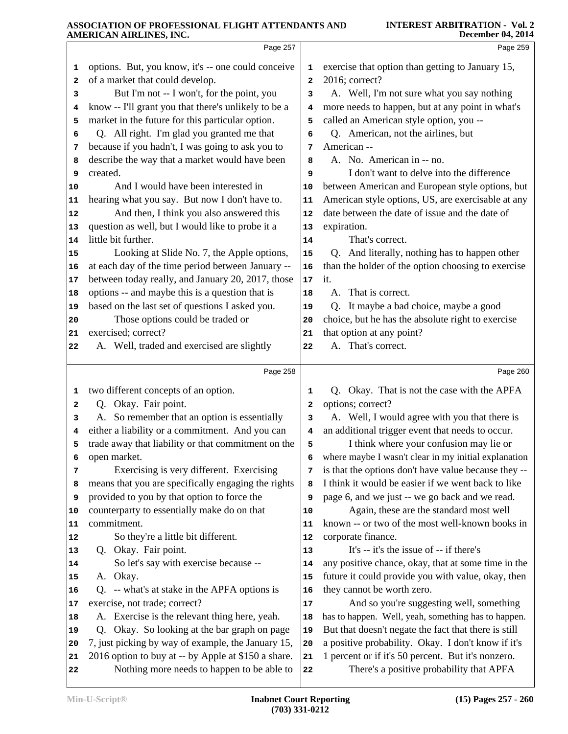|                                              | Page 257                                                                                          |                | Page 259                                                                                       |
|----------------------------------------------|---------------------------------------------------------------------------------------------------|----------------|------------------------------------------------------------------------------------------------|
| 1                                            | options. But, you know, it's -- one could conceive                                                | 1              | exercise that option than getting to January 15,                                               |
| 2                                            | of a market that could develop.                                                                   | $\overline{a}$ | 2016; correct?                                                                                 |
| 3                                            | But I'm not -- I won't, for the point, you                                                        | 3              | A. Well, I'm not sure what you say nothing                                                     |
| 4                                            | know -- I'll grant you that there's unlikely to be a                                              | 4              | more needs to happen, but at any point in what's                                               |
| 5                                            | market in the future for this particular option.                                                  | 5              | called an American style option, you --                                                        |
| 6                                            | Q. All right. I'm glad you granted me that                                                        | 6              | Q. American, not the airlines, but                                                             |
| 7                                            | because if you hadn't, I was going to ask you to                                                  | 7              | American --                                                                                    |
| 8                                            | describe the way that a market would have been                                                    | 8              | A. No. American in -- no.                                                                      |
| 9                                            | created.                                                                                          | 9              | I don't want to delve into the difference                                                      |
| 10                                           | And I would have been interested in                                                               | 10             | between American and European style options, but                                               |
| 11                                           | hearing what you say. But now I don't have to.                                                    | 11             | American style options, US, are exercisable at any                                             |
| 12                                           | And then, I think you also answered this                                                          | 12             | date between the date of issue and the date of                                                 |
| 13                                           | question as well, but I would like to probe it a                                                  | 13             | expiration.                                                                                    |
| 14                                           | little bit further.                                                                               | 14             | That's correct.                                                                                |
| 15                                           | Looking at Slide No. 7, the Apple options,                                                        | 15             | Q. And literally, nothing has to happen other                                                  |
| 16                                           | at each day of the time period between January --                                                 | 16             | than the holder of the option choosing to exercise                                             |
| 17                                           | between today really, and January 20, 2017, those                                                 | $17$           | it.                                                                                            |
| 18                                           | options -- and maybe this is a question that is                                                   | 18             | A. That is correct.                                                                            |
| 19                                           | based on the last set of questions I asked you.                                                   | 19             | Q. It maybe a bad choice, maybe a good                                                         |
| 20                                           | Those options could be traded or<br>exercised; correct?                                           | 20             | choice, but he has the absolute right to exercise                                              |
| 21<br>22                                     | A. Well, traded and exercised are slightly                                                        | 21<br>22       | that option at any point?<br>A. That's correct.                                                |
|                                              |                                                                                                   |                |                                                                                                |
|                                              | Page 258                                                                                          |                | Page 260                                                                                       |
| 1                                            | two different concepts of an option.                                                              | 1              | Q. Okay. That is not the case with the APFA                                                    |
| 2                                            | Q. Okay. Fair point.                                                                              | $\mathbf{2}$   | options; correct?                                                                              |
| 3                                            | A. So remember that an option is essentially                                                      | 3              | A. Well, I would agree with you that there is                                                  |
| 4                                            | either a liability or a commitment. And you can                                                   | 4              | an additional trigger event that needs to occur.                                               |
|                                              |                                                                                                   |                |                                                                                                |
| 5                                            | trade away that liability or that commitment on the                                               | 5              | I think where your confusion may lie or                                                        |
| 6                                            | open market.                                                                                      | 6              | where maybe I wasn't clear in my initial explanation                                           |
| 7                                            | Exercising is very different. Exercising                                                          | 7              | is that the options don't have value because they --                                           |
| 8                                            | means that you are specifically engaging the rights                                               | 8              | I think it would be easier if we went back to like                                             |
| 9                                            | provided to you by that option to force the                                                       | 9              | page 6, and we just -- we go back and we read.                                                 |
|                                              | counterparty to essentially make do on that                                                       | 10             | Again, these are the standard most well                                                        |
|                                              | commitment.                                                                                       | 11             | known -- or two of the most well-known books in                                                |
|                                              | So they're a little bit different.                                                                | 12             | corporate finance.                                                                             |
|                                              | Q. Okay. Fair point.                                                                              | 13             | It's -- it's the issue of -- if there's                                                        |
|                                              | So let's say with exercise because --                                                             | 14             | any positive chance, okay, that at some time in the                                            |
|                                              | A. Okay.                                                                                          | 15             | future it could provide you with value, okay, then                                             |
|                                              | Q. -- what's at stake in the APFA options is                                                      | 16             | they cannot be worth zero.                                                                     |
| 10<br>11<br>12<br>13<br>14<br>15<br>16<br>17 | exercise, not trade; correct?                                                                     | 17             | And so you're suggesting well, something                                                       |
|                                              | A. Exercise is the relevant thing here, yeah.                                                     | 18             | has to happen. Well, yeah, something has to happen.                                            |
|                                              | Okay. So looking at the bar graph on page<br>O.                                                   | 19             | But that doesn't negate the fact that there is still                                           |
| 18<br>19<br>20                               | 7, just picking by way of example, the January 15,                                                | 20             | a positive probability. Okay. I don't know if it's                                             |
| 21<br>22                                     | 2016 option to buy at -- by Apple at \$150 a share.<br>Nothing more needs to happen to be able to | 21<br>22       | 1 percent or if it's 50 percent. But it's nonzero.<br>There's a positive probability that APFA |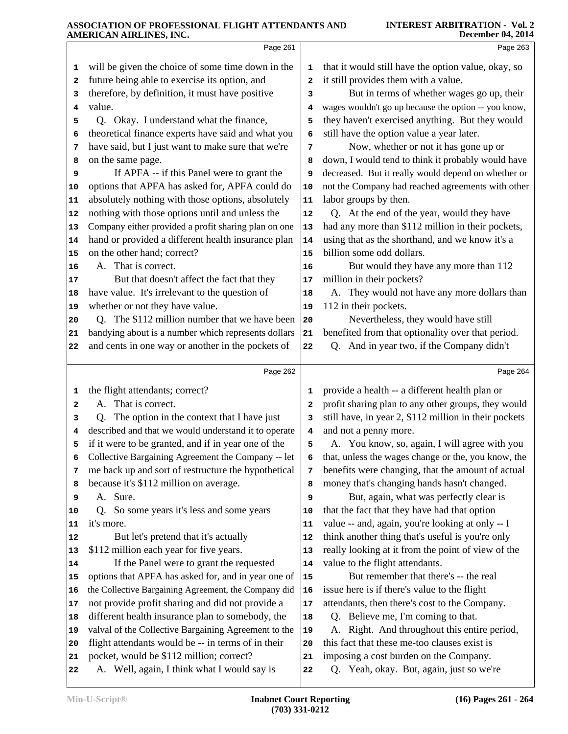|    | AMERICAN AIREINED, INC.                              |                         | DUULIINUL V7, 2017                                    |
|----|------------------------------------------------------|-------------------------|-------------------------------------------------------|
|    | Page 261                                             |                         | Page 263                                              |
| 1  | will be given the choice of some time down in the    | 1                       | that it would still have the option value, okay, so   |
| 2  | future being able to exercise its option, and        | $\overline{\mathbf{2}}$ | it still provides them with a value.                  |
| з  | therefore, by definition, it must have positive      | 3                       | But in terms of whether wages go up, their            |
| 4  | value.                                               | 4                       | wages wouldn't go up because the option -- you know,  |
| 5  | Q. Okay. I understand what the finance,              | 5                       | they haven't exercised anything. But they would       |
| 6  | theoretical finance experts have said and what you   | 6                       | still have the option value a year later.             |
| 7  | have said, but I just want to make sure that we're   | 7                       | Now, whether or not it has gone up or                 |
| 8  | on the same page.                                    | 8                       | down, I would tend to think it probably would have    |
| 9  | If APFA -- if this Panel were to grant the           | 9                       | decreased. But it really would depend on whether or   |
| 10 | options that APFA has asked for, APFA could do       | 10                      | not the Company had reached agreements with other     |
| 11 | absolutely nothing with those options, absolutely    | 11                      | labor groups by then.                                 |
| 12 | nothing with those options until and unless the      | 12                      | Q. At the end of the year, would they have            |
| 13 | Company either provided a profit sharing plan on one | 13                      | had any more than \$112 million in their pockets,     |
| 14 | hand or provided a different health insurance plan   | 14                      | using that as the shorthand, and we know it's a       |
| 15 | on the other hand; correct?                          | 15                      | billion some odd dollars.                             |
| 16 | A. That is correct.                                  | 16                      | But would they have any more than 112                 |
| 17 | But that doesn't affect the fact that they           | 17                      | million in their pockets?                             |
| 18 | have value. It's irrelevant to the question of       | 18                      | A. They would not have any more dollars than          |
| 19 | whether or not they have value.                      | 19                      | 112 in their pockets.                                 |
| 20 | Q. The \$112 million number that we have been        | 20                      | Nevertheless, they would have still                   |
| 21 | bandying about is a number which represents dollars  | 21                      | benefited from that optionality over that period.     |
| 22 | and cents in one way or another in the pockets of    | 22                      | Q. And in year two, if the Company didn't             |
|    | Page 262                                             |                         | Page 264                                              |
| 1  | the flight attendants; correct?                      | 1                       | provide a health -- a different health plan or        |
| 2  | A. That is correct.                                  | 2                       | profit sharing plan to any other groups, they would   |
| 3  | The option in the context that I have just<br>Q.     | 3                       | still have, in year 2, \$112 million in their pockets |
| 4  | described and that we would understand it to operate | 4                       | and not a penny more.                                 |
| 5  | if it were to be granted, and if in year one of the  | 5                       | A. You know, so, again, I will agree with you         |
| 6  | Collective Bargaining Agreement the Company -- let   | 6                       | that, unless the wages change or the, you know, the   |
| 7  | me back up and sort of restructure the hypothetical  | 7                       | benefits were changing, that the amount of actual     |
| 8  | because it's \$112 million on average.               | 8                       | money that's changing hands hasn't changed.           |
| 9  | A. Sure.                                             | 9                       | But, again, what was perfectly clear is               |
| 10 | So some years it's less and some years<br>Q.         | 10                      | that the fact that they have had that option          |
| 11 | it's more.                                           | 11                      | value -- and, again, you're looking at only -- I      |
| 12 | But let's pretend that it's actually                 | 12                      | think another thing that's useful is you're only      |
| 13 | \$112 million each year for five years.              | 13                      | really looking at it from the point of view of the    |
| 14 | If the Panel were to grant the requested             | 14                      | value to the flight attendants.                       |
| 15 | options that APFA has asked for, and in year one of  | 15                      | But remember that there's -- the real                 |
| 16 | the Collective Bargaining Agreement, the Company did | 16                      | issue here is if there's value to the flight          |
| 17 | not provide profit sharing and did not provide a     | 17                      | attendants, then there's cost to the Company.         |
| 18 | different health insurance plan to somebody, the     | 18                      | Q. Believe me, I'm coming to that.                    |
| 19 | valval of the Collective Bargaining Agreement to the | 19                      | A. Right. And throughout this entire period,          |
| 20 | flight attendants would be -- in terms of in their   | 20                      | this fact that these me-too clauses exist is          |
| 21 | pocket, would be \$112 million; correct?             | 21                      | imposing a cost burden on the Company.                |
| 22 | A. Well, again, I think what I would say is          | 22                      | Q. Yeah, okay. But, again, just so we're              |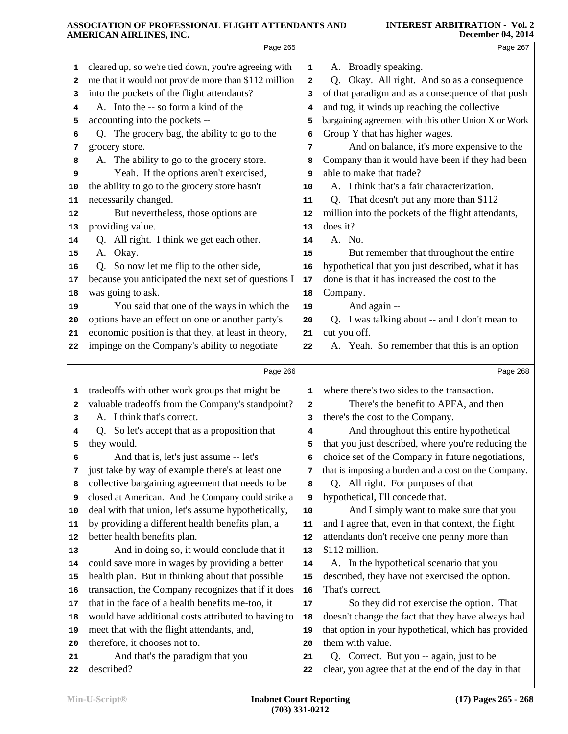|          | AMERICAN AIRLINES, INC.                              |              | December 04, 2014                                                                               |
|----------|------------------------------------------------------|--------------|-------------------------------------------------------------------------------------------------|
|          | Page 265                                             |              | Page 267                                                                                        |
| 1        | cleared up, so we're tied down, you're agreeing with | 1            | A. Broadly speaking.                                                                            |
| 2        | me that it would not provide more than \$112 million | $\mathbf{z}$ | Okay. All right. And so as a consequence<br>Q.                                                  |
| з        | into the pockets of the flight attendants?           | 3            | of that paradigm and as a consequence of that push                                              |
| 4        | A. Into the -- so form a kind of the                 | 4            | and tug, it winds up reaching the collective                                                    |
| 5        | accounting into the pockets --                       | 5            | bargaining agreement with this other Union X or Work                                            |
| 6        | Q. The grocery bag, the ability to go to the         | 6            | Group Y that has higher wages.                                                                  |
| 7        | grocery store.                                       | 7            | And on balance, it's more expensive to the                                                      |
| 8        | A. The ability to go to the grocery store.           | 8            | Company than it would have been if they had been                                                |
| 9        | Yeah. If the options aren't exercised,               | 9            | able to make that trade?                                                                        |
| 10       | the ability to go to the grocery store hasn't        | 10           | A. I think that's a fair characterization.                                                      |
| 11       | necessarily changed.                                 | 11           | That doesn't put any more than \$112<br>Q.                                                      |
| 12       | But nevertheless, those options are                  | 12           | million into the pockets of the flight attendants,                                              |
| 13       | providing value.                                     | 13           | does it?                                                                                        |
| 14       | Q. All right. I think we get each other.             | 14           | A. No.                                                                                          |
| 15       | A. Okay.                                             | 15           | But remember that throughout the entire                                                         |
| 16       | Q. So now let me flip to the other side,             | 16           | hypothetical that you just described, what it has                                               |
| 17       | because you anticipated the next set of questions I  | 17           | done is that it has increased the cost to the                                                   |
| 18       | was going to ask.                                    | 18           | Company.                                                                                        |
| 19       | You said that one of the ways in which the           | 19           | And again --                                                                                    |
| 20       | options have an effect on one or another party's     | 20           | Q. I was talking about -- and I don't mean to                                                   |
| 21       | economic position is that they, at least in theory,  | 21           | cut you off.                                                                                    |
| 22       | impinge on the Company's ability to negotiate        | 22           | A. Yeah. So remember that this is an option                                                     |
|          | Page 266                                             |              | Page 268                                                                                        |
| 1        | tradeoffs with other work groups that might be       | 1            | where there's two sides to the transaction.                                                     |
| 2        | valuable tradeoffs from the Company's standpoint?    | $\mathbf{z}$ | There's the benefit to APFA, and then                                                           |
| з        | A. I think that's correct.                           | 3            | there's the cost to the Company.                                                                |
| 4        | Q. So let's accept that as a proposition that        | 4            | And throughout this entire hypothetical                                                         |
| 5        | they would.                                          | 5            | that you just described, where you're reducing the                                              |
| 6        | And that is, let's just assume -- let's              | 6            | choice set of the Company in future negotiations,                                               |
| 7        | just take by way of example there's at least one     | 7            | that is imposing a burden and a cost on the Company.                                            |
| 8        | collective bargaining agreement that needs to be     | 8            | Q. All right. For purposes of that                                                              |
| 9        | closed at American. And the Company could strike a   | 9            | hypothetical, I'll concede that.                                                                |
| 10       | deal with that union, let's assume hypothetically,   | 10           | And I simply want to make sure that you                                                         |
| 11       | by providing a different health benefits plan, a     | 11           | and I agree that, even in that context, the flight                                              |
| 12       | better health benefits plan.                         | 12           | attendants don't receive one penny more than                                                    |
| 13       | And in doing so, it would conclude that it           | 13           | \$112 million.                                                                                  |
| 14       | could save more in wages by providing a better       | 14           | A. In the hypothetical scenario that you                                                        |
| 15       | health plan. But in thinking about that possible     | 15           | described, they have not exercised the option.                                                  |
| 16       | transaction, the Company recognizes that if it does  | 16           | That's correct.                                                                                 |
|          |                                                      |              | So they did not exercise the option. That                                                       |
| 17       |                                                      |              |                                                                                                 |
| 18       | that in the face of a health benefits me-too, it     | 17<br>18     |                                                                                                 |
| 19       | would have additional costs attributed to having to  | 19           | doesn't change the fact that they have always had                                               |
| 20       | meet that with the flight attendants, and,           | 20           | that option in your hypothetical, which has provided                                            |
|          | therefore, it chooses not to.                        | 21           | them with value.                                                                                |
| 21<br>22 | And that's the paradigm that you<br>described?       | 22           | Q. Correct. But you -- again, just to be<br>clear, you agree that at the end of the day in that |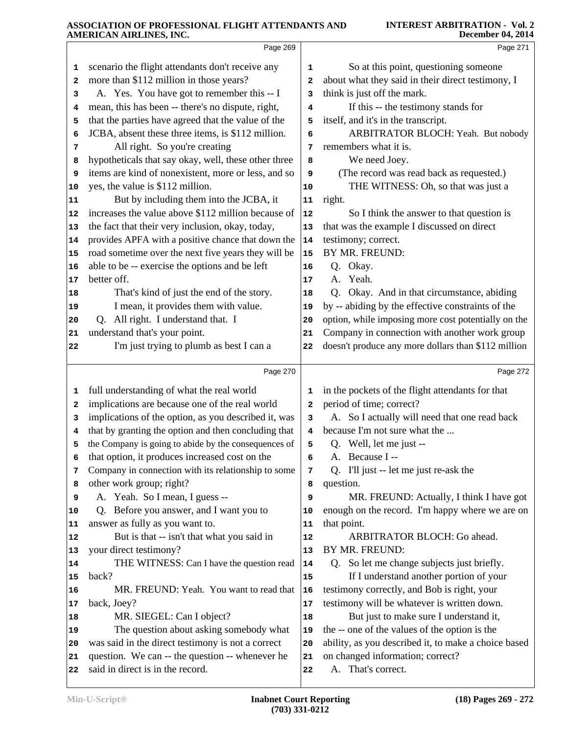|    | Page 269                                                                                             |                         | Page 271                                               |
|----|------------------------------------------------------------------------------------------------------|-------------------------|--------------------------------------------------------|
| 1  | scenario the flight attendants don't receive any                                                     | 1                       | So at this point, questioning someone                  |
| 2  | more than \$112 million in those years?                                                              | $\overline{\mathbf{2}}$ | about what they said in their direct testimony, I      |
| з  | A. Yes. You have got to remember this -- I                                                           | 3                       | think is just off the mark.                            |
| 4  | mean, this has been -- there's no dispute, right,                                                    | 4                       | If this -- the testimony stands for                    |
| 5  | that the parties have agreed that the value of the                                                   | 5                       | itself, and it's in the transcript.                    |
| 6  | JCBA, absent these three items, is \$112 million.                                                    | 6                       | ARBITRATOR BLOCH: Yeah. But nobody                     |
| 7  | All right. So you're creating                                                                        | 7                       | remembers what it is.                                  |
| 8  | hypotheticals that say okay, well, these other three                                                 | 8                       | We need Joey.                                          |
| 9  | items are kind of nonexistent, more or less, and so                                                  | 9                       | (The record was read back as requested.)               |
| 10 | yes, the value is \$112 million.                                                                     | 10                      | THE WITNESS: Oh, so that was just a                    |
| 11 | But by including them into the JCBA, it                                                              | ${\bf 11}$              | right.                                                 |
| 12 | increases the value above \$112 million because of                                                   | 12                      | So I think the answer to that question is              |
| 13 | the fact that their very inclusion, okay, today,                                                     | 13                      | that was the example I discussed on direct             |
| 14 | provides APFA with a positive chance that down the                                                   | 14                      | testimony; correct.                                    |
| 15 | road sometime over the next five years they will be                                                  | 15                      | BY MR. FREUND:                                         |
| 16 | able to be -- exercise the options and be left                                                       | 16                      | Q. Okay.                                               |
| 17 | better off.                                                                                          | 17                      | A. Yeah.                                               |
| 18 | That's kind of just the end of the story.                                                            | 18                      | Q. Okay. And in that circumstance, abiding             |
| 19 | I mean, it provides them with value.                                                                 | 19                      | by -- abiding by the effective constraints of the      |
| 20 | Q. All right. I understand that. I                                                                   | 20                      | option, while imposing more cost potentially on the    |
| 21 | understand that's your point.                                                                        | 21                      | Company in connection with another work group          |
| 22 | I'm just trying to plumb as best I can a                                                             | 22                      | doesn't produce any more dollars than \$112 million    |
|    | Page 270                                                                                             |                         | Page 272                                               |
| 1  | full understanding of what the real world                                                            | 1                       | in the pockets of the flight attendants for that       |
| 2  | implications are because one of the real world                                                       | 2                       | period of time; correct?                               |
| з  | implications of the option, as you described it, was                                                 | 3                       | A. So I actually will need that one read back          |
| 4  | that by granting the option and then concluding that                                                 | 4                       | because I'm not sure what the                          |
| 5  | the Company is going to abide by the consequences of                                                 | 5                       | Q. Well, let me just --                                |
| 6  | that option, it produces increased cost on the                                                       | 6                       | A. Because I --                                        |
| 7  | Company in connection with its relationship to some                                                  | 7                       | Q. I'll just -- let me just re-ask the                 |
| 8  | other work group; right?                                                                             | 8                       | question.                                              |
| 9  | A. Yeah. So I mean, I guess --                                                                       | 9                       | MR. FREUND: Actually, I think I have got               |
| 10 | Q. Before you answer, and I want you to                                                              | 10                      | enough on the record. I'm happy where we are on        |
| 11 | answer as fully as you want to.                                                                      | 11                      | that point.                                            |
| 12 | But is that -- isn't that what you said in                                                           | 12                      | ARBITRATOR BLOCH: Go ahead.                            |
| 13 | your direct testimony?                                                                               | 13                      | BY MR. FREUND:                                         |
| 14 | THE WITNESS: Can I have the question read                                                            | 14                      | Q. So let me change subjects just briefly.             |
| 15 | back?                                                                                                | 15                      | If I understand another portion of your                |
| 16 | MR. FREUND: Yeah. You want to read that                                                              | 16                      | testimony correctly, and Bob is right, your            |
| 17 | back, Joey?                                                                                          | 17                      | testimony will be whatever is written down.            |
| 18 | MR. SIEGEL: Can I object?                                                                            | 18                      | But just to make sure I understand it,                 |
| 19 | The question about asking somebody what                                                              | 19                      | the -- one of the values of the option is the          |
| 20 | was said in the direct testimony is not a correct<br>question. We can -- the question -- whenever he | 20                      | ability, as you described it, to make a choice based   |
| 21 | said in direct is in the record.                                                                     | 21                      | on changed information; correct?<br>A. That's correct. |
| 22 |                                                                                                      | 22                      |                                                        |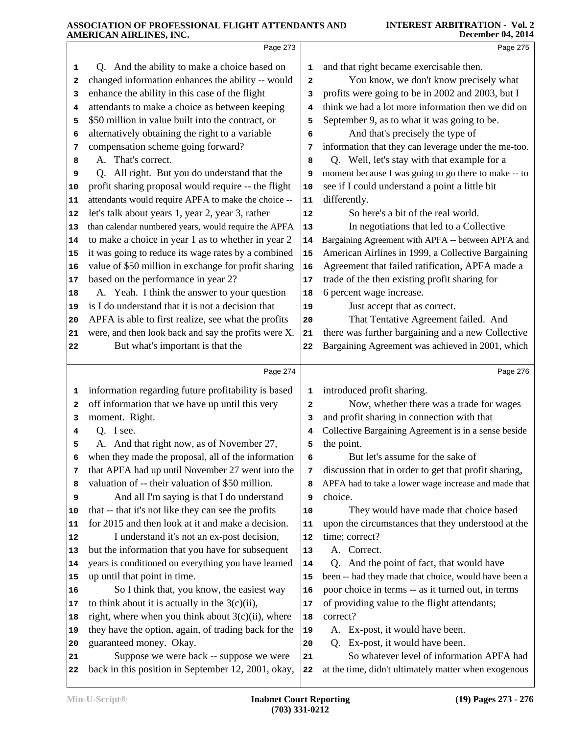|          | Page 273                                                                                      |              | Page 275                                                                                          |  |
|----------|-----------------------------------------------------------------------------------------------|--------------|---------------------------------------------------------------------------------------------------|--|
| 1        | Q. And the ability to make a choice based on                                                  | 1            | and that right became exercisable then.                                                           |  |
| 2        | changed information enhances the ability -- would                                             | $\mathbf{2}$ | You know, we don't know precisely what                                                            |  |
| з        | enhance the ability in this case of the flight                                                | 3            | profits were going to be in 2002 and 2003, but I                                                  |  |
| 4        | attendants to make a choice as between keeping                                                | 4            | think we had a lot more information then we did on                                                |  |
| 5        | \$50 million in value built into the contract, or                                             | 5            | September 9, as to what it was going to be.                                                       |  |
| 6        | alternatively obtaining the right to a variable                                               | 6            | And that's precisely the type of                                                                  |  |
| 7        | compensation scheme going forward?                                                            | 7            | information that they can leverage under the me-too.                                              |  |
| 8        | A. That's correct.                                                                            | 8            | Q. Well, let's stay with that example for a                                                       |  |
| 9        | Q. All right. But you do understand that the                                                  | 9            | moment because I was going to go there to make -- to                                              |  |
| 10       | profit sharing proposal would require -- the flight                                           | 10           | see if I could understand a point a little bit                                                    |  |
| 11       | attendants would require APFA to make the choice --                                           | 11           | differently.                                                                                      |  |
| 12       | let's talk about years 1, year 2, year 3, rather                                              | 12           | So here's a bit of the real world.                                                                |  |
| 13       | than calendar numbered years, would require the APFA                                          | 13           | In negotiations that led to a Collective                                                          |  |
| 14       | to make a choice in year 1 as to whether in year 2                                            | 14           | Bargaining Agreement with APFA -- between APFA and                                                |  |
| 15       | it was going to reduce its wage rates by a combined                                           | 15           | American Airlines in 1999, a Collective Bargaining                                                |  |
| 16       | value of \$50 million in exchange for profit sharing                                          | 16           | Agreement that failed ratification, APFA made a                                                   |  |
| 17       | based on the performance in year 2?                                                           | 17           | trade of the then existing profit sharing for                                                     |  |
| 18       | A. Yeah. I think the answer to your question                                                  | 18           | 6 percent wage increase.                                                                          |  |
| 19       | is I do understand that it is not a decision that                                             | 19           | Just accept that as correct.                                                                      |  |
| 20       | APFA is able to first realize, see what the profits                                           | 20           | That Tentative Agreement failed. And                                                              |  |
| 21       | were, and then look back and say the profits were X.                                          | 21           | there was further bargaining and a new Collective                                                 |  |
| 22       | But what's important is that the                                                              | 22           | Bargaining Agreement was achieved in 2001, which                                                  |  |
|          |                                                                                               |              |                                                                                                   |  |
|          |                                                                                               |              |                                                                                                   |  |
|          | Page 274                                                                                      |              | Page 276                                                                                          |  |
| 1        | information regarding future profitability is based                                           | 1            | introduced profit sharing.                                                                        |  |
| 2        | off information that we have up until this very                                               | 2            | Now, whether there was a trade for wages                                                          |  |
| з        | moment. Right.                                                                                | 3            | and profit sharing in connection with that                                                        |  |
| 4        | Q. I see.                                                                                     | 4            | Collective Bargaining Agreement is in a sense beside                                              |  |
| 5        | A. And that right now, as of November 27,                                                     | 5            | the point.                                                                                        |  |
|          | when they made the proposal, all of the information                                           | 6            | But let's assume for the sake of                                                                  |  |
| 7        | that APFA had up until November 27 went into the                                              | 7            | discussion that in order to get that profit sharing,                                              |  |
| 8        | valuation of -- their valuation of \$50 million.                                              | 8            | APFA had to take a lower wage increase and made that                                              |  |
| 9        | And all I'm saying is that I do understand                                                    | 9            | choice.                                                                                           |  |
| 10       | that -- that it's not like they can see the profits                                           | 10           | They would have made that choice based                                                            |  |
| 11       | for 2015 and then look at it and make a decision.                                             | 11           | upon the circumstances that they understood at the                                                |  |
| 12       | I understand it's not an ex-post decision,                                                    | 12           | time; correct?                                                                                    |  |
| 13       | but the information that you have for subsequent                                              | 13           | A. Correct.                                                                                       |  |
| 14       | years is conditioned on everything you have learned                                           | 14           | Q. And the point of fact, that would have                                                         |  |
| 15       | up until that point in time.                                                                  | 15           | been -- had they made that choice, would have been a                                              |  |
| 16       | So I think that, you know, the easiest way                                                    | 16           | poor choice in terms -- as it turned out, in terms                                                |  |
| 17       | to think about it is actually in the $3(c)(ii)$ ,                                             | 17           | of providing value to the flight attendants;                                                      |  |
| 18       | right, where when you think about $3(c)(ii)$ , where                                          | 18           | correct?                                                                                          |  |
| 19       | they have the option, again, of trading back for the                                          | 19           | A. Ex-post, it would have been.                                                                   |  |
| 20       | guaranteed money. Okay.                                                                       | 20           | Q. Ex-post, it would have been.                                                                   |  |
| 21<br>22 | Suppose we were back -- suppose we were<br>back in this position in September 12, 2001, okay, | 21<br>22     | So whatever level of information APFA had<br>at the time, didn't ultimately matter when exogenous |  |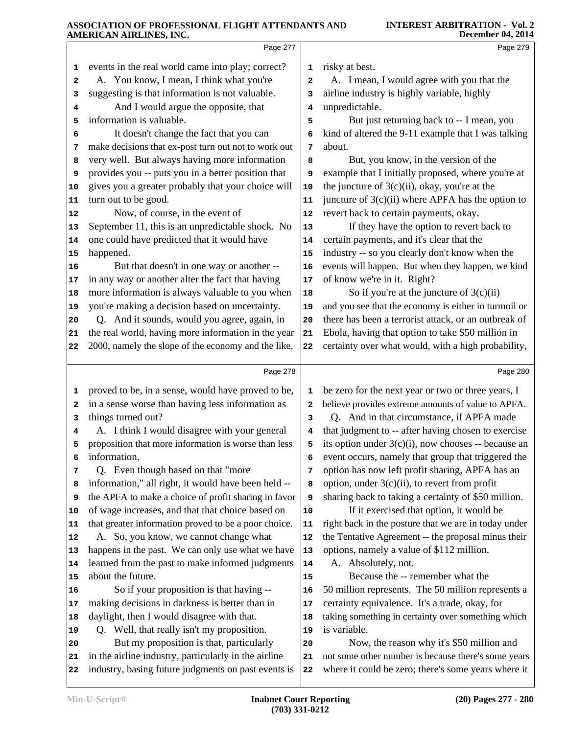|              | Page 277                                             |    | Page 279                                             |
|--------------|------------------------------------------------------|----|------------------------------------------------------|
| 1            | events in the real world came into play; correct?    | 1  | risky at best.                                       |
| $\mathbf{2}$ | A. You know, I mean, I think what you're             | 2  | A. I mean, I would agree with you that the           |
| 3            | suggesting is that information is not valuable.      | 3  | airline industry is highly variable, highly          |
| 4            | And I would argue the opposite, that                 | 4  | unpredictable.                                       |
| 5            | information is valuable.                             | 5  | But just returning back to -- I mean, you            |
| 6            | It doesn't change the fact that you can              | 6  | kind of altered the 9-11 example that I was talking  |
| 7            | make decisions that ex-post turn out not to work out | 7  | about.                                               |
| 8            | very well. But always having more information        | 8  | But, you know, in the version of the                 |
| 9            | provides you -- puts you in a better position that   | 9  | example that I initially proposed, where you're at   |
| 10           | gives you a greater probably that your choice will   | 10 | the juncture of $3(c)(ii)$ , okay, you're at the     |
| 11           | turn out to be good.                                 | 11 | juncture of $3(c)(ii)$ where APFA has the option to  |
| 12           | Now, of course, in the event of                      | 12 | revert back to certain payments, okay.               |
| 13           | September 11, this is an unpredictable shock. No     | 13 | If they have the option to revert back to            |
| 14           | one could have predicted that it would have          | 14 | certain payments, and it's clear that the            |
| 15           | happened.                                            | 15 | industry -- so you clearly don't know when the       |
| 16           | But that doesn't in one way or another --            | 16 | events will happen. But when they happen, we kind    |
| 17           | in any way or another alter the fact that having     | 17 | of know we're in it. Right?                          |
| 18           | more information is always valuable to you when      | 18 | So if you're at the juncture of $3(c)(ii)$           |
| 19           | you're making a decision based on uncertainty.       | 19 | and you see that the economy is either in turmoil or |
| 20           | Q. And it sounds, would you agree, again, in         | 20 | there has been a terrorist attack, or an outbreak of |
| 21           | the real world, having more information in the year  | 21 | Ebola, having that option to take \$50 million in    |
| 22           | 2000, namely the slope of the economy and the like,  | 22 | certainty over what would, with a high probability,  |
|              | Page 278                                             |    | Page 280                                             |
|              |                                                      |    |                                                      |
| 1            | proved to be, in a sense, would have proved to be,   | 1  | be zero for the next year or two or three years, I   |
| 2            | in a sense worse than having less information as     | 2  | believe provides extreme amounts of value to APFA.   |
| 3            | things turned out?                                   | 3  | Q. And in that circumstance, if APFA made            |
| 4            | A. I think I would disagree with your general        | 4  | that judgment to -- after having chosen to exercise  |
| 5            | proposition that more information is worse than less | 5  | its option under 3(c)(i), now chooses -- because an  |
| 6            | information.                                         | 6  | event occurs, namely that group that triggered the   |
| 7            | Q. Even though based on that "more                   | 7  | option has now left profit sharing, APFA has an      |
| 8            | information," all right, it would have been held --  | 8  | option, under $3(c)(ii)$ , to revert from profit     |
| 9            | the APFA to make a choice of profit sharing in favor | 9  | sharing back to taking a certainty of \$50 million.  |
| 10           | of wage increases, and that that choice based on     | 10 | If it exercised that option, it would be             |
| 11           | that greater information proved to be a poor choice. | 11 | right back in the posture that we are in today under |
| 12           | A. So, you know, we cannot change what               | 12 | the Tentative Agreement -- the proposal minus their  |
| 13           | happens in the past. We can only use what we have    | 13 | options, namely a value of \$112 million.            |
| 14           | learned from the past to make informed judgments     | 14 | A. Absolutely, not.                                  |
| 15           | about the future.                                    | 15 | Because the -- remember what the                     |
| 16           | So if your proposition is that having --             | 16 | 50 million represents. The 50 million represents a   |
| 17           | making decisions in darkness is better than in       | 17 | certainty equivalence. It's a trade, okay, for       |
| 18           | daylight, then I would disagree with that.           | 18 | taking something in certainty over something which   |
| 19           | Q. Well, that really isn't my proposition.           | 19 | is variable.                                         |
| 20           | But my proposition is that, particularly             | 20 | Now, the reason why it's \$50 million and            |
| 21           | in the airline industry, particularly in the airline | 21 | not some other number is because there's some years  |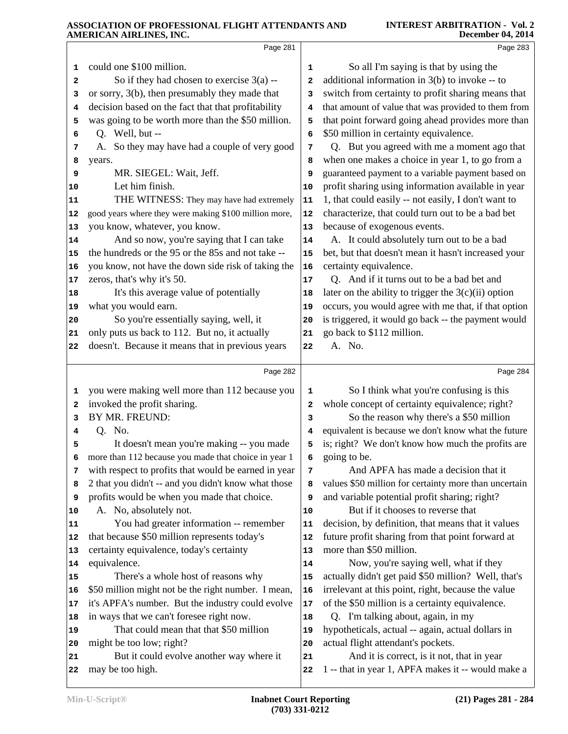|                                                                                                                   | Page 281                                                                                                                                                                                                                                                                                                                                                                                                                                                                                                                                                                                                                                                                                                                                                                                                                                                 |                                                                                                                           | Page 283                                                                                                                                                                                                                                                                                                                                                                                                                                                                                                                                                                                                                                                                                                                                                                                                                                                                                                                                                                                                                                         |  |
|-------------------------------------------------------------------------------------------------------------------|----------------------------------------------------------------------------------------------------------------------------------------------------------------------------------------------------------------------------------------------------------------------------------------------------------------------------------------------------------------------------------------------------------------------------------------------------------------------------------------------------------------------------------------------------------------------------------------------------------------------------------------------------------------------------------------------------------------------------------------------------------------------------------------------------------------------------------------------------------|---------------------------------------------------------------------------------------------------------------------------|--------------------------------------------------------------------------------------------------------------------------------------------------------------------------------------------------------------------------------------------------------------------------------------------------------------------------------------------------------------------------------------------------------------------------------------------------------------------------------------------------------------------------------------------------------------------------------------------------------------------------------------------------------------------------------------------------------------------------------------------------------------------------------------------------------------------------------------------------------------------------------------------------------------------------------------------------------------------------------------------------------------------------------------------------|--|
| 1<br>2<br>з<br>4<br>5<br>6<br>7<br>8<br>9<br>10<br>11<br>12<br>13<br>14<br>15<br>16<br>17<br>18<br>19<br>20<br>21 | could one \$100 million.<br>So if they had chosen to exercise 3(a) --<br>or sorry, 3(b), then presumably they made that<br>decision based on the fact that that profitability<br>was going to be worth more than the \$50 million.<br>Q. Well, but --<br>A. So they may have had a couple of very good<br>years.<br>MR. SIEGEL: Wait, Jeff.<br>Let him finish.<br>THE WITNESS: They may have had extremely<br>good years where they were making \$100 million more,<br>you know, whatever, you know.<br>And so now, you're saying that I can take<br>the hundreds or the 95 or the 85s and not take --<br>you know, not have the down side risk of taking the<br>zeros, that's why it's 50.<br>It's this average value of potentially<br>what you would earn.<br>So you're essentially saying, well, it<br>only puts us back to 112. But no, it actually | 1<br>2<br>3<br>4<br>5<br>6<br>7<br>8<br>9<br>10<br>11<br>12<br>13<br>${\bf 14}$<br>15<br>16<br>17<br>18<br>19<br>20<br>21 | So all I'm saying is that by using the<br>additional information in 3(b) to invoke -- to<br>switch from certainty to profit sharing means that<br>that amount of value that was provided to them from<br>that point forward going ahead provides more than<br>\$50 million in certainty equivalence.<br>Q. But you agreed with me a moment ago that<br>when one makes a choice in year 1, to go from a<br>guaranteed payment to a variable payment based on<br>profit sharing using information available in year<br>1, that could easily -- not easily, I don't want to<br>characterize, that could turn out to be a bad bet<br>because of exogenous events.<br>A. It could absolutely turn out to be a bad<br>bet, but that doesn't mean it hasn't increased your<br>certainty equivalence.<br>Q. And if it turns out to be a bad bet and<br>later on the ability to trigger the $3(c)(ii)$ option<br>occurs, you would agree with me that, if that option<br>is triggered, it would go back -- the payment would<br>go back to \$112 million. |  |
| 22                                                                                                                | doesn't. Because it means that in previous years                                                                                                                                                                                                                                                                                                                                                                                                                                                                                                                                                                                                                                                                                                                                                                                                         | 22                                                                                                                        | A. No.                                                                                                                                                                                                                                                                                                                                                                                                                                                                                                                                                                                                                                                                                                                                                                                                                                                                                                                                                                                                                                           |  |
|                                                                                                                   | Page 282                                                                                                                                                                                                                                                                                                                                                                                                                                                                                                                                                                                                                                                                                                                                                                                                                                                 |                                                                                                                           | Page 284                                                                                                                                                                                                                                                                                                                                                                                                                                                                                                                                                                                                                                                                                                                                                                                                                                                                                                                                                                                                                                         |  |
| 1                                                                                                                 | you were making well more than 112 because you                                                                                                                                                                                                                                                                                                                                                                                                                                                                                                                                                                                                                                                                                                                                                                                                           | 1                                                                                                                         | So I think what you're confusing is this                                                                                                                                                                                                                                                                                                                                                                                                                                                                                                                                                                                                                                                                                                                                                                                                                                                                                                                                                                                                         |  |
| 2<br>3                                                                                                            | invoked the profit sharing.<br>BY MR. FREUND:                                                                                                                                                                                                                                                                                                                                                                                                                                                                                                                                                                                                                                                                                                                                                                                                            | 2<br>3                                                                                                                    | whole concept of certainty equivalence; right?<br>So the reason why there's a \$50 million                                                                                                                                                                                                                                                                                                                                                                                                                                                                                                                                                                                                                                                                                                                                                                                                                                                                                                                                                       |  |
| 4                                                                                                                 | Q. No.                                                                                                                                                                                                                                                                                                                                                                                                                                                                                                                                                                                                                                                                                                                                                                                                                                                   | 4                                                                                                                         | equivalent is because we don't know what the future                                                                                                                                                                                                                                                                                                                                                                                                                                                                                                                                                                                                                                                                                                                                                                                                                                                                                                                                                                                              |  |
| 5                                                                                                                 | It doesn't mean you're making -- you made                                                                                                                                                                                                                                                                                                                                                                                                                                                                                                                                                                                                                                                                                                                                                                                                                | 5                                                                                                                         | is; right? We don't know how much the profits are                                                                                                                                                                                                                                                                                                                                                                                                                                                                                                                                                                                                                                                                                                                                                                                                                                                                                                                                                                                                |  |
| 6                                                                                                                 | more than 112 because you made that choice in year 1                                                                                                                                                                                                                                                                                                                                                                                                                                                                                                                                                                                                                                                                                                                                                                                                     | 6                                                                                                                         | going to be.                                                                                                                                                                                                                                                                                                                                                                                                                                                                                                                                                                                                                                                                                                                                                                                                                                                                                                                                                                                                                                     |  |
| 7                                                                                                                 | with respect to profits that would be earned in year                                                                                                                                                                                                                                                                                                                                                                                                                                                                                                                                                                                                                                                                                                                                                                                                     | 7                                                                                                                         | And APFA has made a decision that it                                                                                                                                                                                                                                                                                                                                                                                                                                                                                                                                                                                                                                                                                                                                                                                                                                                                                                                                                                                                             |  |
| 8                                                                                                                 | 2 that you didn't -- and you didn't know what those                                                                                                                                                                                                                                                                                                                                                                                                                                                                                                                                                                                                                                                                                                                                                                                                      | 8                                                                                                                         | values \$50 million for certainty more than uncertain                                                                                                                                                                                                                                                                                                                                                                                                                                                                                                                                                                                                                                                                                                                                                                                                                                                                                                                                                                                            |  |
| 9                                                                                                                 | profits would be when you made that choice.                                                                                                                                                                                                                                                                                                                                                                                                                                                                                                                                                                                                                                                                                                                                                                                                              | 9                                                                                                                         | and variable potential profit sharing; right?                                                                                                                                                                                                                                                                                                                                                                                                                                                                                                                                                                                                                                                                                                                                                                                                                                                                                                                                                                                                    |  |
| 10                                                                                                                | A. No, absolutely not.                                                                                                                                                                                                                                                                                                                                                                                                                                                                                                                                                                                                                                                                                                                                                                                                                                   | 10                                                                                                                        | But if it chooses to reverse that                                                                                                                                                                                                                                                                                                                                                                                                                                                                                                                                                                                                                                                                                                                                                                                                                                                                                                                                                                                                                |  |
| 11                                                                                                                | You had greater information -- remember                                                                                                                                                                                                                                                                                                                                                                                                                                                                                                                                                                                                                                                                                                                                                                                                                  | 11                                                                                                                        | decision, by definition, that means that it values                                                                                                                                                                                                                                                                                                                                                                                                                                                                                                                                                                                                                                                                                                                                                                                                                                                                                                                                                                                               |  |
| 12                                                                                                                | that because \$50 million represents today's                                                                                                                                                                                                                                                                                                                                                                                                                                                                                                                                                                                                                                                                                                                                                                                                             | 12                                                                                                                        | future profit sharing from that point forward at                                                                                                                                                                                                                                                                                                                                                                                                                                                                                                                                                                                                                                                                                                                                                                                                                                                                                                                                                                                                 |  |
| 13                                                                                                                | certainty equivalence, today's certainty                                                                                                                                                                                                                                                                                                                                                                                                                                                                                                                                                                                                                                                                                                                                                                                                                 | 13                                                                                                                        | more than \$50 million.                                                                                                                                                                                                                                                                                                                                                                                                                                                                                                                                                                                                                                                                                                                                                                                                                                                                                                                                                                                                                          |  |
| 14                                                                                                                | equivalence.                                                                                                                                                                                                                                                                                                                                                                                                                                                                                                                                                                                                                                                                                                                                                                                                                                             | 14                                                                                                                        | Now, you're saying well, what if they                                                                                                                                                                                                                                                                                                                                                                                                                                                                                                                                                                                                                                                                                                                                                                                                                                                                                                                                                                                                            |  |
| 15                                                                                                                | There's a whole host of reasons why                                                                                                                                                                                                                                                                                                                                                                                                                                                                                                                                                                                                                                                                                                                                                                                                                      | 15                                                                                                                        | actually didn't get paid \$50 million? Well, that's<br>irrelevant at this point, right, because the value                                                                                                                                                                                                                                                                                                                                                                                                                                                                                                                                                                                                                                                                                                                                                                                                                                                                                                                                        |  |
| 16                                                                                                                | \$50 million might not be the right number. I mean,<br>it's APFA's number. But the industry could evolve                                                                                                                                                                                                                                                                                                                                                                                                                                                                                                                                                                                                                                                                                                                                                 | 16                                                                                                                        | of the \$50 million is a certainty equivalence.                                                                                                                                                                                                                                                                                                                                                                                                                                                                                                                                                                                                                                                                                                                                                                                                                                                                                                                                                                                                  |  |
| 17<br>18                                                                                                          | in ways that we can't foresee right now.                                                                                                                                                                                                                                                                                                                                                                                                                                                                                                                                                                                                                                                                                                                                                                                                                 | 17<br>18                                                                                                                  | Q. I'm talking about, again, in my                                                                                                                                                                                                                                                                                                                                                                                                                                                                                                                                                                                                                                                                                                                                                                                                                                                                                                                                                                                                               |  |
| 19                                                                                                                | That could mean that that \$50 million                                                                                                                                                                                                                                                                                                                                                                                                                                                                                                                                                                                                                                                                                                                                                                                                                   | 19                                                                                                                        | hypotheticals, actual -- again, actual dollars in                                                                                                                                                                                                                                                                                                                                                                                                                                                                                                                                                                                                                                                                                                                                                                                                                                                                                                                                                                                                |  |
| 20                                                                                                                | might be too low; right?                                                                                                                                                                                                                                                                                                                                                                                                                                                                                                                                                                                                                                                                                                                                                                                                                                 | 20                                                                                                                        | actual flight attendant's pockets.                                                                                                                                                                                                                                                                                                                                                                                                                                                                                                                                                                                                                                                                                                                                                                                                                                                                                                                                                                                                               |  |
| 21                                                                                                                | But it could evolve another way where it                                                                                                                                                                                                                                                                                                                                                                                                                                                                                                                                                                                                                                                                                                                                                                                                                 | 21                                                                                                                        | And it is correct, is it not, that in year                                                                                                                                                                                                                                                                                                                                                                                                                                                                                                                                                                                                                                                                                                                                                                                                                                                                                                                                                                                                       |  |
| 22                                                                                                                | may be too high.                                                                                                                                                                                                                                                                                                                                                                                                                                                                                                                                                                                                                                                                                                                                                                                                                                         | 22                                                                                                                        | 1 -- that in year 1, APFA makes it -- would make a                                                                                                                                                                                                                                                                                                                                                                                                                                                                                                                                                                                                                                                                                                                                                                                                                                                                                                                                                                                               |  |
|                                                                                                                   |                                                                                                                                                                                                                                                                                                                                                                                                                                                                                                                                                                                                                                                                                                                                                                                                                                                          |                                                                                                                           |                                                                                                                                                                                                                                                                                                                                                                                                                                                                                                                                                                                                                                                                                                                                                                                                                                                                                                                                                                                                                                                  |  |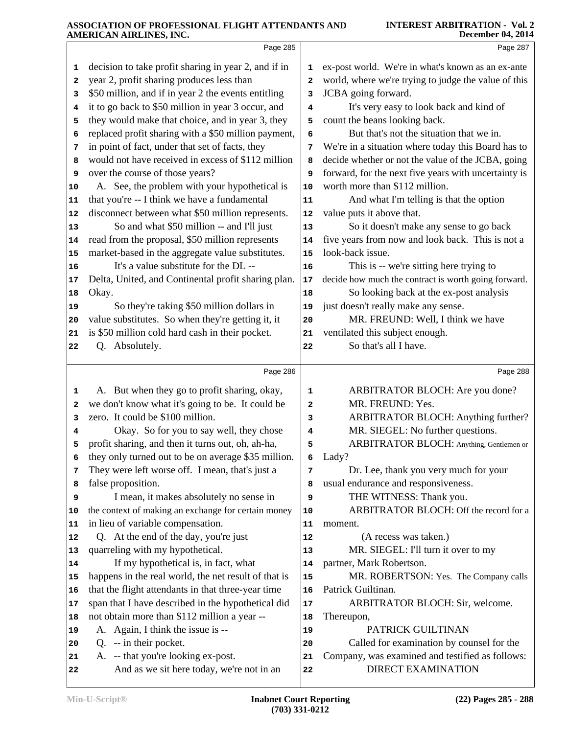|                | Page 285                                                                        |                         | Page 287                                                                     |
|----------------|---------------------------------------------------------------------------------|-------------------------|------------------------------------------------------------------------------|
| 1              | decision to take profit sharing in year 2, and if in                            | 1                       | ex-post world. We're in what's known as an ex-ante                           |
| 2              | year 2, profit sharing produces less than                                       | $\overline{\mathbf{2}}$ | world, where we're trying to judge the value of this                         |
| 3              | \$50 million, and if in year 2 the events entitling                             | 3                       | JCBA going forward.                                                          |
| 4              | it to go back to \$50 million in year 3 occur, and                              | 4                       | It's very easy to look back and kind of                                      |
| 5              | they would make that choice, and in year 3, they                                | 5                       | count the beans looking back.                                                |
| 6              | replaced profit sharing with a \$50 million payment,                            | 6                       | But that's not the situation that we in.                                     |
| 7              | in point of fact, under that set of facts, they                                 | 7                       | We're in a situation where today this Board has to                           |
| 8              | would not have received in excess of \$112 million                              | 8                       | decide whether or not the value of the JCBA, going                           |
| 9              | over the course of those years?                                                 | 9                       | forward, for the next five years with uncertainty is                         |
| 10             | A. See, the problem with your hypothetical is                                   | 10                      | worth more than \$112 million.                                               |
| 11             | that you're -- I think we have a fundamental                                    | 11                      | And what I'm telling is that the option                                      |
| 12             | disconnect between what \$50 million represents.                                | 12                      | value puts it above that.                                                    |
| 13             | So and what \$50 million -- and I'll just                                       | 13                      | So it doesn't make any sense to go back                                      |
| 14             | read from the proposal, \$50 million represents                                 | 14                      | five years from now and look back. This is not a                             |
| 15             | market-based in the aggregate value substitutes.                                | 15                      | look-back issue.                                                             |
| 16             | It's a value substitute for the DL --                                           | 16                      | This is -- we're sitting here trying to                                      |
| 17             | Delta, United, and Continental profit sharing plan.                             | 17                      | decide how much the contract is worth going forward.                         |
| 18             | Okay.                                                                           | 18                      | So looking back at the ex-post analysis                                      |
| 19             | So they're taking \$50 million dollars in                                       | 19                      | just doesn't really make any sense.                                          |
| 20             | value substitutes. So when they're getting it, it                               | 20                      | MR. FREUND: Well, I think we have                                            |
| 21             | is \$50 million cold hard cash in their pocket.                                 | 21                      | ventilated this subject enough.                                              |
| 22             | Q. Absolutely.                                                                  | 22                      | So that's all I have.                                                        |
|                | Page 286                                                                        |                         | Page 288                                                                     |
|                |                                                                                 |                         |                                                                              |
| 1              | A. But when they go to profit sharing, okay,                                    | 1                       | ARBITRATOR BLOCH: Are you done?                                              |
| 2              | we don't know what it's going to be. It could be                                | 2                       | MR. FREUND: Yes.                                                             |
| 3              | zero. It could be \$100 million.                                                | з                       | ARBITRATOR BLOCH: Anything further?                                          |
| 4              | Okay. So for you to say well, they chose                                        | 4                       | MR. SIEGEL: No further questions.                                            |
| 5              | profit sharing, and then it turns out, oh, ah-ha,                               | 5                       | ARBITRATOR BLOCH: Anything, Gentlemen or                                     |
| 6              | they only turned out to be on average \$35 million.                             | 6                       | Lady?                                                                        |
| 7              | They were left worse off. I mean, that's just a                                 | 7                       | Dr. Lee, thank you very much for your                                        |
| 8              | false proposition.                                                              | 8                       | usual endurance and responsiveness.                                          |
| 9              | I mean, it makes absolutely no sense in                                         | 9                       | THE WITNESS: Thank you.                                                      |
| 10             | the context of making an exchange for certain money                             | 10                      | ARBITRATOR BLOCH: Off the record for a                                       |
| 11             | in lieu of variable compensation.                                               | 11                      | moment.                                                                      |
| 12             | Q. At the end of the day, you're just                                           | 12                      | (A recess was taken.)                                                        |
|                | quarreling with my hypothetical.                                                | 13                      | MR. SIEGEL: I'll turn it over to my                                          |
| 13<br>14       | If my hypothetical is, in fact, what                                            | 14                      | partner, Mark Robertson.                                                     |
| 15             | happens in the real world, the net result of that is                            | 15                      | MR. ROBERTSON: Yes. The Company calls                                        |
|                | that the flight attendants in that three-year time                              | 16                      | Patrick Guiltinan.                                                           |
|                | span that I have described in the hypothetical did                              | 17                      | ARBITRATOR BLOCH: Sir, welcome.                                              |
| 18             | not obtain more than \$112 million a year --                                    | 18                      | Thereupon,                                                                   |
| 19             | A. Again, I think the issue is --                                               | 19                      | PATRICK GUILTINAN                                                            |
| 16<br>17<br>20 | Q. -- in their pocket.                                                          | 20                      | Called for examination by counsel for the                                    |
| 21             | A. -- that you're looking ex-post.<br>And as we sit here today, we're not in an | 21                      | Company, was examined and testified as follows:<br><b>DIRECT EXAMINATION</b> |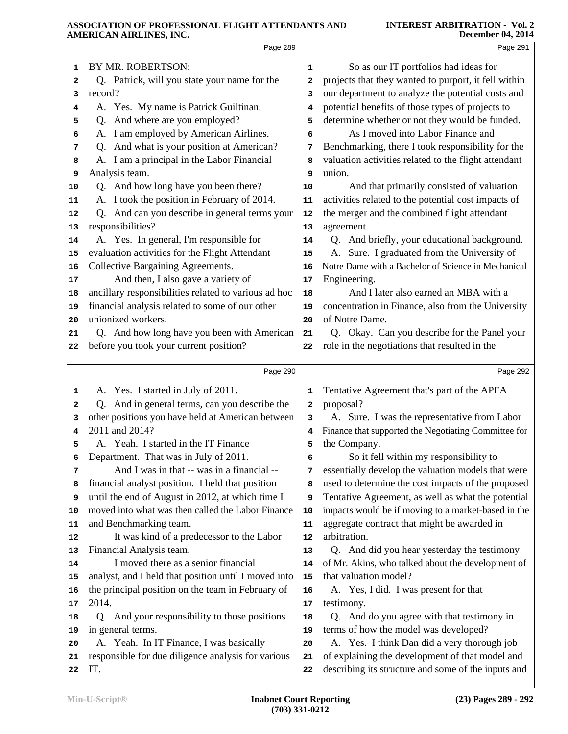|    | AMERICAN AIRLINES, INC.                              |    | December 04, 2014                                    |
|----|------------------------------------------------------|----|------------------------------------------------------|
|    | Page 289                                             |    | Page 291                                             |
| 1  | BY MR. ROBERTSON:                                    | 1  | So as our IT portfolios had ideas for                |
| 2  | Q. Patrick, will you state your name for the         | 2  | projects that they wanted to purport, it fell within |
| 3  | record?                                              | 3  | our department to analyze the potential costs and    |
| 4  | A. Yes. My name is Patrick Guiltinan.                | 4  | potential benefits of those types of projects to     |
| 5  | Q. And where are you employed?                       | 5  | determine whether or not they would be funded.       |
| 6  | A. I am employed by American Airlines.               | 6  | As I moved into Labor Finance and                    |
| 7  | Q. And what is your position at American?            | 7  | Benchmarking, there I took responsibility for the    |
| 8  | A. I am a principal in the Labor Financial           | 8  | valuation activities related to the flight attendant |
| 9  | Analysis team.                                       | 9  | union.                                               |
| 10 | Q. And how long have you been there?                 | 10 | And that primarily consisted of valuation            |
| 11 | A. I took the position in February of 2014.          | 11 | activities related to the potential cost impacts of  |
| 12 | Q. And can you describe in general terms your        | 12 | the merger and the combined flight attendant         |
| 13 | responsibilities?                                    | 13 | agreement.                                           |
| 14 | A. Yes. In general, I'm responsible for              | 14 | Q. And briefly, your educational background.         |
| 15 | evaluation activities for the Flight Attendant       | 15 | A. Sure. I graduated from the University of          |
| 16 | Collective Bargaining Agreements.                    | 16 | Notre Dame with a Bachelor of Science in Mechanical  |
| 17 | And then, I also gave a variety of                   | 17 | Engineering.                                         |
| 18 | ancillary responsibilities related to various ad hoc | 18 | And I later also earned an MBA with a                |
| 19 | financial analysis related to some of our other      | 19 | concentration in Finance, also from the University   |
| 20 | unionized workers.                                   | 20 | of Notre Dame.                                       |
| 21 | Q. And how long have you been with American          | 21 | Q. Okay. Can you describe for the Panel your         |
| 22 | before you took your current position?               | 22 | role in the negotiations that resulted in the        |
|    | Page 290                                             |    | Page 292                                             |
| 1  | A. Yes. I started in July of 2011.                   | 1  | Tentative Agreement that's part of the APFA          |
| 2  | Q. And in general terms, can you describe the        | 2  | proposal?                                            |
| з  | other positions you have held at American between    | з  | A. Sure. I was the representative from Labor         |
| 4  | 2011 and 2014?                                       | 4  | Finance that supported the Negotiating Committee for |
| 5  | A. Yeah. I started in the IT Finance                 | 5  | the Company.                                         |
| 6  | Department. That was in July of 2011.                | 6  | So it fell within my responsibility to               |
| 7  | And I was in that -- was in a financial --           | 7  | essentially develop the valuation models that were   |
| 8  | financial analyst position. I held that position     | 8  | used to determine the cost impacts of the proposed   |
| 9  | until the end of August in 2012, at which time I     | 9  | Tentative Agreement, as well as what the potential   |
| 10 | moved into what was then called the Labor Finance    | 10 | impacts would be if moving to a market-based in the  |
| 11 | and Benchmarking team.                               | 11 | aggregate contract that might be awarded in          |
| 12 | It was kind of a predecessor to the Labor            | 12 | arbitration.                                         |
| 13 | Financial Analysis team.                             | 13 | Q. And did you hear yesterday the testimony          |
| 14 | I moved there as a senior financial                  | 14 | of Mr. Akins, who talked about the development of    |
| 15 | analyst, and I held that position until I moved into | 15 | that valuation model?                                |
| 16 | the principal position on the team in February of    | 16 | A. Yes, I did. I was present for that                |
| 17 | 2014.                                                | 17 | testimony.                                           |
| 18 | Q. And your responsibility to those positions        | 18 | Q. And do you agree with that testimony in           |
| 19 | in general terms.                                    | 19 | terms of how the model was developed?                |
|    | A. Yeah. In IT Finance, I was basically              | 20 | A. Yes. I think Dan did a very thorough job          |
| 20 |                                                      |    |                                                      |
| 21 | responsible for due diligence analysis for various   | 21 | of explaining the development of that model and      |
| 22 | IT.                                                  | 22 | describing its structure and some of the inputs and  |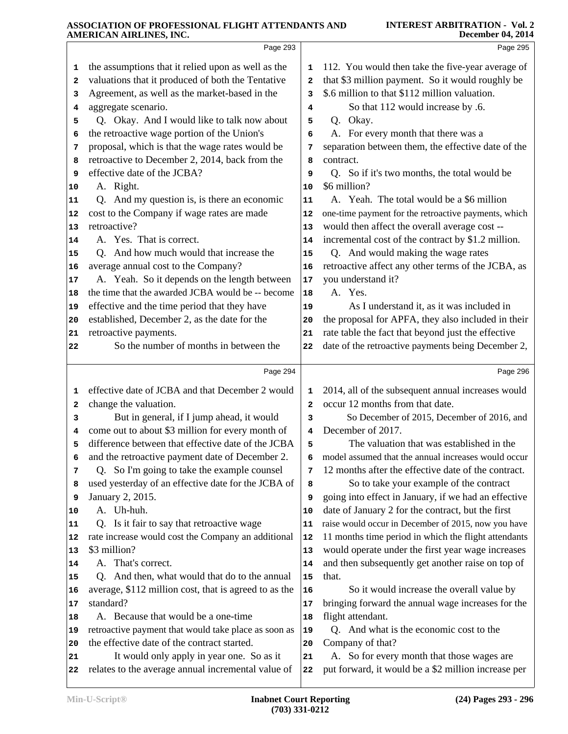|    | AMERICAN AIRLINES, INC.                               |                | <b>December 04, 2014</b>                             |
|----|-------------------------------------------------------|----------------|------------------------------------------------------|
|    | Page 293                                              |                | Page 295                                             |
| 1  | the assumptions that it relied upon as well as the    | 1              | 112. You would then take the five-year average of    |
| 2  | valuations that it produced of both the Tentative     | 2              | that \$3 million payment. So it would roughly be     |
| 3  | Agreement, as well as the market-based in the         | 3              | \$.6 million to that \$112 million valuation.        |
| 4  | aggregate scenario.                                   | 4              | So that 112 would increase by .6.                    |
| 5  | Q. Okay. And I would like to talk now about           | 5              | Q. Okay.                                             |
| 6  | the retroactive wage portion of the Union's           | 6              | A. For every month that there was a                  |
| 7  | proposal, which is that the wage rates would be       | 7              | separation between them, the effective date of the   |
| 8  | retroactive to December 2, 2014, back from the        | 8              | contract.                                            |
| 9  | effective date of the JCBA?                           | 9              | Q. So if it's two months, the total would be         |
| 10 | A. Right.                                             | 10             | \$6 million?                                         |
| 11 | Q. And my question is, is there an economic           | 11             | A. Yeah. The total would be a \$6 million            |
| 12 | cost to the Company if wage rates are made            | 12             | one-time payment for the retroactive payments, which |
| 13 | retroactive?                                          | 13             | would then affect the overall average cost --        |
| 14 | A. Yes. That is correct.                              | 14             | incremental cost of the contract by \$1.2 million.   |
| 15 | Q. And how much would that increase the               | 15             | Q. And would making the wage rates                   |
| 16 | average annual cost to the Company?                   | 16             | retroactive affect any other terms of the JCBA, as   |
| 17 | A. Yeah. So it depends on the length between          | 17             | you understand it?                                   |
| 18 | the time that the awarded JCBA would be -- become     | 18             | A. Yes.                                              |
| 19 | effective and the time period that they have          | 19             | As I understand it, as it was included in            |
| 20 | established, December 2, as the date for the          | 20             | the proposal for APFA, they also included in their   |
| 21 | retroactive payments.                                 | 21             | rate table the fact that beyond just the effective   |
| 22 | So the number of months in between the                | 22             | date of the retroactive payments being December 2,   |
|    | Page 294                                              |                | Page 296                                             |
| 1  | effective date of JCBA and that December 2 would      | 1              | 2014, all of the subsequent annual increases would   |
| 2  | change the valuation.                                 | $\overline{a}$ | occur 12 months from that date.                      |
| 3  | But in general, if I jump ahead, it would             | 3              | So December of 2015, December of 2016, and           |
| 4  | come out to about \$3 million for every month of      | 4              | December of 2017.                                    |
| 5  | difference between that effective date of the JCBA    | 5              | The valuation that was established in the            |
| 6  | and the retroactive payment date of December 2.       | 6              | model assumed that the annual increases would occur  |
| 7  | Q. So I'm going to take the example counsel           | 7              | 12 months after the effective date of the contract.  |
| 8  | used yesterday of an effective date for the JCBA of   | 8              | So to take your example of the contract              |
| 9  | January 2, 2015.                                      | 9              | going into effect in January, if we had an effective |
| 10 | A. Uh-huh.                                            | 10             | date of January 2 for the contract, but the first    |
| 11 | Q. Is it fair to say that retroactive wage            | 11             | raise would occur in December of 2015, now you have  |
| 12 | rate increase would cost the Company an additional    | 12             | 11 months time period in which the flight attendants |
| 13 | \$3 million?                                          | 13             | would operate under the first year wage increases    |
| 14 | A. That's correct.                                    | 14             | and then subsequently get another raise on top of    |
| 15 | Q. And then, what would that do to the annual         | 15             | that.                                                |
| 16 | average, \$112 million cost, that is agreed to as the | 16             | So it would increase the overall value by            |
| 17 | standard?                                             | 17             | bringing forward the annual wage increases for the   |
| 18 | A. Because that would be a one-time                   | 18             | flight attendant.                                    |
| 19 | retroactive payment that would take place as soon as  | 19             | Q. And what is the economic cost to the              |
| 20 | the effective date of the contract started.           | 20             | Company of that?                                     |
| 21 | It would only apply in year one. So as it             | 21             | A. So for every month that those wages are           |
|    | relates to the average annual incremental value of    | 22             | put forward, it would be a \$2 million increase per  |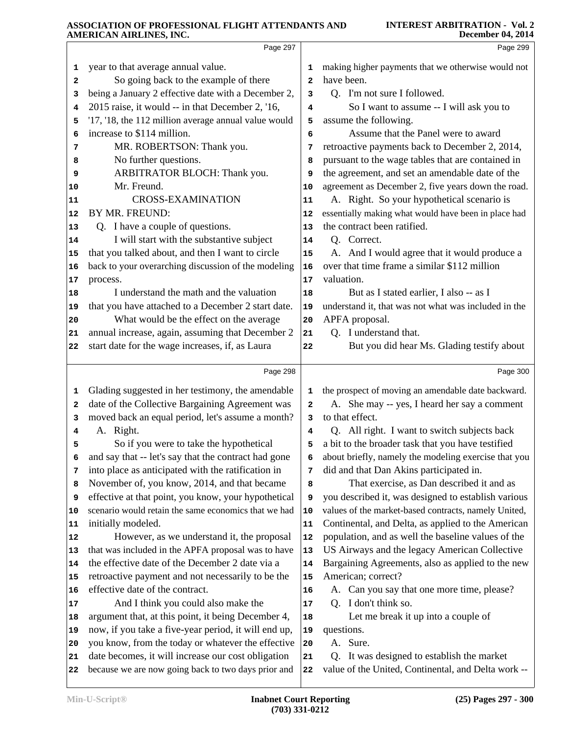|    | AMEKICAN AIKLINES, INC.                                                                                   |              | December 04, 2014                                                                                 |
|----|-----------------------------------------------------------------------------------------------------------|--------------|---------------------------------------------------------------------------------------------------|
|    | Page 297                                                                                                  |              | Page 299                                                                                          |
| 1  | year to that average annual value.                                                                        | 1            | making higher payments that we otherwise would not                                                |
| 2  | So going back to the example of there                                                                     | $\mathbf{2}$ | have been.                                                                                        |
| 3  | being a January 2 effective date with a December 2,                                                       | 3            | Q. I'm not sure I followed.                                                                       |
| 4  | 2015 raise, it would -- in that December 2, '16,                                                          | 4            | So I want to assume -- I will ask you to                                                          |
| 5  | '17, '18, the 112 million average annual value would                                                      | 5            | assume the following.                                                                             |
| 6  | increase to \$114 million.                                                                                | 6            | Assume that the Panel were to award                                                               |
| 7  | MR. ROBERTSON: Thank you.                                                                                 | 7            | retroactive payments back to December 2, 2014,                                                    |
| 8  | No further questions.                                                                                     | 8            | pursuant to the wage tables that are contained in                                                 |
| 9  | ARBITRATOR BLOCH: Thank you.                                                                              | 9            | the agreement, and set an amendable date of the                                                   |
| 10 | Mr. Freund.                                                                                               | 10           | agreement as December 2, five years down the road.                                                |
| 11 | <b>CROSS-EXAMINATION</b>                                                                                  | 11           | A. Right. So your hypothetical scenario is                                                        |
| 12 | BY MR. FREUND:                                                                                            | 12           | essentially making what would have been in place had                                              |
| 13 | Q. I have a couple of questions.                                                                          | 13           | the contract been ratified.                                                                       |
| 14 | I will start with the substantive subject                                                                 | 14           | Q. Correct.                                                                                       |
| 15 | that you talked about, and then I want to circle                                                          | 15           | A. And I would agree that it would produce a                                                      |
| 16 | back to your overarching discussion of the modeling                                                       | 16           | over that time frame a similar \$112 million                                                      |
| 17 | process.                                                                                                  | 17           | valuation.                                                                                        |
| 18 | I understand the math and the valuation                                                                   | 18           | But as I stated earlier, I also -- as I                                                           |
| 19 | that you have attached to a December 2 start date.                                                        | 19           | understand it, that was not what was included in the                                              |
| 20 | What would be the effect on the average                                                                   | 20           | APFA proposal.                                                                                    |
| 21 | annual increase, again, assuming that December 2                                                          | 21           | Q. I understand that.                                                                             |
| 22 | start date for the wage increases, if, as Laura                                                           | 22           | But you did hear Ms. Glading testify about                                                        |
|    |                                                                                                           |              |                                                                                                   |
|    | Page 298                                                                                                  |              | Page 300                                                                                          |
| 1  | Glading suggested in her testimony, the amendable                                                         | 1            | the prospect of moving an amendable date backward.                                                |
| 2  | date of the Collective Bargaining Agreement was                                                           | $\mathbf{2}$ | A. She may -- yes, I heard her say a comment                                                      |
| 3  | moved back an equal period, let's assume a month?                                                         | 3            | to that effect.                                                                                   |
| 4  | A. Right.                                                                                                 | 4            | Q. All right. I want to switch subjects back                                                      |
| 5  | So if you were to take the hypothetical                                                                   | 5            | a bit to the broader task that you have testified                                                 |
| 6  | and say that -- let's say that the contract had gone                                                      | 6            | about briefly, namely the modeling exercise that you                                              |
| 7  | into place as anticipated with the ratification in                                                        | 7            | did and that Dan Akins participated in.                                                           |
| 8  | November of, you know, 2014, and that became                                                              | 8            | That exercise, as Dan described it and as                                                         |
| 9  | effective at that point, you know, your hypothetical                                                      | 9            | you described it, was designed to establish various                                               |
| 10 | scenario would retain the same economics that we had                                                      | 10           | values of the market-based contracts, namely United,                                              |
| 11 | initially modeled.                                                                                        | 11           | Continental, and Delta, as applied to the American                                                |
| 12 | However, as we understand it, the proposal                                                                | 12           | population, and as well the baseline values of the                                                |
| 13 | that was included in the APFA proposal was to have                                                        | 13           | US Airways and the legacy American Collective                                                     |
| 14 | the effective date of the December 2 date via a                                                           | 14           | Bargaining Agreements, also as applied to the new                                                 |
| 15 | retroactive payment and not necessarily to be the                                                         | 15           | American; correct?                                                                                |
| 16 | effective date of the contract.                                                                           | 16           | A. Can you say that one more time, please?                                                        |
| 17 | And I think you could also make the                                                                       | 17           | Q. I don't think so.                                                                              |
| 18 | argument that, at this point, it being December 4,                                                        | 18           | Let me break it up into a couple of                                                               |
| 19 | now, if you take a five-year period, it will end up,                                                      | 19           | questions.                                                                                        |
| 20 | you know, from the today or whatever the effective                                                        | 20           | A. Sure.                                                                                          |
|    |                                                                                                           |              |                                                                                                   |
| 21 | date becomes, it will increase our cost obligation<br>because we are now going back to two days prior and | 21<br>22     | Q. It was designed to establish the market<br>value of the United, Continental, and Delta work -- |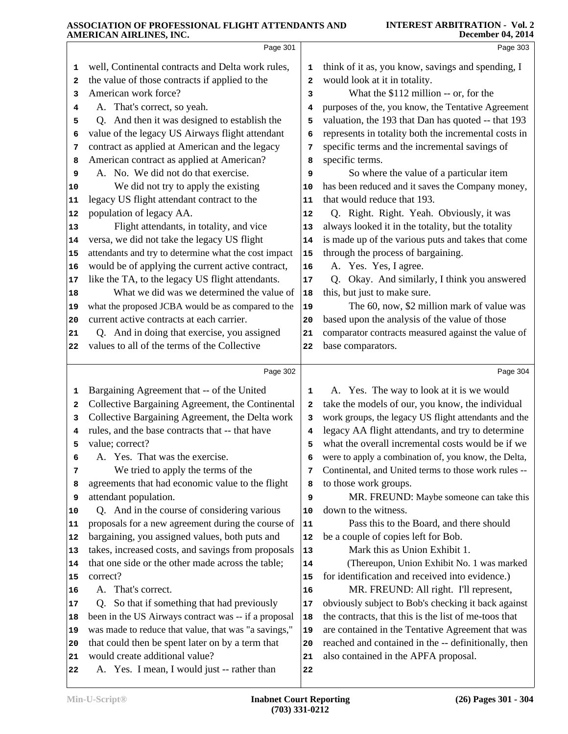|          | Page 301                                                                      |              | Page 303                                                                                                    |
|----------|-------------------------------------------------------------------------------|--------------|-------------------------------------------------------------------------------------------------------------|
| 1        | well, Continental contracts and Delta work rules,                             | 1            | think of it as, you know, savings and spending, I                                                           |
| 2        | the value of those contracts if applied to the                                | 2            | would look at it in totality.                                                                               |
| з        | American work force?                                                          | 3            | What the \$112 million -- or, for the                                                                       |
| 4        | A. That's correct, so yeah.                                                   | 4            | purposes of the, you know, the Tentative Agreement                                                          |
| 5        | Q. And then it was designed to establish the                                  | 5            | valuation, the 193 that Dan has quoted -- that 193                                                          |
| 6        | value of the legacy US Airways flight attendant                               | 6            | represents in totality both the incremental costs in                                                        |
| 7        | contract as applied at American and the legacy                                | 7            | specific terms and the incremental savings of                                                               |
| 8        | American contract as applied at American?                                     | 8            | specific terms.                                                                                             |
| 9        | A. No. We did not do that exercise.                                           | 9            | So where the value of a particular item                                                                     |
| 10       | We did not try to apply the existing                                          | 10           | has been reduced and it saves the Company money,                                                            |
| 11       | legacy US flight attendant contract to the                                    | 11           | that would reduce that 193.                                                                                 |
| 12       | population of legacy AA.                                                      | 12           | Q. Right. Right. Yeah. Obviously, it was                                                                    |
| 13       | Flight attendants, in totality, and vice                                      | 13           | always looked it in the totality, but the totality                                                          |
| 14       | versa, we did not take the legacy US flight                                   | 14           | is made up of the various puts and takes that come                                                          |
| 15       | attendants and try to determine what the cost impact                          | 15           | through the process of bargaining.                                                                          |
| 16       | would be of applying the current active contract,                             | 16           | A. Yes. Yes, I agree.                                                                                       |
| 17       | like the TA, to the legacy US flight attendants.                              | 17           | Q. Okay. And similarly, I think you answered                                                                |
| 18       | What we did was we determined the value of                                    | 18           | this, but just to make sure.                                                                                |
| 19       | what the proposed JCBA would be as compared to the                            | 19           | The 60, now, \$2 million mark of value was                                                                  |
| 20       | current active contracts at each carrier.                                     | 20           | based upon the analysis of the value of those                                                               |
| 21       | Q. And in doing that exercise, you assigned                                   | 21           | comparator contracts measured against the value of                                                          |
| 22       | values to all of the terms of the Collective                                  | 22           | base comparators.                                                                                           |
|          | Page 302                                                                      |              | Page 304                                                                                                    |
| 1        | Bargaining Agreement that -- of the United                                    | 1            | A. Yes. The way to look at it is we would                                                                   |
| 2        | Collective Bargaining Agreement, the Continental                              | $\mathbf{2}$ | take the models of our, you know, the individual                                                            |
| 3        | Collective Bargaining Agreement, the Delta work                               | 3            | work groups, the legacy US flight attendants and the                                                        |
| 4        | rules, and the base contracts that -- that have                               | 4            | legacy AA flight attendants, and try to determine                                                           |
| 5        | value; correct?                                                               | 5            | what the overall incremental costs would be if we                                                           |
| 6        | A. Yes. That was the exercise.                                                | 6            | were to apply a combination of, you know, the Delta,                                                        |
| 7        | We tried to apply the terms of the                                            | 7            | Continental, and United terms to those work rules --                                                        |
| 8        | agreements that had economic value to the flight                              | 8            | to those work groups.                                                                                       |
| 9        | attendant population.                                                         | 9            | MR. FREUND: Maybe someone can take this                                                                     |
| 10       | Q. And in the course of considering various                                   | 10           | down to the witness.                                                                                        |
| 11       | proposals for a new agreement during the course of                            | 11           | Pass this to the Board, and there should                                                                    |
| 12       | bargaining, you assigned values, both puts and                                | 12           | be a couple of copies left for Bob.                                                                         |
| 13       | takes, increased costs, and savings from proposals                            | 13           | Mark this as Union Exhibit 1.                                                                               |
| 14       | that one side or the other made across the table;                             | 14           | (Thereupon, Union Exhibit No. 1 was marked                                                                  |
| 15       | correct?                                                                      | 15           | for identification and received into evidence.)                                                             |
| 16       | A. That's correct.                                                            | 16           | MR. FREUND: All right. I'll represent,                                                                      |
| 17       | So that if something that had previously<br>Q.                                | 17           | obviously subject to Bob's checking it back against<br>the contracts, that this is the list of me-toos that |
|          |                                                                               |              |                                                                                                             |
| 18       | been in the US Airways contract was -- if a proposal                          | 18           |                                                                                                             |
| 19       | was made to reduce that value, that was "a savings,"                          | 19           | are contained in the Tentative Agreement that was                                                           |
| 20       | that could then be spent later on by a term that                              | 20           | reached and contained in the -- definitionally, then                                                        |
| 21<br>22 | would create additional value?<br>A. Yes. I mean, I would just -- rather than | 21<br>22     | also contained in the APFA proposal.                                                                        |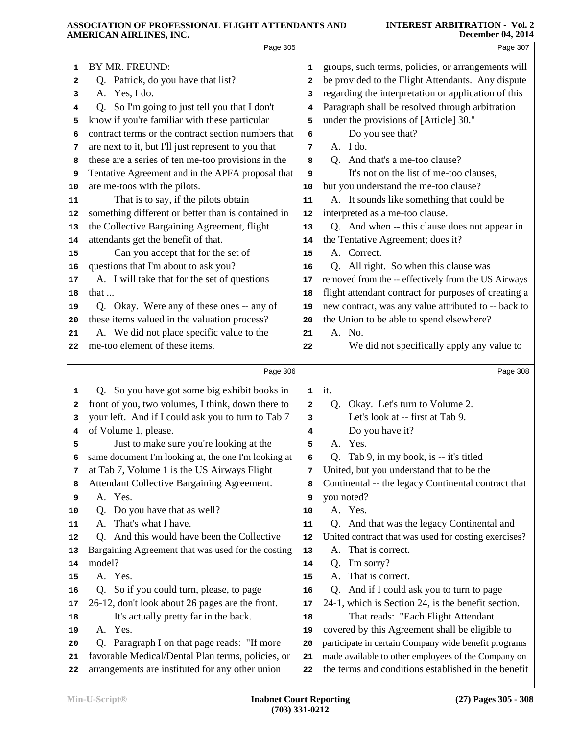|    | AMERICAN AIRLINES, INC.                              |    | December 04, 2014                                    |
|----|------------------------------------------------------|----|------------------------------------------------------|
|    | Page 305                                             |    | Page 307                                             |
| 1  | BY MR. FREUND:                                       | 1  | groups, such terms, policies, or arrangements will   |
| 2  | Q. Patrick, do you have that list?                   | 2  | be provided to the Flight Attendants. Any dispute    |
| з  | A. Yes, I do.                                        | з  | regarding the interpretation or application of this  |
| 4  | Q. So I'm going to just tell you that I don't        | 4  | Paragraph shall be resolved through arbitration      |
| 5  | know if you're familiar with these particular        | 5  | under the provisions of [Article] 30."               |
| 6  | contract terms or the contract section numbers that  | 6  | Do you see that?                                     |
| 7  | are next to it, but I'll just represent to you that  | 7  | A. I do.                                             |
| 8  | these are a series of ten me-too provisions in the   | 8  | Q. And that's a me-too clause?                       |
| 9  | Tentative Agreement and in the APFA proposal that    | 9  | It's not on the list of me-too clauses,              |
| 10 | are me-toos with the pilots.                         | 10 | but you understand the me-too clause?                |
| 11 | That is to say, if the pilots obtain                 | 11 | A. It sounds like something that could be            |
| 12 | something different or better than is contained in   | 12 | interpreted as a me-too clause.                      |
| 13 | the Collective Bargaining Agreement, flight          | 13 | Q. And when -- this clause does not appear in        |
| 14 | attendants get the benefit of that.                  | 14 | the Tentative Agreement; does it?                    |
| 15 | Can you accept that for the set of                   | 15 | A. Correct.                                          |
| 16 | questions that I'm about to ask you?                 | 16 | Q. All right. So when this clause was                |
| 17 | A. I will take that for the set of questions         | 17 | removed from the -- effectively from the US Airways  |
| 18 | that                                                 | 18 | flight attendant contract for purposes of creating a |
| 19 | Q. Okay. Were any of these ones -- any of            | 19 | new contract, was any value attributed to -- back to |
| 20 | these items valued in the valuation process?         | 20 | the Union to be able to spend elsewhere?             |
| 21 | A. We did not place specific value to the            | 21 | A. No.                                               |
| 22 | me-too element of these items.                       | 22 | We did not specifically apply any value to           |
|    |                                                      |    |                                                      |
|    | Page 306                                             |    | Page 308                                             |
| 1  | Q. So you have got some big exhibit books in         | 1  | it.                                                  |
| 2  | front of you, two volumes, I think, down there to    | 2  | Okay. Let's turn to Volume 2.<br>Q.                  |
| 3  | your left. And if I could ask you to turn to Tab 7   | 3  | Let's look at -- first at Tab 9.                     |
| 4  | of Volume 1, please.                                 | 4  | Do you have it?                                      |
| 5  | Just to make sure you're looking at the              | 5  | A. Yes.                                              |
| 6  | same document I'm looking at, the one I'm looking at | 6  | Q. Tab 9, in my book, is -- it's titled              |
| 7  | at Tab 7, Volume 1 is the US Airways Flight          | 7  | United, but you understand that to be the            |
| 8  | Attendant Collective Bargaining Agreement.           | 8  | Continental -- the legacy Continental contract that  |
| 9  | A. Yes.                                              | 9  | you noted?                                           |
| 10 | Do you have that as well?<br>Q.                      | 10 | A. Yes.                                              |
| 11 | That's what I have.<br>А.                            | 11 | Q. And that was the legacy Continental and           |
| 12 | And this would have been the Collective<br>O.        | 12 | United contract that was used for costing exercises? |
| 13 | Bargaining Agreement that was used for the costing   | 13 | That is correct.<br>А.                               |
| 14 | model?                                               | 14 | I'm sorry?<br>Q.                                     |
| 15 | A. Yes.                                              | 15 | That is correct.<br>A.                               |
| 16 | Q. So if you could turn, please, to page             | 16 | And if I could ask you to turn to page<br>Q.         |
| 17 | 26-12, don't look about 26 pages are the front.      | 17 | 24-1, which is Section 24, is the benefit section.   |
| 18 | It's actually pretty far in the back.                | 18 | That reads: "Each Flight Attendant                   |
| 19 | A. Yes.                                              | 19 | covered by this Agreement shall be eligible to       |
| 20 | Paragraph I on that page reads: "If more<br>Q.       | 20 | participate in certain Company wide benefit programs |
| 21 | favorable Medical/Dental Plan terms, policies, or    | 21 | made available to other employees of the Company on  |
| 22 | arrangements are instituted for any other union      | 22 | the terms and conditions established in the benefit  |
|    |                                                      |    |                                                      |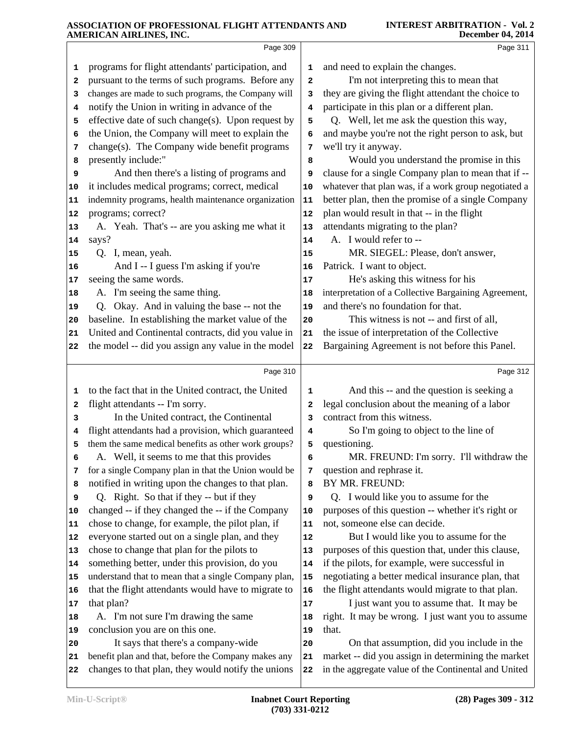|                | Page 309                                             |              | Page 311                                             |
|----------------|------------------------------------------------------|--------------|------------------------------------------------------|
| 1              | programs for flight attendants' participation, and   | 1            | and need to explain the changes.                     |
| $\mathbf{2}$   | pursuant to the terms of such programs. Before any   | $\mathbf{2}$ | I'm not interpreting this to mean that               |
| з              | changes are made to such programs, the Company will  | 3            | they are giving the flight attendant the choice to   |
| 4              | notify the Union in writing in advance of the        | 4            | participate in this plan or a different plan.        |
| 5              | effective date of such change(s). Upon request by    | 5            | Q. Well, let me ask the question this way,           |
| 6              | the Union, the Company will meet to explain the      | 6            | and maybe you're not the right person to ask, but    |
| 7              | change(s). The Company wide benefit programs         | 7            | we'll try it anyway.                                 |
| 8              | presently include:"                                  | 8            | Would you understand the promise in this             |
| 9              | And then there's a listing of programs and           | 9            | clause for a single Company plan to mean that if --  |
| 10             | it includes medical programs; correct, medical       | 10           | whatever that plan was, if a work group negotiated a |
| 11             | indemnity programs, health maintenance organization  | 11           | better plan, then the promise of a single Company    |
| 12             | programs; correct?                                   | 12           | plan would result in that -- in the flight           |
| 13             | A. Yeah. That's -- are you asking me what it         | 13           | attendants migrating to the plan?                    |
| 14             | says?                                                | 14           | A. I would refer to --                               |
| 15             | Q. I, mean, yeah.                                    | 15           | MR. SIEGEL: Please, don't answer,                    |
| 16             | And I -- I guess I'm asking if you're                | 16           | Patrick. I want to object.                           |
| 17             | seeing the same words.                               | 17           | He's asking this witness for his                     |
| 18             | A. I'm seeing the same thing.                        | 18           | interpretation of a Collective Bargaining Agreement, |
| 19             | Q. Okay. And in valuing the base -- not the          | 19           | and there's no foundation for that.                  |
| 20             | baseline. In establishing the market value of the    | 20           | This witness is not -- and first of all,             |
| 21             | United and Continental contracts, did you value in   | 21           | the issue of interpretation of the Collective        |
| 22             | the model -- did you assign any value in the model   | 22           | Bargaining Agreement is not before this Panel.       |
|                |                                                      |              |                                                      |
|                | Page 310                                             |              | Page 312                                             |
| 1              | to the fact that in the United contract, the United  | 1            | And this -- and the question is seeking a            |
| 2              | flight attendants -- I'm sorry.                      | 2            | legal conclusion about the meaning of a labor        |
| 3              | In the United contract, the Continental              | 3            | contract from this witness.                          |
| 4              | flight attendants had a provision, which guaranteed  | 4            | So I'm going to object to the line of                |
| 5              | them the same medical benefits as other work groups? | 5            | questioning.                                         |
| 6              | A. Well, it seems to me that this provides           | 6            | MR. FREUND: I'm sorry. I'll withdraw the             |
| 7              | for a single Company plan in that the Union would be | 7            | question and rephrase it.                            |
| 8              | notified in writing upon the changes to that plan.   | 8            | BY MR. FREUND:                                       |
| 9              | Q. Right. So that if they -- but if they             | 9            | Q. I would like you to assume for the                |
| 10             | changed -- if they changed the -- if the Company     | 10           | purposes of this question -- whether it's right or   |
| 11             | chose to change, for example, the pilot plan, if     | 11           | not, someone else can decide.                        |
| 12             | everyone started out on a single plan, and they      | 12           | But I would like you to assume for the               |
| 13             | chose to change that plan for the pilots to          | 13           | purposes of this question that, under this clause,   |
| 14             | something better, under this provision, do you       | 14           | if the pilots, for example, were successful in       |
| 15             |                                                      |              |                                                      |
|                | understand that to mean that a single Company plan,  | 15           | negotiating a better medical insurance plan, that    |
| 16             | that the flight attendants would have to migrate to  | 16           | the flight attendants would migrate to that plan.    |
|                | that plan?                                           | 17           | I just want you to assume that. It may be            |
|                | A. I'm not sure I'm drawing the same                 | 18           | right. It may be wrong. I just want you to assume    |
| 17<br>18<br>19 | conclusion you are on this one.                      | 19           | that.                                                |
| 20             | It says that there's a company-wide                  | 20           | On that assumption, did you include in the           |
| 21             | benefit plan and that, before the Company makes any  | 21           | market -- did you assign in determining the market   |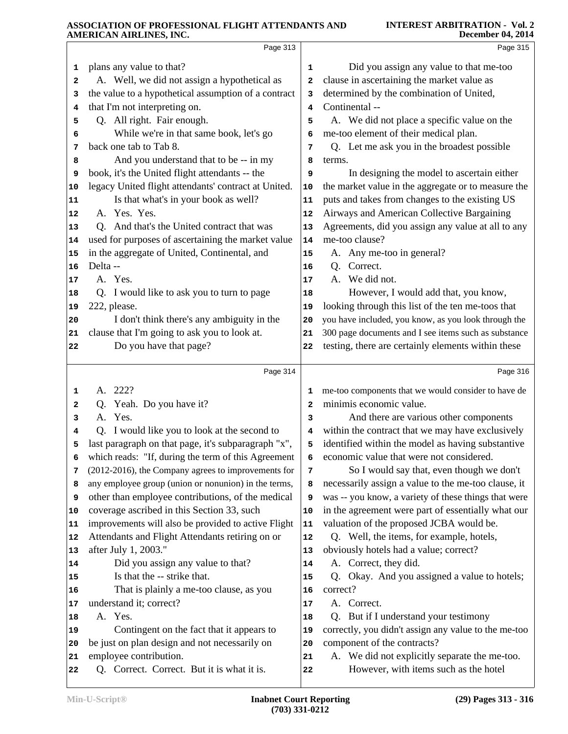|          | Page 313                                                             |          | Page 315                                                                               |
|----------|----------------------------------------------------------------------|----------|----------------------------------------------------------------------------------------|
| 1        | plans any value to that?                                             | 1        | Did you assign any value to that me-too                                                |
| 2        | A. Well, we did not assign a hypothetical as                         | 2        | clause in ascertaining the market value as                                             |
| 3        | the value to a hypothetical assumption of a contract                 | 3        | determined by the combination of United,                                               |
| 4        | that I'm not interpreting on.                                        | 4        | Continental --                                                                         |
| 5        | Q. All right. Fair enough.                                           | 5        | A. We did not place a specific value on the                                            |
| 6        | While we're in that same book, let's go                              | 6        | me-too element of their medical plan.                                                  |
| 7        | back one tab to Tab 8.                                               | 7        | Q. Let me ask you in the broadest possible                                             |
| 8        | And you understand that to be -- in my                               | 8        | terms.                                                                                 |
| 9        | book, it's the United flight attendants -- the                       | 9        | In designing the model to ascertain either                                             |
| 10       | legacy United flight attendants' contract at United.                 | 10       | the market value in the aggregate or to measure the                                    |
| 11       | Is that what's in your book as well?                                 | 11       | puts and takes from changes to the existing US                                         |
| 12       | A. Yes. Yes.                                                         | 12       | Airways and American Collective Bargaining                                             |
| 13       | Q. And that's the United contract that was                           | 13       | Agreements, did you assign any value at all to any                                     |
| 14       | used for purposes of ascertaining the market value                   | 14       | me-too clause?                                                                         |
| 15       | in the aggregate of United, Continental, and                         | 15       | A. Any me-too in general?                                                              |
| 16       | Delta-                                                               | 16       | Correct.<br>Q.                                                                         |
| 17       | A. Yes.                                                              | 17       | A. We did not.                                                                         |
| 18       | Q. I would like to ask you to turn to page                           | 18       | However, I would add that, you know,                                                   |
| 19       | 222, please.                                                         | 19       | looking through this list of the ten me-toos that                                      |
| 20       | I don't think there's any ambiguity in the                           | 20       | you have included, you know, as you look through the                                   |
| 21       | clause that I'm going to ask you to look at.                         | 21       | 300 page documents and I see items such as substance                                   |
| 22       | Do you have that page?                                               | 22       | testing, there are certainly elements within these                                     |
|          | Page 314                                                             |          | Page 316                                                                               |
| 1        | A. 222?                                                              | 1        | me-too components that we would consider to have de                                    |
|          |                                                                      |          |                                                                                        |
| 2        | Q. Yeah. Do you have it?                                             | 2        | minimis economic value.                                                                |
| 3        | A. Yes.                                                              | з        | And there are various other components                                                 |
| 4        | Q. I would like you to look at the second to                         | 4        | within the contract that we may have exclusively                                       |
| 5        | last paragraph on that page, it's subparagraph "x",                  | 5        | identified within the model as having substantive                                      |
| 6        | which reads: "If, during the term of this Agreement                  | 6        | economic value that were not considered.                                               |
| 7        | (2012-2016), the Company agrees to improvements for                  | 7        | So I would say that, even though we don't                                              |
| 8        | any employee group (union or nonunion) in the terms,                 | 8        | necessarily assign a value to the me-too clause, it                                    |
| 9        | other than employee contributions, of the medical                    | 9        | was -- you know, a variety of these things that were                                   |
| 10       | coverage ascribed in this Section 33, such                           | 10       | in the agreement were part of essentially what our                                     |
| 11       | improvements will also be provided to active Flight                  | 11       | valuation of the proposed JCBA would be.                                               |
| 12       | Attendants and Flight Attendants retiring on or                      | 12       | Q. Well, the items, for example, hotels,                                               |
| 13       | after July 1, 2003."                                                 | 13       | obviously hotels had a value; correct?                                                 |
| 14       | Did you assign any value to that?                                    | 14       | A. Correct, they did.                                                                  |
| 15       | Is that the -- strike that.                                          | 15       | Okay. And you assigned a value to hotels;<br>Q.                                        |
| 16       | That is plainly a me-too clause, as you                              | 16       | correct?                                                                               |
| 17       | understand it; correct?                                              | 17       | A. Correct.                                                                            |
| 18       | A. Yes.                                                              | 18       | Q. But if I understand your testimony                                                  |
| 19       | Contingent on the fact that it appears to                            | 19       | correctly, you didn't assign any value to the me-too                                   |
| 20       | be just on plan design and not necessarily on                        | 20       | component of the contracts?                                                            |
| 21<br>22 | employee contribution.<br>Q. Correct. Correct. But it is what it is. | 21<br>22 | A. We did not explicitly separate the me-too.<br>However, with items such as the hotel |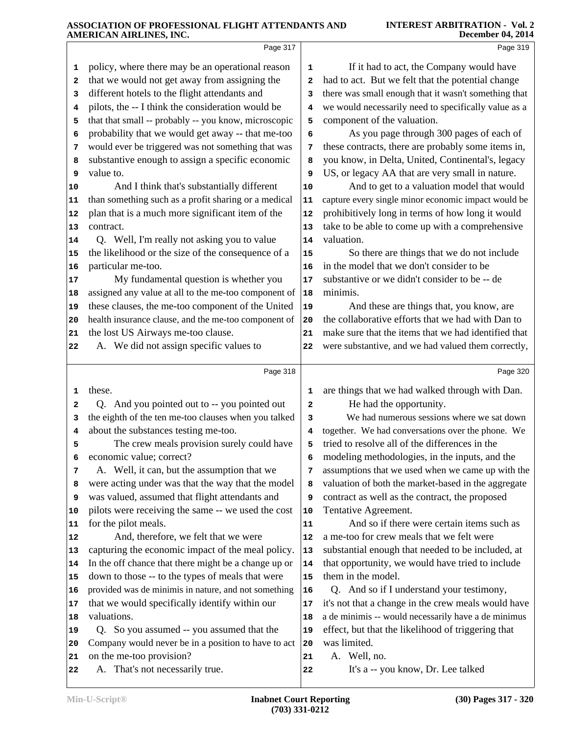|                                                                                                                         | Page 317                                                                                                                                                                                                                                                                                                                                                                                                                                                                                                                                                                                                                                                                                                                                                                                                                                                                                                                                                                                                                                      |                                                                                                                           | Page 319                                                                                                                                                                                                                                                                                                                                                                                                                                                                                                                                                                                                                                                                                                                                                                                                                                                                                                                                                                                                                                                 |  |
|-------------------------------------------------------------------------------------------------------------------------|-----------------------------------------------------------------------------------------------------------------------------------------------------------------------------------------------------------------------------------------------------------------------------------------------------------------------------------------------------------------------------------------------------------------------------------------------------------------------------------------------------------------------------------------------------------------------------------------------------------------------------------------------------------------------------------------------------------------------------------------------------------------------------------------------------------------------------------------------------------------------------------------------------------------------------------------------------------------------------------------------------------------------------------------------|---------------------------------------------------------------------------------------------------------------------------|----------------------------------------------------------------------------------------------------------------------------------------------------------------------------------------------------------------------------------------------------------------------------------------------------------------------------------------------------------------------------------------------------------------------------------------------------------------------------------------------------------------------------------------------------------------------------------------------------------------------------------------------------------------------------------------------------------------------------------------------------------------------------------------------------------------------------------------------------------------------------------------------------------------------------------------------------------------------------------------------------------------------------------------------------------|--|
| 1<br>2<br>3<br>4<br>5<br>6<br>7<br>8<br>9<br>10<br>11<br>12<br>13<br>14<br>15<br>16<br>17<br>18<br>19<br>20<br>21<br>22 | policy, where there may be an operational reason<br>that we would not get away from assigning the<br>different hotels to the flight attendants and<br>pilots, the -- I think the consideration would be<br>that that small -- probably -- you know, microscopic<br>probability that we would get away -- that me-too<br>would ever be triggered was not something that was<br>substantive enough to assign a specific economic<br>value to.<br>And I think that's substantially different<br>than something such as a profit sharing or a medical<br>plan that is a much more significant item of the<br>contract.<br>Q. Well, I'm really not asking you to value<br>the likelihood or the size of the consequence of a<br>particular me-too.<br>My fundamental question is whether you<br>assigned any value at all to the me-too component of<br>these clauses, the me-too component of the United<br>health insurance clause, and the me-too component of<br>the lost US Airways me-too clause.<br>A. We did not assign specific values to | 1<br>2<br>3<br>4<br>5<br>6<br>7<br>8<br>9<br>10<br>11<br>12<br>13<br>14<br>15<br>16<br>$17$<br>18<br>19<br>20<br>21<br>22 | If it had to act, the Company would have<br>had to act. But we felt that the potential change<br>there was small enough that it wasn't something that<br>we would necessarily need to specifically value as a<br>component of the valuation.<br>As you page through 300 pages of each of<br>these contracts, there are probably some items in,<br>you know, in Delta, United, Continental's, legacy<br>US, or legacy AA that are very small in nature.<br>And to get to a valuation model that would<br>capture every single minor economic impact would be<br>prohibitively long in terms of how long it would<br>take to be able to come up with a comprehensive<br>valuation.<br>So there are things that we do not include<br>in the model that we don't consider to be<br>substantive or we didn't consider to be -- de<br>minimis.<br>And these are things that, you know, are<br>the collaborative efforts that we had with Dan to<br>make sure that the items that we had identified that<br>were substantive, and we had valued them correctly, |  |
|                                                                                                                         |                                                                                                                                                                                                                                                                                                                                                                                                                                                                                                                                                                                                                                                                                                                                                                                                                                                                                                                                                                                                                                               |                                                                                                                           |                                                                                                                                                                                                                                                                                                                                                                                                                                                                                                                                                                                                                                                                                                                                                                                                                                                                                                                                                                                                                                                          |  |
|                                                                                                                         |                                                                                                                                                                                                                                                                                                                                                                                                                                                                                                                                                                                                                                                                                                                                                                                                                                                                                                                                                                                                                                               |                                                                                                                           |                                                                                                                                                                                                                                                                                                                                                                                                                                                                                                                                                                                                                                                                                                                                                                                                                                                                                                                                                                                                                                                          |  |
|                                                                                                                         | Page 318                                                                                                                                                                                                                                                                                                                                                                                                                                                                                                                                                                                                                                                                                                                                                                                                                                                                                                                                                                                                                                      |                                                                                                                           | Page 320                                                                                                                                                                                                                                                                                                                                                                                                                                                                                                                                                                                                                                                                                                                                                                                                                                                                                                                                                                                                                                                 |  |
| 1                                                                                                                       | these.                                                                                                                                                                                                                                                                                                                                                                                                                                                                                                                                                                                                                                                                                                                                                                                                                                                                                                                                                                                                                                        | 1                                                                                                                         | are things that we had walked through with Dan.                                                                                                                                                                                                                                                                                                                                                                                                                                                                                                                                                                                                                                                                                                                                                                                                                                                                                                                                                                                                          |  |
| 2<br>з                                                                                                                  | Q. And you pointed out to -- you pointed out                                                                                                                                                                                                                                                                                                                                                                                                                                                                                                                                                                                                                                                                                                                                                                                                                                                                                                                                                                                                  | 2<br>3                                                                                                                    | He had the opportunity.                                                                                                                                                                                                                                                                                                                                                                                                                                                                                                                                                                                                                                                                                                                                                                                                                                                                                                                                                                                                                                  |  |
| 4                                                                                                                       | the eighth of the ten me-too clauses when you talked<br>about the substances testing me-too.                                                                                                                                                                                                                                                                                                                                                                                                                                                                                                                                                                                                                                                                                                                                                                                                                                                                                                                                                  | 4                                                                                                                         | We had numerous sessions where we sat down<br>together. We had conversations over the phone. We                                                                                                                                                                                                                                                                                                                                                                                                                                                                                                                                                                                                                                                                                                                                                                                                                                                                                                                                                          |  |
| 5                                                                                                                       | The crew meals provision surely could have                                                                                                                                                                                                                                                                                                                                                                                                                                                                                                                                                                                                                                                                                                                                                                                                                                                                                                                                                                                                    | 5                                                                                                                         | tried to resolve all of the differences in the                                                                                                                                                                                                                                                                                                                                                                                                                                                                                                                                                                                                                                                                                                                                                                                                                                                                                                                                                                                                           |  |
| 6                                                                                                                       | economic value; correct?                                                                                                                                                                                                                                                                                                                                                                                                                                                                                                                                                                                                                                                                                                                                                                                                                                                                                                                                                                                                                      | 6                                                                                                                         | modeling methodologies, in the inputs, and the                                                                                                                                                                                                                                                                                                                                                                                                                                                                                                                                                                                                                                                                                                                                                                                                                                                                                                                                                                                                           |  |
| 7                                                                                                                       | A. Well, it can, but the assumption that we                                                                                                                                                                                                                                                                                                                                                                                                                                                                                                                                                                                                                                                                                                                                                                                                                                                                                                                                                                                                   | 7                                                                                                                         | assumptions that we used when we came up with the                                                                                                                                                                                                                                                                                                                                                                                                                                                                                                                                                                                                                                                                                                                                                                                                                                                                                                                                                                                                        |  |
| 8                                                                                                                       | were acting under was that the way that the model                                                                                                                                                                                                                                                                                                                                                                                                                                                                                                                                                                                                                                                                                                                                                                                                                                                                                                                                                                                             | 8                                                                                                                         | valuation of both the market-based in the aggregate                                                                                                                                                                                                                                                                                                                                                                                                                                                                                                                                                                                                                                                                                                                                                                                                                                                                                                                                                                                                      |  |
| 9                                                                                                                       | was valued, assumed that flight attendants and                                                                                                                                                                                                                                                                                                                                                                                                                                                                                                                                                                                                                                                                                                                                                                                                                                                                                                                                                                                                | 9                                                                                                                         | contract as well as the contract, the proposed                                                                                                                                                                                                                                                                                                                                                                                                                                                                                                                                                                                                                                                                                                                                                                                                                                                                                                                                                                                                           |  |
| 10                                                                                                                      | pilots were receiving the same -- we used the cost                                                                                                                                                                                                                                                                                                                                                                                                                                                                                                                                                                                                                                                                                                                                                                                                                                                                                                                                                                                            | 10                                                                                                                        | Tentative Agreement.                                                                                                                                                                                                                                                                                                                                                                                                                                                                                                                                                                                                                                                                                                                                                                                                                                                                                                                                                                                                                                     |  |
| 11                                                                                                                      | for the pilot meals.                                                                                                                                                                                                                                                                                                                                                                                                                                                                                                                                                                                                                                                                                                                                                                                                                                                                                                                                                                                                                          | 11                                                                                                                        | And so if there were certain items such as                                                                                                                                                                                                                                                                                                                                                                                                                                                                                                                                                                                                                                                                                                                                                                                                                                                                                                                                                                                                               |  |
|                                                                                                                         | And, therefore, we felt that we were                                                                                                                                                                                                                                                                                                                                                                                                                                                                                                                                                                                                                                                                                                                                                                                                                                                                                                                                                                                                          | 12                                                                                                                        | a me-too for crew meals that we felt were                                                                                                                                                                                                                                                                                                                                                                                                                                                                                                                                                                                                                                                                                                                                                                                                                                                                                                                                                                                                                |  |
| 13                                                                                                                      | capturing the economic impact of the meal policy.                                                                                                                                                                                                                                                                                                                                                                                                                                                                                                                                                                                                                                                                                                                                                                                                                                                                                                                                                                                             | 13                                                                                                                        | substantial enough that needed to be included, at                                                                                                                                                                                                                                                                                                                                                                                                                                                                                                                                                                                                                                                                                                                                                                                                                                                                                                                                                                                                        |  |
| 14                                                                                                                      | In the off chance that there might be a change up or                                                                                                                                                                                                                                                                                                                                                                                                                                                                                                                                                                                                                                                                                                                                                                                                                                                                                                                                                                                          | 14                                                                                                                        | that opportunity, we would have tried to include                                                                                                                                                                                                                                                                                                                                                                                                                                                                                                                                                                                                                                                                                                                                                                                                                                                                                                                                                                                                         |  |
| 15                                                                                                                      | down to those -- to the types of meals that were                                                                                                                                                                                                                                                                                                                                                                                                                                                                                                                                                                                                                                                                                                                                                                                                                                                                                                                                                                                              | 15                                                                                                                        | them in the model.                                                                                                                                                                                                                                                                                                                                                                                                                                                                                                                                                                                                                                                                                                                                                                                                                                                                                                                                                                                                                                       |  |
| 16                                                                                                                      | provided was de minimis in nature, and not something                                                                                                                                                                                                                                                                                                                                                                                                                                                                                                                                                                                                                                                                                                                                                                                                                                                                                                                                                                                          | 16                                                                                                                        | Q. And so if I understand your testimony,                                                                                                                                                                                                                                                                                                                                                                                                                                                                                                                                                                                                                                                                                                                                                                                                                                                                                                                                                                                                                |  |
| 12<br>17<br>18                                                                                                          | that we would specifically identify within our<br>valuations.                                                                                                                                                                                                                                                                                                                                                                                                                                                                                                                                                                                                                                                                                                                                                                                                                                                                                                                                                                                 | 17<br>18                                                                                                                  | it's not that a change in the crew meals would have                                                                                                                                                                                                                                                                                                                                                                                                                                                                                                                                                                                                                                                                                                                                                                                                                                                                                                                                                                                                      |  |
| 19                                                                                                                      | Q. So you assumed -- you assumed that the                                                                                                                                                                                                                                                                                                                                                                                                                                                                                                                                                                                                                                                                                                                                                                                                                                                                                                                                                                                                     | 19                                                                                                                        | a de minimis -- would necessarily have a de minimus<br>effect, but that the likelihood of triggering that                                                                                                                                                                                                                                                                                                                                                                                                                                                                                                                                                                                                                                                                                                                                                                                                                                                                                                                                                |  |
| 20                                                                                                                      | Company would never be in a position to have to act                                                                                                                                                                                                                                                                                                                                                                                                                                                                                                                                                                                                                                                                                                                                                                                                                                                                                                                                                                                           | 20                                                                                                                        | was limited.                                                                                                                                                                                                                                                                                                                                                                                                                                                                                                                                                                                                                                                                                                                                                                                                                                                                                                                                                                                                                                             |  |
| 21                                                                                                                      | on the me-too provision?                                                                                                                                                                                                                                                                                                                                                                                                                                                                                                                                                                                                                                                                                                                                                                                                                                                                                                                                                                                                                      | 21                                                                                                                        | A. Well, no.                                                                                                                                                                                                                                                                                                                                                                                                                                                                                                                                                                                                                                                                                                                                                                                                                                                                                                                                                                                                                                             |  |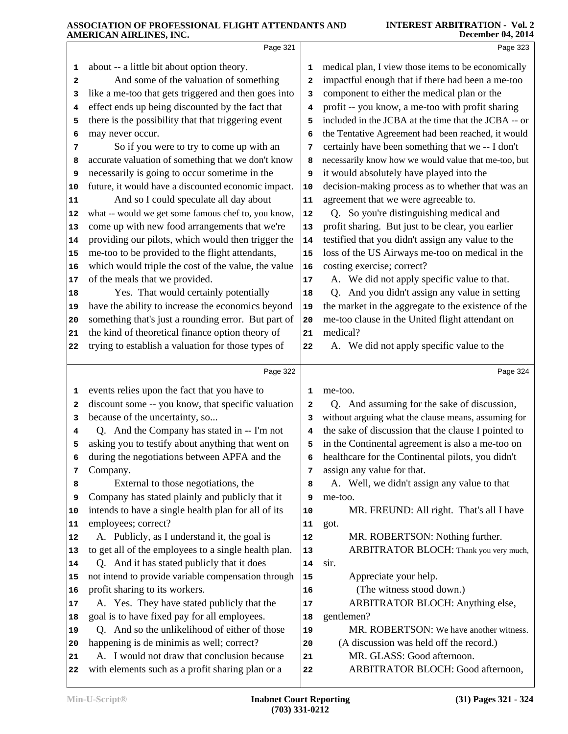|          | Page 321                                                                                           |            | Page 323                                             |
|----------|----------------------------------------------------------------------------------------------------|------------|------------------------------------------------------|
| 1        | about -- a little bit about option theory.                                                         | 1          | medical plan, I view those items to be economically  |
| 2        | And some of the valuation of something                                                             | 2          | impactful enough that if there had been a me-too     |
| з        | like a me-too that gets triggered and then goes into                                               | 3          | component to either the medical plan or the          |
| 4        | effect ends up being discounted by the fact that                                                   | 4          | profit -- you know, a me-too with profit sharing     |
| 5        | there is the possibility that that triggering event                                                | 5          | included in the JCBA at the time that the JCBA -- or |
| 6        | may never occur.                                                                                   | 6          | the Tentative Agreement had been reached, it would   |
| 7        | So if you were to try to come up with an                                                           | 7          | certainly have been something that we -- I don't     |
| 8        | accurate valuation of something that we don't know                                                 | 8          | necessarily know how we would value that me-too, but |
| 9        | necessarily is going to occur sometime in the                                                      | 9          | it would absolutely have played into the             |
| 10       | future, it would have a discounted economic impact.                                                | 10         | decision-making process as to whether that was an    |
| 11       | And so I could speculate all day about                                                             | 11         | agreement that we were agreeable to.                 |
| 12       | what -- would we get some famous chef to, you know,                                                | 12         | Q. So you're distinguishing medical and              |
| 13       | come up with new food arrangements that we're                                                      | 13         | profit sharing. But just to be clear, you earlier    |
| 14       | providing our pilots, which would then trigger the                                                 | 14         | testified that you didn't assign any value to the    |
| 15       | me-too to be provided to the flight attendants,                                                    | 15         | loss of the US Airways me-too on medical in the      |
| 16       | which would triple the cost of the value, the value                                                | 16         | costing exercise; correct?                           |
| 17       | of the meals that we provided.                                                                     | 17         | A. We did not apply specific value to that.          |
| 18       | Yes. That would certainly potentially                                                              | 18         | Q. And you didn't assign any value in setting        |
| 19       | have the ability to increase the economics beyond                                                  | 19         | the market in the aggregate to the existence of the  |
| 20       | something that's just a rounding error. But part of                                                | 20         | me-too clause in the United flight attendant on      |
| 21       | the kind of theoretical finance option theory of                                                   | 21         | medical?                                             |
| 22       | trying to establish a valuation for those types of                                                 | 22         | A. We did not apply specific value to the            |
|          | Page 322                                                                                           |            | Page 324                                             |
| 1        | events relies upon the fact that you have to                                                       | 1          | me-too.                                              |
| 2        | discount some -- you know, that specific valuation                                                 | 2          | And assuming for the sake of discussion,<br>Q.       |
| з        | because of the uncertainty, so                                                                     | 3          | without arguing what the clause means, assuming for  |
| 4        | Q. And the Company has stated in -- I'm not                                                        | 4          | the sake of discussion that the clause I pointed to  |
| 5        | asking you to testify about anything that went on                                                  | 5          | in the Continental agreement is also a me-too on     |
| 6        | during the negotiations between APFA and the                                                       | 6          | healthcare for the Continental pilots, you didn't    |
| 7        | Company.                                                                                           | 7          | assign any value for that.                           |
| 8        | External to those negotiations, the                                                                | 8          | A. Well, we didn't assign any value to that          |
| 9        | Company has stated plainly and publicly that it                                                    | 9          | me-too.                                              |
| 10       | intends to have a single health plan for all of its                                                | 10         | MR. FREUND: All right. That's all I have             |
| 11       | employees; correct?                                                                                | 11         | got.                                                 |
| 12       | A. Publicly, as I understand it, the goal is                                                       | ${\bf 12}$ | MR. ROBERTSON: Nothing further.                      |
| 13       | to get all of the employees to a single health plan.<br>Q. And it has stated publicly that it does | 13         | ARBITRATOR BLOCH: Thank you very much,               |
| 14       | not intend to provide variable compensation through                                                | 14<br>15   | sir.<br>Appreciate your help.                        |
| 15<br>16 | profit sharing to its workers.                                                                     | 16         | (The witness stood down.)                            |
| 17       | A. Yes. They have stated publicly that the                                                         | 17         | ARBITRATOR BLOCH: Anything else,                     |
| 18       | goal is to have fixed pay for all employees.                                                       | 18         | gentlemen?                                           |
| 19       | Q. And so the unlikelihood of either of those                                                      | 19         | MR. ROBERTSON: We have another witness.              |
| 20       | happening is de minimis as well; correct?                                                          | 20         | (A discussion was held off the record.)              |
| 21       | A. I would not draw that conclusion because                                                        | 21         | MR. GLASS: Good afternoon.                           |
| 22       | with elements such as a profit sharing plan or a                                                   | 22         | ARBITRATOR BLOCH: Good afternoon,                    |
|          |                                                                                                    |            |                                                      |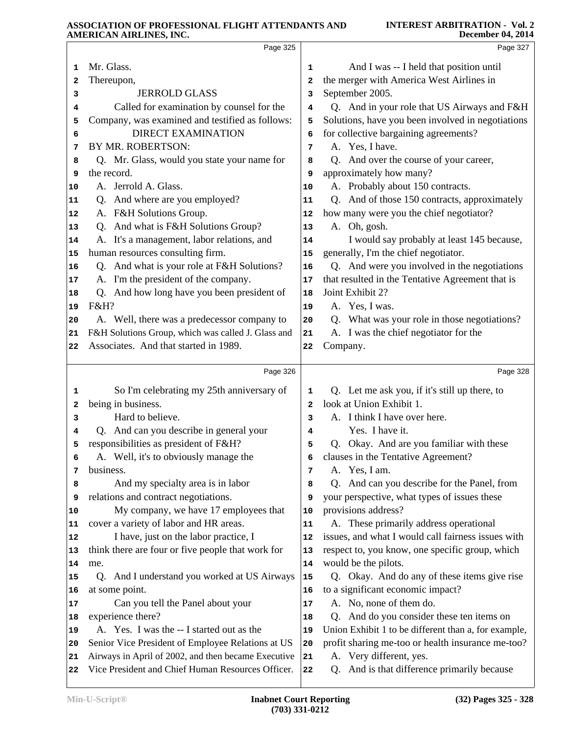|                                  | Page 325                                                                                                 |              | Page 327                                                                  |  |
|----------------------------------|----------------------------------------------------------------------------------------------------------|--------------|---------------------------------------------------------------------------|--|
| 1                                | Mr. Glass.                                                                                               | 1            | And I was -- I held that position until                                   |  |
| 2                                | Thereupon,                                                                                               | 2            | the merger with America West Airlines in                                  |  |
| з                                | <b>JERROLD GLASS</b>                                                                                     | з            | September 2005.                                                           |  |
| 4                                | Called for examination by counsel for the                                                                | 4            | Q. And in your role that US Airways and F&H                               |  |
| 5                                | Company, was examined and testified as follows:                                                          | 5            | Solutions, have you been involved in negotiations                         |  |
| 6                                | <b>DIRECT EXAMINATION</b>                                                                                | 6            | for collective bargaining agreements?                                     |  |
| 7                                | BY MR. ROBERTSON:                                                                                        | 7            | A. Yes, I have.                                                           |  |
| 8                                | Q. Mr. Glass, would you state your name for                                                              | 8            | Q. And over the course of your career,                                    |  |
| 9                                | the record.                                                                                              | 9            | approximately how many?                                                   |  |
| 10                               | A. Jerrold A. Glass.                                                                                     | 10           | A. Probably about 150 contracts.                                          |  |
| 11                               | Q. And where are you employed?                                                                           | 11           | Q. And of those 150 contracts, approximately                              |  |
| 12                               | A. F&H Solutions Group.                                                                                  | 12           | how many were you the chief negotiator?                                   |  |
| 13                               | Q. And what is F&H Solutions Group?                                                                      | 13           | A. Oh, gosh.                                                              |  |
| 14                               | A. It's a management, labor relations, and                                                               | 14           | I would say probably at least 145 because,                                |  |
| 15                               | human resources consulting firm.                                                                         | 15           | generally, I'm the chief negotiator.                                      |  |
| 16                               | Q. And what is your role at F&H Solutions?                                                               | 16           | Q. And were you involved in the negotiations                              |  |
| 17                               | A. I'm the president of the company.                                                                     | 17           | that resulted in the Tentative Agreement that is                          |  |
| 18                               | Q. And how long have you been president of                                                               | 18           | Joint Exhibit 2?                                                          |  |
| 19                               | F&H?                                                                                                     | 19           | A. Yes, I was.                                                            |  |
| 20                               | A. Well, there was a predecessor company to                                                              | 20           | Q. What was your role in those negotiations?                              |  |
| 21                               | F&H Solutions Group, which was called J. Glass and                                                       | 21           | A. I was the chief negotiator for the                                     |  |
| 22                               | Associates. And that started in 1989.                                                                    | 22           | Company.                                                                  |  |
|                                  |                                                                                                          |              |                                                                           |  |
|                                  |                                                                                                          |              |                                                                           |  |
|                                  | Page 326                                                                                                 |              | Page 328                                                                  |  |
| 1                                | So I'm celebrating my 25th anniversary of                                                                | 1            | Q. Let me ask you, if it's still up there, to                             |  |
| 2                                | being in business.                                                                                       | $\mathbf{2}$ | look at Union Exhibit 1.                                                  |  |
| з                                | Hard to believe.                                                                                         | з            | A. I think I have over here.                                              |  |
| 4                                | Q. And can you describe in general your                                                                  | 4            | Yes. I have it.                                                           |  |
| 5                                | responsibilities as president of F&H?                                                                    | 5            | Q. Okay. And are you familiar with these                                  |  |
|                                  | A. Well, it's to obviously manage the                                                                    | 6            | clauses in the Tentative Agreement?                                       |  |
| 7                                | business.                                                                                                | 7            | A. Yes, I am.                                                             |  |
| 8                                | And my specialty area is in labor                                                                        | 8            | And can you describe for the Panel, from<br>Q.                            |  |
| 9                                | relations and contract negotiations.                                                                     | 9            | your perspective, what types of issues these                              |  |
|                                  | My company, we have 17 employees that                                                                    | 10           | provisions address?                                                       |  |
|                                  | cover a variety of labor and HR areas.                                                                   | 11           | A. These primarily address operational                                    |  |
|                                  | I have, just on the labor practice, I                                                                    | 12           | issues, and what I would call fairness issues with                        |  |
|                                  | think there are four or five people that work for                                                        | 13           | respect to, you know, one specific group, which                           |  |
|                                  | me.                                                                                                      | 14           | would be the pilots.                                                      |  |
|                                  | Q. And I understand you worked at US Airways                                                             | 15           | Q. Okay. And do any of these items give rise                              |  |
|                                  | at some point.                                                                                           | 16           | to a significant economic impact?                                         |  |
|                                  | Can you tell the Panel about your                                                                        | 17           | A. No, none of them do.                                                   |  |
|                                  | experience there?                                                                                        | 18           | And do you consider these ten items on<br>Q.                              |  |
| 11<br>12<br>13<br>16<br>18       | A. Yes. I was the -- I started out as the                                                                | 19           | Union Exhibit 1 to be different than a, for example,                      |  |
| 10<br>14<br>15<br>17<br>19<br>20 | Senior Vice President of Employee Relations at US                                                        | 20           | profit sharing me-too or health insurance me-too?                         |  |
| 21                               | Airways in April of 2002, and then became Executive<br>Vice President and Chief Human Resources Officer. | 21           | A. Very different, yes.<br>And is that difference primarily because<br>Q. |  |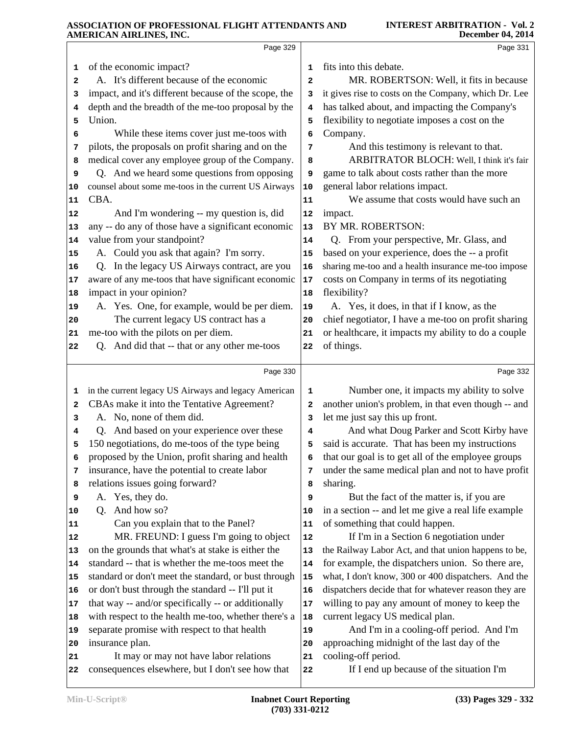|          | Page 329                                                                                   |          | Page 331                                                        |
|----------|--------------------------------------------------------------------------------------------|----------|-----------------------------------------------------------------|
| 1        | of the economic impact?                                                                    | 1        | fits into this debate.                                          |
| 2        | A. It's different because of the economic                                                  | 2        | MR. ROBERTSON: Well, it fits in because                         |
| 3        | impact, and it's different because of the scope, the                                       | з        | it gives rise to costs on the Company, which Dr. Lee            |
| 4        | depth and the breadth of the me-too proposal by the                                        | 4        | has talked about, and impacting the Company's                   |
| 5        | Union.                                                                                     | 5        | flexibility to negotiate imposes a cost on the                  |
| 6        | While these items cover just me-toos with                                                  | 6        | Company.                                                        |
| 7        | pilots, the proposals on profit sharing and on the                                         | 7        | And this testimony is relevant to that.                         |
| 8        | medical cover any employee group of the Company.                                           | 8        | ARBITRATOR BLOCH: Well, I think it's fair                       |
| 9        | Q. And we heard some questions from opposing                                               | 9        | game to talk about costs rather than the more                   |
| 10       | counsel about some me-toos in the current US Airways                                       | 10       | general labor relations impact.                                 |
| 11       | CBA.                                                                                       | 11       | We assume that costs would have such an                         |
| 12       | And I'm wondering -- my question is, did                                                   | 12       | impact.                                                         |
| 13       | any -- do any of those have a significant economic                                         | 13       | BY MR. ROBERTSON:                                               |
| 14       | value from your standpoint?                                                                | 14       | Q. From your perspective, Mr. Glass, and                        |
| 15       | A. Could you ask that again? I'm sorry.                                                    | 15       | based on your experience, does the -- a profit                  |
| 16       | Q. In the legacy US Airways contract, are you                                              | 16       | sharing me-too and a health insurance me-too impose             |
| 17       | aware of any me-toos that have significant economic                                        | $17$     | costs on Company in terms of its negotiating                    |
| 18       | impact in your opinion?                                                                    | 18       | flexibility?                                                    |
| 19       | A. Yes. One, for example, would be per diem.                                               | 19       | A. Yes, it does, in that if I know, as the                      |
| 20       | The current legacy US contract has a                                                       | 20       | chief negotiator, I have a me-too on profit sharing             |
| 21       | me-too with the pilots on per diem.                                                        | 21       | or healthcare, it impacts my ability to do a couple             |
| 22       | Q. And did that -- that or any other me-toos                                               | 22       | of things.                                                      |
|          |                                                                                            |          |                                                                 |
|          | Page 330                                                                                   |          | Page 332                                                        |
| 1        | in the current legacy US Airways and legacy American                                       | 1        | Number one, it impacts my ability to solve                      |
| 2        | CBAs make it into the Tentative Agreement?                                                 | 2        | another union's problem, in that even though -- and             |
| 3        | A. No, none of them did.                                                                   | 3        | let me just say this up front.                                  |
| 4        | Q. And based on your experience over these                                                 | 4        | And what Doug Parker and Scott Kirby have                       |
| 5        | 150 negotiations, do me-toos of the type being                                             | 5        | said is accurate. That has been my instructions                 |
| 6        | proposed by the Union, profit sharing and health                                           |          | that our goal is to get all of the employee groups              |
| 7        | insurance, have the potential to create labor                                              | 7        | under the same medical plan and not to have profit              |
| 8        | relations issues going forward?                                                            | 8        | sharing.                                                        |
| 9        | A. Yes, they do.                                                                           | 9        | But the fact of the matter is, if you are                       |
| 10       | And how so?<br>O.                                                                          | 10       | in a section -- and let me give a real life example             |
| 11       | Can you explain that to the Panel?                                                         | 11       | of something that could happen.                                 |
| 12       | MR. FREUND: I guess I'm going to object                                                    | 12       | If I'm in a Section 6 negotiation under                         |
| 13       | on the grounds that what's at stake is either the                                          | 13       | the Railway Labor Act, and that union happens to be,            |
| 14       | standard -- that is whether the me-toos meet the                                           | 14       | for example, the dispatchers union. So there are,               |
| 15       | standard or don't meet the standard, or bust through                                       | 15       | what, I don't know, 300 or 400 dispatchers. And the             |
| 16       | or don't bust through the standard -- I'll put it                                          | 16       | dispatchers decide that for whatever reason they are            |
|          |                                                                                            |          |                                                                 |
| 17       | that way -- and/or specifically -- or additionally                                         | 17       | willing to pay any amount of money to keep the                  |
| 18       | with respect to the health me-too, whether there's a                                       | 18       | current legacy US medical plan.                                 |
| 19       | separate promise with respect to that health                                               | 19       | And I'm in a cooling-off period. And I'm                        |
| 20       | insurance plan.                                                                            | 20       | approaching midnight of the last day of the                     |
| 21<br>22 | It may or may not have labor relations<br>consequences elsewhere, but I don't see how that | 21<br>22 | cooling-off period.<br>If I end up because of the situation I'm |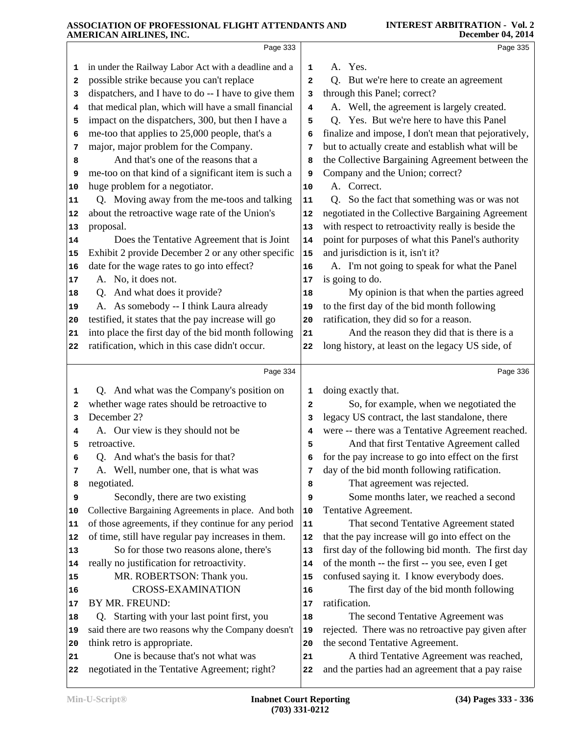| A. Yes.<br>in under the Railway Labor Act with a deadline and a<br>1<br>1<br>possible strike because you can't replace<br>Q. But we're here to create an agreement<br>$\mathbf{z}$<br>2<br>dispatchers, and I have to do -- I have to give them<br>through this Panel; correct?<br>3<br>з |          |
|-------------------------------------------------------------------------------------------------------------------------------------------------------------------------------------------------------------------------------------------------------------------------------------------|----------|
|                                                                                                                                                                                                                                                                                           |          |
|                                                                                                                                                                                                                                                                                           |          |
|                                                                                                                                                                                                                                                                                           |          |
| that medical plan, which will have a small financial<br>A. Well, the agreement is largely created.<br>4<br>4                                                                                                                                                                              |          |
| impact on the dispatchers, 300, but then I have a<br>Q. Yes. But we're here to have this Panel<br>5<br>5                                                                                                                                                                                  |          |
| me-too that applies to 25,000 people, that's a<br>finalize and impose, I don't mean that pejoratively,<br>6<br>6                                                                                                                                                                          |          |
| major, major problem for the Company.<br>but to actually create and establish what will be<br>7<br>7                                                                                                                                                                                      |          |
| And that's one of the reasons that a<br>the Collective Bargaining Agreement between the<br>8<br>8                                                                                                                                                                                         |          |
| Company and the Union; correct?<br>me-too on that kind of a significant item is such a<br>9<br>9                                                                                                                                                                                          |          |
| huge problem for a negotiator.<br>A. Correct.<br>10<br>10                                                                                                                                                                                                                                 |          |
| Q. Moving away from the me-toos and talking<br>Q. So the fact that something was or was not<br>11<br>11                                                                                                                                                                                   |          |
| about the retroactive wage rate of the Union's<br>negotiated in the Collective Bargaining Agreement<br>12<br>12                                                                                                                                                                           |          |
| with respect to retroactivity really is beside the<br>proposal.<br>13<br>13                                                                                                                                                                                                               |          |
| point for purposes of what this Panel's authority<br>Does the Tentative Agreement that is Joint<br>14<br> 14                                                                                                                                                                              |          |
| Exhibit 2 provide December 2 or any other specific<br>and jurisdiction is it, isn't it?<br>15<br>15                                                                                                                                                                                       |          |
| date for the wage rates to go into effect?<br>A. I'm not going to speak for what the Panel<br>16<br>16                                                                                                                                                                                    |          |
| A. No, it does not.<br>is going to do.<br>17<br>17                                                                                                                                                                                                                                        |          |
| Q. And what does it provide?<br>My opinion is that when the parties agreed<br>18<br>18                                                                                                                                                                                                    |          |
| A. As somebody -- I think Laura already<br>to the first day of the bid month following<br>19<br>19                                                                                                                                                                                        |          |
| testified, it states that the pay increase will go<br>ratification, they did so for a reason.<br>20<br>20                                                                                                                                                                                 |          |
| into place the first day of the bid month following<br>And the reason they did that is there is a<br>21<br>21                                                                                                                                                                             |          |
| long history, at least on the legacy US side, of<br>ratification, which in this case didn't occur.<br>22<br>22                                                                                                                                                                            |          |
| Page 334                                                                                                                                                                                                                                                                                  | Page 336 |
| Q. And what was the Company's position on<br>doing exactly that.<br>1<br>1                                                                                                                                                                                                                |          |
| whether wage rates should be retroactive to<br>So, for example, when we negotiated the<br>2<br>2                                                                                                                                                                                          |          |
| December 2?<br>legacy US contract, the last standalone, there<br>3<br>з                                                                                                                                                                                                                   |          |
| were -- there was a Tentative Agreement reached.<br>A. Our view is they should not be<br>4<br>4                                                                                                                                                                                           |          |
| And that first Tentative Agreement called<br>retroactive.<br>5<br>5                                                                                                                                                                                                                       |          |
| And what's the basis for that?<br>for the pay increase to go into effect on the first<br>6<br>Q.<br>6                                                                                                                                                                                     |          |
| day of the bid month following ratification.<br>A. Well, number one, that is what was<br>7<br>7                                                                                                                                                                                           |          |
| negotiated.<br>That agreement was rejected.<br>8<br>8                                                                                                                                                                                                                                     |          |
| Secondly, there are two existing<br>Some months later, we reached a second<br>9<br>9                                                                                                                                                                                                      |          |
| Collective Bargaining Agreements in place. And both<br>Tentative Agreement.<br>10<br>10                                                                                                                                                                                                   |          |
| of those agreements, if they continue for any period<br>That second Tentative Agreement stated<br>${\bf 11}$<br>11                                                                                                                                                                        |          |
| of time, still have regular pay increases in them.<br>that the pay increase will go into effect on the<br>12<br>12                                                                                                                                                                        |          |
| So for those two reasons alone, there's<br>first day of the following bid month. The first day<br> 13<br>13                                                                                                                                                                               |          |
| really no justification for retroactivity.<br>of the month -- the first -- you see, even I get<br>14<br>14                                                                                                                                                                                |          |
| confused saying it. I know everybody does.<br>MR. ROBERTSON: Thank you.<br>15<br>15<br><b>CROSS-EXAMINATION</b><br>The first day of the bid month following                                                                                                                               |          |
| 16<br>16                                                                                                                                                                                                                                                                                  |          |
|                                                                                                                                                                                                                                                                                           |          |
| BY MR. FREUND:<br>ratification.<br>17<br>17                                                                                                                                                                                                                                               |          |
| Q. Starting with your last point first, you<br>The second Tentative Agreement was<br>18<br>18                                                                                                                                                                                             |          |
| said there are two reasons why the Company doesn't<br>rejected. There was no retroactive pay given after<br>19<br>19                                                                                                                                                                      |          |
| think retro is appropriate.<br>the second Tentative Agreement.<br>20<br>20<br>One is because that's not what was<br>A third Tentative Agreement was reached,<br>21<br>21                                                                                                                  |          |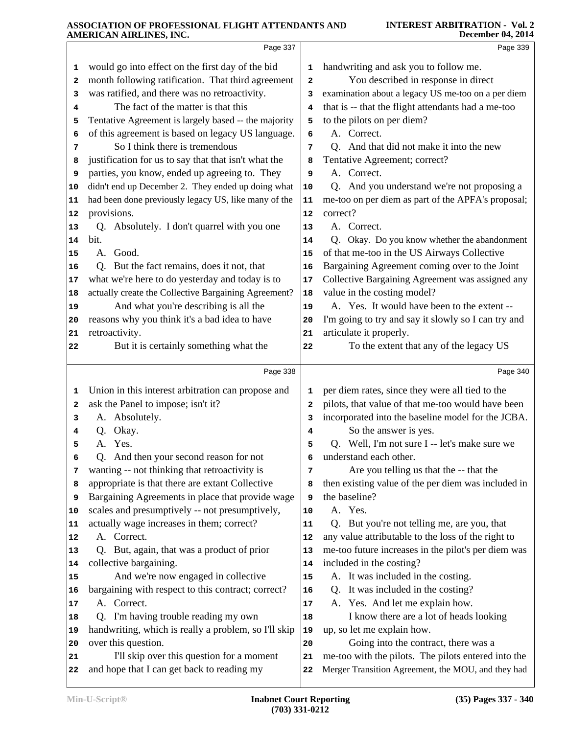|    | Page 337                                             |                         | Page 339                                            |
|----|------------------------------------------------------|-------------------------|-----------------------------------------------------|
| 1  | would go into effect on the first day of the bid     | 1                       | handwriting and ask you to follow me.               |
| 2  | month following ratification. That third agreement   | $\overline{\mathbf{2}}$ | You described in response in direct                 |
| 3  | was ratified, and there was no retroactivity.        | 3                       | examination about a legacy US me-too on a per diem  |
| 4  | The fact of the matter is that this                  | 4                       | that is -- that the flight attendants had a me-too  |
| 5  | Tentative Agreement is largely based -- the majority | 5                       | to the pilots on per diem?                          |
| 6  | of this agreement is based on legacy US language.    | 6                       | A. Correct.                                         |
| 7  | So I think there is tremendous                       | 7                       | Q. And that did not make it into the new            |
| 8  | justification for us to say that that isn't what the | 8                       | Tentative Agreement; correct?                       |
| 9  | parties, you know, ended up agreeing to. They        | 9                       | A. Correct.                                         |
| 10 | didn't end up December 2. They ended up doing what   | 10                      | Q. And you understand we're not proposing a         |
| 11 | had been done previously legacy US, like many of the | 11                      | me-too on per diem as part of the APFA's proposal;  |
| 12 | provisions.                                          | 12                      | correct?                                            |
| 13 | Q. Absolutely. I don't quarrel with you one          | 13                      | A. Correct.                                         |
| 14 | bit.                                                 | 14                      | Q. Okay. Do you know whether the abandonment        |
| 15 | A. Good.                                             | 15                      | of that me-too in the US Airways Collective         |
| 16 | Q. But the fact remains, does it not, that           | 16                      | Bargaining Agreement coming over to the Joint       |
| 17 | what we're here to do yesterday and today is to      | 17                      | Collective Bargaining Agreement was assigned any    |
| 18 | actually create the Collective Bargaining Agreement? | 18                      | value in the costing model?                         |
| 19 | And what you're describing is all the                | 19                      | A. Yes. It would have been to the extent --         |
| 20 | reasons why you think it's a bad idea to have        | 20                      | I'm going to try and say it slowly so I can try and |
| 21 | retroactivity.                                       | 21                      | articulate it properly.                             |
| 22 | But it is certainly something what the               | 22                      | To the extent that any of the legacy US             |
|    | Page 338                                             |                         | Page 340                                            |
| 1  | Union in this interest arbitration can propose and   | 1                       | per diem rates, since they were all tied to the     |
| 2  | ask the Panel to impose; isn't it?                   | $\overline{\mathbf{2}}$ | pilots, that value of that me-too would have been   |
| з  | A. Absolutely.                                       | 3                       | incorporated into the baseline model for the JCBA.  |
| 4  | Okay.<br>Q.                                          | 4                       | So the answer is yes.                               |
| 5  | A. Yes.                                              | 5                       | Q. Well, I'm not sure I -- let's make sure we       |
| 6  | Q. And then your second reason for not               | 6                       | understand each other.                              |
| 7  | wanting -- not thinking that retroactivity is        | 7                       | Are you telling us that the -- that the             |
| 8  | appropriate is that there are extant Collective      | 8                       | then existing value of the per diem was included in |
| 9  | Bargaining Agreements in place that provide wage     | 9                       | the baseline?                                       |
| 10 | scales and presumptively -- not presumptively,       | 10                      | A. Yes.                                             |
| 11 | actually wage increases in them; correct?            | 11                      | But you're not telling me, are you, that<br>Q.      |
| 12 | A. Correct.                                          | 12                      | any value attributable to the loss of the right to  |
| 13 | Q. But, again, that was a product of prior           | 13                      | me-too future increases in the pilot's per diem was |
| 14 | collective bargaining.                               | 14                      | included in the costing?                            |
| 15 | And we're now engaged in collective                  | 15                      | A. It was included in the costing.                  |
| 16 | bargaining with respect to this contract; correct?   | 16                      | It was included in the costing?<br>Q.               |
| 17 | A. Correct.                                          | 17                      | A. Yes. And let me explain how.                     |
| 18 | Q. I'm having trouble reading my own                 | 18                      | I know there are a lot of heads looking             |
| 19 | handwriting, which is really a problem, so I'll skip | 19                      | up, so let me explain how.                          |
| 20 | over this question.                                  | 20                      | Going into the contract, there was a                |
| 21 | I'll skip over this question for a moment            | 21                      | me-too with the pilots. The pilots entered into the |
| 22 | and hope that I can get back to reading my           | 22                      | Merger Transition Agreement, the MOU, and they had  |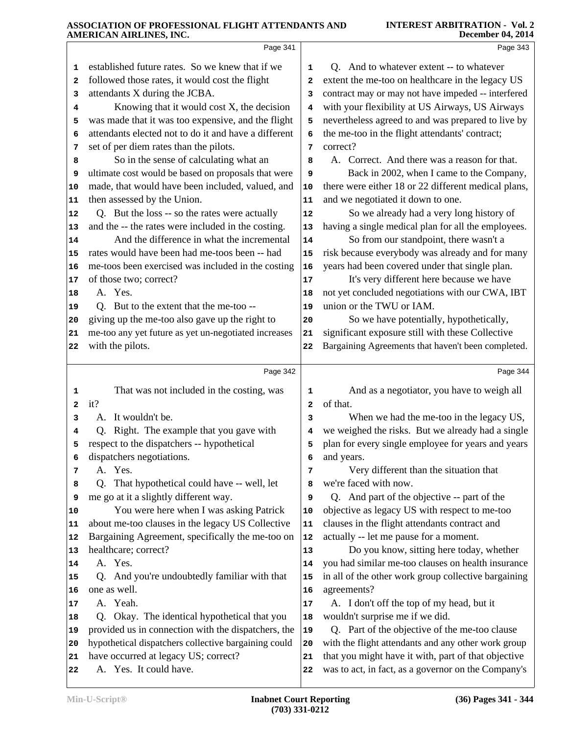|                | AMENICAN AINLINES, INC.                                                 |        | December 04, 2014                                               |
|----------------|-------------------------------------------------------------------------|--------|-----------------------------------------------------------------|
|                | Page 341                                                                |        | Page 343                                                        |
| 1              | established future rates. So we knew that if we                         | 1      | Q. And to whatever extent -- to whatever                        |
| 2              | followed those rates, it would cost the flight                          | 2      | extent the me-too on healthcare in the legacy US                |
| з              | attendants X during the JCBA.                                           | 3      | contract may or may not have impeded -- interfered              |
| 4              | Knowing that it would cost X, the decision                              | 4      | with your flexibility at US Airways, US Airways                 |
| 5              | was made that it was too expensive, and the flight                      | 5      | nevertheless agreed to and was prepared to live by              |
| 6              | attendants elected not to do it and have a different                    | 6      | the me-too in the flight attendants' contract;                  |
| 7              | set of per diem rates than the pilots.                                  | 7      | correct?                                                        |
| 8              | So in the sense of calculating what an                                  | 8      | A. Correct. And there was a reason for that.                    |
| 9              | ultimate cost would be based on proposals that were                     | 9      | Back in 2002, when I came to the Company,                       |
| 10             | made, that would have been included, valued, and                        | 10     | there were either 18 or 22 different medical plans,             |
| 11             | then assessed by the Union.                                             | 11     | and we negotiated it down to one.                               |
| 12             | Q. But the loss -- so the rates were actually                           | 12     | So we already had a very long history of                        |
| 13             | and the -- the rates were included in the costing.                      | 13     | having a single medical plan for all the employees.             |
| 14             | And the difference in what the incremental                              | 14     | So from our standpoint, there wasn't a                          |
| 15             | rates would have been had me-toos been -- had                           | 15     | risk because everybody was already and for many                 |
| 16             | me-toos been exercised was included in the costing                      | 16     | years had been covered under that single plan.                  |
| 17             | of those two; correct?                                                  | 17     | It's very different here because we have                        |
| 18             | A. Yes.                                                                 | 18     | not yet concluded negotiations with our CWA, IBT                |
| 19             | Q. But to the extent that the me-too --                                 | 19     | union or the TWU or IAM.                                        |
| 20             | giving up the me-too also gave up the right to                          | 20     | So we have potentially, hypothetically,                         |
| 21             | me-too any yet future as yet un-negotiated increases                    | 21     | significant exposure still with these Collective                |
| 22             | with the pilots.                                                        | 22     | Bargaining Agreements that haven't been completed.              |
|                | Page 342                                                                |        | Page 344                                                        |
|                |                                                                         |        |                                                                 |
| 1              | That was not included in the costing, was                               | 1      | And as a negotiator, you have to weigh all                      |
| $\overline{a}$ | it?                                                                     | 2      | of that.                                                        |
| з              | It wouldn't be.<br>А.                                                   | 3      | When we had the me-too in the legacy US,                        |
| 4              | Right. The example that you gave with<br>O.                             | 4      | we weighed the risks. But we already had a single               |
| 5              | respect to the dispatchers -- hypothetical<br>dispatchers negotiations. | 5      | plan for every single employee for years and years              |
| 6              | A. Yes.                                                                 | 6      | and years.                                                      |
| 7              | Q. That hypothetical could have -- well, let                            | 7      | Very different than the situation that<br>we're faced with now. |
| 8<br>9         | me go at it a slightly different way.                                   | 8<br>9 | Q. And part of the objective -- part of the                     |
| 10             | You were here when I was asking Patrick                                 | 10     | objective as legacy US with respect to me-too                   |
| 11             | about me-too clauses in the legacy US Collective                        | 11     | clauses in the flight attendants contract and                   |
| 12             | Bargaining Agreement, specifically the me-too on                        | 12     | actually -- let me pause for a moment.                          |
| 13             | healthcare; correct?                                                    | 13     | Do you know, sitting here today, whether                        |
| 14             | A. Yes.                                                                 | 14     | you had similar me-too clauses on health insurance              |
| 15             | And you're undoubtedly familiar with that<br>O.                         | 15     | in all of the other work group collective bargaining            |
| 16             | one as well.                                                            | 16     | agreements?                                                     |
| 17             | A. Yeah.                                                                | 17     | A. I don't off the top of my head, but it                       |
| 18             | Q. Okay. The identical hypothetical that you                            | 18     | wouldn't surprise me if we did.                                 |
| 19             | provided us in connection with the dispatchers, the                     | 19     | Q. Part of the objective of the me-too clause                   |
| 20             | hypothetical dispatchers collective bargaining could                    | 20     | with the flight attendants and any other work group             |
| 21             | have occurred at legacy US; correct?                                    | 21     | that you might have it with, part of that objective             |
|                |                                                                         |        |                                                                 |
| 22             | A. Yes. It could have.                                                  | 22     | was to act, in fact, as a governor on the Company's             |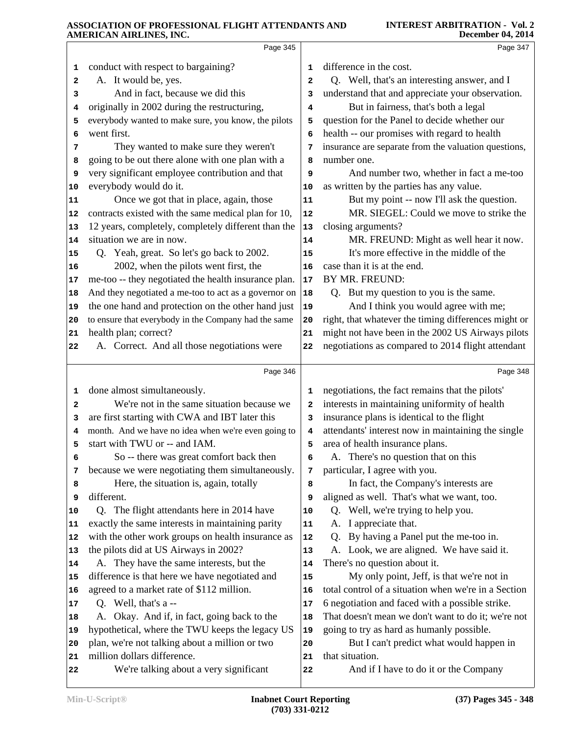|              | Page 345                                                                      |                | Page 347                                                    |
|--------------|-------------------------------------------------------------------------------|----------------|-------------------------------------------------------------|
| 1            | conduct with respect to bargaining?                                           | $\mathbf 1$    | difference in the cost.                                     |
| $\mathbf{2}$ | A. It would be, yes.                                                          | $\overline{a}$ | Q. Well, that's an interesting answer, and I                |
| 3            | And in fact, because we did this                                              | 3              | understand that and appreciate your observation.            |
| 4            | originally in 2002 during the restructuring,                                  | 4              | But in fairness, that's both a legal                        |
| 5            | everybody wanted to make sure, you know, the pilots                           | 5              | question for the Panel to decide whether our                |
| 6            | went first.                                                                   | 6              | health -- our promises with regard to health                |
| 7            | They wanted to make sure they weren't                                         | 7              | insurance are separate from the valuation questions,        |
| 8            | going to be out there alone with one plan with a                              | 8              | number one.                                                 |
| 9            | very significant employee contribution and that                               | 9              | And number two, whether in fact a me-too                    |
| 10           | everybody would do it.                                                        | 10             | as written by the parties has any value.                    |
| 11           | Once we got that in place, again, those                                       | 11             | But my point -- now I'll ask the question.                  |
| 12           | contracts existed with the same medical plan for 10,                          | 12             | MR. SIEGEL: Could we move to strike the                     |
| 13           | 12 years, completely, completely different than the                           | 13             | closing arguments?                                          |
| 14           | situation we are in now.                                                      | 14             | MR. FREUND: Might as well hear it now.                      |
| 15           | Q. Yeah, great. So let's go back to 2002.                                     | 15             | It's more effective in the middle of the                    |
| 16           | 2002, when the pilots went first, the                                         | 16             | case than it is at the end.                                 |
| 17           | me-too -- they negotiated the health insurance plan.                          | 17             | BY MR. FREUND:                                              |
| 18           | And they negotiated a me-too to act as a governor on                          | 18             | Q. But my question to you is the same.                      |
| 19           | the one hand and protection on the other hand just                            | 19             | And I think you would agree with me;                        |
| 20           | to ensure that everybody in the Company had the same                          | 20             | right, that whatever the timing differences might or        |
| 21           | health plan; correct?                                                         | 21             | might not have been in the 2002 US Airways pilots           |
| 22           | A. Correct. And all those negotiations were                                   | 22             | negotiations as compared to 2014 flight attendant           |
|              | Page 346                                                                      |                | Page 348                                                    |
|              |                                                                               |                |                                                             |
| 1            | done almost simultaneously.                                                   | 1              | negotiations, the fact remains that the pilots'             |
| 2            | We're not in the same situation because we                                    | 2              | interests in maintaining uniformity of health               |
| 3            | are first starting with CWA and IBT later this                                | 3              | insurance plans is identical to the flight                  |
| 4            | month. And we have no idea when we're even going to                           | 4              | attendants' interest now in maintaining the single          |
| 5            | start with TWU or -- and IAM.                                                 | 5              | area of health insurance plans.                             |
| 6            | So -- there was great comfort back then                                       | 6              | A. There's no question that on this                         |
| 7            | because we were negotiating them simultaneously.                              | 7              | particular, I agree with you.                               |
| 8            | Here, the situation is, again, totally                                        | 8              | In fact, the Company's interests are                        |
| 9            | different.                                                                    | 9              | aligned as well. That's what we want, too.                  |
| 10           | Q. The flight attendants here in 2014 have                                    | 10             | Q. Well, we're trying to help you.                          |
| 11           | exactly the same interests in maintaining parity                              | 11             | A. I appreciate that.                                       |
| 12           | with the other work groups on health insurance as                             | 12             | By having a Panel put the me-too in.<br>Q.                  |
| 13           | the pilots did at US Airways in 2002?                                         | 13             | A. Look, we are aligned. We have said it.                   |
| 14           | A. They have the same interests, but the                                      | 14             | There's no question about it.                               |
| 15           | difference is that here we have negotiated and                                | 15             | My only point, Jeff, is that we're not in                   |
| 16           | agreed to a market rate of \$112 million.                                     | 16             | total control of a situation when we're in a Section        |
| 17           | Q. Well, that's a --                                                          | 17             | 6 negotiation and faced with a possible strike.             |
| 18           | Okay. And if, in fact, going back to the                                      | 18             | That doesn't mean we don't want to do it; we're not         |
| 19           | hypothetical, where the TWU keeps the legacy US                               | 19             | going to try as hard as humanly possible.                   |
| 20<br>21     | plan, we're not talking about a million or two<br>million dollars difference. | 20<br>21       | But I can't predict what would happen in<br>that situation. |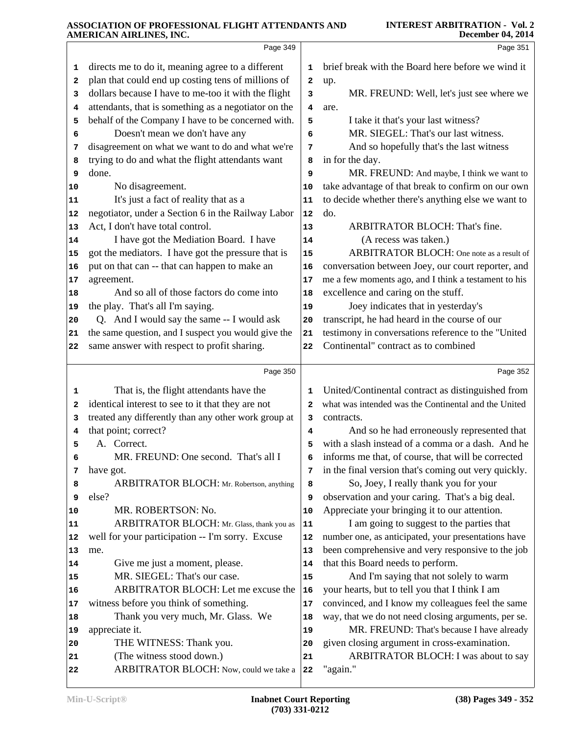|          | Page 349                                                                                     |              | Page 351                                                                    |
|----------|----------------------------------------------------------------------------------------------|--------------|-----------------------------------------------------------------------------|
| 1        | directs me to do it, meaning agree to a different                                            | 1            | brief break with the Board here before we wind it                           |
| 2        | plan that could end up costing tens of millions of                                           | 2            | up.                                                                         |
| 3        | dollars because I have to me-too it with the flight                                          | 3            | MR. FREUND: Well, let's just see where we                                   |
| 4        | attendants, that is something as a negotiator on the                                         | 4            | are.                                                                        |
| 5        | behalf of the Company I have to be concerned with.                                           | 5            | I take it that's your last witness?                                         |
| 6        | Doesn't mean we don't have any                                                               | 6            | MR. SIEGEL: That's our last witness.                                        |
| 7        | disagreement on what we want to do and what we're                                            | 7            | And so hopefully that's the last witness                                    |
| 8        | trying to do and what the flight attendants want                                             | 8            | in for the day.                                                             |
| 9        | done.                                                                                        | 9            | MR. FREUND: And maybe, I think we want to                                   |
| 10       | No disagreement.                                                                             | 10           | take advantage of that break to confirm on our own                          |
| 11       | It's just a fact of reality that as a                                                        | 11           | to decide whether there's anything else we want to                          |
| 12       | negotiator, under a Section 6 in the Railway Labor                                           | 12           | do.<br>ARBITRATOR BLOCH: That's fine.                                       |
| 13       | Act, I don't have total control.                                                             | 13           | (A recess was taken.)                                                       |
| 14<br>15 | I have got the Mediation Board. I have<br>got the mediators. I have got the pressure that is | 14<br>15     | ARBITRATOR BLOCH: One note as a result of                                   |
| 16       | put on that can -- that can happen to make an                                                | 16           | conversation between Joey, our court reporter, and                          |
| 17       | agreement.                                                                                   | 17           | me a few moments ago, and I think a testament to his                        |
| 18       | And so all of those factors do come into                                                     | 18           | excellence and caring on the stuff.                                         |
| 19       | the play. That's all I'm saying.                                                             | 19           | Joey indicates that in yesterday's                                          |
| 20       | Q. And I would say the same -- I would ask                                                   | 20           | transcript, he had heard in the course of our                               |
| 21       | the same question, and I suspect you would give the                                          | 21           | testimony in conversations reference to the "United                         |
| 22       | same answer with respect to profit sharing.                                                  | 22           | Continental" contract as to combined                                        |
|          |                                                                                              |              |                                                                             |
|          | Page 350                                                                                     |              | Page 352                                                                    |
| 1        | That is, the flight attendants have the                                                      | 1            | United/Continental contract as distinguished from                           |
| 2        | identical interest to see to it that they are not                                            | $\mathbf{2}$ | what was intended was the Continental and the United                        |
| 3        | treated any differently than any other work group at                                         | з            | contracts.                                                                  |
| 4        | that point; correct?                                                                         | 4            | And so he had erroneously represented that                                  |
| 5        | A. Correct.                                                                                  | 5            | with a slash instead of a comma or a dash. And he                           |
| 6        | MR. FREUND: One second. That's all I                                                         | 6            | informs me that, of course, that will be corrected                          |
| 7        | have got.                                                                                    | 7            | in the final version that's coming out very quickly.                        |
| 8        | <b>ARBITRATOR BLOCH:</b> Mr. Robertson, anything                                             | 8            | So, Joey, I really thank you for your                                       |
| 9        | else?                                                                                        | 9            | observation and your caring. That's a big deal.                             |
| 10       | MR. ROBERTSON: No.                                                                           | 10           | Appreciate your bringing it to our attention.                               |
| 11       | ARBITRATOR BLOCH: Mr. Glass, thank you as                                                    | 11           | I am going to suggest to the parties that                                   |
| 12       | well for your participation -- I'm sorry. Excuse                                             | 12           | number one, as anticipated, your presentations have                         |
| 13       | me.                                                                                          | 13           | been comprehensive and very responsive to the job                           |
| 14       | Give me just a moment, please.<br>MR. SIEGEL: That's our case.                               | 14           | that this Board needs to perform.<br>And I'm saying that not solely to warm |
| 15       | ARBITRATOR BLOCH: Let me excuse the                                                          | 15           | your hearts, but to tell you that I think I am                              |
| 16       | witness before you think of something.                                                       | 16           | convinced, and I know my colleagues feel the same                           |
| 17<br>18 | Thank you very much, Mr. Glass. We                                                           | 17<br>18     | way, that we do not need closing arguments, per se.                         |
| 19       | appreciate it.                                                                               | 19           | MR. FREUND: That's because I have already                                   |
| 20       | THE WITNESS: Thank you.                                                                      | 20           | given closing argument in cross-examination.                                |
| 21       | (The witness stood down.)                                                                    | 21           | ARBITRATOR BLOCH: I was about to say                                        |
| 22       | ARBITRATOR BLOCH: Now, could we take a                                                       | 22           | "again."                                                                    |
|          |                                                                                              |              |                                                                             |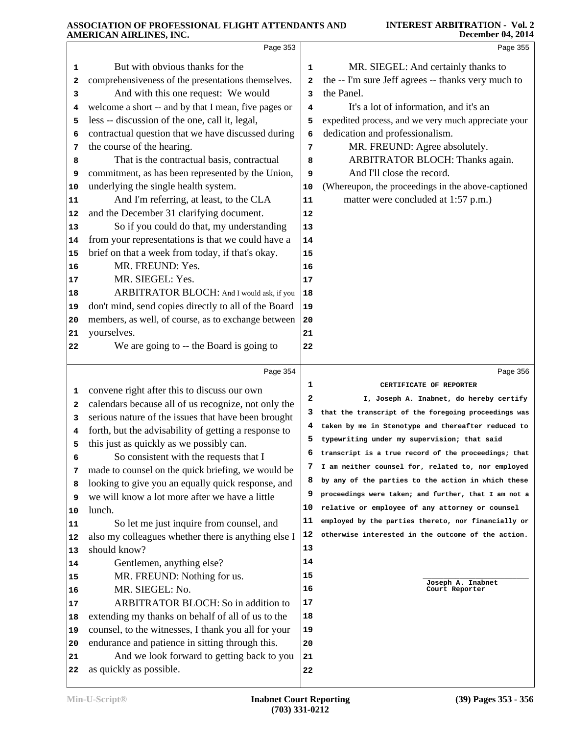|          | Page 353                                                              |          | Page 355                                                                                                |
|----------|-----------------------------------------------------------------------|----------|---------------------------------------------------------------------------------------------------------|
| 1        | But with obvious thanks for the                                       | 1        | MR. SIEGEL: And certainly thanks to                                                                     |
| 2        | comprehensiveness of the presentations themselves.                    | 2        | the -- I'm sure Jeff agrees -- thanks very much to                                                      |
| 3        | And with this one request: We would                                   | 3        | the Panel.                                                                                              |
| 4        | welcome a short -- and by that I mean, five pages or                  | 4        | It's a lot of information, and it's an                                                                  |
| 5        | less -- discussion of the one, call it, legal,                        | 5        | expedited process, and we very much appreciate your                                                     |
| 6        | contractual question that we have discussed during                    | 6        | dedication and professionalism.                                                                         |
| 7        | the course of the hearing.                                            | 7        | MR. FREUND: Agree absolutely.                                                                           |
| 8        | That is the contractual basis, contractual                            | 8        | ARBITRATOR BLOCH: Thanks again.                                                                         |
| 9        | commitment, as has been represented by the Union,                     | 9        | And I'll close the record.                                                                              |
| 10       | underlying the single health system.                                  | 10       | (Whereupon, the proceedings in the above-captioned                                                      |
| 11       | And I'm referring, at least, to the CLA                               | 11       | matter were concluded at 1:57 p.m.)                                                                     |
| 12       | and the December 31 clarifying document.                              | 12       |                                                                                                         |
| 13       | So if you could do that, my understanding                             | 13       |                                                                                                         |
| 14       | from your representations is that we could have a                     | 14       |                                                                                                         |
| 15       | brief on that a week from today, if that's okay.                      | 15       |                                                                                                         |
| 16       | MR. FREUND: Yes.                                                      | 16       |                                                                                                         |
| 17       | MR. SIEGEL: Yes.                                                      | 17       |                                                                                                         |
| 18       | ARBITRATOR BLOCH: And I would ask, if you                             | 18       |                                                                                                         |
| 19       | don't mind, send copies directly to all of the Board                  | 19       |                                                                                                         |
| 20       | members, as well, of course, as to exchange between                   | 20       |                                                                                                         |
| 21       | yourselves.                                                           | 21       |                                                                                                         |
| 22       | We are going to -- the Board is going to                              | 22       |                                                                                                         |
|          | Page 354                                                              |          | Page 356                                                                                                |
| ı        | convene right after this to discuss our own                           | 1        | CERTIFICATE OF REPORTER                                                                                 |
| 2        | calendars because all of us recognize, not only the                   | 2        | I, Joseph A. Inabnet, do hereby certify                                                                 |
| з        | serious nature of the issues that have been brought                   | 3        | that the transcript of the foregoing proceedings was                                                    |
| 4        | forth, but the advisability of getting a response to                  | 4        | taken by me in Stenotype and thereafter reduced to                                                      |
| 5        | this just as quickly as we possibly can.                              | 5        | typewriting under my supervision; that said                                                             |
| 6        | So consistent with the requests that I                                | 6        | transcript is a true record of the proceedings; that                                                    |
| 7        | made to counsel on the quick briefing, we would be                    | 7        | I am neither counsel for, related to, nor employed                                                      |
| 8        | looking to give you an equally quick response, and                    | 8<br>9   | by any of the parties to the action in which these                                                      |
| 9        | we will know a lot more after we have a little                        | 10       | proceedings were taken; and further, that I am not a<br>relative or employee of any attorney or counsel |
| 10       | lunch.                                                                | 11       | employed by the parties thereto, nor financially or                                                     |
| 11       | So let me just inquire from counsel, and                              | 12       | otherwise interested in the outcome of the action.                                                      |
| 12       | also my colleagues whether there is anything else I<br>should know?   | 13       |                                                                                                         |
| 13       | Gentlemen, anything else?                                             | 14       |                                                                                                         |
| 14       | MR. FREUND: Nothing for us.                                           | 15       |                                                                                                         |
| 15<br>16 | MR. SIEGEL: No.                                                       | 16       | Joseph A. Inabnet<br>Court Reporter                                                                     |
| 17       | ARBITRATOR BLOCH: So in addition to                                   | 17       |                                                                                                         |
| 18       | extending my thanks on behalf of all of us to the                     | 18       |                                                                                                         |
| 19       | counsel, to the witnesses, I thank you all for your                   | 19       |                                                                                                         |
| 20       | endurance and patience in sitting through this.                       | 20       |                                                                                                         |
|          |                                                                       |          |                                                                                                         |
| 21       |                                                                       |          |                                                                                                         |
| 22       | And we look forward to getting back to you<br>as quickly as possible. | 21<br>22 |                                                                                                         |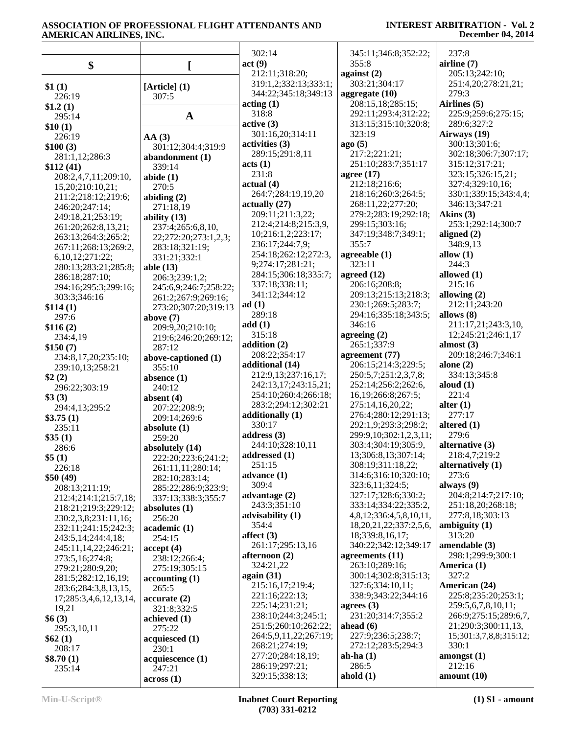|                            |                                       | 302:14<br>act(9)          | 345:11;346:8;352:22;<br>355:8                            | 237:8<br>airline $(7)$               |
|----------------------------|---------------------------------------|---------------------------|----------------------------------------------------------|--------------------------------------|
| \$                         | I                                     | 212:11;318:20;            | against $(2)$                                            | 205:13;242:10;                       |
|                            |                                       | 319:1,2;332:13;333:1;     | 303:21;304:17                                            | 251:4,20;278:21,21;                  |
| \$1(1)                     | $[Article]$ $(1)$                     | 344:22;345:18;349:13      | aggregate (10)                                           | 279:3                                |
| 226:19                     | 307:5                                 | $\arctan(1)$              | 208:15,18;285:15;                                        | Airlines (5)                         |
| \$1.2(1)                   |                                       | 318:8                     | 292:11;293:4;312:22;                                     | 225:9;259:6;275:15;                  |
| 295:14                     | $\mathbf{A}$                          | active(3)                 | 313:15;315:10;320:8;                                     | 289:6;327:2                          |
| \$10(1)                    |                                       | 301:16,20;314:11          | 323:19                                                   | Airways (19)                         |
| 226:19                     | AA(3)                                 | activities (3)            | ago(5)                                                   | 300:13;301:6;                        |
| \$100(3)<br>281:1,12;286:3 | 301:12;304:4;319:9<br>abandonment (1) | 289:15;291:8,11           | 217:2;221:21;                                            | 302:18;306:7;307:17;                 |
| \$112(41)                  | 339:14                                | acts (1)                  | 251:10;283:7;351:17                                      | 315:12;317:21;                       |
| 208:2,4,7,11;209:10,       | abide $(1)$                           | 231:8                     | agree $(17)$                                             | 323:15;326:15,21;                    |
| 15,20;210:10,21;           | 270:5                                 | actual(4)                 | 212:18;216:6;                                            | 327:4;329:10,16;                     |
| 211:2;218:12;219:6;        | abiding $(2)$                         | 264:7;284:19,19,20        | 218:16;260:3;264:5;                                      | 330:1;339:15;343:4,4;                |
| 246:20;247:14;             | 271:18,19                             | actually $(27)$           | 268:11,22;277:20;                                        | 346:13;347:21                        |
| 249:18,21;253:19;          | ability $(13)$                        | 209:11;211:3,22;          | 279:2;283:19;292:18;                                     | Akins (3)                            |
| 261:20;262:8,13,21;        | 237:4;265:6,8,10,                     | 212:4;214:8;215:3,9,      | 299:15;303:16;                                           | 253:1;292:14;300:7                   |
| 263:13;264:3;265:2;        | 22;272:20;273:1,2,3;                  | 10;216:1,2;223:17;        | 347:19;348:7;349:1;                                      | aligned $(2)$                        |
| 267:11;268:13;269:2,       | 283:18;321:19;                        | 236:17;244:7,9;           | 355:7                                                    | 348:9,13                             |
| 6, 10, 12; 271: 22;        | 331:21;332:1                          | 254:18;262:12;272:3,      | agreeable (1)                                            | allow $(1)$                          |
| 280:13;283:21;285:8;       | able $(13)$                           | 9;274:17;281:21;          | 323:11                                                   | 244:3                                |
| 286:18;287:10;             | 206:3;239:1,2;                        | 284:15;306:18;335:7;      | agreed $(12)$                                            | allowed (1)                          |
| 294:16;295:3;299:16;       | 245:6,9;246:7;258:22;                 | 337:18;338:11;            | 206:16;208:8;                                            | 215:16                               |
| 303:3;346:16               | 261:2;267:9;269:16;                   | 341:12;344:12             | 209:13;215:13;218:3;                                     | allowing $(2)$                       |
| \$114(1)                   | 273:20;307:20;319:13                  | ad(1)                     | 230:1;269:5;283:7;                                       | 212:11:243:20                        |
| 297:6                      | above $(7)$                           | 289:18                    | 294:16;335:18;343:5;                                     | allows (8)                           |
| \$116(2)                   | 209:9,20;210:10;                      | add(1)                    | 346:16                                                   | 211:17,21;243:3,10,                  |
| 234:4,19                   | 219:6;246:20;269:12;                  | 315:18                    | agreeing $(2)$                                           | 12;245:21;246:1,17                   |
| \$150(7)                   | 287:12                                | addition $(2)$            | 265:1;337:9                                              | almost $(3)$                         |
| 234:8,17,20;235:10;        | above-captioned (1)                   | 208:22;354:17             | agreement (77)                                           | 209:18;246:7;346:1                   |
| 239:10,13;258:21           | 355:10                                | additional (14)           | 206:15;214:3;229:5;                                      | alone $(2)$                          |
| \$2(2)                     | absence $(1)$                         | 212:9,13;237:16,17;       | 250:5,7;251:2,3,7,8;                                     | 334:13;345:8                         |
| 296:22;303:19              | 240:12                                | 242:13,17;243:15,21;      | 252:14;256:2;262:6,                                      | aloud $(1)$                          |
| \$3(3)                     | absent $(4)$                          | 254:10;260:4;266:18;      | 16, 19; 266: 8; 267: 5;                                  | 221:4                                |
| 294:4,13;295:2             | 207:22;208:9;                         | 283:2;294:12;302:21       | 275:14,16,20,22;                                         | alter $(1)$                          |
| \$3.75(1)                  | 209:14;269:6                          | additionally (1)          | 276:4;280:12;291:13;                                     | 277:17                               |
| 235:11                     | absolute $(1)$                        | 330:17                    | 292:1,9;293:3;298:2;                                     | altered $(1)$                        |
| \$35(1)                    | 259:20                                | address $(3)$             | 299:9,10;302:1,2,3,11;                                   | 279:6                                |
| 286:6                      | absolutely (14)                       | 244:10;328:10,11          | 303:4;304:19;305:9,                                      | alternative $(3)$                    |
| \$5(1)                     | 222:20;223:6;241:2;                   | addressed $(1)$           | 13:306:8.13:307:14:                                      | 218:4.7:219:2                        |
| 226:18                     | 261:11,11;280:14;                     | 251:15                    | 308:19;311:18,22;                                        | alternatively (1)                    |
| \$50(49)                   | 282:10;283:14;                        | advance $(1)$             | 314:6;316:10;320:10;                                     | 273:6                                |
| 208:13;211:19;             | 285:22;286:9;323:9;                   | 309:4                     | 323:6,11;324:5;                                          | always $(9)$                         |
| 212:4;214:1;215:7,18;      | 337:13;338:3;355:7                    | advantage $(2)$           | 327:17;328:6;330:2;<br>333:14;334:22;335:2,              | 204:8;214:7;217:10;                  |
| 218:21;219:3;229:12;       | absolutes (1)                         | 243:3;351:10              |                                                          | 251:18,20;268:18;<br>277:8,18;303:13 |
| 230:2,3,8;231:11,16;       | 256:20                                | advisability (1)<br>354:4 | 4,8,12;336:4,5,8,10,11,<br>18, 20, 21, 22; 337: 2, 5, 6, | ambiguity $(1)$                      |
| 232:11;241:15;242:3;       | academic (1)                          | affect $(3)$              | 18;339:8,16,17;                                          | 313:20                               |
| 243:5, 14; 244: 4, 18;     | 254:15                                | 261:17;295:13,16          | 340:22;342:12;349:17                                     | amendable (3)                        |
| 245:11,14,22;246:21;       | accept(4)                             | afternoon $(2)$           | agreements $(11)$                                        | 298:1;299:9;300:1                    |
| 273:5,16;274:8;            | 238:12;266:4;                         | 324:21,22                 | 263:10;289:16;                                           | America (1)                          |
| 279:21;280:9,20;           | 275:19;305:15                         | again $(31)$              | 300:14;302:8;315:13;                                     | 327:2                                |
| 281:5;282:12,16,19;        | accounting(1)                         | 215:16,17;219:4;          | 327:6;334:10,11;                                         | American (24)                        |
| 283:6;284:3,8,13,15,       | 265:5                                 | 221:16;222:13;            | 338:9;343:22;344:16                                      | 225:8;235:20;253:1;                  |
| 17;285:3,4,6,12,13,14,     | accurate(2)                           | 225:14;231:21;            | agrees $(3)$                                             | 259:5,6,7,8,10,11;                   |
| 19,21                      | 321:8;332:5                           | 238:10;244:3;245:1;       | 231:20;314:7;355:2                                       | 266:9;275:15;289:6,7,                |
| \$6(3)                     | achieved (1)                          | 251:5;260:10;262:22;      | ahead $(6)$                                              | 21;290:3;300:11,13,                  |
| 295:3,10,11                | 275:22                                | 264:5,9,11,22;267:19;     | 227:9;236:5;238:7;                                       | 15;301:3,7,8,8;315:12;               |
| \$62(1)<br>208:17          | acquiesced (1)<br>230:1               | 268:21;274:19;            | 272:12;283:5;294:3                                       | 330:1                                |
| \$8.70(1)                  | acquiescence (1)                      | 277:20;284:18,19;         | ah-ha $(1)$                                              | amongst(1)                           |
| 235:14                     | 247:21                                | 286:19;297:21;            | 286:5                                                    | 212:16                               |
|                            | across(1)                             | 329:15;338:13;            | ahold $(1)$                                              | amount(10)                           |
|                            |                                       |                           |                                                          |                                      |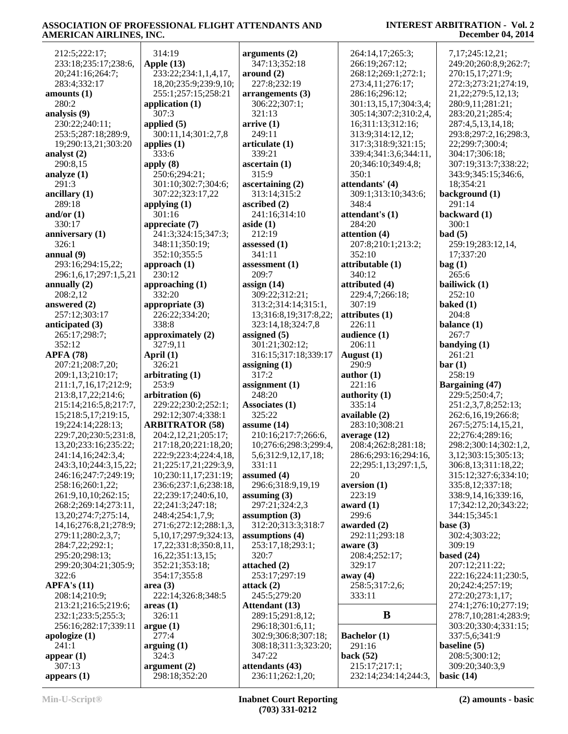| 212:5;222:17;               | 314:19                      | arguments $(2)$          | 264:14,17;265:3;          | 7,17;245:12,21;         |
|-----------------------------|-----------------------------|--------------------------|---------------------------|-------------------------|
| 233:18;235:17;238:6,        | Apple $(13)$                | 347:13;352:18            | 266:19;267:12;            | 249:20;260:8,9;262:7;   |
| 20;241:16;264:7;            | 233:22;234:1,1,4,17,        | around (2)               | 268:12;269:1;272:1;       | 270:15,17;271:9;        |
| 283:4;332:17                | 18, 20; 235: 9; 239: 9, 10; | 227:8;232:19             | 273:4,11;276:17;          | 272:3;273:21;274:19,    |
| amounts (1)                 | 255:1;257:15;258:21         | arrangements (3)         | 286:16;296:12;            | 21, 22; 279: 5, 12, 13; |
| 280:2                       |                             |                          |                           | 280:9,11;281:21;        |
|                             | application $(1)$           | 306:22;307:1;            | 301:13,15,17;304:3,4;     |                         |
| analysis (9)                | 307:3                       | 321:13                   | 305:14;307:2;310:2,4,     | 283:20,21;285:4;        |
| 230:22;240:11;              | applied $(5)$               | arrive(1)                | 16;311:13;312:16;         | 287:4,5,13,14,18;       |
| 253:5;287:18;289:9,         | 300:11,14;301:2,7,8         | 249:11                   | 313:9;314:12,12;          | 293:8;297:2,16;298:3,   |
| 19;290:13,21;303:20         | applies $(1)$               | articulate (1)           | 317:3;318:9;321:15;       | 22;299:7;300:4;         |
| analyst (2)                 | 333:6                       | 339:21                   | 339:4;341:3,6;344:11,     | 304:17;306:18;          |
| 290:8,15                    | apply $(8)$                 | ascertain(1)             | 20;346:10;349:4,8;        | 307:19;313:7;338:22;    |
| analyze (1)                 | 250:6;294:21;               | 315:9                    | 350:1                     | 343:9;345:15;346:6,     |
| 291:3                       | 301:10;302:7;304:6;         | ascertaining $(2)$       | attendants' (4)           | 18;354:21               |
| ancillary (1)               | 307:22;323:17,22            | 313:14;315:2             | 309:1;313:10;343:6;       | background (1)          |
| 289:18                      | applying $(1)$              | ascribed $(2)$           | 348:4                     | 291:14                  |
| and/or $(1)$                | 301:16                      | 241:16;314:10            | attendant's (1)           | backward (1)            |
| 330:17                      | appreciate (7)              | aside $(1)$              | 284:20                    | 300:1                   |
| anniversary (1)             | 241:3;324:15;347:3;         | 212:19                   | attention $(4)$           | bad(5)                  |
| 326:1                       | 348:11;350:19;              | assessed $(1)$           | 207:8;210:1;213:2;        | 259:19;283:12,14,       |
| annual (9)                  | 352:10;355:5                | 341:11                   | 352:10                    | 17;337:20               |
| 293:16;294:15,22;           | approach $(1)$              | assessment $(1)$         | attributable (1)          | bag(1)                  |
| 296:1,6,17;297:1,5,21       | 230:12                      | 209:7                    | 340:12                    | 265:6                   |
| annually $(2)$              | approaching (1)             | assign $(14)$            | attributed (4)            | bailiwick (1)           |
| 208:2,12                    | 332:20                      | 309:22;312:21;           | 229:4,7;266:18;           | 252:10                  |
| answered (2)                | appropriate (3)             | 313:2;314:14;315:1,      | 307:19                    | baked $(1)$             |
| 257:12;303:17               | 226:22;334:20;              | 13;316:8,19;317:8,22;    | $\text{attributes}$ $(1)$ | 204:8                   |
| anticipated (3)             | 338:8                       | 323:14,18;324:7,8        | 226:11                    | balance (1)             |
| 265:17;298:7;               | approximately (2)           | assigned $(5)$           | audience (1)              | 267:7                   |
| 352:12                      | 327:9,11                    | 301:21;302:12;           | 206:11                    | bandying $(1)$          |
| <b>APFA (78)</b>            | April $(1)$                 | 316:15;317:18;339:17     | August $(1)$              | 261:21                  |
| 207:21;208:7,20;            | 326:21                      |                          | 290:9                     | bar(1)                  |
|                             |                             | assigning $(1)$<br>317:2 | author $(1)$              | 258:19                  |
| 209:1,13;210:17;            | arbitrating $(1)$<br>253:9  |                          |                           |                         |
| 211:1,7,16,17;212:9;        |                             | assignment $(1)$         | 221:16                    | <b>Bargaining (47)</b>  |
| 213:8, 17, 22; 214: 6;      | arbitration (6)             | 248:20                   | authority $(1)$           | 229:5;250:4,7;          |
| 215:14;216:5,8;217:7,       | 229:22;230:2;252:1;         | Associates (1)           | 335:14                    | 251:2,3,7,8;252:13;     |
| 15;218:5,17;219:15,         | 292:12;307:4;338:1          | 325:22                   | available (2)             | 262:6,16,19;266:8;      |
| 19;224:14;228:13;           | <b>ARBITRATOR (58)</b>      | assume $(14)$            | 283:10;308:21             | 267:5;275:14,15,21,     |
| 229:7,20;230:5;231:8,       | 204:2,12,21;205:17;         | 210:16;217:7;266:6,      | average $(12)$            | 22;276:4;289:16;        |
| 13, 20; 233: 16; 235: 22;   | 217:18,20;221:18,20;        | 10;276:6;298:3;299:4,    | 208:4;262:8;281:18;       | 298:2;300:14;302:1,2,   |
| 241:14,16;242:3,4;          | 222:9;223:4;224:4,18,       | 5,6;312:9,12,17,18;      | 286:6;293:16;294:16,      | 3,12;303:15;305:13;     |
| 243:3,10;244:3,15,22;       | 21;225:17,21;229:3,9,       | 331:11                   | 22;295:1,13;297:1,5,      | 306:8,13;311:18,22;     |
| 246:16;247:7;249:19;        | 10;230:11,17;231:19;        | assumed $(4)$            | 20                        | 315:12;327:6;334:10;    |
| 258:16;260:1,22;            | 236:6;237:1,6;238:18,       | 296:6;318:9,19,19        | aversion(1)               | 335:8,12;337:18;        |
| 261:9,10,10;262:15;         | 22;239:17;240:6,10,         | assuming $(3)$           | 223:19                    | 338:9,14,16;339:16,     |
| 268:2;269:14;273:11,        | 22;241:3;247:18;            | 297:21;324:2,3           | award (1)                 | 17;342:12,20;343:22;    |
| 13, 20; 274: 7; 275: 14,    | 248:4;254:1,7,9;            | assumption $(3)$         | 299:6                     | 344:15;345:1            |
| 14, 16; 276: 8, 21; 278: 9; | 271:6;272:12;288:1,3,       | 312:20;313:3;318:7       | awarded (2)               | base $(3)$              |
| 279:11;280:2,3,7;           | 5, 10, 17; 297: 9; 324: 13, | assumptions $(4)$        | 292:11;293:18             | 302:4;303:22;           |
| 284:7,22;292:1;             | 17,22;331:8;350:8,11,       | 253:17,18;293:1;         | aware $(3)$               | 309:19                  |
| 295:20;298:13;              | 16,22;351:13,15;            | 320:7                    | 208:4;252:17;             | based $(24)$            |
| 299:20;304:21;305:9;        | 352:21;353:18;              | attached (2)             | 329:17                    | 207:12;211:22;          |
| 322:6                       | 354:17;355:8                | 253:17;297:19            | away $(4)$                | 222:16;224:11;230:5,    |
| APFA's (11)                 | area(3)                     | attack $(2)$             | 258:5;317:2,6;            | 20;242:4;257:19;        |
| 208:14;210:9;               | 222:14;326:8;348:5          | 245:5;279:20             | 333:11                    | 272:20;273:1,17;        |
| 213:21;216:5;219:6;         | areas(1)                    | <b>Attendant</b> (13)    |                           | 274:1;276:10;277:19;    |
| 232:1;233:5;255:3;          | 326:11                      | 289:15;291:8,12;         | B                         | 278:7,10;281:4;283:9;   |
| 256:16;282:17;339:11        | argue(1)                    | 296:18;301:6,11;         |                           | 303:20;330:4;331:15;    |
| apologize (1)               | 277:4                       | 302:9;306:8;307:18;      | <b>Bachelor</b> (1)       | 337:5,6;341:9           |
| 241:1                       | arguing $(1)$               | 308:18;311:3;323:20;     | 291:16                    | baseline $(5)$          |
| appear $(1)$                | 324:3                       | 347:22                   | back $(52)$               | 208:5;300:12;           |
| 307:13                      | argument(2)                 | attendants (43)          | 215:17;217:1;             | 309:20;340:3,9          |
| appears $(1)$               | 298:18;352:20               | 236:11;262:1,20;         | 232:14;234:14;244:3,      | basic $(14)$            |
|                             |                             |                          |                           |                         |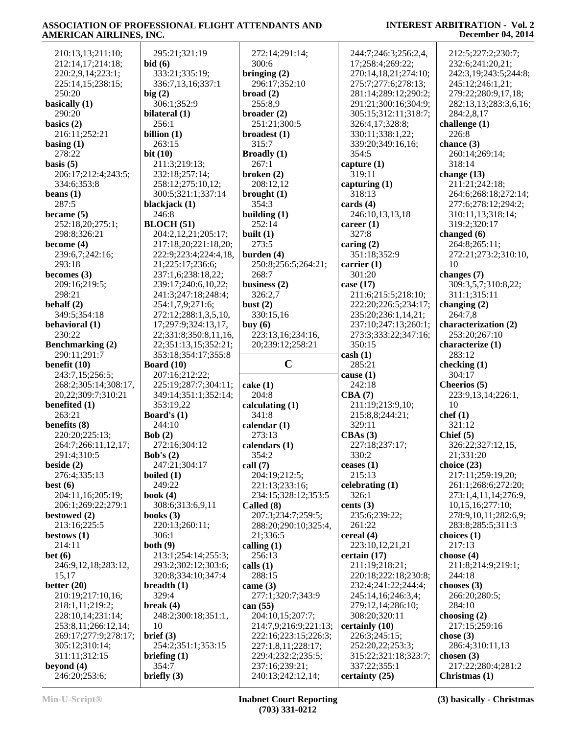| 210:13,13;211:10;       | 295:21;321:19         | 272:14;291:14;        | 244:7;246:3;256:2,4, | 212:5;227:2;230:7;    |
|-------------------------|-----------------------|-----------------------|----------------------|-----------------------|
| 212:14,17;214:18;       | bid(6)                | 300:6                 | 17;258:4;269:22;     | 232:6;241:20,21;      |
| 220:2,9,14;223:1;       | 333:21;335:19;        | bringing $(2)$        | 270:14,18,21;274:10; | 242:3,19;243:5;244:8; |
| 225:14,15;238:15;       | 336:7,13,16;337:1     | 296:17;352:10         | 275:7;277:6;278:13;  | 245:12;246:1,21;      |
| 250:20                  | big(2)                | broad(2)              | 281:14;289:12;290:2; | 279:22;280:9,17,18;   |
| basically (1)           | 306:1;352:9           | 255:8,9               | 291:21;300:16;304:9; | 282:13,13;283:3,6,16; |
| 290:20                  | bilateral (1)         | broader $(2)$         | 305:15;312:11;318:7; | 284:2,8,17            |
| basics $(2)$            | 256:1                 | 251:21;300:5          | 326:4,17;328:8;      | challenge $(1)$       |
| 216:11;252:21           | billion $(1)$         |                       |                      | 226:8                 |
|                         |                       | broadest $(1)$        | 330:11;338:1,22;     |                       |
| basing $(1)$            | 263:15                | 315:7                 | 339:20;349:16,16;    | chance (3)            |
| 278:22                  | bit $(10)$            | <b>Broadly</b> (1)    | 354:5                | 260:14;269:14;        |
| basis $(5)$             | 211:3;219:13;         | 267:1                 | capture $(1)$        | 318:14                |
| 206:17;212:4;243:5;     | 232:18;257:14;        | broken $(2)$          | 319:11               | change $(13)$         |
| 334:6;353:8             | 258:12;275:10,12;     | 208:12,12             | capturing $(1)$      | 211:21;242:18;        |
| beans $(1)$             | 300:5;321:1;337:14    | brought $(1)$         | 318:13               | 264:6;268:18;272:14;  |
| 287:5                   | blackjack (1)         | 354:3                 | cards $(4)$          | 277:6;278:12;294:2;   |
| became $(5)$            | 246:8                 | building $(1)$        | 246:10,13,13,18      | 310:11,13;318:14;     |
| 252:18,20;275:1;        | <b>BLOCH</b> (51)     | 252:14                | career $(1)$         | 319:2;320:17          |
| 298:8;326:21            | 204:2,12,21;205:17;   | built $(1)$           | 327:8                | changed $(6)$         |
| become $(4)$            | 217:18,20;221:18,20;  | 273:5                 | caring $(2)$         | 264:8;265:11;         |
| 239:6,7;242:16;         | 222:9;223:4;224:4,18, | burden $(4)$          | 351:18;352:9         | 272:21;273:2;310:10,  |
| 293:18                  | 21;225:17;236:6;      | 250:8;256:5;264:21;   | carrier $(1)$        | 10                    |
| becomes $(3)$           | 237:1,6;238:18,22;    | 268:7                 | 301:20               | changes (7)           |
| 209:16;219:5;           | 239:17;240:6,10,22;   | business $(2)$        | case (17)            | 309:3,5,7;310:8,22;   |
| 298:21                  | 241:3;247:18;248:4;   | 326:2,7               | 211:6;215:5;218:10;  | 311:1;315:11          |
| behalf $(2)$            | 254:1,7,9;271:6;      | bust $(2)$            | 222:20;226:5;234:17; | changing $(2)$        |
| 349:5;354:18            | 272:12;288:1,3,5,10,  | 330:15,16             | 235:20;236:1,14,21;  | 264:7,8               |
| behavioral (1)          | 17;297:9;324:13,17,   | buy $(6)$             | 237:10;247:13;260:1; | characterization (2)  |
| 230:22                  | 22;331:8;350:8,11,16, | 223:13,16;234:16,     | 273:3;333:22;347:16; | 253:20;267:10         |
| <b>Benchmarking (2)</b> | 22;351:13,15;352:21;  | 20;239:12;258:21      | 350:15               | characterize (1)      |
| 290:11;291:7            | 353:18;354:17;355:8   |                       | $\cosh(1)$           | 283:12                |
|                         |                       |                       |                      |                       |
|                         |                       |                       |                      |                       |
| benefit $(10)$          | <b>Board</b> (10)     | $\mathbf C$           | 285:21               | checking $(1)$        |
| 243:7,15;256:5;         | 207:16;212:22;        |                       | cause $(1)$          | 304:17                |
| 268:2;305:14;308:17,    | 225:19;287:7;304:11;  | $\cake(1)$            | 242:18               | Cheerios (5)          |
| 20,22;309:7;310:21      | 349:14;351:1;352:14;  | 204:8                 | CBA(7)               | 223:9,13,14;226:1,    |
| benefited (1)           | 353:19,22             | calculating $(1)$     | 211:19;213:9,10;     | 10                    |
| 263:21                  | Board's $(1)$         | 341:8                 | 215:8,8;244:21;      | chef(1)               |
| benefits (8)            | 244:10                | calendar $(1)$        | 329:11               | 321:12                |
| 220:20;225:13;          | Bob $(2)$             | 273:13                | CBAs(3)              | Chief $(5)$           |
| 264:7;266:11,12,17;     | 272:16;304:12         | calendars (1)         | 227:18;237:17;       | 326:22;327:12,15,     |
| 291:4;310:5             | Bob's $(2)$           | 354:2                 | 330:2                | 21;331:20             |
| beside $(2)$            | 247:21;304:17         | call $(7)$            | ceases $(1)$         | choice $(23)$         |
| 276:4;335:13            | boiled $(1)$          | 204:19;212:5;         | 215:13               | 217:11;259:19,20;     |
| best(6)                 | 249:22                | 221:13;233:16;        | celebrating $(1)$    | 261:1;268:6;272:20;   |
| 204:11,16;205:19;       | book $(4)$            | 234:15;328:12;353:5   | 326:1                | 273:1,4,11,14;276:9,  |
| 206:1;269:22;279:1      | 308:6;313:6,9,11      | Called (8)            | cents $(3)$          | 10,15,16;277:10;      |
| bestowed $(2)$          | books $(3)$           | 207:3;234:7;259:5;    | 235:6;239:22;        | 278:9,10,11;282:6,9;  |
| 213:16;225:5            | 220:13;260:11;        | 288:20;290:10;325:4,  | 261:22               | 283:8;285:5;311:3     |
| bestows $(1)$           | 306:1                 | 21;336:5              | cereal (4)           | choices $(1)$         |
| 214:11                  | both $(9)$            | calling $(1)$         | 223:10,12,21,21      | 217:13                |
| bet(6)                  | 213:1;254:14;255:3;   | 256:13                | certain (17)         | choose $(4)$          |
| 246:9,12,18;283:12,     | 293:2;302:12;303:6;   | calls $(1)$           | 211:19;218:21;       | 211:8;214:9;219:1;    |
| 15,17                   | 320:8;334:10;347:4    | 288:15                | 220:18;222:18;230:8; | 244:18                |
| better $(20)$           | breadth $(1)$         | came $(3)$            | 232:4;241:22;244:4;  | chooses $(3)$         |
| 210:19;217:10,16;       | 329:4                 | 277:1;320:7;343:9     | 245:14,16;246:3,4;   | 266:20;280:5;         |
| 218:1,11;219:2;         | break $(4)$           | can $(55)$            | 279:12,14;286:10;    | 284:10                |
| 228:10,14;231:14;       | 248:2;300:18;351:1,   | 204:10,15;207:7;      | 308:20;320:11        | choosing $(2)$        |
| 253:8,11;266:12,14;     | 10                    | 214:7,9;216:9;221:13; | certainly (10)       | 217:15;259:16         |
| 269:17;277:9;278:17;    | brief (3)             | 222:16;223:15;226:3;  | 226:3;245:15;        | chose $(3)$           |
| 305:12;310:14;          | 254:2;351:1;353:15    | 227:1,8,11;228:17;    | 252:20,22;253:3;     | 286:4;310:11,13       |
| 311:11;312:15           | briefing $(1)$        | 229:4;232:2;235:5;    | 315:22;321:18;323:7; | chosen $(3)$          |
| beyond $(4)$            | 354:7                 | 237:16;239:21;        | 337:22;355:1         | 217:22;280:4;281:2    |
| 246:20;253:6;           | briefly $(3)$         | 240:13;242:12,14;     | certainty (25)       | Christmas $(1)$       |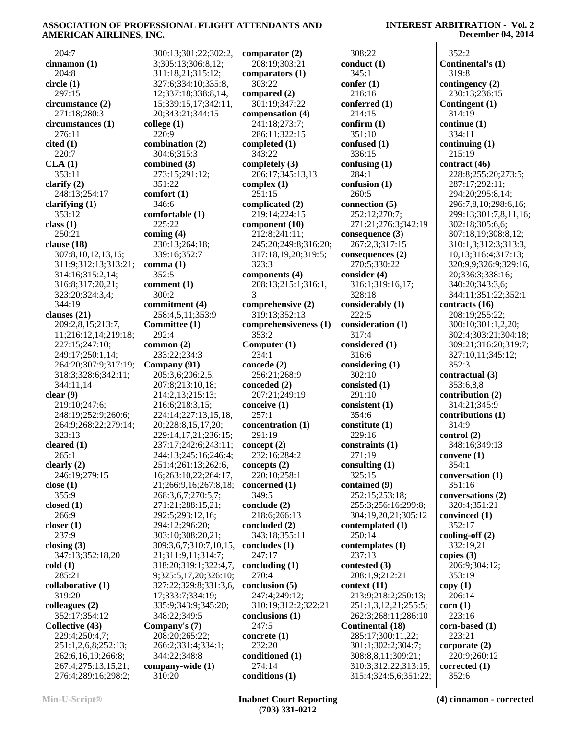**INTEREST ARBITRATION - Vol. 2 December 04, 2014**

| 204:7                | 300:13;301:22;302:2,   | <b>CO</b>       |
|----------------------|------------------------|-----------------|
| cinnamon (1)         | 3;305:13;306:8,12;     |                 |
| 204:8                | 311:18,21;315:12;      | <b>CO</b>       |
| circle (1)           | 327:6;334:10;335:8,    |                 |
|                      |                        |                 |
| 297:15               | 12;337:18;338:8,14,    | <b>COI</b>      |
| circumstance (2)     | 15;339:15,17;342:11,   |                 |
| 271:18;280:3         | 20;343:21;344:15       | <b>CO</b>       |
| circumstances (1)    | college (1)            |                 |
| 276:11               | 220:9                  |                 |
| cited(1)             | combination (2)        | <b>COI</b>      |
| 220:7                | 304:6;315:3            |                 |
| CLA(1)               | combined (3)           | <b>COI</b>      |
| 353:11               | 273:15;291:12;         |                 |
| clarify $(2)$        | 351:22                 |                 |
| 248:13;254:17        | comfort (1)            | CO <sub>1</sub> |
|                      |                        |                 |
| clarifying $(1)$     | 346:6                  | CO <sub>1</sub> |
| 353:12               | comfortable (1)        |                 |
| class(1)             | 225:22                 | <b>CO</b>       |
| 250:21               | coming $(4)$           |                 |
| clause (18)          | 230:13;264:18;         |                 |
| 307:8,10,12,13,16;   | 339:16;352:7           |                 |
| 311:9;312:13;313:21; | comma(1)               |                 |
| 314:16;315:2,14;     | 352:5                  | <b>COI</b>      |
| 316:8;317:20,21;     | comment (1)            |                 |
| 323:20;324:3,4;      | 300:2                  |                 |
| 344:19               | commitment (4)         |                 |
|                      |                        | <b>COI</b>      |
| clauses $(21)$       | 258:4,5,11;353:9       |                 |
| 209:2,8,15;213:7,    | Committee (1)          | <b>COI</b>      |
| 11;216:12,14;219:18; | 292:4                  |                 |
| 227:15;247:10;       | common $(2)$           | Co              |
| 249:17;250:1,14;     | 233:22;234:3           |                 |
| 264:20;307:9;317:19; | Company (91)           | <b>CO</b>       |
| 318:3;328:6;342:11;  | 205:3,6;206:2,5;       |                 |
| 344:11,14            | 207:8;213:10,18;       | CO <sub>1</sub> |
| clear(9)             | 214:2,13;215:13;       |                 |
| 219:10;247:6;        | 216:6;218:3,15;        | <b>COI</b>      |
| 248:19;252:9;260:6;  | 224:14;227:13,15,18,   |                 |
| 264:9;268:22;279:14; | 20;228:8,15,17,20;     | <b>CO</b>       |
| 323:13               | 229:14,17,21;236:15;   |                 |
|                      |                        |                 |
| cleared $(1)$        | 237:17;242:6;243:11;   | col             |
| 265:1                | 244:13;245:16;246:4;   |                 |
| clearly $(2)$        | 251:4;261:13;262:6,    | <b>CO</b>       |
| 246:19;279:15        | 16;263:10,22;264:17,   |                 |
| close $(1)$          | 21;266:9,16;267:8,18;  | <b>CO</b>       |
| 355:9                | 268:3,6,7;270:5,7;     |                 |
| closed $(1)$         | 271:21;288:15,21;      | CO <sub>1</sub> |
| 266:9                | 292:5;293:12,16;       |                 |
| closer $(1)$         | 294:12;296:20;         | <b>CO</b>       |
| 237:9                | 303:10;308:20,21;      |                 |
| closing $(3)$        | 309:3,6,7;310:7,10,15, | <b>CO</b>       |
| 347:13;352:18,20     | 21;311:9,11;314:7;     |                 |
| cold(1)              | 318:20;319:1;322:4,7,  |                 |
| 285:21               |                        | <b>CO</b>       |
|                      | 9;325:5,17,20;326:10;  |                 |
| collaborative (1)    | 327:22;329:8;331:3,6,  | <b>CO</b>       |
| 319:20               | 17;333:7;334:19;       |                 |
| colleagues (2)       | 335:9;343:9;345:20;    |                 |
| 352:17;354:12        | 348:22;349:5           | <b>CO</b>       |
| Collective (43)      | Company's (7)          |                 |
| 229:4;250:4,7;       | 208:20;265:22;         | CO <sub>1</sub> |
| 251:1,2,6,8;252:13;  | 266:2;331:4;334:1;     |                 |
| 262:6,16,19;266:8;   | 344:22;348:8           | <b>CO</b>       |
| 267:4;275:13,15,21;  | company-wide (1)       |                 |
| 276:4;289:16;298:2;  | 310:20                 | <b>CO</b>       |
|                      |                        |                 |

**comparator (2)** 208:19;303:21 **comparators (1)** 303:22 **compared (2)** 301:19;347:22 **compensation (4)** 241:18;273:7; 286:11;322:15 **completed (1)** 343:22 **completely (3)** 206:17;345:13,13 **complex (1)** 251:15 **complicated (2)** 219:14;224:15 **component (10)** 212:8;241:11; 245:20;249:8;316:20; 317:18,19,20;319:5; 323:3 **components (4)** 208:13;215:1;316:1, 3 **comprehensive (2)** 319:13;352:13 **comprehensiveness (1)** 353:2 **Computer (1)** 234:1 **concede (2)** 256:21;268:9 **conceded (2)** 207:21;249:19 **conceive (1)**  $257:1$ **concentration (1)** 291:19 **concept (2)** 232:16;284:2 **concepts (2)** 220:10;258:1 **concerned (1)** 349:5 **conclude (2)** 218:6;266:13 **concluded (2)** 343:18;355:11 **concludes (1)** 247:17 **concluding (1)** 270:4 **conclusion (5)** 247:4;249:12; 310:19;312:2;322:21 **conclusions (1)** 247:5 **concrete (1)** 232:20 **conditioned (1)** 274:14 **conditions (1)**

 308:22 **conduct (1)** 345:1 **confer (1)** 216:16 **conferred (1)** 214:15 **confirm (1)** 351:10 **confused (1)** 336:15 **confusing (1)** 284:1 **confusion (1)** 260:5 **connection (5)** 252:12;270:7; 271:21;276:3;342:19 **consequence (3)** 267:2,3;317:15 **consequences (2)** 270:5;330:22 **consider (4)** 316:1;319:16,17; 328:18 **considerably (1)** 222:5 **consideration (1)** 317:4 **considered (1)** 316:6 **considering (1)** 302:10 **consisted (1)** 291:10 **consistent (1)** 354:6 **constitute (1)** 229:16 **constraints (1)** 271:19 **consulting (1)** 325:15 **contained (9)** 252:15;253:18; 255:3;256:16;299:8; 304:19,20,21;305:12 **contemplated (1)** 250:14 **contemplates (1)** 237:13 **contested (3)** 208:1,9;212:21 **context (11)** 213:9;218:2;250:13; 251:1,3,12,21;255:5; 262:3;268:11;286:10 **Continental (18)** 285:17;300:11,22; 301:1;302:2;304:7; 308:8,8,11;309:21; 310:3;312:22;313:15; 315:4;324:5,6;351:22;

 352:2 **Continental's (1)** 319:8 **contingency (2)** 230:13;236:15 **Contingent (1)** 314:19 **continue (1)** 334:11 **continuing (1)** 215:19 **contract (46)** 228:8;255:20;273:5; 287:17;292:11; 294:20;295:8,14; 296:7,8,10;298:6,16; 299:13;301:7,8,11,16; 302:18;305:6,6; 307:18,19;308:8,12; 310:1,3;312:3;313:3, 10,13;316:4;317:13; 320:9,9;326:9;329:16, 20;336:3;338:16; 340:20;343:3,6; 344:11;351:22;352:1 **contracts (16)** 208:19;255:22; 300:10;301:1,2,20; 302:4;303:21;304:18; 309:21;316:20;319:7; 327:10,11;345:12; 352:3 **contractual (3)** 353:6,8,8 **contribution (2)** 314:21;345:9 **contributions (1)** 314:9 **control (2)** 348:16;349:13 **convene (1)** 354:1 **conversation (1)** 351:16 **conversations (2)** 320:4;351:21 **convinced (1)** 352:17 **cooling-off (2)** 332:19,21 **copies (3)** 206:9;304:12; 353:19 **copy (1)** 206:14 **corn (1)** 223:16 **corn-based (1)** 223:21 **corporate (2)** 220:9;260:12 **corrected (1)**

352:6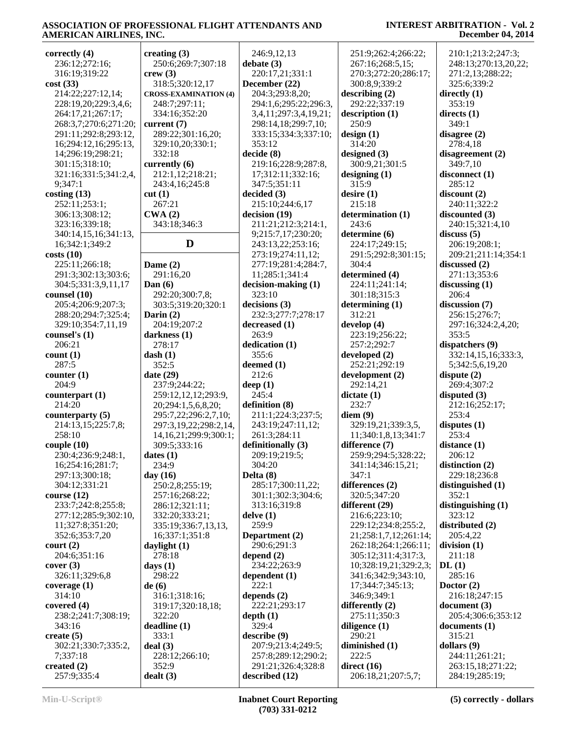| correctly (4)                     | creating $(3)$               | 246:9,12,13                          | 251:9;262:4;266:22;                 | 21          |
|-----------------------------------|------------------------------|--------------------------------------|-------------------------------------|-------------|
| 236:12;272:16;                    | 250:6;269:7;307:18           | debate(3)                            | 267:16;268:5,15;                    | 24          |
| 316:19:319:22                     | crew(3)                      | 220:17,21;331:1                      | 270:3;272:20;286:17;                | 27          |
| cost(33)                          | 318:5;320:12,17              | December (22)                        | 300:8,9;339:2                       | 32          |
| 214:22;227:12,14;                 | <b>CROSS-EXAMINATION (4)</b> | 204:3;293:8,20;                      | describing (2)                      | dired       |
| 228:19,20;229:3,4,6;              | 248:7;297:11;                | 294:1,6;295:22;296:3,                | 292:22;337:19                       | 35          |
| 264:17,21;267:17;                 | 334:16;352:20                | 3,4,11;297:3,4,19,21;                | description (1)                     | dired       |
| 268:3,7;270:6;271:20;             | current $(7)$                | 298:14,18;299:7,10;                  | 250:9                               | 34          |
| 291:11;292:8;293:12,              | 289:22;301:16,20;            | 333:15;334:3;337:10;                 | design(1)                           | disag       |
| 16;294:12,16;295:13,              | 329:10,20;330:1;             | 353:12                               | 314:20                              | 27          |
| 14;296:19;298:21;                 | 332:18                       | decide(8)                            | designed $(3)$                      | disag       |
| 301:15;318:10;                    | currently (6)                | 219:16;228:9;287:8,                  | 300:9,21;301:5                      | 34          |
| 321:16;331:5;341:2,4,             | 212:1,12;218:21;             | 17;312:11;332:16;                    | designing(1)                        | disco       |
| 9;347:1                           | 243:4,16;245:8               | 347:5;351:11                         | 315:9                               | 28          |
| costing(13)                       | cut(1)                       | decided (3)                          | desire $(1)$                        | disco       |
| 252:11;253:1;                     | 267:21                       | 215:10;244:6,17                      | 215:18                              | 24          |
| 306:13;308:12;                    | CWA(2)                       | decision (19)                        | determination (1)                   | disco       |
| 323:16;339:18;                    | 343:18;346:3                 | 211:21;212:3;214:1,                  | 243:6                               | 24          |
| 340:14,15,16;341:13,              |                              | 9;215:7,17;230:20;                   | determine (6)                       | discu       |
| 16;342:1;349:2                    | D                            | 243:13,22;253:16;                    | 224:17;249:15;                      | 20          |
| costs(10)                         |                              | 273:19;274:11,12;                    | 291:5;292:8;301:15;                 | 20          |
| 225:11;266:18;                    | Dame $(2)$                   | 277:19;281:4;284:7,                  | 304:4                               | discu       |
| 291:3;302:13;303:6;               | 291:16,20                    | 11;285:1;341:4                       | determined (4)                      | 27          |
| 304:5;331:3,9,11,17               | Dan $(6)$                    | $decision-making (1)$<br>323:10      | 224:11;241:14;                      | discu<br>20 |
| counsel(10)<br>205:4;206:9;207:3; | 292:20;300:7,8;              | decisions (3)                        | 301:18;315:3                        |             |
| 288:20;294:7;325:4;               | 303:5;319:20;320:1           | 232:3;277:7;278:17                   | determining $(1)$<br>312:21         | discu<br>25 |
| 329:10;354:7,11,19                | Darin $(2)$<br>204:19;207:2  | decreased (1)                        | develop (4)                         | 29          |
| counsel's (1)                     | darkness (1)                 | 263:9                                | 223:19;256:22;                      | 35          |
| 206:21                            | 278:17                       | dedication (1)                       | 257:2;292:7                         | dispa       |
| count(1)                          | dash(1)                      | 355:6                                | developed (2)                       | 33          |
| 287:5                             | 352:5                        | deemed (1)                           | 252:21;292:19                       | 5:          |
| counter $(1)$                     | date $(29)$                  | 212:6                                | development (2)                     | dispu       |
| 204:9                             | 237:9;244:22;                | deep $(1)$                           | 292:14,21                           | 26          |
| counterpart $(1)$                 | 259:12,12,12;293:9,          | 245:4                                | dictate(1)                          | dispu       |
| 214:20                            | 20;294:1,5,6,8,20;           | definition (8)                       | 232:7                               | 21          |
| counterparty (5)                  | 295:7,22;296:2,7,10;         | 211:1;224:3;237:5;                   | diem(9)                             | 25          |
| 214:13,15;225:7,8;                | 297:3,19,22;298:2,14,        | 243:19;247:11,12;                    | 329:19,21;339:3,5,                  | dispu       |
| 258:10                            | 14, 16, 21; 299: 9; 300: 1;  | 261:3;284:11                         | 11;340:1,8,13;341:7                 | 25          |
| couple(10)                        | 309:5;333:16                 | definitionally (3)                   | difference (7)                      | dista       |
| 230:4;236:9;248:1,                | dates $(1)$                  | 209:19;219:5;                        | 259:9;294:5;328:22;                 | 20          |
| 16;254:16;281:7;                  | 234:9                        | 304:20                               | 341:14;346:15,21;                   | distii      |
| 297:13;300:18;                    | day $(16)$                   | Delta $(8)$                          | 347:1                               | 22          |
| 304:12;331:21                     | 250:2,8;255:19;              | 285:17;300:11,22;                    | differences (2)                     | distin      |
| course $(12)$                     | 257:16;268:22;               | 301:1;302:3;304:6;                   | 320:5;347:20                        | 35          |
| 233:7;242:8;255:8;                | 286:12;321:11;               | 313:16;319:8                         | different (29)                      | distin      |
| 277:12;285:9;302:10,              | 332:20;333:21;               | delve(1)                             | 216:6;223:10;                       | 32          |
| 11;327:8;351:20;                  | 335:19;336:7,13,13,          | 259:9                                | 229:12;234:8;255:2,                 | distr       |
| 352:6;353:7,20                    | 16;337:1;351:8               | Department (2)                       | 21;258:1,7,12;261:14;               | 20          |
| court (2)                         | daylight $(1)$               | 290:6;291:3                          | 262:18;264:1;266:11;                | divis       |
| 204:6;351:16                      | 278:18                       | depend $(2)$                         | 305:12;311:4;317:3,                 | 21          |
| cover(3)                          | days $(1)$                   | 234:22;263:9                         | 10;328:19,21;329:2,3;               | DL(         |
| 326:11;329:6,8                    | 298:22                       | dependent $(1)$                      | 341:6;342:9;343:10,                 | 28          |
| coverage (1)                      | de(6)                        | 222:1                                | 17;344:7;345:13;                    | Doct        |
| 314:10                            | 316:1;318:16;                | depends $(2)$                        | 346:9;349:1                         | 21          |
| covered $(4)$                     | 319:17;320:18,18;            | 222:21;293:17                        | differently $(2)$                   | docu        |
| 238:2;241:7;308:19;               | 322:20                       | depth(1)                             | 275:11;350:3                        | 20          |
| 343:16                            | deadline (1)                 | 329:4                                | diligence $(1)$                     | docu        |
| create $(5)$                      | 333:1                        | describe (9)                         | 290:21                              | 31          |
| 302:21;330:7;335:2,               | deal(3)                      | 207:9;213:4;249:5;                   | diminished (1)                      | dolla       |
| 7;337:18                          | 228:12;266:10;               | 257:8;289:12;290:2;                  | 222:5                               | 24          |
| created $(2)$<br>257:9;335:4      | 352:9                        | 291:21;326:4;328:8<br>described (12) | direct $(16)$<br>206:18,21;207:5,7; | 26<br>28    |
|                                   | dealt(3)                     |                                      |                                     |             |

#### **INTEREST ARBITRATION - Vol. 2 December 04, 2014**

 210:1;213:2;247:3; 248:13;270:13,20,22; 271:2,13;288:22; 325:6;339:2 **directly (1)** 353:19 **directs (1)** 349:1 **disagree (2)** 278:4,18 **disagreement (2)** 349:7,10 **disconnect (1)** 285:12 **discount (2)** 240:11;322:2 **discounted (3)** 240:15;321:4,10 **discuss (5)** 206:19;208:1; 209:21;211:14;354:1 **discussed (2)** 271:13;353:6 **discussing (1)** 206:4 **discussion (7)** 256:15;276:7; 297:16;324:2,4,20; 353:5 **dispatchers (9)** 332:14,15,16;333:3, 5;342:5,6,19,20 **dispute (2)** 269:4;307:2 **disputed (3)** 212:16;252:17; 253:4 **disputes (1)** 253:4 **distance (1)** 206:12 **distinction (2)** 229:18;236:8 **distinguished (1)** 352:1 **distinguishing (1)** 323:12 **distributed (2)** 205:4,22 **division (1)** 211:18 **DL (1)** 285:16 **Doctor (2)** 216:18;247:15 **document (3)** 205:4;306:6;353:12 **documents (1)** 315:21 **dollars (9)** 244:11;261:21; 263:15,18;271:22; 284:19;285:19;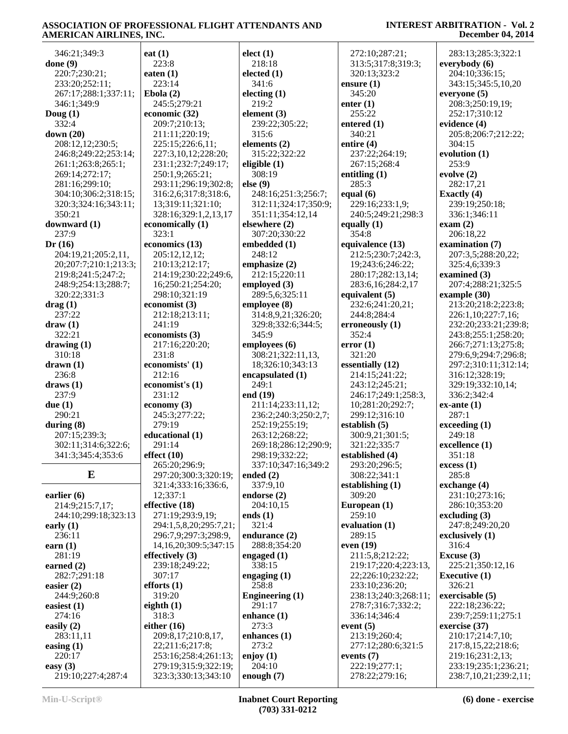#### **INTEREST ARBITRATION - Vol. 2 December 04, 2014**

 346:21;349:3 **done (9)** 220:7;230:21; 233:20;252:11; 267:17;288:1;337:11; 346:1;349:9 **Doug (1)** 332:4 **down (20)** 208:12,12;230:5; 246:8;249:22;253:14; 261:1;263:8;265:1; 269:14;272:17; 281:16;299:10; 304:10;306:2;318:15; 320:3;324:16;343:11; 350:21 **downward (1)** 237:9 **Dr (16)** 204:19,21;205:2,11, 20;207:7;210:1;213:3; 219:8;241:5;247:2; 248:9;254:13;288:7; 320:22;331:3 **drag (1)** 237:22 **draw (1)** 322:21 **drawing (1)** 310:18 **drawn (1)** 236:8 **draws (1)** 237:9 **due (1)** 290:21 **during (8)** 207:15;239:3; 302:11;314:6;322:6; 341:3;345:4;353:6 **E earlier (6)** 214:9;215:7,17; 244:10;299:18;323:13 **early (1)** 236:11 **earn (1)** 281:19 **earned (2)** 282:7;291:18 **easier (2)** 244:9;260:8 **easiest (1)** 274:16 **easily (2)** 283:11,11 **easing (1) eat (1)** 223:8 **eaten (1)** 223:14 **Ebola (2) economic (32)**  $323 \cdot 1$ **economist (3)** 241:19 231:8 212:16 231:12 **economy (3)** 279:19 291:14 **effect (10)** 12;337:1 **effective (18) effectively (3)** 307:17 **efforts (1)** 319:20 **eighth (1)** 318:3 **either (16)**

 245:5;279:21 209:7;210:13; 211:11;220:19; 225:15;226:6,11; 227:3,10,12;228:20; 231:1;232:7;249:17; 250:1,9;265:21; 293:11;296:19;302:8; 316:2,6;317:8;318:6, 13;319:11;321:10; 328:16;329:1,2,13,17 **economically (1) economics (13)** 205:12,12,12; 210:13;212:17; 214:19;230:22;249:6, 16;250:21;254:20; 298:10;321:19 212:18;213:11; **economists (3)** 217:16;220:20; **economists' (1) economist's (1)** 245:3;277:22; **educational (1)** 265:20;296:9; 297:20;300:3;320:19; 321:4;333:16;336:6, 271:19;293:9,19; 294:1,5,8,20;295:7,21; 296:7,9;297:3;298:9, 14,16,20;309:5;347:15 239:18;249:22; 209:8,17;210:8,17, 22;211:6;217:8; 253:16;258:4;261:13; 279:19;315:9;322:19; 323:3;330:13;343:10 **elect (1)** 218:18 **elected (1)** 341:6 **electing (1)** 219:2 **element (3)** 239:22;305:22; 315:6 **elements (2)** 315:22;322:22 **eligible (1)** 308:19 **else (9)** 351:11;354:12,14 **elsewhere (2)** 307:20;330:22 **embedded (1)** 248:12 **emphasize (2)** 212:15;220:11 **employed (3)** 289:5,6;325:11 **employee (8)** 345:9 **employees (6)** 18;326:10;343:13 **encapsulated (1)** 249:1 **end (19)** 252:19;255:19; 263:12;268:22; 298:19;332:22; **ended (2)** 337:9,10 **endorse (2)** 204:10,15 **ends (1)** 321:4 **endurance (2)** 288:8;354:20 **engaged (1)** 338:15 **engaging (1)** 258:8 **Engineering (1)** 291:17 **enhance (1)** 273:3 **enhances (1)** 273:2 **enjoy (1)** 204:10 **enough (7)**

 248:16;251:3;256:7; 312:11;324:17;350:9; 314:8,9,21;326:20; 329:8;332:6;344:5; 308:21;322:11,13, 211:14;233:11,12; 236:2;240:3;250:2,7; 269:18;286:12;290:9; 337:10;347:16;349:2 **ensure (1)** 345:20 **enter (1)** 255:22 **entered (1)** 340:21 **entire (4) entitling (1)** 285:3 **equal (6) equally (1)** 354:8 **equivalent (5) erroneously (1)** 352:4 **error (1)** 321:20 **essentially (12) establish (5) established (4) establishing (1)** 309:20 **European (1)** 259:10 **evaluation (1)** 289:15 **even (19) event (5) events (7)**

 272:10;287:21; 313:5;317:8;319:3; 320:13;323:2 237:22;264:19; 267:15;268:4 229:16;233:1,9; 240:5;249:21;298:3 **equivalence (13)** 212:5;230:7;242:3, 19;243:6;246:22; 280:17;282:13,14; 283:6,16;284:2,17 232:6;241:20,21; 244:8;284:4 214:15;241:22; 243:12;245:21; 246:17;249:1;258:3, 10;281:20;292:7; 299:12;316:10 300:9,21;301:5; 321:22;335:7 293:20;296:5; 308:22;341:1 211:5,8;212:22; 219:17;220:4;223:13, 22;226:10;232:22; 233:10;236:20; 238:13;240:3;268:11; 278:7;316:7;332:2; 336:14;346:4 213:19;260:4; 277:12;280:6;321:5 222:19;277:1; 278:22;279:16; 304:15 253:9 **evolve (2) Exactly (4) exam (2) ex-ante (1)** 287:1 249:18 351:18 **excess (1)** 285:8 316:4 **Excuse (3)** 326:21

 283:13;285:3;322:1 **everybody (6)** 204:10;336:15; 343:15;345:5,10,20 **everyone (5)** 208:3;250:19,19; 252:17;310:12 **evidence (4)** 205:8;206:7;212:22; **evolution (1)** 282:17,21 239:19;250:18; 336:1;346:11 206:18,22 **examination (7)** 207:3,5;288:20,22; 325:4,6;339:3 **examined (3)** 207:4;288:21;325:5 **example (30)** 213:20;218:2;223:8; 226:1,10;227:7,16; 232:20;233:21;239:8; 243:8;255:1;258:20; 266:7;271:13;275:8; 279:6,9;294:7;296:8; 297:2;310:11;312:14; 316:12;328:19; 329:19;332:10,14; 336:2;342:4 **exceeding (1) excellence (1) exchange (4)** 231:10;273:16; 286:10;353:20 **excluding (3)** 247:8;249:20,20 **exclusively (1)** 225:21;350:12,16 **Executive (1) exercisable (5)** 222:18;236:22; 239:7;259:11;275:1 **exercise (37)** 210:17;214:7,10; 217:8,15,22;218:6; 219:16;231:2,13; 233:19;235:1;236:21; 238:7,10,21;239:2,11;

219:10;227:4;287:4

 220:17 **easy (3)**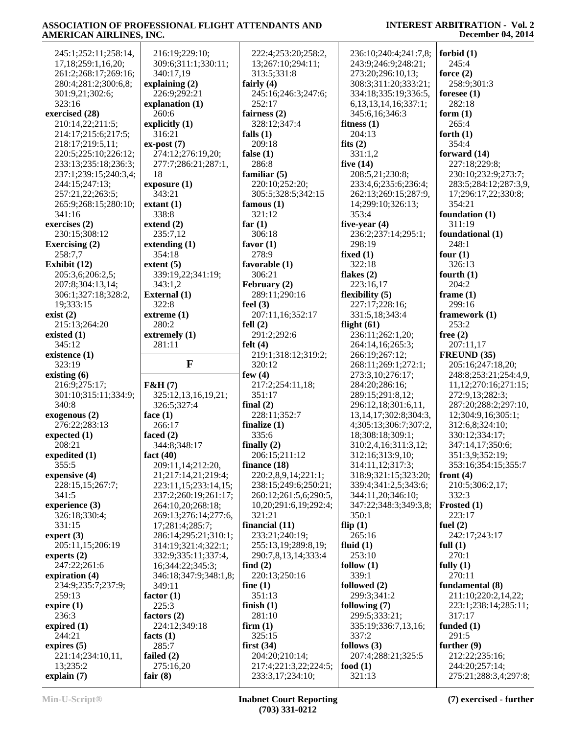| 245:1;252:11;258:14,      | 216:19;229:10;                  | 222:4;253:20;258:2,                       | 236:10;240:4;241:7,8;       | forbid $(1)$                            |
|---------------------------|---------------------------------|-------------------------------------------|-----------------------------|-----------------------------------------|
| 17,18;259:1,16,20;        | 309:6;311:1;330:11;             | 13;267:10;294:11;                         | 243:9;246:9;248:21;         | 245:4                                   |
| 261:2;268:17;269:16;      | 340:17,19                       | 313:5:331:8                               | 273:20;296:10,13;           | force $(2)$                             |
| 280:4;281:2;300:6,8;      | explaining (2)                  | fairly $(4)$                              | 308:3;311:20;333:21;        | 258:9;301:3                             |
| 301:9,21;302:6;           | 226:9;292:21                    | 245:16;246:3;247:6;                       | 334:18;335:19;336:5,        | foresee $(1)$                           |
| 323:16                    |                                 |                                           |                             |                                         |
|                           | explanation (1)                 | 252:17                                    | 6, 13, 13, 14, 16; 337: 1;  | 282:18                                  |
| exercised (28)            | 260:6                           | fairness $(2)$                            | 345:6,16;346:3              | form $(1)$                              |
| 210:14,22;211:5;          | explicitly (1)                  | 328:12;347:4                              | fitness $(1)$               | 265:4                                   |
| 214:17;215:6;217:5;       | 316:21                          | falls $(1)$                               | 204:13                      | forth $(1)$                             |
| 218:17;219:5,11;          | $ex-post(7)$                    | 209:18                                    | fits $(2)$                  | 354:4                                   |
| 220:5;225:10;226:12;      | 274:12;276:19,20;               | false $(1)$                               | 331:1,2                     | forward (14)                            |
| 233:13;235:18;236:3;      | 277:7;286:21;287:1,             | 286:8                                     | five $(14)$                 | 227:18;229:8;                           |
| 237:1;239:15;240:3,4;     | 18                              | familiar $(5)$                            | 208:5,21;230:8;             | 230:10;232:9;273:7;                     |
| 244:15;247:13;            | exposure(1)                     | 220:10;252:20;                            | 233:4,6;235:6;236:4;        | 283:5;284:12;287:3,9,                   |
| 257:21,22;263:5;          | 343:21                          | 305:5;328:5;342:15                        | 262:13;269:15;287:9,        | 17;296:17,22;330:8;                     |
| 265:9;268:15;280:10;      | extant(1)                       | famous $(1)$                              | 14;299:10;326:13;           | 354:21                                  |
| 341:16                    | 338:8                           | 321:12                                    | 353:4                       | foundation $(1)$                        |
| exercises (2)             | extend $(2)$                    | far $(1)$                                 | five-year $(4)$             | 311:19                                  |
| 230:15;308:12             | 235:7,12                        | 306:18                                    | 236:2;237:14;295:1;         | foundational (1)                        |
| <b>Exercising (2)</b>     | extending $(1)$                 | favor $(1)$                               | 298:19                      | 248:1                                   |
| 258:7,7                   | 354:18                          | 278:9                                     | fixed $(1)$                 |                                         |
|                           |                                 |                                           |                             | four $(1)$                              |
| Exhibit (12)              | extent $(5)$                    | favorable (1)                             | 322:18                      | 326:13                                  |
| 205:3,6;206:2,5;          | 339:19,22;341:19;               | 306:21                                    | flakes $(2)$                | fourth $(1)$                            |
| 207:8;304:13,14;          | 343:1,2                         | February (2)                              | 223:16,17                   | 204:2                                   |
| 306:1;327:18;328:2,       | <b>External</b> (1)             | 289:11;290:16                             | flexibility $(5)$           | frame $(1)$                             |
| 19;333:15                 | 322:8                           | feel $(3)$                                | 227:17;228:16;              | 299:16                                  |
| exist(2)                  | extreme(1)                      | 207:11,16;352:17                          | 331:5,18;343:4              | framework (1)                           |
| 215:13;264:20             | 280:2                           | fell $(2)$                                | flight $(61)$               | 253:2                                   |
| existed $(1)$             | extremely (1)                   | 291:2;292:6                               | 236:11;262:1,20;            | free $(2)$                              |
| 345:12                    | 281:11                          | felt $(4)$                                | 264:14,16;265:3;            | 207:11,17                               |
| existence (1)             |                                 | 219:1;318:12;319:2;                       | 266:19;267:12;              | FREUND (35)                             |
|                           |                                 |                                           |                             |                                         |
| 323:19                    | $\mathbf{F}$                    | 320:12                                    |                             |                                         |
|                           |                                 |                                           | 268:11;269:1;272:1;         | 205:16;247:18,20;                       |
| existing $(6)$            |                                 | few $(4)$                                 | 273:3,10;276:17;            | 248:8;253:21;254:4,9,                   |
| 216:9;275:17;             | F&H(7)                          | 217:2;254:11,18;                          | 284:20;286:16;              | 11, 12, 270: 16, 271: 15;               |
| 301:10;315:11;334:9;      | 325:12,13,16,19,21;             | 351:17                                    | 289:15;291:8,12;            | 272:9,13;282:3;                         |
| 340:8                     | 326:5;327:4                     | final $(2)$                               | 296:12,18;301:6,11,         | 287:20;288:2;297:10,                    |
| exogenous (2)             | face $(1)$                      | 228:11;352:7                              | 13, 14, 17; 302: 8; 304: 3, | 12;304:9,16;305:1;                      |
| 276:22;283:13             | 266:17                          | finalize $(1)$                            | 4;305:13;306:7;307:2,       | 312:6,8;324:10;                         |
| expected $(1)$            | faced $(2)$                     | 335:6                                     | 18;308:18;309:1;            | 330:12;334:17;                          |
| 208:21                    | 344:8;348:17                    | finally $(2)$                             | 310:2,4,16;311:3,12;        | 347:14,17;350:6;                        |
| expedited (1)             | fact $(40)$                     | 206:15;211:12                             | 312:16;313:9,10;            | 351:3,9;352:19;                         |
| 355:5                     | 209:11,14;212:20,               | finance $(18)$                            | 314:11,12;317:3;            | 353:16;354:15;355:7                     |
| expensive (4)             | 21;217:14,21;219:4;             | 220:2,8,9,14;221:1;                       | 318:9;321:15;323:20;        | front $(4)$                             |
| 228:15,15;267:7;          | 223:11,15;233:14,15;            | 238:15;249:6;250:21;                      | 339:4;341:2,5;343:6;        | 210:5;306:2,17;                         |
| 341:5                     | 237:2;260:19;261:17;            | 260:12;261:5,6;290:5,                     | 344:11,20;346:10;           | 332:3                                   |
| experience (3)            | 264:10,20;268:18;               | 10,20;291:6,19;292:4;                     | 347:22;348:3;349:3,8;       | Frosted (1)                             |
| 326:18;330:4;             | 269:13;276:14;277:6,            | 321:21                                    | 350:1                       | 223:17                                  |
| 331:15                    | 17;281:4;285:7;                 | financial $(11)$                          | flip $(1)$                  | fuel $(2)$                              |
| expert $(3)$              | 286:14;295:21;310:1;            | 233:21;240:19;                            | 265:16                      | 242:17;243:17                           |
| 205:11,15;206:19          | 314:19;321:4;322:1;             | 255:13,19;289:8,19;                       | fluid $(1)$                 | full $(1)$                              |
| experts $(2)$             | 332:9;335:11;337:4,             | 290:7,8,13,14;333:4                       | 253:10                      | 270:1                                   |
| 247:22;261:6              | 16;344:22;345:3;                | find $(2)$                                | follow $(1)$                | fully $(1)$                             |
|                           |                                 |                                           | 339:1                       | 270:11                                  |
| expiration (4)            | 346:18;347:9;348:1,8;<br>349:11 | 220:13;250:16                             |                             |                                         |
| 234:9;235:7;237:9;        |                                 | fine $(1)$                                | followed (2)                | fundamental (8)                         |
| 259:13                    | factor $(1)$                    | 351:13                                    | 299:3;341:2                 | 211:10;220:2,14,22;                     |
| expire $(1)$              | 225:3                           | finish $(1)$                              | following $(7)$             | 223:1;238:14;285:11;                    |
| 236:3                     | factors $(2)$                   | 281:10                                    | 299:5;333:21;               | 317:17                                  |
| expired $(1)$             | 224:12;349:18                   | firm $(1)$                                | 335:19;336:7,13,16;         | funded $(1)$                            |
| 244:21                    | facts $(1)$                     | 325:15                                    | 337:2                       | 291:5                                   |
| expires $(5)$             | 285:7                           | first $(34)$                              | follows $(3)$               | further $(9)$                           |
| 221:14;234:10,11,         | failed $(2)$                    | 204:20;210:14;                            | 207:4;288:21;325:5          | 212:22;235:16;                          |
| 13;235:2<br>explain $(7)$ | 275:16,20<br>fair $(8)$         | 217:4;221:3,22;224:5;<br>233:3,17;234:10; | food $(1)$<br>321:13        | 244:20;257:14;<br>275:21;288:3,4;297:8; |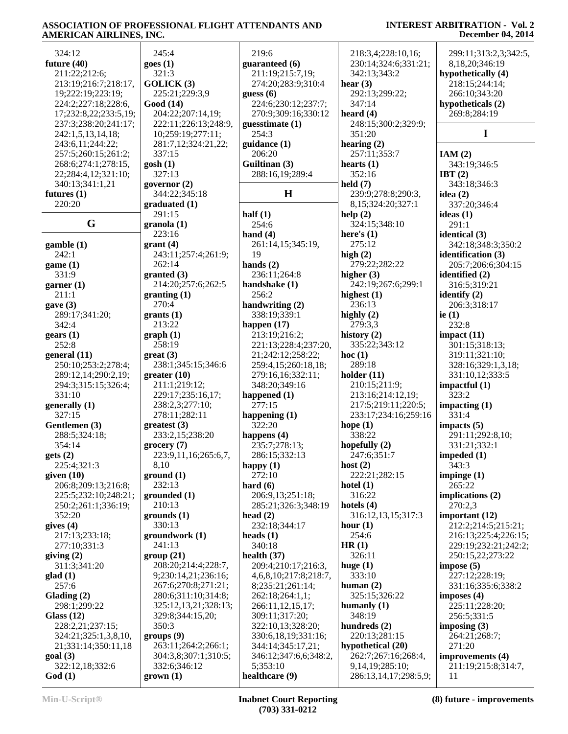| 324:12                   | 245:4                | 219:6                 | 218:3,4;228:10,16;    | 299:11;313:2,3;342:5,    |
|--------------------------|----------------------|-----------------------|-----------------------|--------------------------|
|                          |                      |                       |                       |                          |
| future $(40)$            | goes(1)              | guaranteed (6)        | 230:14;324:6;331:21;  | 8,18,20;346:19           |
| 211:22;212:6;            | 321:3                | 211:19;215:7,19;      | 342:13;343:2          | hypothetically (4)       |
| 213:19;216:7;218:17,     | GOLICK(3)            | 274:20;283:9;310:4    | hear $(3)$            | 218:15;244:14;           |
| 19;222:19;223:19;        | 225:21;229:3,9       | guess $(6)$           | 292:13;299:22;        | 266:10;343:20            |
| 224:2;227:18;228:6,      | Good (14)            | 224:6;230:12;237:7;   | 347:14                | hypotheticals (2)        |
| 17;232:8,22;233:5,19;    | 204:22;207:14,19;    | 270:9;309:16;330:12   | heard $(4)$           | 269:8;284:19             |
|                          |                      |                       |                       |                          |
| 237:3;238:20;241:17;     | 222:11;226:13;248:9, | guesstimate (1)       | 248:15;300:2;329:9;   |                          |
| 242:1,5,13,14,18;        | 10;259:19;277:11;    | 254:3                 | 351:20                | I                        |
| 243:6,11;244:22;         | 281:7,12;324:21,22;  | guidance (1)          | hearing $(2)$         |                          |
| 257:5;260:15;261:2;      | 337:15               | 206:20                | 257:11;353:7          | IAM(2)                   |
| 268:6;274:1;278:15,      | gosh(1)              | Guiltinan (3)         | hearts $(1)$          | 343:19;346:5             |
|                          | 327:13               |                       |                       |                          |
| 22;284:4,12;321:10;      |                      | 288:16,19;289:4       | 352:16                | IBT $(2)$                |
| 340:13;341:1,21          | governor $(2)$       |                       | held $(7)$            | 343:18;346:3             |
| futures $(1)$            | 344:22;345:18        | $\mathbf H$           | 239:9;278:8;290:3,    | idea $(2)$               |
| 220:20                   | graduated(1)         |                       | 8,15;324:20;327:1     | 337:20;346:4             |
|                          | 291:15               | half $(1)$            | help(2)               | ideas $(1)$              |
| G                        | granola(1)           | 254:6                 | 324:15;348:10         | 291:1                    |
|                          |                      |                       |                       |                          |
|                          | 223:16               | hand $(4)$            | here's $(1)$          | identical (3)            |
| $\mathbf{g}$ amble $(1)$ | grant(4)             | 261:14,15;345:19,     | 275:12                | 342:18;348:3;350:2       |
| 242:1                    | 243:11;257:4;261:9;  | 19                    | high $(2)$            | identification (3)       |
| game (1)                 | 262:14               | hands $(2)$           | 279:22;282:22         | 205:7;206:6;304:15       |
| 331:9                    | granted (3)          | 236:11;264:8          | higher $(3)$          | identified (2)           |
|                          |                      |                       |                       |                          |
| garner $(1)$             | 214:20;257:6;262:5   | handshake (1)         | 242:19;267:6;299:1    | 316:5;319:21             |
| 211:1                    | granting(1)          | 256:2                 | highest (1)           | identify $(2)$           |
| gave(3)                  | 270:4                | handwriting (2)       | 236:13                | 206:3;318:17             |
| 289:17;341:20;           | grants(1)            | 338:19;339:1          | highly $(2)$          | ie $(1)$                 |
| 342:4                    | 213:22               | happen (17)           | 279:3,3               | 232:8                    |
|                          |                      | 213:19;216:2;         | history $(2)$         |                          |
| $\text{years}$ (1)       | graph(1)             |                       |                       | impact $(11)$            |
| 252:8                    | 258:19               | 221:13;228:4;237:20,  | 335:22;343:12         | 301:15;318:13;           |
| general $(11)$           | $gr(3)$              | 21;242:12;258:22;     | hoc $(1)$             | 319:11;321:10;           |
| 250:10;253:2;278:4;      | 238:1;345:15;346:6   | 259:4,15;260:18,18;   | 289:18                | 328:16;329:1,3,18;       |
| 289:12,14;290:2,19;      | greater(10)          | 279:16,16;332:11;     | holder $(11)$         | 331:10,12;333:5          |
| 294:3;315:15;326:4;      | 211:1;219:12;        | 348:20;349:16         | 210:15;211:9;         | impactful $(1)$          |
|                          |                      |                       |                       |                          |
| 331:10                   | 229:17;235:16,17;    | happened (1)          | 213:16;214:12,19;     | 323:2                    |
| generally (1)            | 238:2,3;277:10;      | 277:15                | 217:5;219:11;220:5;   | impacting $(1)$          |
| 327:15                   | 278:11;282:11        | happening $(1)$       | 233:17;234:16;259:16  | 331:4                    |
| Gentlemen (3)            | greatest (3)         | 322:20                | hope $(1)$            | impacts $(5)$            |
| 288:5;324:18;            | 233:2,15;238:20      | happens $(4)$         | 338:22                | 291:11;292:8,10;         |
| 354:14                   | grocery(7)           | 235:7;278:13;         | hopefully $(2)$       | 331:21;332:1             |
|                          |                      |                       |                       |                          |
| gets(2)                  | 223:9,11,16;265:6,7, | 286:15;332:13         | 247:6;351:7           | impeded $\left(1\right)$ |
| 225:4;321:3              | 8,10                 | happy $(1)$           | host $(2)$            | 343:3                    |
| given $(10)$             | ground (1)           | 272:10                | 222:21;282:15         | impinge $(1)$            |
| 206:8;209:13;216:8;      | 232:13               | hard $(6)$            | hotel $(1)$           | 265:22                   |
| 225:5;232:10;248:21;     | grounded(1)          | 206:9,13;251:18;      | 316:22                | implications $(2)$       |
| 250:2;261:1;336:19;      | 210:13               | 285:21;326:3;348:19   | hotels $(4)$          | 270:2,3                  |
|                          |                      |                       |                       |                          |
| 352:20                   | grounds(1)           | head $(2)$            | 316:12,13,15;317:3    | important $(12)$         |
| gives $(4)$              | 330:13               | 232:18;344:17         | hour $(1)$            | 212:2:214:5:215:21;      |
| 217:13;233:18;           | groundwork (1)       | heads $(1)$           | 254:6                 | 216:13;225:4;226:15;     |
| 277:10;331:3             | 241:13               | 340:18                | HR(1)                 | 229:19;232:21;242:2;     |
| giving $(2)$             | group(21)            | health $(37)$         | 326:11                | 250:15,22;273:22         |
| 311:3;341:20             | 208:20;214:4;228:7,  | 209:4;210:17;216:3,   |                       | impose(5)                |
|                          |                      |                       | huge $(1)$            |                          |
| glad(1)                  | 9;230:14,21;236:16;  | 4,6,8,10;217:8;218:7, | 333:10                | 227:12;228:19;           |
| 257:6                    | 267:6;270:8;271:21;  | 8;235:21;261:14;      | human $(2)$           | 331:16;335:6;338:2       |
| Glading $(2)$            | 280:6;311:10;314:8;  | 262:18;264:1,1;       | 325:15;326:22         | imposes $(4)$            |
| 298:1;299:22             | 325:12,13,21;328:13; | 266:11,12,15,17;      | humanly $(1)$         | 225:11;228:20;           |
| Glass $(12)$             | 329:8;344:15,20;     | 309:11;317:20;        | 348:19                | 256:5;331:5              |
|                          |                      |                       |                       |                          |
| 228:2,21;237:15;         | 350:3                | 322:10,13;328:20;     | hundreds $(2)$        | imposing $(3)$           |
| 324:21;325:1,3,8,10,     | groups(9)            | 330:6,18,19;331:16;   | 220:13;281:15         | 264:21;268:7;            |
| 21;331:14;350:11,18      | 263:11;264:2;266:1;  | 344:14;345:17,21;     | hypothetical (20)     | 271:20                   |
| goal(3)                  | 304:3,8;307:1;310:5; | 346:12;347:6,6;348:2, | 262:7;267:16;268:4,   | improvements (4)         |
| 322:12,18;332:6          | 332:6;346:12         | 5;353:10              | 9,14,19;285:10;       | 211:19;215:8;314:7,      |
| God(1)                   | $grown (1)$          | healthcare (9)        | 286:13,14,17;298:5,9; | 11                       |
|                          |                      |                       |                       |                          |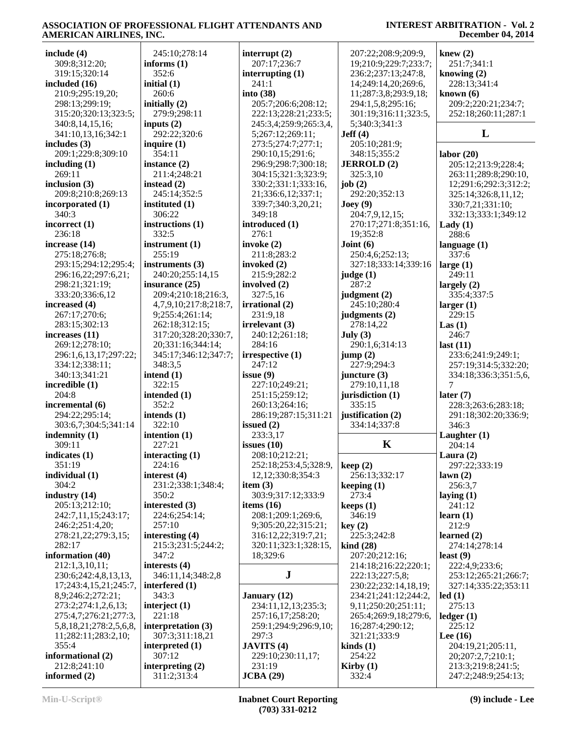| include (4)            | 245:10;278:14         | interrupt $(2)$        | 207:22;208:9;209:9,             | knew $(2)$            |
|------------------------|-----------------------|------------------------|---------------------------------|-----------------------|
| 309:8;312:20;          | informs $(1)$         | 207:17;236:7           | 19;210:9;229:7;233:7;           | 251:7;341:1           |
| 319:15;320:14          | 352:6                 | interrupting $(1)$     | 236:2;237:13;247:8,             | knowing $(2)$         |
| included (16)          | initial $(1)$         | 241:1                  | 14;249:14,20;269:6,             | 228:13;341:4          |
| 210:9;295:19,20;       | 260:6                 | into $(38)$            | 11;287:3,8;293:9,18;            | known $(6)$           |
| 298:13;299:19;         | initially (2)         | 205:7;206:6;208:12;    | 294:1,5,8;295:16;               | 209:2;220:21;234:7;   |
| 315:20;320:13;323:5;   | 279:9;298:11          | 222:13;228:21;233:5;   | 301:19;316:11;323:5,            | 252:18;260:11;287:1   |
| 340:8,14,15,16;        | inputs $(2)$          | 245:3,4;259:9;265:3,4, | 5;340:3;341:3                   |                       |
| 341:10,13,16;342:1     | 292:22;320:6          | 5;267:12;269:11;       | Jeff(4)                         | L                     |
| includes (3)           | inquire $(1)$         | 273:5;274:7;277:1;     | 205:10;281:9;                   |                       |
| 209:1;229:8;309:10     | 354:11                | 290:10,15;291:6;       | 348:15;355:2                    | labor(20)             |
| including (1)          | instance (2)          | 296:9;298:7;300:18;    | <b>JERROLD</b> (2)              | 205:12;213:9;228:4;   |
| 269:11                 | 211:4;248:21          | 304:15;321:3;323:9;    | 325:3,10                        | 263:11;289:8;290:10,  |
| inclusion (3)          | instead $(2)$         | 330:2;331:1;333:16,    | job $(2)$                       | 12;291:6;292:3;312:2; |
| 209:8;210:8;269:13     | 245:14;352:5          | 21;336:6,12;337:1;     | 292:20;352:13                   | 325:14;326:8,11,12;   |
| incorporated (1)       | instituted (1)        | 339:7;340:3,20,21;     | $\text{Joey}(9)$                | 330:7,21;331:10;      |
| 340:3                  | 306:22                | 349:18                 | 204:7,9,12,15;                  | 332:13;333:1;349:12   |
| incorrect (1)          | instructions (1)      | introduced (1)         | 270:17;271:8;351:16,            |                       |
| 236:18                 | 332:5                 | 276:1                  | 19;352:8                        | Lady $(1)$<br>288:6   |
| increase (14)          |                       |                        |                                 |                       |
|                        | instrument (1)        | invoke $(2)$           | Joint $(6)$                     | language $(1)$        |
| 275:18;276:8;          | 255:19                | 211:8;283:2            | 250:4,6;252:13;                 | 337:6                 |
| 293:15;294:12;295:4;   | instruments (3)       | invoked (2)            | 327:18;333:14;339:16            | large $(1)$           |
| 296:16,22;297:6,21;    | 240:20;255:14,15      | 215:9;282:2            | judge (1)                       | 249:11                |
| 298:21;321:19;         | insurance (25)        | involved (2)           | 287:2                           | largely $(2)$         |
| 333:20;336:6,12        | 209:4;210:18;216:3,   | 327:5,16               | judgment (2)                    | 335:4;337:5           |
| increased (4)          | 4,7,9,10;217:8;218:7, | irrational (2)         | 245:10;280:4                    | larger(1)             |
| 267:17;270:6;          | 9;255:4;261:14;       | 231:9,18               | judgments (2)                   | 229:15                |
| 283:15;302:13          | 262:18;312:15;        | irrelevant(3)          | 278:14,22                       | Las(1)                |
| increases (11)         | 317:20;328:20;330:7,  | 240:12;261:18;         | July (3)                        | 246:7                 |
| 269:12;278:10;         | 20;331:16;344:14;     | 284:16                 | 290:1,6;314:13                  | last $(11)$           |
| 296:1,6,13,17;297:22;  | 345:17;346:12;347:7;  | irrespective (1)       | jump(2)                         | 233:6;241:9;249:1;    |
| 334:12;338:11;         | 348:3,5               | 247:12                 | 227:9;294:3                     | 257:19;314:5;332:20;  |
| 340:13;341:21          | intend $(1)$          | issue $(9)$            | juncture $(3)$                  | 334:18;336:3;351:5,6, |
| incredible (1)         | 322:15                | 227:10;249:21;         | 279:10,11,18                    | $\tau$                |
| 204:8                  | intended (1)          | 251:15;259:12;         | jurisdiction (1)                | later $(7)$           |
| incremental (6)        | 352:2                 | 260:13;264:16;         | 335:15                          | 228:3;263:6;283:18;   |
| 294:22;295:14;         | intends (1)           | 286:19;287:15;311:21   | justification (2)               | 291:18;302:20;336:9;  |
| 303:6,7;304:5;341:14   | 322:10                | issued $(2)$           | 334:14;337:8                    | 346:3                 |
| indemnity (1)          | intention $(1)$       | 233:3,17               |                                 | Laughter $(1)$        |
| 309:11                 | 227:21                | issues $(10)$          | K                               | 204:14                |
| indicates (1)          | interacting (1)       | 208:10;212:21;         |                                 | Laura $(2)$           |
| 351:19                 | 224:16                | 252:18;253:4,5;328:9,  | keep(2)                         | 297:22;333:19         |
| individual (1)         | interest (4)          | 12, 12, 330: 8, 354: 3 | 256:13;332:17                   | lawn(2)               |
| 304:2                  | 231:2;338:1;348:4;    | item $(3)$             | keeping $(1)$                   | 256:3,7               |
| industry (14)          | 350:2                 | 303:9;317:12;333:9     | 273:4                           | laying $(1)$          |
| 205:13;212:10;         | interested (3)        | items $(16)$           | keeps(1)                        | 241:12                |
| 242:7,11,15;243:17;    | 224:6;254:14;         | 208:1;209:1;269:6,     | 346:19                          | learn $(1)$           |
| 246:2;251:4,20;        | 257:10                | 9;305:20,22;315:21;    | key(2)                          | 212:9                 |
| 278:21,22;279:3,15;    | interesting (4)       | 316:12,22;319:7,21;    | 225:3;242:8                     | learned $(2)$         |
| 282:17                 | 215:3;231:5;244:2;    | 320:11;323:1;328:15,   | $\operatorname{kind}(28)$       | 274:14;278:14         |
| information (40)       | 347:2                 | 18;329:6               | 207:20;212:16;                  | least $(9)$           |
| 212:1,3,10,11;         | interests $(4)$       |                        | 214:18;216:22;220:1;            | 222:4,9;233:6;        |
| 230:6;242:4,8,13,13,   | 346:11,14;348:2,8     | ${\bf J}$              | 222:13;227:5,8;                 | 253:12;265:21;266:7;  |
| 17;243:4,15,21;245:7,  | interfered $(1)$      |                        | 230:22;232:14,18,19;            | 327:14;335:22;353:11  |
| 8,9;246:2;272:21;      | 343:3                 | January (12)           | 234:21;241:12;244:2,            | led(1)                |
| 273:2;274:1,2,6,13;    | interject $(1)$       | 234:11,12,13;235:3;    | 9,11;250:20;251:11;             | 275:13                |
| 275:4,7;276:21;277:3,  | 221:18                | 257:16,17;258:20;      | 265:4;269:9,18;279:6,           | ledger(1)             |
| 5,8,18,21;278:2,5,6,8, | interpretation (3)    | 259:1;294:9;296:9,10;  | 16;287:4;290:12;                | 225:12                |
| 11;282:11;283:2,10;    | 307:3;311:18,21       | 297:3                  | 321:21;333:9                    | Lee $(16)$            |
| 355:4                  | interpreted (1)       | <b>JAVITS</b> (4)      | $\boldsymbol{\text{kinds}}$ (1) | 204:19,21;205:11,     |
| informational (2)      | 307:12                | 229:10;230:11,17;      | 254:22                          | 20;207:2,7;210:1;     |
| 212:8;241:10           | interpreting $(2)$    | 231:19                 | Kirby $(1)$                     | 213:3;219:8;241:5;    |
| informed (2)           | 311:2;313:4           | JCBA(29)               | 332:4                           | 247:2;248:9;254:13;   |
|                        |                       |                        |                                 |                       |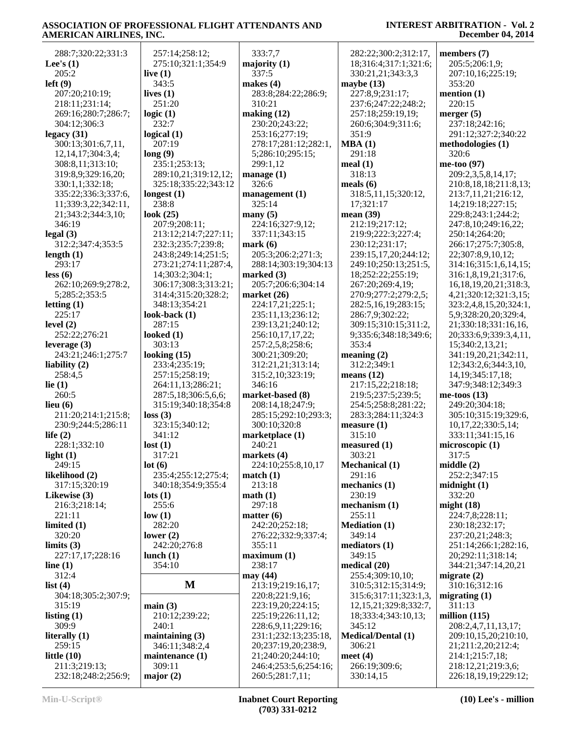| 288:7;320:22;331:3                   | 257:14;258:12;       | 333:7,7                | 282:22;300:2;312:17,        | members (7)                 |
|--------------------------------------|----------------------|------------------------|-----------------------------|-----------------------------|
| Lee's $(1)$                          | 275:10;321:1;354:9   | majority $(1)$         | 18;316:4;317:1;321:6;       | 205:5;206:1,9;              |
| 205:2                                | live $(1)$           | 337:5                  | 330:21,21;343:3,3           | 207:10,16;225:19;           |
| left(9)                              | 343:5                | makes $(4)$            | maybe $(13)$                | 353:20                      |
| 207:20;210:19;                       | lives $(1)$          | 283:8;284:22;286:9;    | 227:8,9;231:17;             | mention $(1)$               |
| 218:11;231:14;                       | 251:20               | 310:21                 | 237:6;247:22;248:2;         | 220:15                      |
| 269:16;280:7;286:7;                  | logic $(1)$          | making $(12)$          | 257:18;259:19,19;           | merger $(5)$                |
| 304:12;306:3                         | 232:7                | 230:20;243:22;         | 260:6;304:9;311:6;          | 237:18;242:16;              |
| legacy(31)                           | logical $(1)$        | 253:16;277:19;         | 351:9                       | 291:12;327:2;340:22         |
| 300:13;301:6,7,11,                   | 207:19               | 278:17;281:12;282:1,   | MBA(1)                      | methodologies (1)           |
| 12, 14, 17; 304: 3, 4;               | long(9)              | 5;286:10;295:15;       | 291:18                      | 320:6                       |
| 308:8,11;313:10;                     | 235:1;253:13;        | 299:1,12               | meal $(1)$                  | me-too $(97)$               |
|                                      | 289:10,21;319:12,12; | manage $(1)$           | 318:13                      | 209:2,3,5,8,14,17;          |
| 319:8,9;329:16,20;                   |                      | 326:6                  |                             |                             |
| 330:1,1;332:18;                      | 325:18;335:22;343:12 |                        | meals $(6)$                 | 210:8, 18, 18; 211:8, 13;   |
| 335:22;336:3;337:6,                  | longest $(1)$        | $m$ anagement $(1)$    | 318:5,11,15;320:12,         | 213:7,11,21;216:12,         |
| 11;339:3,22;342:11,                  | 238:8                | 325:14                 | 17;321:17                   | 14;219:18;227:15;           |
| 21;343:2;344:3,10;                   | look $(25)$          | many(5)                | mean $(39)$                 | 229:8;243:1;244:2;          |
| 346:19                               | 207:9;208:11;        | 224:16;327:9,12;       | 212:19;217:12;              | 247:8,10;249:16,22;         |
| legal(3)                             | 213:12;214:7;227:11; | 337:11;343:15          | 219:9;222:3;227:4;          | 250:14;264:20;              |
| 312:2;347:4;353:5                    | 232:3;235:7;239:8;   | mark(6)                | 230:12;231:17;              | 266:17;275:7;305:8,         |
| length $(1)$                         | 243:8;249:14;251:5;  | 205:3;206:2;271:3;     | 239:15,17,20;244:12;        | 22;307:8,9,10,12;           |
| 293:17                               | 273:21;274:11;287:4, | 288:14;303:19;304:13   | 249:10;250:13;251:5,        | 314:16;315:1,6,14,15;       |
| less (6)                             | 14;303:2;304:1;      | marked $(3)$           | 18;252:22;255:19;           | 316:1,8,19,21;317:6,        |
| 262:10;269:9;278:2,                  | 306:17;308:3;313:21; | 205:7;206:6;304:14     | 267:20;269:4,19;            | 16, 18, 19, 20, 21; 318: 3, |
| 5;285:2;353:5                        | 314:4;315:20;328:2;  | market $(26)$          | 270:9;277:2;279:2,5;        | 4, 21, 320: 12, 321: 3, 15; |
| letting $(1)$                        | 348:13;354:21        | 224:17,21;225:1;       | 282:5,16,19;283:15;         | 323:2,4,8,15,20;324:1,      |
| 225:17                               | look-back $(1)$      | 235:11,13;236:12;      | 286:7,9;302:22;             | 5,9;328:20,20;329:4,        |
| level $(2)$                          | 287:15               | 239:13,21;240:12;      | 309:15;310:15;311:2,        | 21;330:18;331:16,16,        |
| 252:22;276:21                        | looked $(1)$         | 256:10,17,17,22;       | 9;335:6;348:18;349:6;       | 20;333:6,9;339:3,4,11,      |
| leverage $(3)$                       | 303:13               | 257:2,5,8;258:6;       | 353:4                       | 15;340:2,13,21;             |
| 243:21;246:1;275:7                   | looking $(15)$       | 300:21;309:20;         | meaning $(2)$               | 341:19,20,21;342:11,        |
| liability (2)                        | 233:4;235:19;        | 312:21,21;313:14;      | 312:2;349:1                 | 12;343:2,6;344:3,10,        |
| 258:4,5                              | 257:15;258:19;       | 315:2,10;323:19;       | means $(12)$                | 14, 19; 345: 17, 18;        |
| lie $(1)$                            | 264:11,13;286:21;    | 346:16                 | 217:15,22;218:18;           | 347:9;348:12;349:3          |
| 260:5                                | 287:5,18;306:5,6,6;  | market-based (8)       | 219:5;237:5;239:5;          | me-toos $(13)$              |
| lieu $(6)$                           | 315:19;340:18;354:8  | 208:14,18;247:9;       | 254:5;258:8;281:22;         | 249:20;304:18;              |
| 211:20;214:1;215:8;                  |                      | 285:15;292:10;293:3;   | 283:3;284:11;324:3          | 305:10;315:19;329:6,        |
|                                      | loss(3)              |                        |                             |                             |
| 230:9;244:5;286:11                   | 323:15;340:12;       | 300:10;320:8           | measure(1)<br>315:10        | 10,17,22;330:5,14;          |
| life $(2)$                           | 341:12               | marketplace (1)        |                             | 333:11;341:15,16            |
| 228:1;332:10                         | lost(1)              | 240:21                 | measured (1)                | microscopic (1)             |
| light(1)                             | 317:21               | markets $(4)$          | 303:21                      | 317:5                       |
| 249:15                               | lot(6)               | 224:10;255:8,10,17     | <b>Mechanical</b> (1)       | middle(2)                   |
| likelihood (2)                       | 235:4;255:12;275:4;  | match(1)               | 291:16                      | 252:2;347:15                |
| 317:15;320:19                        | 340:18;354:9;355:4   | 213:18                 | mechanics $(1)$             | $mid$ nidnight $(1)$        |
| Likewise (3)                         | $\textbf{lots}$ (1)  | math(1)                | 230:19                      | 332:20                      |
| 216:3;218:14;                        | 255:6                | 297:18                 | mechanism $(1)$             | might $(18)$                |
| 221:11                               | low(1)               | matter $(6)$           | 255:11                      | 224:7,8;228:11;             |
| limited $(1)$                        | 282:20               | 242:20;252:18;         | <b>Mediation (1)</b>        | 230:18;232:17;              |
| 320:20                               | lower $(2)$          | 276:22;332:9;337:4;    | 349:14                      | 237:20,21;248:3;            |
| limits(3)                            | 242:20;276:8         | 355:11                 | mediators(1)                | 251:14;266:1;282:16,        |
| 227:17,17;228:16                     | lunch $(1)$          | maximum <sub>(1)</sub> | 349:15                      | 20;292:11;318:14;           |
| line $(1)$                           | 354:10               | 238:17                 | medical $(20)$              | 344:21;347:14,20,21         |
| 312:4                                |                      | may (44)               | 255:4;309:10,10;            | migrate $(2)$               |
| list $(4)$                           | M                    | 213:19;219:16,17;      | 310:5;312:15;314:9;         | 310:16;312:16               |
| 304:18;305:2;307:9;                  |                      | 220:8;221:9,16;        | 315:6;317:11;323:1,3,       | migrating $(1)$             |
| 315:19                               | main(3)              | 223:19,20;224:15;      | 12, 15, 21; 329: 8; 332: 7, | 311:13                      |
| listing $(1)$                        | 210:12;239:22;       | 225:19;226:11,12;      | 18;333:4;343:10,13;         | million $(115)$             |
| 309:9                                | 240:1                | 228:6,9,11;229:16;     | 345:12                      | 208:2,4,7,11,13,17;         |
| literally $(1)$                      | maintaining $(3)$    | 231:1;232:13;235:18,   | <b>Medical/Dental (1)</b>   | 209:10,15,20;210:10,        |
|                                      |                      |                        |                             |                             |
| 259:15                               | 346:11;348:2,4       | 20;237:19,20;238:9,    | 306:21                      | 21;211:2,20;212:4;          |
| little $(10)$                        | maintenance $(1)$    | 21;240:20;244:10;      | meet $(4)$                  | 214:1;215:7,18;             |
| 211:3;219:13;<br>232:18;248:2;256:9; | 309:11               | 246:4;253:5,6;254:16;  | 266:19;309:6;               | 218:12,21;219:3,6;          |
|                                      | major $(2)$          | 260:5;281:7,11;        | 330:14,15                   | 226:18,19,19;229:12;        |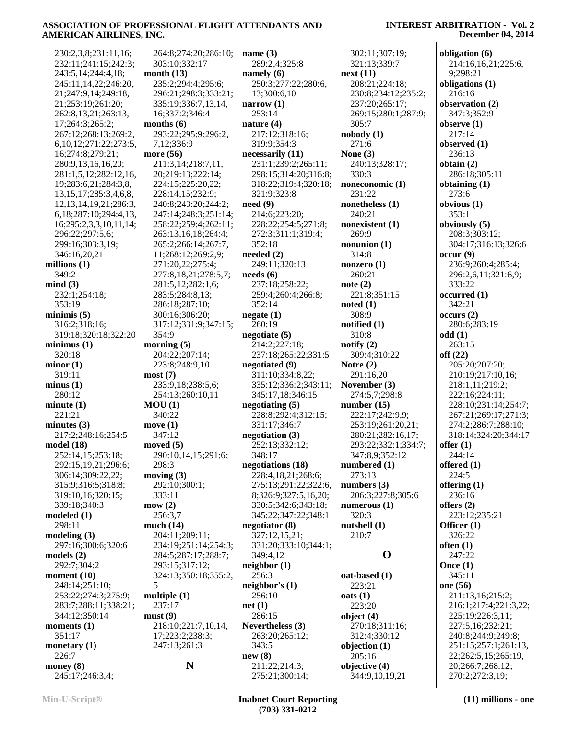| 230:2,3,8;231:11,16;                     | 264:8;274:20;286:10; | name $(3)$                      | 302:11;307:19;                  | obligation (6)                      |
|------------------------------------------|----------------------|---------------------------------|---------------------------------|-------------------------------------|
| 232:11;241:15;242:3;                     | 303:10;332:17        | 289:2,4;325:8                   | 321:13;339:7                    | 214:16,16,21;225:6,                 |
| 243:5,14;244:4,18;                       | month $(13)$         | namely $(6)$                    | next(11)                        | 9;298:21                            |
| 245:11,14,22;246:20,                     | 235:2;294:4;295:6;   | 250:3;277:22;280:6,             | 208:21;224:18;                  | obligations (1)                     |
| 21;247:9,14;249:18,                      | 296:21;298:3;333:21; | 13;300:6,10                     | 230:8;234:12;235:2;             | 216:16                              |
| 21;253:19;261:20;                        | 335:19;336:7,13,14,  | narrow $(1)$                    | 237:20;265:17;                  | observation (2)                     |
| 262:8, 13, 21; 263: 13,                  | 16;337:2;346:4       | 253:14                          | 269:15;280:1;287:9;             | 347:3;352:9                         |
| 17;264:3;265:2;                          | months $(6)$         | nature $(4)$                    | 305:7                           | observe $(1)$                       |
|                                          | 293:22;295:9;296:2,  |                                 |                                 | 217:14                              |
| 267:12;268:13;269:2,                     |                      | 217:12;318:16;                  | nobody(1)                       |                                     |
| 6, 10, 12, 271: 22, 273: 5,              | 7,12;336:9           | 319:9;354:3                     | 271:6                           | observed $(1)$                      |
| 16;274:8;279:21;                         | more (56)            | necessarily (11)                | None $(3)$                      | 236:13                              |
| 280:9,13,16,16,20;                       | 211:3,14;218:7,11,   | 231:1;239:2;265:11;             | 240:13;328:17;                  | obtain $(2)$                        |
| 281:1,5,12;282:12,16,                    | 20;219:13;222:14;    | 298:15;314:20;316:8;            | 330:3                           | 286:18;305:11                       |
| 19;283:6,21;284:3,8,                     | 224:15;225:20,22;    | 318:22;319:4;320:18;            | noneconomic (1)                 | obtaining $(1)$                     |
| 13, 15, 17; 285: 3, 4, 6, 8,             | 228:14,15;232:9;     | 321:9;323:8                     | 231:22                          | 273:6                               |
| 12, 13, 14, 19, 21; 286: 3,              | 240:8;243:20;244:2;  | need(9)                         | nonetheless $(1)$               | obvious $(1)$                       |
| 6, 18; 287: 10; 294: 4, 13,              | 247:14;248:3;251:14; | 214:6;223:20;                   | 240:21                          | 353:1                               |
| 16;295:2,3,3,10,11,14;                   | 258:22;259:4;262:11; | 228:22;254:5;271:8;             | nonexistent (1)                 | obviously (5)                       |
| 296:22;297:5,6;                          | 263:13,16,18;264:4;  | 272:3;311:1;319:4;              | 269:9                           | 208:3;303:12;                       |
| 299:16;303:3,19;                         | 265:2;266:14;267:7,  | 352:18                          | nonunion $(1)$                  | 304:17;316:13;326:6                 |
| 346:16,20,21                             | 11;268:12;269:2,9;   | needed $(2)$                    | 314:8                           | occur(9)                            |
| millions $(1)$                           | 271:20,22;275:4;     | 249:11;320:13                   | nonzero $(1)$                   | 236:9;260:4;285:4;                  |
| 349:2                                    | 277:8,18,21;278:5,7; | $\boldsymbol{\text{needs (6)}}$ | 260:21                          | 296:2,6,11;321:6,9;                 |
| mind(3)                                  | 281:5,12;282:1,6;    | 237:18;258:22;                  | note $(2)$                      | 333:22                              |
| 232:1;254:18;                            | 283:5;284:8,13;      | 259:4;260:4;266:8;              | 221:8;351:15                    | occurred (1)                        |
| 353:19                                   | 286:18;287:10;       | 352:14                          | noted(1)                        | 342:21                              |
|                                          |                      |                                 |                                 |                                     |
| minimis(5)                               | 300:16;306:20;       | negative(1)                     | 308:9                           | occurs(2)                           |
| 316:2;318:16;                            | 317:12;331:9;347:15; | 260:19                          | notified (1)                    | 280:6;283:19                        |
| 319:18;320:18;322:20                     | 354:9                | negotiate(5)                    | 310:8                           | odd(1)                              |
| minimus(1)                               | morning $(5)$        | 214:2;227:18;                   | notify $(2)$                    | 263:15                              |
| 320:18                                   | 204:22;207:14;       | 237:18;265:22;331:5             | 309:4;310:22                    | off $(22)$                          |
| minor(1)                                 | 223:8;248:9,10       | negotiated (9)                  | Notre $(2)$                     | 205:20;207:20;                      |
| 319:11                                   | most(7)              | 311:10;334:8,22;                | 291:16,20                       | 210:19;217:10,16;                   |
| minus(1)                                 | 233:9,18;238:5,6;    | 335:12;336:2;343:11;            | November $(3)$                  | 218:1,11;219:2;                     |
| 280:12                                   | 254:13;260:10,11     | 345:17,18;346:15                | 274:5,7;298:8                   | 222:16;224:11;                      |
| minute(1)                                | MOU(1)               | negotiating $(5)$               | number $(15)$                   | 228:10;231:14;254:7;                |
| 221:21                                   | 340:22               | 228:8;292:4;312:15;             | 222:17;242:9,9;                 | 267:21;269:17;271:3;                |
| minutes $(3)$                            | move(1)              | 331:17;346:7                    | 253:19;261:20,21;               | 274:2;286:7;288:10;                 |
| 217:2;248:16;254:5                       | 347:12               | negotiation $(3)$               | 280:21;282:16,17;               | 318:14;324:20;344:17                |
| model(18)                                | moved $(5)$          | 252:13;332:12;                  | 293:22;332:1;334:7;             | offer $(1)$                         |
| 252:14,15;253:18;                        | 290:10,14,15;291:6;  | 348:17                          | 347:8,9;352:12                  | 244:14                              |
| 292:15,19,21;296:6;                      | 298:3                | negotiations (18)               | numbered $(1)$                  | offered $(1)$                       |
|                                          |                      |                                 |                                 |                                     |
| 306:14;309:22,22;                        | moving $(3)$         | 228:4,18,21;268:6;              | 273:13                          | 224:5                               |
| 315:9;316:5;318:8;                       | 292:10;300:1;        | 275:13;291:22;322:6,            | numbers $(3)$                   | offering $(1)$                      |
| 319:10,16;320:15;                        | 333:11               | 8;326:9;327:5,16,20;            | 206:3;227:8;305:6               | 236:16                              |
| 339:18;340:3                             | mow(2)               | 330:5;342:6;343:18;             | numerous $(1)$                  | offers $(2)$                        |
| modeled(1)                               | 256:3,7              | 345:22;347:22;348:1             | 320:3                           | 223:12;235:21                       |
| 298:11                                   | much $(14)$          | negotiator (8)                  | nutshell $(1)$                  | Officer $(1)$                       |
| modeling(3)                              | 204:11;209:11;       | 327:12,15,21;                   | 210:7                           | 326:22                              |
| 297:16;300:6;320:6                       | 234:19;251:14;254:3; | 331:20;333:10;344:1;            |                                 | often $(1)$                         |
| models $(2)$                             | 284:5;287:17;288:7;  | 349:4,12                        | $\mathbf 0$                     | 247:22                              |
| 292:7;304:2                              | 293:15;317:12;       | neighbor(1)                     |                                 | Once $(1)$                          |
| moment $(10)$                            | 324:13;350:18;355:2, | 256:3                           | oat-based (1)                   | 345:11                              |
| 248:14;251:10;                           | 5                    | neighbor's $(1)$                | 223:21                          | one (56)                            |
| 253:22;274:3;275:9;                      | multiple $(1)$       | 256:10                          | oats(1)                         | 211:13,16;215:2;                    |
| 283:7;288:11;338:21;                     | 237:17               | net(1)                          | 223:20                          | 216:1;217:4;221:3,22;               |
| 344:12;350:14                            | must(9)              | 286:15                          | object $(4)$                    | 225:19;226:3,11;                    |
|                                          |                      |                                 |                                 |                                     |
|                                          |                      |                                 |                                 |                                     |
|                                          | 218:10;221:7,10,14,  | Nevertheless (3)                | 270:18;311:16;                  | 227:5,16;232:21;                    |
| 351:17                                   | 17;223:2;238:3;      | 263:20;265:12;                  | 312:4;330:12                    | 240:8;244:9;249:8;                  |
|                                          | 247:13;261:3         | 343:5                           | objection $(1)$                 | 251:15;257:1;261:13,                |
| moments $(1)$<br>monetary $(1)$<br>226:7 |                      | new(8)                          | 205:16                          | 22;262:5,15;265:19,                 |
| money $(8)$<br>245:17;246:3,4;           | N                    | 211:22;214:3;<br>275:21;300:14; | objective (4)<br>344:9,10,19,21 | 20;266:7;268:12;<br>270:2;272:3,19; |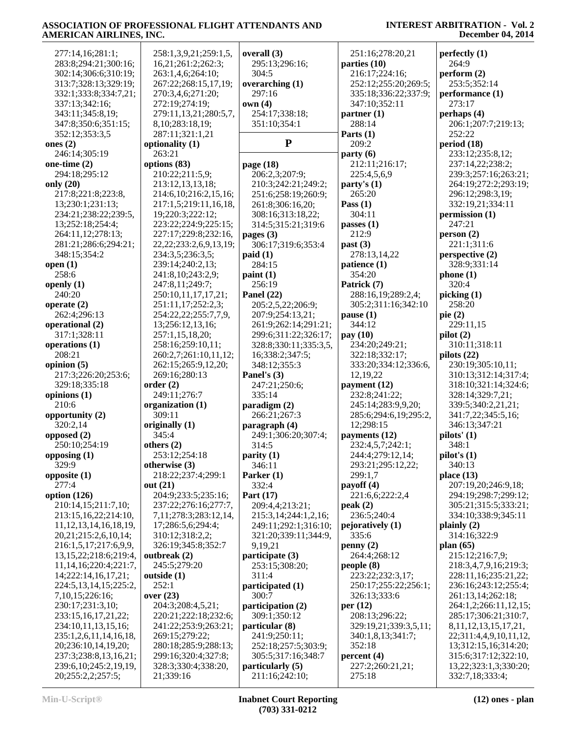| 277:14,16;281:1;            | 258:1,3,9,21;259:1,5,         | overall (3)           | 251:16;278:20,21      | perfectly(1)                |
|-----------------------------|-------------------------------|-----------------------|-----------------------|-----------------------------|
| 283:8;294:21;300:16;        | 16,21;261:2;262:3;            | 295:13;296:16;        | parties $(10)$        | 264:9                       |
| 302:14;306:6;310:19;        | 263:1,4,6;264:10;             | 304:5                 | 216:17;224:16;        | perform (2)                 |
| 313:7;328:13;329:19;        | 267:22;268:15,17,19;          | overarching $(1)$     | 252:12;255:20;269:5;  | 253:5;352:14                |
| 332:1;333:8;334:7,21;       | 270:3,4,6;271:20;             | 297:16                | 335:18;336:22;337:9;  | performance (1)             |
| 337:13;342:16;              | 272:19;274:19;                | own(4)                | 347:10;352:11         | 273:17                      |
| 343:11;345:8,19;            | 279:11,13,21;280:5,7,         | 254:17;338:18;        | partner(1)            | perhaps (4)                 |
| 347:8;350:6;351:15;         | 8, 10; 283: 18, 19;           | 351:10;354:1          | 288:14                | 206:1;207:7;219:13;         |
| 352:12;353:3,5              | 287:11;321:1,21               |                       | Parts $(1)$           | 252:22                      |
| ones $(2)$                  | optionality (1)               | ${\bf P}$             | 209:2                 | period (18)                 |
| 246:14;305:19               | 263:21                        |                       | party(6)              | 233:12;235:8,12;            |
| one-time $(2)$              | options (83)                  | page (18)             | 212:11;216:17;        | 237:14,22;238:2;            |
| 294:18;295:12               | 210:22;211:5,9;               | 206:2,3;207:9;        | 225:4,5,6,9           | 239:3;257:16;263:21;        |
| only $(20)$                 | 213:12,13,13,18;              | 210:3;242:21;249:2;   | party's $(1)$         | 264:19;272:2;293:19;        |
| 217:8;221:8;223:8,          | 214:6, 10; 216: 2, 15, 16;    | 251:6;258:19;260:9;   | 265:20                | 296:12;298:3,19;            |
| 13;230:1;231:13;            | 217:1,5;219:11,16,18,         | 261:8;306:16,20;      | Pass $(1)$            | 332:19,21;334:11            |
| 234:21;238:22;239:5,        | 19;220:3;222:12;              | 308:16;313:18,22;     | 304:11                | permission (1)              |
| 13;252:18;254:4;            | 223:22;224:9;225:15;          | 314:5;315:21;319:6    | passes (1)            | 247:21                      |
| 264:11,12;278:13;           | 227:17;229:8;232:16,          | pages $(3)$           | 212:9                 | person (2)                  |
| 281:21;286:6;294:21;        | 22, 22; 233: 2, 6, 9, 13, 19; | 306:17;319:6;353:4    | past (3)              | 221:1;311:6                 |
| 348:15;354:2                | 234:3,5;236:3,5;              | paid(1)               | 278:13,14,22          | perspective (2)             |
| open $(1)$                  | 239:14;240:2,13;              | 284:15                | patience (1)          | 328:9;331:14                |
| 258:6                       | 241:8,10;243:2,9;             | paint(1)              | 354:20                | phone(1)                    |
| openly $(1)$                | 247:8,11;249:7;               | 256:19                | Patrick (7)           | 320:4                       |
| 240:20                      | 250:10,11,17,17,21;           | Panel $(22)$          | 288:16,19;289:2,4;    | picking (1)                 |
| operate $(2)$               | 251:11,17;252:2,3;            | 205:2,5,22;206:9;     | 305:2;311:16;342:10   | 258:20                      |
| 262:4;296:13                | 254:22,22;255:7,7,9,          | 207:9:254:13,21;      | pause(1)              | pie $(2)$                   |
| operational (2)             | 13;256:12,13,16;              | 261:9;262:14;291:21;  | 344:12                | 229:11,15                   |
| 317:1;328:11                | 257:1,15,18,20;               | 299:6;311:22;326:17;  | pay (10)              | pilot(2)                    |
| operations $(1)$            | 258:16;259:10,11;             | 328:8;330:11;335:3,5, | 234:20;249:21;        | 310:11;318:11               |
| 208:21                      | 260:2,7;261:10,11,12;         | 16;338:2;347:5;       | 322:18;332:17;        | pilots $(22)$               |
| opinion $(5)$               | 262:15;265:9,12,20;           | 348:12;355:3          | 333:20;334:12;336:6,  | 230:19;305:10,11;           |
| 217:3;226:20;253:6;         | 269:16;280:13                 | Panel's (3)           | 12,19,22              | 310:13;312:14;317:4;        |
| 329:18;335:18               | order(2)                      | 247:21;250:6;         | payment (12)          | 318:10;321:14;324:6;        |
| opinions $(1)$              | 249:11;276:7                  | 335:14                | 232:8;241:22;         | 328:14;329:7,21;            |
| 210:6                       | organization (1)              | paradigm (2)          | 245:14;283:9,9,20;    | 339:5;340:2,21,21;          |
| opportunity (2)             | 309:11                        | 266:21;267:3          | 285:6;294:6,19;295:2, | 341:7,22;345:5,16;          |
| 320:2,14                    | originally (1)                | paragraph (4)         | 12;298:15             | 346:13;347:21               |
| opposed $(2)$               | 345:4                         | 249:1;306:20;307:4;   | payments (12)         | pilots' (1)                 |
| 250:10;254:19               | others $(2)$                  | 314:5                 | 232:4,5,7;242:1;      | 348:1                       |
| opposing $(1)$              | 253:12;254:18                 | parity(1)             | 244:4;279:12,14;      | pilot's(1)                  |
| 329:9                       | otherwise (3)                 | 346:11                | 293:21;295:12,22;     | 340:13                      |
| opposite $(1)$              | 218:22;237:4;299:1            | Parker $(1)$          | 299:1.7               | place $(13)$                |
| 277:4                       | out $(21)$                    | 332:4                 | payoff $(4)$          | 207:19,20;246:9,18;         |
| option $(126)$              | 204:9;233:5;235:16;           | Part (17)             | 221:6,6;222:2,4       | 294:19;298:7;299:12;        |
| 210:14,15;211:7,10;         | 237:22;276:16;277:7,          | 209:4,4;213:21;       | peak(2)               | 305:21;315:5;333:21;        |
| 213:15,16,22;214:10,        | 7,11,278:3,283:12,14,         | 215:3,14;244:1,2,16;  | 236:5;240:4           | 334:10;338:9;345:11         |
| 11, 12, 13, 14, 16, 18, 19, | 17;286:5,6;294:4;             | 249:11;292:1;316:10;  | pejoratively (1)      | plainly $(2)$               |
| 20,21;215:2,6,10,14;        | 310:12;318:2,2;               | 321:20;339:11;344:9,  | 335:6                 | 314:16;322:9                |
| 216:1,5,17;217:6,9,9,       | 326:19;345:8;352:7            | 9,19,21               | penny(2)              | plan $(65)$                 |
| 13, 15, 22; 218: 6; 219: 4, | outbreak $(2)$                | participate (3)       | 264:4;268:12          | 215:12;216:7,9;             |
| 11, 14, 16; 220: 4; 221: 7, | 245:5;279:20                  | 253:15;308:20;        | people(8)             | 218:3,4,7,9,16;219:3;       |
| 14;222:14,16,17,21;         | outside $(1)$                 | 311:4                 | 223:22;232:3,17;      | 228:11,16;235:21,22;        |
| 224:5, 13, 14, 15; 225: 2,  | 252:1                         | participated (1)      | 250:17;255:22;256:1;  | 236:16;243:12;255:4;        |
| 7,10,15;226:16;             | over $(23)$                   | 300:7                 | 326:13;333:6          | 261:13,14;262:18;           |
| 230:17;231:3,10;            | 204:3;208:4,5,21;             | participation (2)     | per $(12)$            | 264:1,2;266:11,12,15;       |
| 233:15,16,17,21,22;         | 220:21;222:18;232:6;          | 309:1;350:12          | 208:13;296:22;        | 285:17;306:21;310:7,        |
| 234:10,11,13,15,16;         | 241:22;253:9;263:21;          | particular (8)        | 329:19,21;339:3,5,11; | 8, 11, 12, 13, 15, 17, 21,  |
| 235:1,2,6,11,14,16,18,      | 269:15;279:22;                | 241:9;250:11;         | 340:1,8,13;341:7;     | 22;311:4,4,9,10,11,12,      |
| 20;236:10,14,19,20;         | 280:18;285:9;288:13;          | 252:18;257:5;303:9;   | 352:18                | 13;312:15,16;314:20;        |
| 237:3;238:8,13,16,21;       | 299:16;320:4;327:8;           | 305:5;317:16;348:7    | percent (4)           | 315:6;317:12;322:10,        |
| 239:6, 10; 245: 2, 19, 19,  | 328:3;330:4;338:20,           | particularly (5)      | 227:2;260:21,21;      | 13, 22; 323: 1, 3; 330: 20; |
| 20;255:2,2;257:5;           | 21;339:16                     | 211:16;242:10;        | 275:18                | 332:7,18;333:4;             |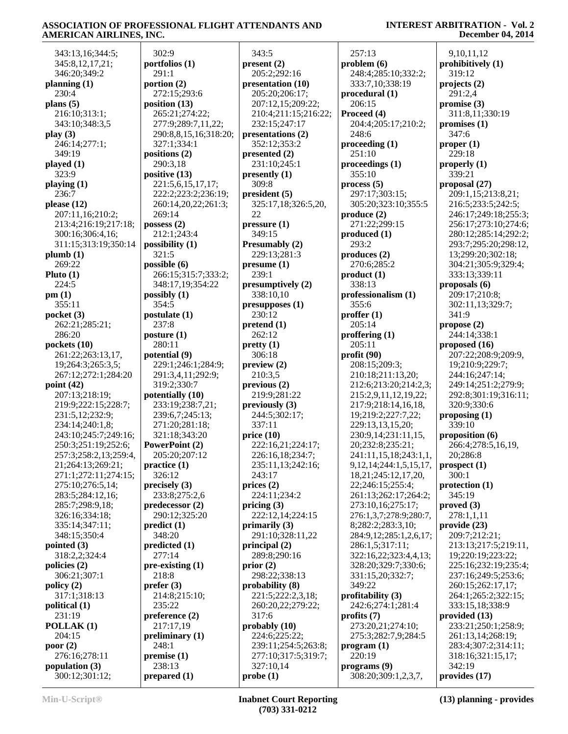#### 343:13,16;344:5; 345:8,12,17,21; 346:20;349:2 **planning (1)** 230:4 **plans (5)** 216:10;313:1; 343:10;348:3,5 **play (3)** 246:14;277:1; 349:19 **played (1)** 323:9 **playing (1)** 236:7 **please (12)** 207:11,16;210:2; 213:4;216:19;217:18; 300:16;306:4,16; 311:15;313:19;350:14 **plumb (1)** 269:22 **Pluto (1)** 224:5 **pm (1)** 355:11 **pocket (3)** 262:21;285:21; 286:20 **pockets (10)** 261:22;263:13,17, 19;264:3;265:3,5; 267:12;272:1;284:20 **point (42)** 207:13;218:19; 219:9;222:15;228:7; 231:5,12;232:9; 234:14;240:1,8; 243:10;245:7;249:16; 250:3;251:19;252:6; 257:3;258:2,13;259:4, 21;264:13;269:21; 271:1;272:11;274:15; 275:10;276:5,14; 283:5;284:12,16; 285:7;298:9,18; 326:16;334:18; 335:14;347:11; 348:15;350:4 **pointed (3)** 318:2,2;324:4 **policies (2)** 306:21;307:1 **policy (2)** 317:1;318:13 **political (1)** 231:19 **POLLAK (1)** 204:15 **poor (2)** 276:16;278:11 **population (3)** 300:12;301:12;

 302:9 **portfolios (1)** 291:1 **portion (2)** 272:15;293:6 **position (13)** 265:21;274:22; 277:9;289:7,11,22; 290:8,8,15,16;318:20; 327:1;334:1 **positions (2)** 290:3,18 **positive (13)** 221:5,6,15,17,17; 222:2;223:2;236:19; 260:14,20,22;261:3; 269:14 **possess (2)** 212:1;243:4 **possibility (1)** 321:5 **possible (6)** 266:15;315:7;333:2; 348:17,19;354:22 **possibly (1)** 354:5 **postulate (1)** 237:8 **posture (1)** 280:11 **potential (9)** 229:1;246:1;284:9; 291:3,4,11;292:9; 319:2;330:7 **potentially (10)** 233:19;238:7,21; 239:6,7;245:13; 271:20;281:18; 321:18;343:20 **PowerPoint (2)** 205:20;207:12 **practice (1)** 326:12 **precisely (3)** 233:8;275:2,6 **predecessor (2)** 290:12;325:20 **predict (1)** 348:20 **predicted (1)** 277:14 **pre-existing (1)** 218:8 **prefer (3)** 214:8;215:10; 235:22 **preference (2)** 217:17,19 **preliminary (1)** 248:1 **premise (1)** 238:13 **prepared (1)**

#### 343:5 **present (2)** 205:2;292:16 **presentation (10)** 205:20;206:17; 207:12,15;209:22; 210:4;211:15;216:22; 232:15;247:17 **presentations (2)** 352:12;353:2 **presented (2)** 231:10;245:1 **presently (1)** 309:8 **president (5)** 325:17,18;326:5,20, 22 **pressure (1)** 349:15 **Presumably (2)** 229:13;281:3 **presume (1)** 239:1 **presumptively (2)** 338:10,10 **presupposes (1)** 230:12 **pretend (1)** 262:12 **pretty (1)** 306:18 **preview (2)** 210:3,5 **previous (2)** 219:9;281:22 **previously (3)** 244:5;302:17; 337:11 **price (10)** 222:16,21;224:17; 226:16,18;234:7; 235:11,13;242:16; 243:17 **prices (2)** 224:11;234:2 **pricing (3)** 222:12,14;224:15 **primarily (3)** 291:10;328:11,22 **principal (2)** 289:8;290:16 **prior (2)** 298:22;338:13 **probability (8)** 221:5;222:2,3,18; 260:20,22;279:22; 317:6 **probably (10)** 224:6;225:22; 239:11;254:5;263:8; 277:10;317:5;319:7; 327:10,14 **probe (1)**

#### 257:13 **problem (6)** 248:4;285:10;332:2; 333:7,10;338:19 **procedural (1)** 206:15 **Proceed (4)** 204:4;205:17;210:2; 248:6 **proceeding (1)** 251:10 **proceedings (1)** 355:10 **process (5)** 297:17;303:15; 305:20;323:10;355:5 **produce (2)** 271:22;299:15 **produced (1)** 293:2 **produces (2)** 270:6;285:2 **product (1)** 338:13 **professionalism (1)** 355:6 **proffer (1)** 205:14 **proffering (1)** 205:11 **profit (90)** 208:15;209:3; 210:18;211:13,20; 212:6;213:20;214:2,3; 215:2,9,11,12,19,22; 217:9;218:14,16,18, 19;219:2;227:7,22; 229:13,13,15,20; 230:9,14;231:11,15, 20;232:8;235:21; 241:11,15,18;243:1,1, 9,12,14;244:1,5,15,17, 18,21;245:12,17,20, 22;246:15;255:4; 261:13;262:17;264:2; 273:10,16;275:17; 276:1,3,7;278:9;280:7, 8;282:2;283:3,10; 284:9,12;285:1,2,6,17; 286:1,5;317:11; 322:16,22;323:4,4,13; 328:20;329:7;330:6; 331:15,20;332:7; 349:22 **profitability (3)** 242:6;274:1;281:4 **profits (7)** 273:20,21;274:10; 275:3;282:7,9;284:5 **program (1)** 220:19 **programs (9)** 308:20;309:1,2,3,7, **provides (17)**

#### **INTEREST ARBITRATION - Vol. 2 December 04, 2014**

 9,10,11,12 **prohibitively (1)** 319:12 **projects (2)** 291:2,4 **promise (3)** 311:8,11;330:19 **promises (1)** 347:6 **proper (1)** 229:18 **properly (1)** 339:21 **proposal (27)** 209:1,15;213:8,21; 216:5;233:5;242:5; 246:17;249:18;255:3; 256:17;273:10;274:6; 280:12;285:14;292:2; 293:7;295:20;298:12, 13;299:20;302:18; 304:21;305:9;329:4; 333:13;339:11 **proposals (6)** 209:17;210:8; 302:11,13;329:7; 341:9 **propose (2)** 244:14;338:1 **proposed (16)** 207:22;208:9;209:9, 19;210:9;229:7; 244:16;247:14; 249:14;251:2;279:9; 292:8;301:19;316:11; 320:9;330:6 **proposing (1)** 339:10 **proposition (6)** 266:4;278:5,16,19, 20;286:8 **prospect (1)** 300:1 **protection (1)** 345:19 **proved (3)** 278:1,1,11 **provide (23)** 209:7;212:21; 213:13;217:5;219:11, 19;220:19;223:22; 225:16;232:19;235:4; 237:16;249:5;253:6; 260:15;262:17,17; 264:1;265:2;322:15; 333:15,18;338:9 **provided (13)** 233:21;250:1;258:9; 261:13,14;268:19; 283:4;307:2;314:11; 318:16;321:15,17; 342:19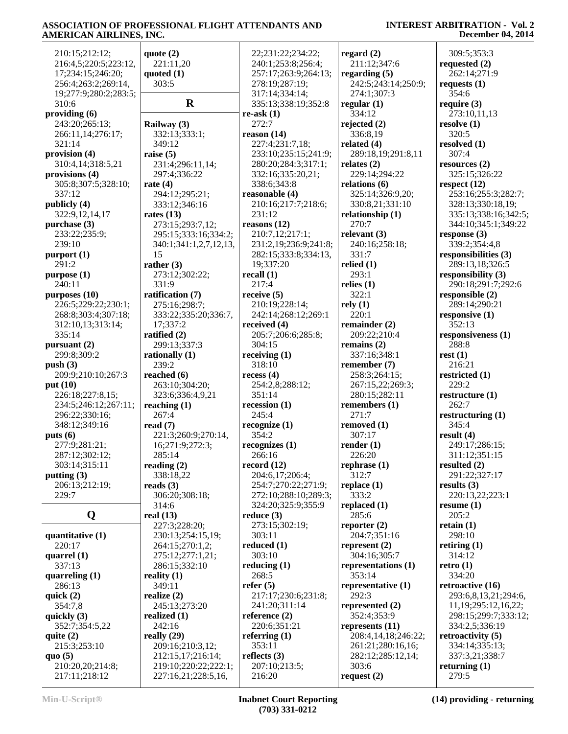| 309:5;353:3<br>210:15;212:12;<br>quote $(2)$<br>22;231:22;234:22;<br>regard $(2)$<br>216:4,5;220:5;223:12,<br>240:1;253:8;256:4;<br>211:12;347:6<br>221:11,20<br>requested $(2)$<br>17;234:15;246:20;<br>quoted $(1)$<br>257:17;263:9;264:13;<br>regarding $(5)$<br>262:14;271:9<br>303:5<br>256:4;263:2;269:14,<br>278:19;287:19;<br>242:5;243:14;250:9;<br>requests $(1)$<br>354:6<br>19;277:9;280:2;283:5;<br>317:14;334:14;<br>274:1;307:3 |                      |
|------------------------------------------------------------------------------------------------------------------------------------------------------------------------------------------------------------------------------------------------------------------------------------------------------------------------------------------------------------------------------------------------------------------------------------------------|----------------------|
|                                                                                                                                                                                                                                                                                                                                                                                                                                                |                      |
|                                                                                                                                                                                                                                                                                                                                                                                                                                                |                      |
|                                                                                                                                                                                                                                                                                                                                                                                                                                                |                      |
|                                                                                                                                                                                                                                                                                                                                                                                                                                                |                      |
|                                                                                                                                                                                                                                                                                                                                                                                                                                                |                      |
|                                                                                                                                                                                                                                                                                                                                                                                                                                                |                      |
| $\mathbf R$<br>310:6<br>335:13;338:19;352:8<br>regular $(1)$<br>require $(3)$                                                                                                                                                                                                                                                                                                                                                                  |                      |
| providing $(6)$<br>334:12<br>re-ask $(1)$<br>273:10,11,13                                                                                                                                                                                                                                                                                                                                                                                      |                      |
| 272:7<br>243:20;265:13;<br>rejected $(2)$<br>resolve $(1)$<br>Railway (3)                                                                                                                                                                                                                                                                                                                                                                      |                      |
| 332:13;333:1;<br>reason $(14)$<br>336:8,19<br>320:5<br>266:11,14;276:17;                                                                                                                                                                                                                                                                                                                                                                       |                      |
| 321:14<br>227:4;231:7,18;<br>related $(4)$<br>resolved $(1)$<br>349:12                                                                                                                                                                                                                                                                                                                                                                         |                      |
| provision (4)<br>289:18,19;291:8,11<br>307:4<br>raise $(5)$<br>233:10;235:15;241:9;                                                                                                                                                                                                                                                                                                                                                            |                      |
| 310:4,14;318:5,21<br>231:4;296:11,14;<br>280:20;284:3;317:1;<br>resources (2)<br>relates $(2)$                                                                                                                                                                                                                                                                                                                                                 |                      |
|                                                                                                                                                                                                                                                                                                                                                                                                                                                |                      |
| 332:16;335:20,21;<br>229:14;294:22<br>provisions (4)<br>297:4;336:22<br>325:15;326:22                                                                                                                                                                                                                                                                                                                                                          |                      |
| 338:6;343:8<br>305:8;307:5;328:10;<br>relations $(6)$<br>rate $(4)$<br>respect $(12)$                                                                                                                                                                                                                                                                                                                                                          |                      |
| 337:12<br>294:12;295:21;<br>reasonable (4)<br>325:14;326:9,20;<br>253:16;255:3;282:7;                                                                                                                                                                                                                                                                                                                                                          |                      |
| publicly (4)<br>333:12;346:16<br>210:16;217:7;218:6;<br>330:8,21;331:10<br>328:13;330:18,19;                                                                                                                                                                                                                                                                                                                                                   |                      |
| 231:12<br>322:9,12,14,17<br>rates $(13)$<br>relationship (1)                                                                                                                                                                                                                                                                                                                                                                                   | 335:13;338:16;342:5; |
| 270:7<br>reasons $(12)$<br>purchase $(3)$<br>273:15;293:7,12;                                                                                                                                                                                                                                                                                                                                                                                  | 344:10;345:1;349:22  |
| 210:7,12;217:1;<br>relevant $(3)$<br>233:22;235:9;<br>response $(3)$<br>295:15;333:16;334:2;                                                                                                                                                                                                                                                                                                                                                   |                      |
| 239:10<br>231:2,19;236:9;241:8;<br>240:16;258:18;<br>339:2;354:4,8<br>340:1;341:1,2,7,12,13,                                                                                                                                                                                                                                                                                                                                                   |                      |
| 15<br>331:7<br>282:15;333:8;334:13,<br>responsibilities (3)                                                                                                                                                                                                                                                                                                                                                                                    |                      |
| $p$ urport $(1)$                                                                                                                                                                                                                                                                                                                                                                                                                               |                      |
| 19;337:20<br>relied $(1)$<br>291:2<br>rather $(3)$<br>289:13,18;326:5                                                                                                                                                                                                                                                                                                                                                                          |                      |
| 293:1<br>recall $(1)$<br>responsibility $(3)$<br>purpose (1)<br>273:12;302:22;                                                                                                                                                                                                                                                                                                                                                                 |                      |
| 331:9<br>217:4<br>240:11<br>relies $(1)$<br>290:18;291:7;292:6                                                                                                                                                                                                                                                                                                                                                                                 |                      |
| 322:1<br>purposes (10)<br>receive $(5)$<br>ratification (7)<br>responsible $(2)$                                                                                                                                                                                                                                                                                                                                                               |                      |
| rely(1)<br>226:5;229:22;230:1;<br>210:19;228:14;<br>289:14;290:21<br>275:16;298:7;                                                                                                                                                                                                                                                                                                                                                             |                      |
| 220:1<br>268:8;303:4;307:18;<br>242:14;268:12;269:1<br>responsive $(1)$<br>333:22;335:20;336:7,                                                                                                                                                                                                                                                                                                                                                |                      |
| 17;337:2<br>352:13<br>312:10,13;313:14;<br>received $(4)$<br>remainder $(2)$                                                                                                                                                                                                                                                                                                                                                                   |                      |
| 335:14<br>ratified (2)<br>205:7;206:6;285:8;<br>209:22;210:4<br>responsiveness (1)                                                                                                                                                                                                                                                                                                                                                             |                      |
|                                                                                                                                                                                                                                                                                                                                                                                                                                                |                      |
| 299:13;337:3<br>304:15<br>288:8<br>remains $(2)$<br>pursuant $(2)$                                                                                                                                                                                                                                                                                                                                                                             |                      |
| 299:8;309:2<br>337:16;348:1                                                                                                                                                                                                                                                                                                                                                                                                                    |                      |
| receiving $(1)$<br>rest(1)<br>rationally $(1)$                                                                                                                                                                                                                                                                                                                                                                                                 |                      |
| 318:10<br>push $(3)$<br>239:2<br>remember (7)<br>216:21                                                                                                                                                                                                                                                                                                                                                                                        |                      |
| 209:9;210:10;267:3<br>recess $(4)$<br>258:3;264:15;<br>reached $(6)$<br>restricted $(1)$                                                                                                                                                                                                                                                                                                                                                       |                      |
| 229:2<br>254:2,8;288:12;<br>267:15,22;269:3;                                                                                                                                                                                                                                                                                                                                                                                                   |                      |
| put $(10)$<br>263:10;304:20;                                                                                                                                                                                                                                                                                                                                                                                                                   |                      |
| 226:18;227:8,15;<br>351:14<br>280:15;282:11<br>restructure $(1)$<br>323:6;336:4,9,21                                                                                                                                                                                                                                                                                                                                                           |                      |
| reaching $(1)$<br>recession $(1)$<br>remembers $(1)$<br>262:7<br>234:5;246:12;267:11;                                                                                                                                                                                                                                                                                                                                                          |                      |
| 245:4<br>271:7<br>296:22;330:16;<br>267:4<br>restructuring $(1)$                                                                                                                                                                                                                                                                                                                                                                               |                      |
| 345:4<br>348:12;349:16<br>read $(7)$<br>recognize(1)<br>removed (1)                                                                                                                                                                                                                                                                                                                                                                            |                      |
| 354:2<br>221:3;260:9;270:14,<br>307:17<br>result $(4)$<br>puts(6)                                                                                                                                                                                                                                                                                                                                                                              |                      |
| 277:9;281:21;<br>recognizes $(1)$<br>render $(1)$<br>249:17;286:15;<br>16;271:9;272:3;                                                                                                                                                                                                                                                                                                                                                         |                      |
| 287:12;302:12;<br>226:20<br>311:12;351:15<br>285:14<br>266:16                                                                                                                                                                                                                                                                                                                                                                                  |                      |
| 303:14;315:11<br>record $(12)$<br>rephrase $(1)$<br>resulted $(2)$<br>reading $(2)$                                                                                                                                                                                                                                                                                                                                                            |                      |
| 312:7<br>291:22;327:17<br>putting $(3)$<br>338:18,22<br>204:6,17;206:4;                                                                                                                                                                                                                                                                                                                                                                        |                      |
|                                                                                                                                                                                                                                                                                                                                                                                                                                                |                      |
| replace $(1)$<br>206:13;212:19;<br>254:7;270:22;271:9;<br>reads $(3)$<br>results $(3)$                                                                                                                                                                                                                                                                                                                                                         |                      |
| 229:7<br>333:2<br>306:20;308:18;<br>272:10;288:10;289:3;<br>220:13,22;223:1                                                                                                                                                                                                                                                                                                                                                                    |                      |
| replaced $(1)$<br>314:6<br>324:20;325:9;355:9<br>resume $(1)$                                                                                                                                                                                                                                                                                                                                                                                  |                      |
| Q<br>real $(13)$<br>205:2<br>reduce $(3)$<br>285:6                                                                                                                                                                                                                                                                                                                                                                                             |                      |
| 273:15;302:19;<br>227:3;228:20;<br>reporter $(2)$<br>retain $(1)$                                                                                                                                                                                                                                                                                                                                                                              |                      |
| 303:11<br>204:7;351:16<br>298:10<br>quantitative (1)<br>230:13;254:15,19;                                                                                                                                                                                                                                                                                                                                                                      |                      |
| 220:17<br>reduced $(1)$<br>retiring $(1)$<br>represent $(2)$<br>264:15;270:1,2;                                                                                                                                                                                                                                                                                                                                                                |                      |
| 303:10<br>304:16;305:7<br>314:12<br>quarrel (1)<br>275:12;277:1,21;                                                                                                                                                                                                                                                                                                                                                                            |                      |
| 337:13<br>286:15;332:10<br>reducing $(1)$<br>representations (1)<br>retro(1)                                                                                                                                                                                                                                                                                                                                                                   |                      |
| 353:14<br>268:5<br>334:20                                                                                                                                                                                                                                                                                                                                                                                                                      |                      |
| reality $(1)$<br>quarreling $(1)$                                                                                                                                                                                                                                                                                                                                                                                                              |                      |
| 349:11<br>286:13<br>refer $(5)$<br>representative (1)<br>retroactive (16)                                                                                                                                                                                                                                                                                                                                                                      |                      |
| 292:3<br>quick $(2)$<br>realize $(2)$<br>217:17;230:6;231:8;                                                                                                                                                                                                                                                                                                                                                                                   | 293:6,8,13,21;294:6, |
| 245:13;273:20<br>354:7,8<br>241:20;311:14<br>represented $(2)$<br>11, 19; 295: 12, 16, 22;                                                                                                                                                                                                                                                                                                                                                     |                      |
| reference $(2)$<br>352:4;353:9<br>quickly $(3)$<br>realized (1)                                                                                                                                                                                                                                                                                                                                                                                | 298:15;299:7;333:12; |
| 220:6;351:21<br>334:2,5;336:19<br>352:7;354:5,22<br>242:16<br>represents $(11)$                                                                                                                                                                                                                                                                                                                                                                |                      |
| referring $(1)$<br>really $(29)$<br>208:4,14,18;246:22;<br>retroactivity $(5)$<br>quite $(2)$                                                                                                                                                                                                                                                                                                                                                  |                      |
| 353:11<br>215:3;253:10<br>209:16;210:3,12;<br>261:21;280:16,16;<br>334:14;335:13;                                                                                                                                                                                                                                                                                                                                                              |                      |
| reflects $(3)$<br>quo $(5)$<br>212:15,17;216:14;<br>282:12;285:12,14;<br>337:3,21;338:7                                                                                                                                                                                                                                                                                                                                                        |                      |
| 207:10;213:5;<br>210:20,20;214:8;<br>219:10;220:22;222:1;<br>303:6<br>returning $(1)$                                                                                                                                                                                                                                                                                                                                                          |                      |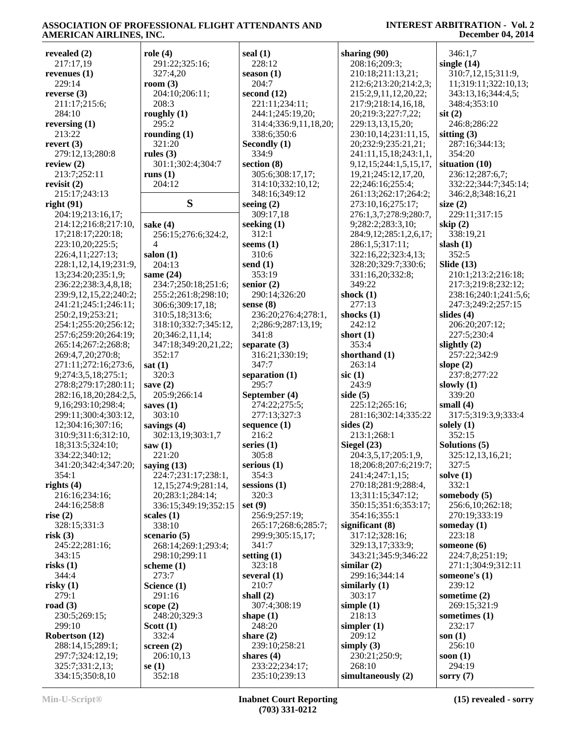| revealed $(2)$          | role(4)              | seal $(1)$            | sharing (90)                  | 346:1,7               |
|-------------------------|----------------------|-----------------------|-------------------------------|-----------------------|
| 217:17,19               | 291:22;325:16;       | 228:12                | 208:16;209:3;                 | single $(14)$         |
| revenues $(1)$          | 327:4,20             | season $(1)$          | 210:18;211:13,21;             | 310:7,12,15;311:9,    |
| 229:14                  | room $(3)$           | 204:7                 | 212:6;213:20;214:2,3;         | 11;319:11;322:10,13;  |
| reverse $(3)$           | 204:10;206:11;       | second $(12)$         | 215:2,9,11,12,20,22;          | 343:13,16;344:4,5;    |
| 211:17;215:6;           | 208:3                | 221:11;234:11;        | 217:9;218:14,16,18,           | 348:4;353:10          |
| 284:10                  | roughly $(1)$        | 244:1;245:19,20;      | 20;219:3;227:7,22;            | $s$ it $(2)$          |
| reversing $(1)$         | 295:2                | 314:4;336:9,11,18,20; | 229:13,13,15,20;              | 246:8;286:22          |
| 213:22                  | rounding $(1)$       | 338:6;350:6           | 230:10,14;231:11,15,          | sitting $(3)$         |
| revert $(3)$            | 321:20               | Secondly (1)          | 20;232:9;235:21,21;           | 287:16;344:13;        |
| 279:12,13;280:8         | rules $(3)$          | 334:9                 | 241:11,15,18;243:1,1,         | 354:20                |
| review $(2)$            | 301:1;302:4;304:7    | section $(8)$         | 9, 12, 15; 244: 1, 5, 15, 17, | situation (10)        |
| 213:7;252:11            | runs $(1)$           | 305:6;308:17,17;      | 19,21;245:12,17,20,           | 236:12;287:6,7;       |
| revisit $(2)$           | 204:12               | 314:10;332:10,12;     | 22;246:16;255:4;              | 332:22;344:7;345:14;  |
| 215:17;243:13           |                      | 348:16;349:12         | 261:13;262:17;264:2;          | 346:2,8;348:16,21     |
| right(91)               | S                    | seeing $(2)$          | 273:10,16;275:17;             | size $(2)$            |
| 204:19;213:16,17;       |                      | 309:17,18             | 276:1,3,7;278:9;280:7,        | 229:11;317:15         |
| 214:12;216:8;217:10,    | sake $(4)$           | seeking $(1)$         | 9;282:2;283:3,10;             | skip $(2)$            |
| 17;218:17;220:18;       | 256:15;276:6;324:2,  | 312:1                 | 284:9,12;285:1,2,6,17;        | 338:19,21             |
| 223:10,20;225:5;        | 4                    | seems $(1)$           | 286:1,5;317:11;               | slash $(1)$           |
| 226:4,11;227:13;        | salon $(1)$          | 310:6                 | 322:16,22;323:4,13;           | 352:5                 |
| 228:1,12,14,19;231:9,   | 204:13               | send $(1)$            | 328:20;329:7;330:6;           | Slide $(13)$          |
| 13;234:20;235:1,9;      | same $(24)$          | 353:19                | 331:16,20;332:8;              | 210:1;213:2;216:18;   |
| 236:22;238:3,4,8,18;    | 234:7;250:18;251:6;  | senior $(2)$          | 349:22                        | 217:3;219:8;232:12;   |
| 239:9,12,15,22;240:2;   | 255:2;261:8;298:10;  | 290:14;326:20         | shock $(1)$                   | 238:16;240:1;241:5,6; |
| 241:21;245:1;246:11;    | 306:6;309:17,18;     | sense (8)             | 277:13                        | 247:3;249:2;257:15    |
| 250:2,19;253:21;        | 310:5,18;313:6;      | 236:20;276:4;278:1,   | shocks $(1)$                  | slides $(4)$          |
| 254:1;255:20;256:12;    | 318:10;332:7;345:12, | 2;286:9;287:13,19;    | 242:12                        | 206:20;207:12;        |
| 257:6;259:20;264:19;    | 20;346:2,11,14;      | 341:8                 | short $(1)$                   | 227:5;230:4           |
| 265:14;267:2;268:8;     | 347:18;349:20,21,22; | separate $(3)$        | 353:4                         | slightly $(2)$        |
| 269:4,7,20;270:8;       | 352:17               | 316:21;330:19;        | shorthand (1)                 | 257:22;342:9          |
| 271:11;272:16;273:6,    | sat(1)               | 347:7                 | 263:14                        | slope $(2)$           |
| 9;274:3,5,18;275:1;     | 320:3                | separation $(1)$      | $\rm$ sic $(1)$               | 237:8;277:22          |
| 278:8;279:17;280:11;    | save $(2)$           | 295:7                 | 243:9                         | slowly $(1)$          |
| 282:16,18,20;284:2,5,   | 205:9;266:14         | September (4)         | side $(5)$                    | 339:20                |
| 9, 16; 293: 10; 298: 4; | saves $(1)$          | 274:22;275:5;         | 225:12;265:16;                | small $(4)$           |
| 299:11;300:4;303:12,    | 303:10               | 277:13;327:3          | 281:16;302:14;335:22          | 317:5;319:3,9;333:4   |
| 12;304:16;307:16;       | savings $(4)$        | sequence $(1)$        | sides $(2)$                   | solely $(1)$          |
| 310:9;311:6;312:10,     | 302:13,19;303:1,7    | 216:2                 | 213:1;268:1                   | 352:15                |
| 18;313:5;324:10;        | saw(1)               | series $(1)$          | Siegel $(23)$                 | Solutions (5)         |
| 334:22;340:12;          | 221:20               | 305:8                 | 204:3,5,17;205:1,9.           | 325:12,13,16,21;      |
| 341:20;342:4;347:20;    | saying $(13)$        | serious $(1)$         | 18;206:8;207:6;219:7;         | 327:5                 |
| 354:1                   | 224:7;231:17;238:1,  | 354:3                 | 241:4;247:1,15;               | solve $(1)$           |
| rights $(4)$            | 12,15;274:9;281:14,  | sessions $(1)$        | 270:18;281:9;288:4,           | 332:1                 |
| 216:16;234:16;          | 20;283:1;284:14;     | 320:3                 | 13;311:15;347:12;             | somebody $(5)$        |
| 244:16;258:8            | 336:15;349:19;352:15 | set $(9)$             | 350:15;351:6;353:17;          | 256:6,10;262:18;      |
| rise $(2)$              | scales $(1)$         | 256:9;257:19;         | 354:16;355:1                  | 270:19;333:19         |
| 328:15;331:3            | 338:10               | 265:17;268:6;285:7;   | significant $(8)$             | someday $(1)$         |
| risk(3)                 | scenario (5)         | 299:9;305:15,17;      | 317:12;328:16;                | 223:18                |
| 245:22;281:16;          | 268:14;269:1;293:4;  | 341:7                 | 329:13,17;333:9;              | someone (6)           |
| 343:15                  | 298:10;299:11        | setting $(1)$         | 343:21;345:9;346:22           | 224:7,8;251:19;       |
| risks(1)                | scheme $(1)$         | 323:18                | similar $(2)$                 | 271:1;304:9;312:11    |
| 344:4                   | 273:7                | several $(1)$         | 299:16;344:14                 | someone's $(1)$       |
| risky $(1)$             | Science (1)          | 210:7                 | similarly $(1)$               | 239:12                |
| 279:1                   | 291:16               | shall $(2)$           | 303:17                        | sometime $(2)$        |
| road $(3)$              | scope $(2)$          | 307:4;308:19          | simple $(1)$                  | 269:15;321:9          |
| 230:5;269:15;           | 248:20;329:3         | shape $(1)$           | 218:13                        | sometimes $(1)$       |
| 299:10                  | Scott $(1)$          | 248:20                | simpler $(1)$                 | 232:17                |
| Robertson (12)          | 332:4                | share $(2)$           | 209:12                        | son $(1)$             |
| 288:14,15;289:1;        | screen $(2)$         | 239:10;258:21         | simply $(3)$                  | 256:10                |
| 297:7;324:12,19;        | 206:10,13            | shares $(4)$          | 230:21;250:9;                 | soon $(1)$            |
| 325:7;331:2,13;         | se(1)                | 233:22;234:17;        | 268:10                        | 294:19                |
| 334:15;350:8,10         | 352:18               | 235:10;239:13         | simultaneously (2)            | sorry $(7)$           |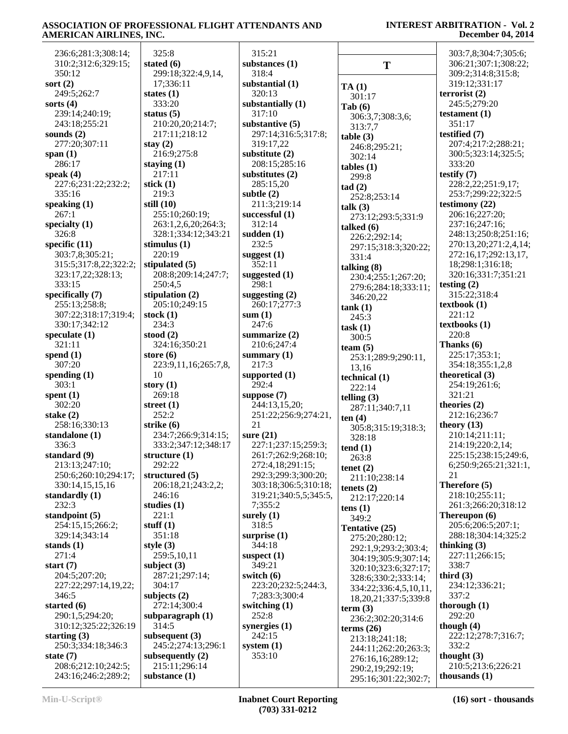| 236:6;281:3;308:14;                | 325:8                                    | 315:21                 |                               | 303:7,8;304:7;305:6;        |
|------------------------------------|------------------------------------------|------------------------|-------------------------------|-----------------------------|
| 310:2;312:6;329:15;                | stated $(6)$                             | substances (1)         | T                             | 306:21;307:1;308:22;        |
| 350:12                             | 299:18;322:4,9,14,                       | 318:4                  |                               | 309:2;314:8;315:8;          |
| sort $(2)$                         | 17;336:11                                | substantial (1)        | TA(1)                         | 319:12;331:17               |
| 249:5;262:7                        | states $(1)$                             | 320:13                 | 301:17                        | terrorist $(2)$             |
| sorts $(4)$                        | 333:20                                   | substantially (1)      | Tab(6)                        | 245:5;279:20                |
| 239:14;240:19;                     | status $(5)$                             | 317:10                 | 306:3,7;308:3,6;              | testament $(1)$             |
| 243:18;255:21                      | 210:20,20;214:7;                         | substantive $(5)$      | 313:7,7                       | 351:17                      |
| sounds $(2)$                       | 217:11;218:12                            | 297:14;316:5;317:8;    | table(3)                      | testified (7)               |
| 277:20;307:11                      | stay $(2)$                               | 319:17,22              | 246:8;295:21;                 | 207:4;217:2;288:21;         |
| span $(1)$                         | 216:9;275:8                              | substitute $(2)$       | 302:14                        | 300:5;323:14;325:5;         |
| 286:17                             | staying $(1)$                            | 208:15;285:16          | $tables (1)$                  | 333:20                      |
| speak $(4)$                        | 217:11                                   | substitutes $(2)$      | 299:8                         | testify $(7)$               |
| 227:6;231:22;232:2;                | stick $(1)$                              | 285:15,20              | tad(2)                        | 228:2,22;251:9,17;          |
| 335:16                             | 219:3                                    | subtle $(2)$           | 252:8;253:14                  | 253:7;299:22;322:5          |
| speaking $(1)$                     | still $(10)$                             | 211:3;219:14           | talk $(3)$                    | testimony $(22)$            |
| 267:1                              | 255:10;260:19;                           | successful $(1)$       | 273:12;293:5;331:9            | 206:16;227:20;              |
| specialty $(1)$                    | 263:1,2,6,20;264:3;                      | 312:14                 | talked $(6)$                  | 237:16;247:16;              |
| 326:8                              | 328:1;334:12;343:21                      | sudden $(1)$           | 226:2;292:14;                 | 248:13;250:8;251:16;        |
| specific $(11)$                    | stimulus $(1)$                           | 232:5                  | 297:15;318:3;320:22;          | 270:13,20;271:2,4,14;       |
| 303:7,8;305:21;                    | 220:19                                   | suggest $(1)$          | 331:4                         | 272:16,17;292:13,17,        |
| 315:5;317:8,22;322:2;              | stipulated $(5)$                         | 352:11                 | talking $(8)$                 | 18;298:1;316:18;            |
| 323:17,22;328:13;                  | 208:8;209:14;247:7;                      | suggested (1)          | 230:4;255:1;267:20;           | 320:16;331:7;351:21         |
| 333:15                             | 250:4,5                                  | 298:1                  | 279:6;284:18;333:11;          | testing $(2)$               |
| specifically $(7)$                 | stipulation $(2)$                        | suggesting $(2)$       | 346:20,22                     | 315:22;318:4                |
| 255:13;258:8;                      | 205:10;249:15                            | 260:17;277:3           | tank(1)                       | textbook $(1)$              |
| 307:22;318:17;319:4;               | stock $(1)$                              | sum(1)                 | 245:3                         | 221:12                      |
| 330:17;342:12                      | 234:3                                    | 247:6                  | task(1)                       | textbooks (1)               |
| speculate $(1)$                    | stood $(2)$                              | summarize $(2)$        | 300:5                         | 220:8                       |
| 321:11                             | 324:16;350:21                            | 210:6;247:4            | team $(5)$                    | Thanks (6)<br>225:17;353:1; |
| spend $(1)$<br>307:20              | store $(6)$<br>223:9,11,16;265:7,8,      | summary $(1)$<br>217:3 | 253:1;289:9;290:11,           | 354:18;355:1,2,8            |
| spending $(1)$                     | 10                                       | supported $(1)$        | 13,16                         | theoretical (3)             |
| 303:1                              | story $(1)$                              | 292:4                  | technical $(1)$               | 254:19;261:6;               |
| spent $(1)$                        | 269:18                                   | suppose $(7)$          | 222:14                        | 321:21                      |
| 302:20                             | street $(1)$                             | 244:13,15,20;          | telling $(3)$                 | theories (2)                |
| stake $(2)$                        | 252:2                                    | 251:22;256:9;274:21,   | 287:11;340:7,11               | 212:16;236:7                |
| 258:16;330:13                      | strike (6)                               | 21                     | ten $(4)$                     | theory $(13)$               |
| standalone (1)                     | 234:7;266:9;314:15;                      | sure $(21)$            | 305:8;315:19;318:3;<br>328:18 | 210:14;211:11;              |
| 336:3                              | 333:2;347:12;348:17                      | 227:1;237:15;259:3;    | tend(1)                       | 214:19;220:2,14;            |
| standard (9)                       | structure $(1)$                          | 261:7;262:9;268:10;    | 263:8                         | 225:15;238:15;249:6,        |
| 213:13;247:10;                     | 292:22                                   | 272:4,18;291:15;       | tenet $(2)$                   | 6;250:9;265:21;321:1,       |
| 250:6;260:10;294:17;               | structured (5)                           | 292:3;299:3;300:20;    | 211:10;238:14                 | 21                          |
| 330:14,15,15,16                    | 206:18,21;243:2,2;                       | 303:18;306:5;310:18;   | tenets $(2)$                  | Therefore (5)               |
| standardly $(1)$                   | 246:16                                   | 319:21;340:5,5;345:5,  | 212:17;220:14                 | 218:10;255:11;              |
| 232:3                              | studies $(1)$                            | 7;355:2                | tens $(1)$                    | 261:3;266:20;318:12         |
| standpoint $(5)$                   | 221:1                                    | surely $(1)$           | 349:2                         | Thereupon (6)               |
| 254:15,15;266:2;                   | stuff $(1)$                              | 318:5                  | Tentative (25)                | 205:6;206:5;207:1;          |
| 329:14;343:14                      | 351:18                                   | surprise $(1)$         | 275:20;280:12;                | 288:18;304:14;325:2         |
| stands $(1)$                       | style $(3)$                              | 344:18                 | 292:1,9;293:2;303:4;          | thinking $(3)$              |
| 271:4                              | 259:5,10,11                              | suspect $(1)$          | 304:19;305:9;307:14;          | 227:11;266:15;              |
| start $(7)$                        | subject $(3)$                            | 349:21                 | 320:10;323:6;327:17;          | 338:7                       |
| 204:5;207:20;                      | 287:21;297:14;                           | switch $(6)$           | 328:6;330:2;333:14;           | third $(3)$                 |
| 227:22;297:14,19,22;               | 304:17                                   | 223:20;232:5;244:3,    | 334:22;336:4,5,10,11,         | 234:12;336:21;              |
| 346:5                              | subjects $(2)$                           | 7;283:3;300:4          | 18, 20, 21, 337: 5; 339: 8    | 337:2                       |
| started $(6)$                      | 272:14;300:4                             | switching $(1)$        | term $(3)$                    | thorough $(1)$              |
| 290:1,5;294:20;                    | subparagraph (1)                         | 252:8                  | 236:2;302:20;314:6            | 292:20                      |
| 310:12;325:22;326:19               | 314:5                                    | synergies $(1)$        | terms $(26)$                  | though $(4)$                |
| starting $(3)$                     | subsequent $(3)$                         | 242:15                 | 213:18;241:18;                | 222:12;278:7;316:7;         |
| 250:3;334:18;346:3                 | 245:2;274:13;296:1<br>subsequently $(2)$ | system $(1)$<br>353:10 | 244:11;262:20;263:3;          | 332:2<br>thought $(3)$      |
| state $(7)$<br>208:6;212:10;242:5; | 215:11;296:14                            |                        | 276:16,16;289:12;             | 210:5;213:6;226:21          |
| 243:16;246:2;289:2;                | substance $(1)$                          |                        | 290:2,19;292:19;              | thousands $(1)$             |
|                                    |                                          |                        | 295:16;301:22;302:7;          |                             |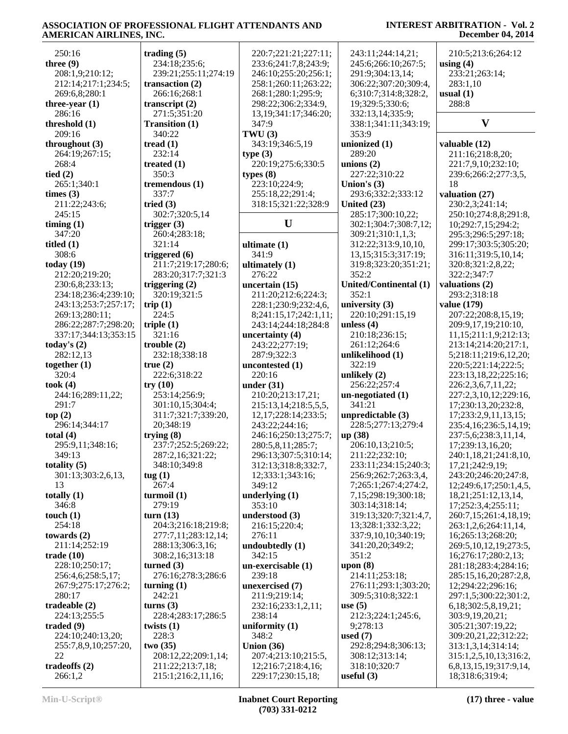#### 250:16 **three (9)** 208:1,9;210:12; 212:14;217:1;234:5; 269:6,8;280:1 **three-year (1)** 286:16 **threshold (1)** 209:16 **throughout (3)** 264:19;267:15; 268:4 **tied (2)** 265:1;340:1 **times (3)** 211:22;243:6; 245:15 **timing (1)** 347:20 **titled (1)** 308:6 **today (19)** 212:20;219:20; 230:6,8;233:13; 234:18;236:4;239:10; 243:13;253:7;257:17; 269:13;280:11; 286:22;287:7;298:20; 337:17;344:13;353:15 **today's (2)** 282:12,13 **together (1)** 320:4 **took (4)** 244:16;289:11,22; 291:7 **top (2)** 296:14;344:17 **total (4)** 295:9,11;348:16; 349:13 **totality (5)** 301:13;303:2,6,13, 13 **totally (1)** 346:8 **touch (1)** 254:18 **towards (2)** 211:14;252:19 **trade (10)** 228:10;250:17; 256:4,6;258:5,17; 267:9;275:17;276:2; 280:17 **tradeable (2)** 224:13;255:5 **traded (9)** 224:10;240:13,20; 255:7,8,9,10;257:20,  $22$ **tradeoffs (2)** 266:1,2 **trading (5)** 234:18;235:6; 239:21;255:11;274:19 **transaction (2)** 266:16;268:1 **transcript (2)** 271:5;351:20 **Transition (1)** 340:22 **tread (1)** 232:14 **treated (1)** 350:3 **tremendous (1)** 337:7 **tried (3)** 302:7;320:5,14 **trigger (3)** 260:4;283:18; 321:14 **triggered (6)** 211:7;219:17;280:6; 283:20;317:7;321:3 **triggering (2)** 320:19;321:5 **trip (1)** 224:5 **triple (1)** 321:16 **trouble (2)** 232:18;338:18 **true (2)** 222:6;318:22 **try (10)** 253:14;256:9; 301:10,15;304:4; 311:7;321:7;339:20, 20;348:19 **trying (8)** 237:7;252:5;269:22; 287:2,16;321:22; 348:10;349:8 **tug (1)** 267:4 **turmoil (1)** 279:19 **turn (13)** 204:3;216:18;219:8; 277:7,11;283:12,14; 288:13;306:3,16; 308:2,16;313:18 **turned (3)** 276:16;278:3;286:6 **turning (1)** 242:21 **turns (3)** 228:4;283:17;286:5 **twists (1)** 228:3 **two (35)** 208:12,22;209:1,14; 211:22;213:7,18; 215:1;216:2,11,16; 220:7;221:21;227:11; 233:6;241:7,8;243:9; 246:10;255:20;256:1; 258:1;260:11;263:22; 268:1;280:1;295:9; 298:22;306:2;334:9, 13,19;341:17;346:20; 347:9 **TWU (3)** 343:19;346:5,19 **type (3)** 220:19;275:6;330:5 **types (8)** 223:10;224:9; 255:18,22;291:4; 318:15;321:22;328:9 **U ultimate (1)** 341:9 **ultimately (1)** 276:22 **uncertain (15)** 211:20;212:6;224:3; 228:1;230:9;232:4,6, 8;241:15,17;242:1,11; 243:14;244:18;284:8 **uncertainty (4)** 243:22;277:19; 287:9;322:3 **uncontested (1)** 220:16 **under (31)** 210:20;213:17,21; 215:13,14;218:5,5,5, 12,17;228:14;233:5; 243:22;244:16; 246:16;250:13;275:7; 280:5,8,11;285:7; 296:13;307:5;310:14; 312:13;318:8;332:7, 12;333:1;343:16; 349:12 **underlying (1)** 353:10 **understood (3)** 216:15;220:4; 276:11 **undoubtedly (1)** 342:15 **un-exercisable (1)** 239:18 **unexercised (7)** 211:9;219:14; 232:16;233:1,2,11; 238:14 **uniformity (1)** 348:2 **Union (36)** 207:4;213:10;215:5, 12;216:7;218:4,16; 229:17;230:15,18; 243:11;244:14,21; 245:6;266:10;267:5; 291:9;304:13,14; 306:22;307:20;309:4, 6;310:7;314:8;328:2, 19;329:5;330:6; 332:13,14;335:9; 338:1;341:11;343:19; 353:9 **unionized (1)** 289:20 **unions (2)** 227:22;310:22 **Union's (3)** 293:6;332:2;333:12 **United (23)** 285:17;300:10,22; 302:1;304:7;308:7,12; 309:21;310:1,1,3; 312:22;313:9,10,10, 13,15;315:3;317:19; 319:8;323:20;351:21; 352:2 **United/Continental (1)** 352:1 **university (3)** 220:10;291:15,19 **unless (4)** 210:18;236:15; 261:12;264:6 **unlikelihood (1)** 322:19 **unlikely (2)** 256:22;257:4 **un-negotiated (1)** 341:21 **unpredictable (3)** 228:5;277:13;279:4 **up (38)** 206:10,13;210:5; 211:22;232:10; 233:11;234:15;240:3; 256:9;262:7;263:3,4, 7;265:1;267:4;274:2, 7,15;298:19;300:18; 303:14;318:14; 319:13;320:7;321:4,7, 13;328:1;332:3,22; 337:9,10,10;340:19; 341:20,20;349:2; 351:2 **upon (8)** 214:11;253:18; 276:11;293:1;303:20; 309:5;310:8;322:1 **use (5)** 212:3;224:1;245:6, 9;278:13 **used (7)** 292:8;294:8;306:13; 308:12;313:14; 318:10;320:7 **useful (3)** 210:5;213:6;264:12 **using (4)** 233:21;263:14; 283:1,10 **usual (1)** 288:8 **V valuable (12)** 211:16;218:8,20; 221:7,9,10;232:10; 239:6;266:2;277:3,5, 18 **valuation (27)** 230:2,3;241:14; 250:10;274:8,8;291:8, 10;292:7,15;294:2; 295:3;296:5;297:18; 299:17;303:5;305:20; 316:11;319:5,10,14; 320:8;321:2,8,22; 322:2;347:7 **valuations (2)** 293:2;318:18 **value (179)** 207:22;208:8,15,19; 209:9,17,19;210:10, 11,15;211:1,9;212:13; 213:14;214:20;217:1, 5;218:11;219:6,12,20; 220:5;221:14;222:5; 223:13,18,22;225:16; 226:2,3,6,7,11,22; 227:2,3,10,12;229:16, 17;230:13,20;232:8, 17;233:2,9,11,13,15; 235:4,16;236:5,14,19; 237:5,6;238:3,11,14, 17;239:13,16,20; 240:1,18,21;241:8,10, 17,21;242:9,19; 243:20;246:20;247:8, 12;249:6,17;250:1,4,5, 18,21;251:12,13,14, 17;252:3,4;255:11; 260:7,15;261:4,18,19; 263:1,2,6;264:11,14, 16;265:13;268:20; 269:5,10,12,19;273:5, 16;276:17;280:2,13; 281:18;283:4;284:16; 285:15,16,20;287:2,8, 12;294:22;296:16; 297:1,5;300:22;301:2, 6,18;302:5,8,19,21; 303:9,19,20,21; 305:21;307:19,22; 309:20,21,22;312:22; 313:1,3,14;314:14; 315:1,2,5,10,13;316:2, 6,8,13,15,19;317:9,14, 18;318:6;319:4;

**Min-U-Script® Inabnet Court Reporting (703) 331-0212**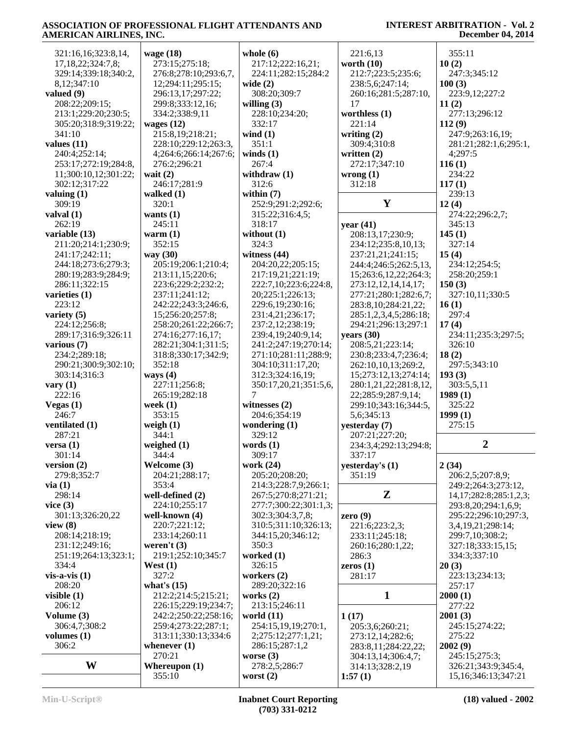| 321:16,16;323:8,14,     | wage $(18)$              | whole $(6)$                   | 221:6,13                              | 355:11                        |
|-------------------------|--------------------------|-------------------------------|---------------------------------------|-------------------------------|
| 17, 18, 22; 324: 7, 8;  | 273:15;275:18;           | 217:12;222:16,21;             | worth $(10)$                          | 10(2)                         |
| 329:14;339:18;340:2,    | 276:8;278:10;293:6,7,    | 224:11;282:15;284:2           | 212:7;223:5;235:6;                    | 247:3;345:12                  |
| 8,12;347:10             | 12;294:11;295:15;        | wide $(2)$                    | 238:5,6;247:14;                       | 100(3)                        |
| valued $(9)$            | 296:13,17;297:22;        | 308:20;309:7                  | 260:16;281:5;287:10,                  | 223:9,12;227:2                |
| 208:22;209:15;          | 299:8;333:12,16;         | willing $(3)$                 | 17                                    | 11(2)                         |
| 213:1;229:20;230:5;     | 334:2;338:9,11           | 228:10;234:20;                | worthless $(1)$                       | 277:13;296:12                 |
| 305:20;318:9;319:22;    | wages $(12)$             | 332:17                        | 221:14                                | 112(9)                        |
| 341:10                  | 215:8,19;218:21;         | wind $(1)$                    | writing $(2)$                         | 247:9;263:16,19;              |
| values $(11)$           | 228:10;229:12;263:3,     | 351:1                         | 309:4;310:8                           | 281:21;282:1,6;295:1,         |
| 240:4;252:14;           | 4;264:6;266:14;267:6;    | winds $(1)$                   | written $(2)$                         | 4;297:5                       |
| 253:17;272:19;284:8,    | 276:2;296:21             | 267:4                         | 272:17;347:10                         | 116(1)                        |
| 11;300:10,12;301:22;    | wait $(2)$               | withdraw $(1)$                | wrong $(1)$                           | 234:22                        |
| 302:12;317:22           | 246:17;281:9             | 312:6                         | 312:18                                | 117(1)                        |
| valuing $(1)$           | walked $(1)$<br>320:1    | within $(7)$                  | $\mathbf Y$                           | 239:13                        |
| 309:19                  |                          | 252:9;291:2;292:6;            |                                       | 12(4)                         |
| valval $(1)$<br>262:19  | wants $(1)$<br>245:11    | 315:22;316:4,5;<br>318:17     | year $(41)$                           | 274:22;296:2,7;<br>345:13     |
| variable (13)           | warm $(1)$               | without $(1)$                 | 208:13,17;230:9;                      | 145(1)                        |
| 211:20;214:1;230:9;     | 352:15                   | 324:3                         | 234:12;235:8,10,13;                   | 327:14                        |
| 241:17;242:11;          | way (30)                 | witness $(44)$                | 237:21,21;241:15;                     | 15(4)                         |
| 244:18;273:6;279:3;     | 205:19;206:1;210:4;      | 204:20,22;205:15;             | 244:4;246:5;262:5,13,                 | 234:12;254:5;                 |
| 280:19;283:9;284:9;     | 213:11,15;220:6;         | 217:19,21;221:19;             | 15;263:6,12,22;264:3;                 | 258:20;259:1                  |
| 286:11;322:15           | 223:6;229:2;232:2;       | 222:7,10;223:6;224:8,         | 273:12,12,14,14,17;                   | 150(3)                        |
| varieties $(1)$         | 237:11;241:12;           | 20;225:1;226:13;              | 277:21;280:1;282:6,7;                 | 327:10,11;330:5               |
| 223:12                  | 242:22;243:3;246:6,      | 229:6,19;230:16;              | 283:8, 10; 284: 21, 22;               | 16(1)                         |
| variety $(5)$           | 15;256:20;257:8;         | 231:4,21;236:17;              | 285:1,2,3,4,5;286:18;                 | 297:4                         |
| 224:12;256:8;           | 258:20;261:22;266:7;     | 237:2,12;238:19;              | 294:21;296:13;297:1                   | 17(4)                         |
| 289:17;316:9;326:11     | 274:16;277:16,17;        | 239:4,19;240:9,14;            | years (30)                            | 234:11;235:3;297:5;           |
| various $(7)$           | 282:21;304:1;311:5;      | 241:2;247:19;270:14;          | 208:5,21;223:14;                      | 326:10                        |
| 234:2;289:18;           | 318:8;330:17;342:9;      | 271:10;281:11;288:9;          | 230:8;233:4,7;236:4;                  | 18(2)                         |
| 290:21;300:9;302:10;    | 352:18                   | 304:10;311:17,20;             | 262:10,10,13;269:2,                   | 297:5;343:10                  |
| 303:14;316:3            | ways $(4)$               | 312:3;324:16,19;              | 15;273:12,13;274:14;                  | 193(3)                        |
| vary $(1)$              | 227:11;256:8;            | 350:17,20,21;351:5,6,         | 280:1,21,22;281:8,12,                 | 303:5,5,11                    |
| 222:16                  | 265:19;282:18            | 7                             | 22;285:9;287:9,14;                    | 1989(1)                       |
| Vegas $(1)$             | week $(1)$               | witnesses $(2)$               | 299:10;343:16;344:5,                  | 325:22                        |
| 246:7                   | 353:15                   | 204:6;354:19                  | 5,6;345:13                            | 1999(1)                       |
| ventilated (1)          | weigh $(1)$              | wondering $(1)$               | yesterday (7)                         | 275:15                        |
| 287:21                  | 344:1                    | 329:12                        | 207:21;227:20;                        | $\overline{2}$                |
| versa $(1)$             | weighed $(1)$            | words $(1)$<br>309:17         | 234:3,4;292:13;294:8;                 |                               |
| 301:14<br>version $(2)$ | 344:4<br>Welcome (3)     | work (24)                     | 337:17<br>yesterday's $(1)$           | 2(34)                         |
| 279:8;352:7             | 204:21;288:17;           | 205:20;208:20;                | 351:19                                | 206:2,5;207:8,9;              |
| via(1)                  | 353:4                    | 214:3;228:7,9;266:1;          |                                       | 249:2;264:3;273:12,           |
| 298:14                  | well-defined $(2)$       | 267:5;270:8;271:21;           | Z                                     | 14, 17; 282: 8; 285: 1, 2, 3; |
| vice $(3)$              | 224:10;255:17            | 277:7:300:22:301:1.3:         |                                       | 293:8,20;294:1,6,9;           |
| 301:13;326:20,22        | well-known (4)           | 302:3;304:3,7,8;              | zero $(9)$                            | 295:22;296:10;297:3,          |
| view(8)                 | 220:7;221:12;            | 310:5;311:10;326:13;          | 221:6;223:2,3;                        | 3,4,19,21;298:14;             |
| 208:14;218:19;          | 233:14;260:11            | 344:15,20;346:12;             | 233:11;245:18;                        | 299:7,10;308:2;               |
| 231:12;249:16;          | weren't $(3)$            | 350:3                         | 260:16;280:1,22;                      | 327:18;333:15,15;             |
| 251:19;264:13;323:1;    | 219:1;252:10;345:7       | worked (1)                    | 286:3                                 | 334:3;337:10                  |
| 334:4                   | West $(1)$               | 326:15                        | zeros $(1)$                           | 20(3)                         |
| $vis-a-vis (1)$         | 327:2                    | workers $(2)$                 | 281:17                                | 223:13;234:13;                |
| 208:20                  | what's $(15)$            | 289:20;322:16                 |                                       | 257:17                        |
| visible $(1)$           | 212:2;214:5;215:21;      | works $(2)$                   | 1                                     | 2000(1)                       |
| 206:12                  | 226:15;229:19;234:7;     | 213:15;246:11                 |                                       | 277:22                        |
| Volume (3)              | 242:2;250:22;258:16;     | world $(11)$                  | 1(17)                                 | 2001(3)                       |
| 306:4,7;308:2           | 259:4;273:22;287:1;      | 254:15,19,19;270:1,           | 205:3,6;260:21;                       | 245:15;274:22;                |
| volumes $(1)$           | 313:11;330:13;334:6      | 2;275:12;277:1,21;            | 273:12,14;282:6;                      | 275:22                        |
| 306:2                   | whenever $(1)$<br>270:21 | 286:15;287:1,2<br>worse $(3)$ | 283:8,11;284:22,22;                   | 2002(9)<br>245:15;275:3;      |
| W                       | Whereupon $(1)$          | 278:2,5;286:7                 | 304:13,14;306:4,7;<br>314:13;328:2,19 | 326:21;343:9;345:4,           |
|                         | 355:10                   | worst $(2)$                   | 1:57(1)                               | 15, 16; 346: 13; 347: 21      |
|                         |                          |                               |                                       |                               |